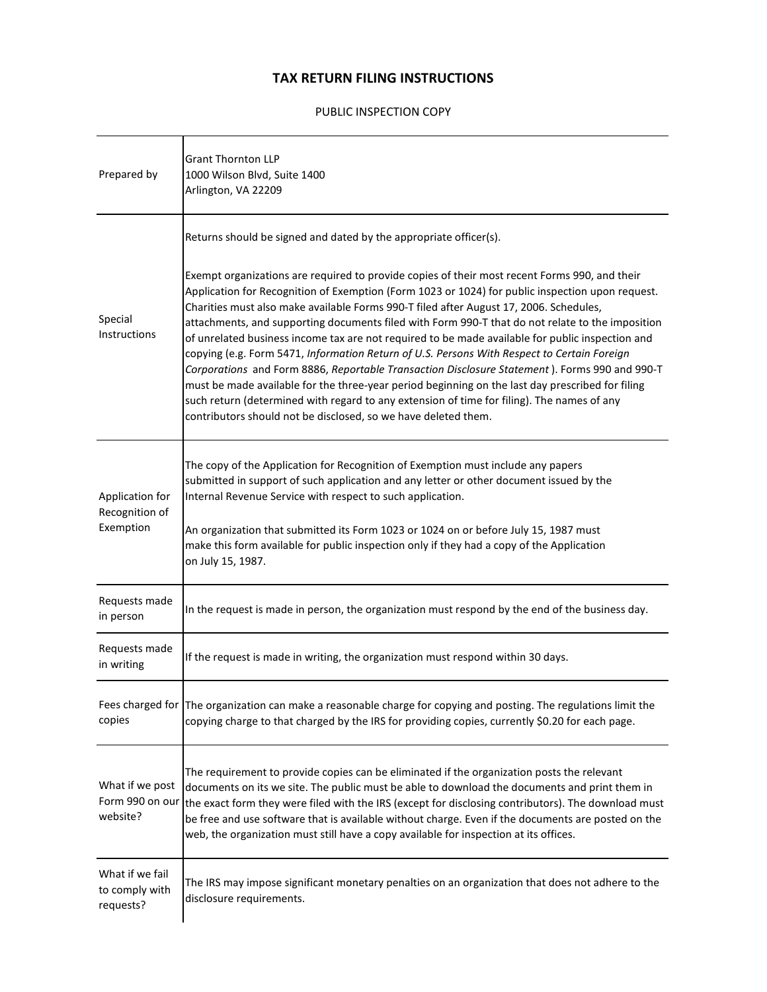# **TAX RETURN FILING INSTRUCTIONS**

## PUBLIC INSPECTION COPY

| Prepared by                                    | <b>Grant Thornton LLP</b><br>1000 Wilson Blvd, Suite 1400<br>Arlington, VA 22209                                                                                                                                                                                                                                                                                                                                                                                                                                                                                                                                                                                                                                                                                                                                                                                                                                                                                                                                                             |
|------------------------------------------------|----------------------------------------------------------------------------------------------------------------------------------------------------------------------------------------------------------------------------------------------------------------------------------------------------------------------------------------------------------------------------------------------------------------------------------------------------------------------------------------------------------------------------------------------------------------------------------------------------------------------------------------------------------------------------------------------------------------------------------------------------------------------------------------------------------------------------------------------------------------------------------------------------------------------------------------------------------------------------------------------------------------------------------------------|
| Special<br>Instructions                        | Returns should be signed and dated by the appropriate officer(s).<br>Exempt organizations are required to provide copies of their most recent Forms 990, and their<br>Application for Recognition of Exemption (Form 1023 or 1024) for public inspection upon request.<br>Charities must also make available Forms 990-T filed after August 17, 2006. Schedules,<br>attachments, and supporting documents filed with Form 990-T that do not relate to the imposition<br>of unrelated business income tax are not required to be made available for public inspection and<br>copying (e.g. Form 5471, Information Return of U.S. Persons With Respect to Certain Foreign<br>Corporations and Form 8886, Reportable Transaction Disclosure Statement). Forms 990 and 990-T<br>must be made available for the three-year period beginning on the last day prescribed for filing<br>such return (determined with regard to any extension of time for filing). The names of any<br>contributors should not be disclosed, so we have deleted them. |
| Application for<br>Recognition of<br>Exemption | The copy of the Application for Recognition of Exemption must include any papers<br>submitted in support of such application and any letter or other document issued by the<br>Internal Revenue Service with respect to such application.<br>An organization that submitted its Form 1023 or 1024 on or before July 15, 1987 must<br>make this form available for public inspection only if they had a copy of the Application<br>on July 15, 1987.                                                                                                                                                                                                                                                                                                                                                                                                                                                                                                                                                                                          |
| Requests made<br>in person                     | In the request is made in person, the organization must respond by the end of the business day.                                                                                                                                                                                                                                                                                                                                                                                                                                                                                                                                                                                                                                                                                                                                                                                                                                                                                                                                              |
| Requests made<br>in writing                    | If the request is made in writing, the organization must respond within 30 days.                                                                                                                                                                                                                                                                                                                                                                                                                                                                                                                                                                                                                                                                                                                                                                                                                                                                                                                                                             |
| copies                                         | Fees charged for The organization can make a reasonable charge for copying and posting. The regulations limit the<br>copying charge to that charged by the IRS for providing copies, currently \$0.20 for each page.                                                                                                                                                                                                                                                                                                                                                                                                                                                                                                                                                                                                                                                                                                                                                                                                                         |
| What if we post<br>website?                    | The requirement to provide copies can be eliminated if the organization posts the relevant<br>documents on its we site. The public must be able to download the documents and print them in<br>Form 990 on our the exact form they were filed with the IRS (except for disclosing contributors). The download must<br>be free and use software that is available without charge. Even if the documents are posted on the<br>web, the organization must still have a copy available for inspection at its offices.                                                                                                                                                                                                                                                                                                                                                                                                                                                                                                                            |
| What if we fail<br>to comply with<br>requests? | The IRS may impose significant monetary penalties on an organization that does not adhere to the<br>disclosure requirements.                                                                                                                                                                                                                                                                                                                                                                                                                                                                                                                                                                                                                                                                                                                                                                                                                                                                                                                 |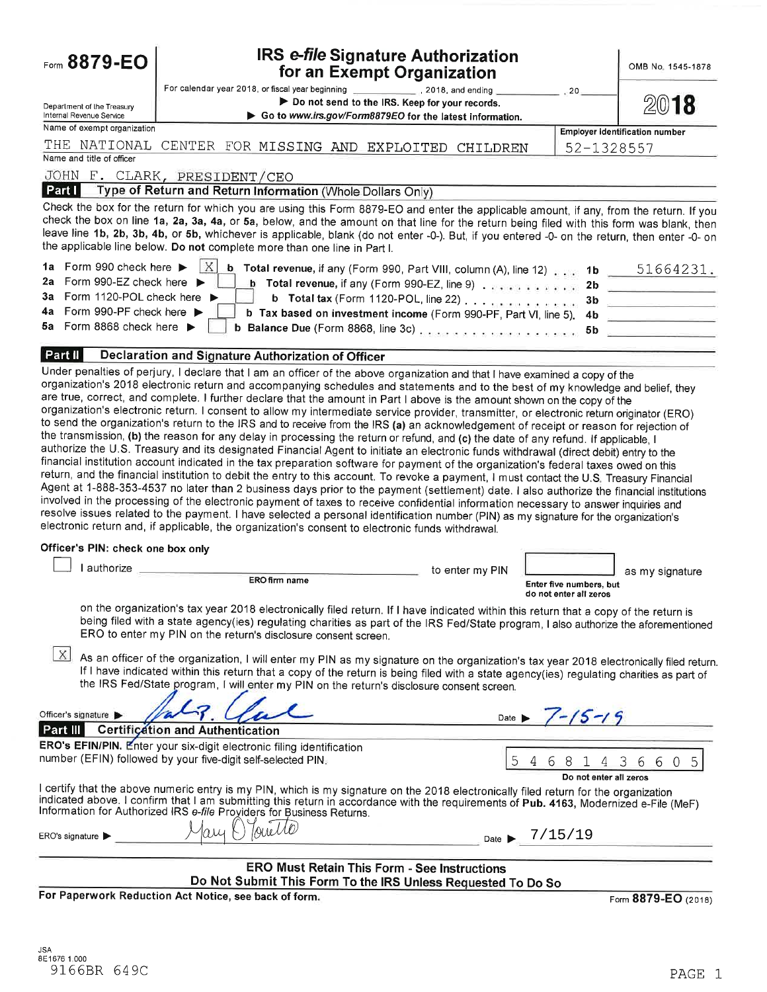IRS e-file Signature Authorization Form 8879-EO OMB No. 1545-1878 for an Exempt OrganizationFor calendar year 2018, orfiscal yearbeginning \_, 2019, and ending  $\overline{\phantom{a}}$ , 2018, and ending  $-20$ → Do not send to the IRS. Keep for your records.<br>
→ Go to www.irs.gov/Form8879EO for the latest information. Department of the Treasury2@18lnternal Revenue Seruice Name of exempt organization**Employer identification number** THE NATIONAL CENTER FOR MISSING AND EXPLOITED CHILDREN 52-7328551Name and title of officerN F. CLARK, PRESIDENT/CEO Part Iof Return and Return Information (Whole Dollars On Check the box for the return for which you are using this Form 8879-EO and enter the applicable amount, if any, from the return. lf youcheck the box on line 1a, 2a, 3a, 4a, or 5a, below, and the amount on that line for the return being filed with this form was blank, then leave line 1b, 2b, 3b, 4b, or 5b, whichever is applicable, blank (do not enter -0-). But, if you entered -0- on the return, then enter -0- on the applicable line below. Do not complete more than one line in part l.1a Form 990 check here  $\blacktriangleright\;$   $\boxed{\mathbb{X}}$  by Total revenue, if any (Form 990, Part VIII, column (A), line 12)  $\ldots$  1b  $\_\_\_\_\_51664231$ **2a** Form 990-EZ check here  $\blacktriangleright$ -orm 990-EZ check here ▶ B Total revenue, if any (Form 990-EZ, line 9) . . . . . . . . . . . . . 2b<br>Form 1120-POL check here ▶ B Total tax (Form 1120-POL, line 22) . . . . . . . . . . . . . . . 3b 2b 3aForm 990-PF check here  $\blacktriangleright$  4ab Tax based on investment income (Form 990-PF, Part Vl, line 5). 4bForm 8868 check here  $\blacktriangleright$  5ab Balance Due (Form 8868, line 3c) **Automobia Administrative Control**  5bPart llDeclaration and Signature Authorization of Officer Under penalties of perjury, I declare that I am an officer of the above organization and that I have examined a copy of theorganization's 2018 electronic return and accompanying schedules and statements and to the best of my knowledge and belief, they are true, correct, and complete. I further declare that the amount in Part I above is the amount shown on the copy of the organization's electronic return. I consent to allow my intermediate service provider, transmitter, or electronic return originator (ERO)to send the organization's return to the IRS and to receive from the IRS (a) an acknowledgement of receipt or reason for rejection of<br>the transmission, (b) the reason for any delay in processing the return or refund, and ( authorize the U.S. Treasury and its designated Financial Agent to initiate an electronic funds withdrawal (direct debit) entry to the financial institution account indicated in the tax preparation software for payment of the organization's federal taxes owed on this return, and the financial institution to debit the entry to this account. To revoke a payment, I must contact the U.S. Treasury FinancialAgent at 1-888-353-4537 no later than 2 business days prior to the payment (settlement) date. I also authorize the financial institutions involved in the processing of the electronic payment of taxes to receive confidential information necessary to answer inquiries andresolve issues related to the payment. I have selected a personal identification number (PIN) as my signature for the organization's electronic return and, if applicable, the organization's consent to electronic funds withdrawal.Officer's PIN: check one box only| authorize \_ to enter my PINas my signatureEROfirm name Enter five numbers, butdo not enter all zeros on the organization's tax year 2018 electronically filed return. lf I have indicated within this return that a copy of the return is being filed with a state agency(ies) regulating charities as part of the IRS Fed/State program, I also authorize the aforementionedERO to enter my PIN on the return's disclosure consent screen. $|X|$ As an officer of the organization, I will enter my PIN as my signature on the organization's tax year 2018 electronically filed return. As an officer of the organization, I will enter my PIN as my signature on the organization's tax year 2018 electronically filed return<br>If I have indicated within this return that a copy of the return is being filed with a the IRS Fed/State program, I will enter my PIN on the return's disclosure consent screen. Officer's signature  $7 - 15 - 19$ Date  $\blacktriangleright$  Date **Part III** Certification and Authentication E**RO's EFIN/PIN. E**nter your six-digit electronic filing identificatior number (EFIN) followed by your five-digit self-selected plN5468143660 5 Do not enter all zeros certify that the above numeric entry is my PIN, which is my signature on the 2018 electronically filed return for the organization indicated above. I confirm that I am submitting this return in accordance with the requirements of Pub. 4163, Modernized e-File (MeF) Information for Authorized IRS e-file Providers for Business Returns. Touchlo  $|au(\kappa)|$ 7/15/19ERO's signature Date ▶ ERO Must Retain This Form - See lnstructions Do Not Submit This Form To the IRS Unless Reouested To Do SoFor Paperwork Reduction Act Notice, see back of formForm 8879-EO (2018)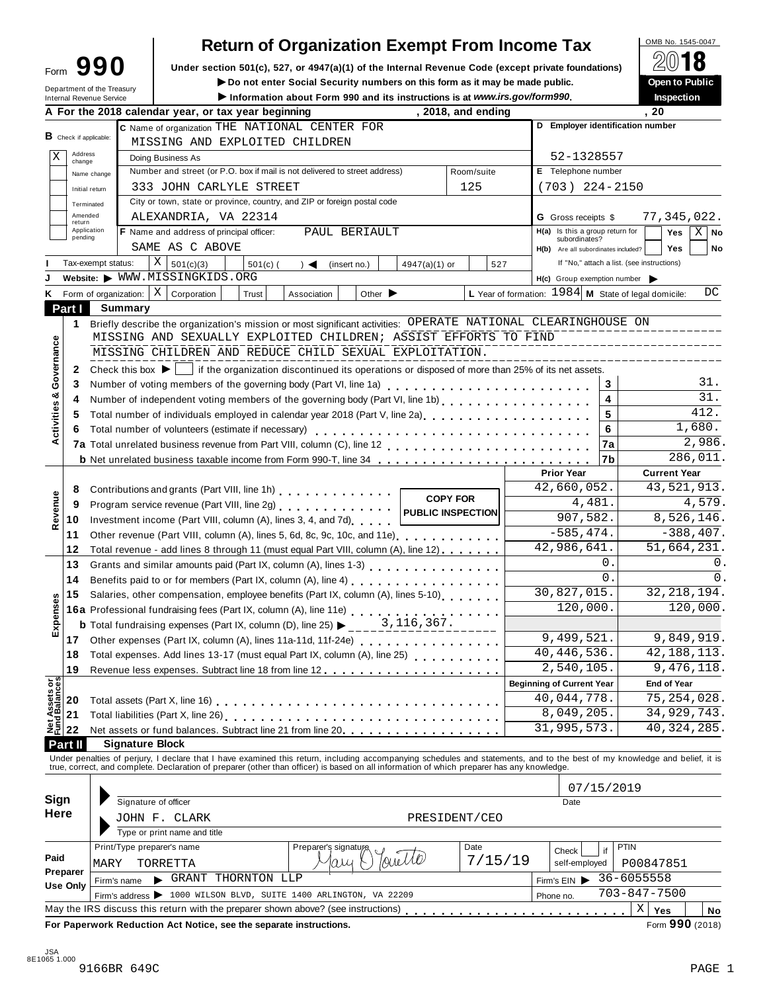| Form | 190                        |
|------|----------------------------|
|      | Department of the Treasury |

# **Return of Organization Exempt From Income Tax**<br>section 501(c), 527, or 4947(a)(1) of the Internal Revenue Code (except private foundations)

Form  $\mathbf{990}$  Under section 501(c), 527, or 4947(a)(1) of the Internal Revenue Code (except private foundations)  $\Box$   $\Box$  **O**<br>Do not enter Social Security numbers on this form as it may be made public.

I**Do not enter Social Security numbers on this form as it may be made public. Open to Public**

|                                                     | Department of the Treasury |                                      |                                                                                                                                                                                                                                   | ► Do not enter Social Security numbers on this form as it may be made public. |                                    |                             |                          |                    |         |                                                                                                 |                         | Open to Public<br>Inspection               |                |  |  |
|-----------------------------------------------------|----------------------------|--------------------------------------|-----------------------------------------------------------------------------------------------------------------------------------------------------------------------------------------------------------------------------------|-------------------------------------------------------------------------------|------------------------------------|-----------------------------|--------------------------|--------------------|---------|-------------------------------------------------------------------------------------------------|-------------------------|--------------------------------------------|----------------|--|--|
|                                                     | Internal Revenue Service   |                                      | A For the 2018 calendar year, or tax year beginning                                                                                                                                                                               | Information about Form 990 and its instructions is at www.irs.gov/form990.    |                                    |                             |                          | , 2018, and ending |         |                                                                                                 |                         | . 20                                       |                |  |  |
|                                                     |                            |                                      | C Name of organization THE NATIONAL CENTER FOR                                                                                                                                                                                    |                                                                               |                                    |                             |                          |                    |         | D Employer identification number                                                                |                         |                                            |                |  |  |
| $B$ Check if applicable:                            |                            |                                      | MISSING AND EXPLOITED CHILDREN                                                                                                                                                                                                    |                                                                               |                                    |                             |                          |                    |         |                                                                                                 |                         |                                            |                |  |  |
| Χ                                                   | Address                    |                                      |                                                                                                                                                                                                                                   |                                                                               |                                    |                             |                          |                    |         | 52-1328557                                                                                      |                         |                                            |                |  |  |
|                                                     | change                     |                                      | Doing Business As<br>Number and street (or P.O. box if mail is not delivered to street address)                                                                                                                                   |                                                                               |                                    |                             |                          | Room/suite         |         | E Telephone number                                                                              |                         |                                            |                |  |  |
|                                                     | Name change                |                                      | 333 JOHN CARLYLE STREET                                                                                                                                                                                                           |                                                                               |                                    |                             |                          | 125                |         | $(703)$ 224-2150                                                                                |                         |                                            |                |  |  |
|                                                     | Initial return             |                                      | City or town, state or province, country, and ZIP or foreign postal code                                                                                                                                                          |                                                                               |                                    |                             |                          |                    |         |                                                                                                 |                         |                                            |                |  |  |
|                                                     | Terminated<br>Amended      |                                      | ALEXANDRIA, VA 22314                                                                                                                                                                                                              |                                                                               |                                    |                             |                          |                    |         |                                                                                                 |                         |                                            |                |  |  |
| return                                              | Application                |                                      | F Name and address of principal officer:                                                                                                                                                                                          |                                                                               |                                    |                             |                          |                    |         | <b>G</b> Gross receipts \$<br>$H(a)$ Is this a group return for                                 |                         | 77,345,022.                                | $X \mid$ No    |  |  |
|                                                     | pending                    |                                      |                                                                                                                                                                                                                                   |                                                                               | PAUL BERIAULT                      |                             |                          |                    |         | subordinates?                                                                                   |                         | Yes                                        |                |  |  |
|                                                     |                            |                                      | SAME AS C ABOVE                                                                                                                                                                                                                   |                                                                               |                                    |                             |                          |                    |         | H(b) Are all subordinates included?                                                             |                         | <b>Yes</b>                                 | No             |  |  |
|                                                     | Tax-exempt status:         |                                      | X<br>501(c)(3)                                                                                                                                                                                                                    | $501(c)$ (                                                                    | $\rightarrow$ $\blacktriangleleft$ | (insert no.)                | $4947(a)(1)$ or          |                    | 527     |                                                                                                 |                         | If "No," attach a list. (see instructions) |                |  |  |
|                                                     |                            |                                      | Website: WWW.MISSINGKIDS.ORG                                                                                                                                                                                                      |                                                                               |                                    |                             |                          |                    |         | $H(c)$ Group exemption number                                                                   |                         |                                            |                |  |  |
|                                                     | K Form of organization:    |                                      | $X \vert$ Corporation                                                                                                                                                                                                             | Trust                                                                         | Association                        | Other $\blacktriangleright$ |                          |                    |         | L Year of formation: $1984$ M State of legal domicile:                                          |                         |                                            | DC             |  |  |
| Part I                                              |                            | <b>Summary</b>                       |                                                                                                                                                                                                                                   |                                                                               |                                    |                             |                          |                    |         |                                                                                                 |                         |                                            |                |  |  |
| 1                                                   |                            |                                      | Briefly describe the organization's mission or most significant activities: OPERATE NATIONAL CLEARINGHOUSE ON                                                                                                                     |                                                                               |                                    |                             |                          |                    |         |                                                                                                 |                         |                                            |                |  |  |
| Governance                                          |                            |                                      | MISSING AND SEXUALLY EXPLOITED CHILDREN; ASSIST EFFORTS TO FIND                                                                                                                                                                   |                                                                               |                                    |                             |                          |                    |         |                                                                                                 |                         |                                            |                |  |  |
|                                                     |                            |                                      | MISSING CHILDREN AND REDUCE CHILD SEXUAL EXPLOITATION.                                                                                                                                                                            |                                                                               |                                    |                             |                          |                    |         |                                                                                                 |                         |                                            |                |  |  |
| 2                                                   |                            | Check this box $\blacktriangleright$ |                                                                                                                                                                                                                                   |                                                                               |                                    |                             |                          |                    |         | if the organization discontinued its operations or disposed of more than 25% of its net assets. |                         |                                            |                |  |  |
| 3                                                   |                            |                                      | Number of voting members of the governing body (Part VI, line 1a)                                                                                                                                                                 |                                                                               |                                    |                             |                          |                    |         |                                                                                                 | 3                       |                                            | 31.            |  |  |
| ಳ<br>4                                              |                            |                                      | Number of independent voting members of the governing body (Part VI, line 1b)                                                                                                                                                     |                                                                               |                                    |                             |                          |                    |         |                                                                                                 | $\overline{\mathbf{4}}$ |                                            | 31.            |  |  |
| Activities<br>5                                     |                            |                                      | Total number of individuals employed in calendar year 2018 (Part V, line 2a)<br>The 2a)                                                                                                                                           |                                                                               |                                    |                             |                          |                    |         |                                                                                                 | 5                       |                                            | 412.           |  |  |
| 6                                                   |                            |                                      | Total number of volunteers (estimate if necessary)                                                                                                                                                                                |                                                                               |                                    |                             |                          |                    |         |                                                                                                 | 6                       |                                            | 1,680.         |  |  |
|                                                     |                            |                                      |                                                                                                                                                                                                                                   |                                                                               |                                    |                             |                          |                    |         |                                                                                                 | 7a                      |                                            | 2,986.         |  |  |
|                                                     |                            |                                      | <b>b</b> Net unrelated business taxable income from Form 990-T, line 34                                                                                                                                                           |                                                                               |                                    |                             |                          |                    |         |                                                                                                 | 7b                      |                                            | 286,011.       |  |  |
|                                                     |                            |                                      |                                                                                                                                                                                                                                   |                                                                               |                                    |                             |                          |                    |         | <b>Prior Year</b>                                                                               |                         | <b>Current Year</b>                        |                |  |  |
| 8                                                   |                            |                                      | Contributions and grants (Part VIII, line 1h) [10] Contributions and grants (Part VIII, line 1h)                                                                                                                                  |                                                                               |                                    |                             |                          |                    |         | 42,660,052.                                                                                     |                         | 43,521,913.                                |                |  |  |
| 9                                                   |                            |                                      |                                                                                                                                                                                                                                   |                                                                               |                                    |                             |                          | <b>COPY FOR</b>    |         | 4,481.                                                                                          |                         |                                            | 4,579.         |  |  |
| Revenue<br>10                                       |                            |                                      | Investment income (Part VIII, column (A), lines 3, 4, and 7d)                                                                                                                                                                     |                                                                               |                                    |                             | <b>PUBLIC INSPECTION</b> |                    |         | 907,582.                                                                                        |                         |                                            | 8,526,146.     |  |  |
| 11                                                  |                            |                                      | Other revenue (Part VIII, column (A), lines 5, 6d, 8c, 9c, 10c, and 11e)                                                                                                                                                          |                                                                               |                                    |                             |                          |                    |         | $-585, 474.$                                                                                    |                         |                                            | $-388, 407.$   |  |  |
| 12                                                  |                            |                                      | Total revenue - add lines 8 through 11 (must equal Part VIII, column (A), line 12)                                                                                                                                                |                                                                               |                                    |                             |                          |                    |         | $\overline{42,986,641}$ .                                                                       |                         | 51,664,231.                                |                |  |  |
| 13                                                  |                            |                                      |                                                                                                                                                                                                                                   |                                                                               |                                    |                             |                          |                    |         |                                                                                                 | 0.                      |                                            | 0.             |  |  |
| 14                                                  |                            |                                      | Benefits paid to or for members (Part IX, column (A), line 4)<br>                                                                                                                                                                 |                                                                               |                                    |                             |                          |                    |         |                                                                                                 | 0.                      |                                            | $\mathbf{0}$ . |  |  |
| 15                                                  |                            |                                      | Salaries, other compensation, employee benefits (Part IX, column (A), lines 5-10)                                                                                                                                                 |                                                                               |                                    |                             |                          |                    |         | 30,827,015.                                                                                     |                         | 32, 218, 194.                              |                |  |  |
| Expenses                                            |                            |                                      | 16a Professional fundraising fees (Part IX, column (A), line 11e)<br>16a Professional fundraising fees (Part IX, column (A), line 11e)                                                                                            |                                                                               |                                    |                             |                          |                    |         | 120,000.                                                                                        |                         |                                            | 120,000.       |  |  |
|                                                     |                            |                                      | <b>b</b> Total fundraising expenses (Part IX, column (D), line 25) $\blacktriangleright$                                                                                                                                          |                                                                               |                                    |                             | 3, 116, 367.             |                    |         |                                                                                                 |                         |                                            |                |  |  |
| 17                                                  |                            |                                      | Other expenses (Part IX, column (A), lines 11a-11d, 11f-24e)                                                                                                                                                                      |                                                                               |                                    |                             |                          |                    |         | 9,499,521.                                                                                      |                         |                                            | 9,849,919.     |  |  |
| 18                                                  |                            |                                      | Total expenses. Add lines 13-17 (must equal Part IX, column (A), line 25)                                                                                                                                                         |                                                                               |                                    |                             |                          |                    |         | 40, 446, 536.                                                                                   |                         | 42, 188, 113.                              |                |  |  |
| 19                                                  |                            |                                      |                                                                                                                                                                                                                                   |                                                                               |                                    |                             |                          |                    |         | 2,540,105.                                                                                      |                         |                                            | 9,476,118.     |  |  |
|                                                     |                            |                                      |                                                                                                                                                                                                                                   |                                                                               |                                    |                             |                          |                    |         | <b>Beginning of Current Year</b>                                                                |                         | <b>End of Year</b>                         |                |  |  |
| <b>Net Assets or<br/>Fund Balances</b><br>20        |                            |                                      |                                                                                                                                                                                                                                   |                                                                               |                                    |                             |                          |                    |         | 40,044,778.                                                                                     |                         | 75, 254, 028.                              |                |  |  |
| 21                                                  |                            |                                      |                                                                                                                                                                                                                                   |                                                                               |                                    |                             |                          |                    |         | 8,049,205.                                                                                      |                         | 34, 929, 743.                              |                |  |  |
| 22                                                  |                            |                                      | Net assets or fund balances. Subtract line 21 from line 20.                                                                                                                                                                       |                                                                               |                                    |                             |                          |                    |         | 31,995,573.                                                                                     |                         | 40, 324, 285.                              |                |  |  |
| Part II                                             |                            | <b>Signature Block</b>               |                                                                                                                                                                                                                                   |                                                                               |                                    |                             |                          |                    |         |                                                                                                 |                         |                                            |                |  |  |
|                                                     |                            |                                      | Under penalties of perjury, I declare that I have examined this return, including accompanying schedules and statements, and to the best of my knowledge and belief, it is<br>true, correct, and complete. Declaration of prepare |                                                                               |                                    |                             |                          |                    |         |                                                                                                 |                         |                                            |                |  |  |
|                                                     |                            |                                      |                                                                                                                                                                                                                                   |                                                                               |                                    |                             |                          |                    |         |                                                                                                 |                         |                                            |                |  |  |
|                                                     |                            |                                      |                                                                                                                                                                                                                                   |                                                                               |                                    |                             |                          |                    |         |                                                                                                 | 07/15/2019              |                                            |                |  |  |
|                                                     |                            |                                      | Signature of officer                                                                                                                                                                                                              |                                                                               |                                    |                             |                          |                    |         | Date                                                                                            |                         |                                            |                |  |  |
|                                                     |                            |                                      |                                                                                                                                                                                                                                   |                                                                               |                                    |                             |                          |                    |         |                                                                                                 |                         |                                            |                |  |  |
|                                                     |                            |                                      | JOHN F. CLARK                                                                                                                                                                                                                     |                                                                               |                                    |                             |                          | PRESIDENT/CEO      |         |                                                                                                 |                         |                                            |                |  |  |
|                                                     |                            |                                      | Type or print name and title                                                                                                                                                                                                      |                                                                               |                                    |                             |                          |                    |         |                                                                                                 |                         |                                            |                |  |  |
|                                                     |                            |                                      | Print/Type preparer's name                                                                                                                                                                                                        |                                                                               | Preparer's signature               |                             |                          | Date               |         |                                                                                                 | PTIN                    |                                            |                |  |  |
|                                                     | MARY                       |                                      | TORRETTA                                                                                                                                                                                                                          |                                                                               |                                    |                             |                          |                    | 7/15/19 | Check<br>self-employed                                                                          | if                      | P00847851                                  |                |  |  |
|                                                     |                            |                                      |                                                                                                                                                                                                                                   |                                                                               |                                    |                             |                          |                    |         |                                                                                                 |                         |                                            |                |  |  |
| Sign<br>Here<br>Paid<br>Preparer<br><b>Use Only</b> |                            | Firm's name                          | GRANT THORNTON LLP<br>Firm's address > 1000 WILSON BLVD, SUITE 1400 ARLINGTON, VA 22209                                                                                                                                           |                                                                               |                                    |                             |                          |                    |         | Firm's $EIN$<br>Phone no.                                                                       |                         | 36-6055558<br>$703 - 847 - 7500$           |                |  |  |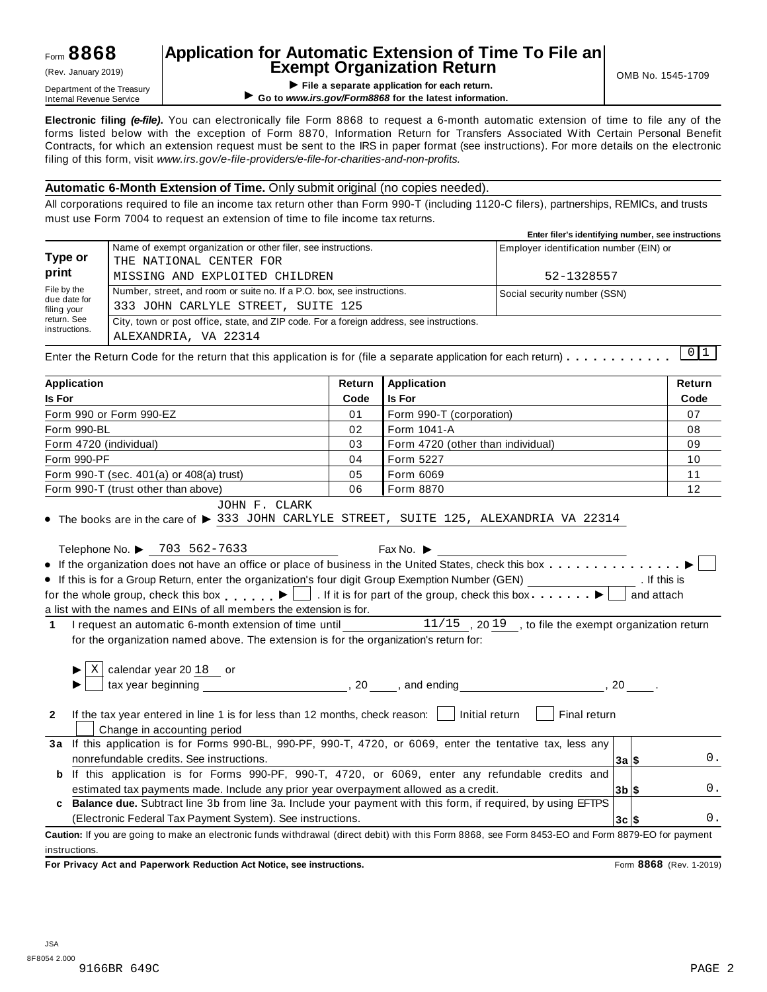# **Application for Automatic Extension of Time To File an Exempt Organization Return** (Rev. January 2019) OMB No. 1545-1709

**EXEMPL OF GET APPLY THE APPLY THE APPLY THE APPLY THE APPLY THE APPLY THE APPLY THE APPLY THE APPLY THE APPLY THE APPLY THE APPLY THE APPLY THE APPLY THE APPLY THE APPLY THE APPLY THE APPLY THE APPLY THE APPLY THE APPLY T** ▶ Go to www.irs.gov/Form8868 for the latest information.

**Electronic filing** *(e-file)***.** You can electronically file Form 8868 to request a 6-month automatic extension of time to file any of the forms listed below with the exception of Form 8870, Information Return for Transfers Associated With Certain Personal Benefit Contracts, for which an extension request must be sent to the IRS in paper format (see instructions). For more details on the electronic filing of this form, visit *www.irs.gov/e-file-providers/e-file-for-charities-and-non-profits.*

#### **Automatic 6-Month Extension of Time.** Only submit original (no copies needed).

All corporations required to file an income tax return other than Form 990-T (including 1120-C filers), partnerships, REMICs, and trusts must use Form 7004 to request an extension of time to file income tax returns.

|                                                                            |                                                                                                               | Enter filer's identifying number, see instructions |
|----------------------------------------------------------------------------|---------------------------------------------------------------------------------------------------------------|----------------------------------------------------|
|                                                                            | Name of exempt organization or other filer, see instructions.                                                 | Employer identification number (EIN) or            |
| Type or<br>print                                                           | THE NATIONAL CENTER FOR                                                                                       |                                                    |
|                                                                            | MISSING AND EXPLOITED CHILDREN                                                                                | 52-1328557                                         |
| File by the<br>due date for<br>filing your<br>return. See<br>instructions. | Number, street, and room or suite no. If a P.O. box, see instructions.                                        | Social security number (SSN)                       |
|                                                                            | 333 JOHN CARLYLE STREET, SUITE 125                                                                            |                                                    |
|                                                                            | City, town or post office, state, and ZIP code. For a foreign address, see instructions.                      |                                                    |
|                                                                            | ALEXANDRIA, VA 22314                                                                                          |                                                    |
|                                                                            | Enter the Return Code for the return that this annication is for (file a senarate annication for each return) | 011                                                |

Enter the Return Code for the return that this application is for (file a separate application for each return)  $\dots \dots \dots$  $\mathsf{L}$ 

| <b>Application</b>                                                                                                                                                                                      | Return | <b>Application</b>                | Return                     |
|---------------------------------------------------------------------------------------------------------------------------------------------------------------------------------------------------------|--------|-----------------------------------|----------------------------|
| <b>Is For</b>                                                                                                                                                                                           | Code   | <b>Is For</b>                     | Code                       |
| Form 990 or Form 990-EZ                                                                                                                                                                                 | 01     | Form 990-T (corporation)          | 07                         |
| Form 990-BL                                                                                                                                                                                             | 02     | Form 1041-A                       | 08                         |
| Form 4720 (individual)                                                                                                                                                                                  | 03     | Form 4720 (other than individual) | 09                         |
| Form 990-PF                                                                                                                                                                                             | 04     | Form 5227                         | 10                         |
| Form 990-T (sec. 401(a) or 408(a) trust)                                                                                                                                                                | 05     | Form 6069                         | 11                         |
| Form 990-T (trust other than above)                                                                                                                                                                     | 06     | Form 8870                         | 12                         |
| JOHN F. CLARK<br>• The books are in the care of > 333 JOHN CARLYLE STREET, SUITE 125, ALEXANDRIA VA 22314<br>Telephone No. ▶ 703 562-7633                                                               |        | Fax No. $\blacktriangleright$     |                            |
|                                                                                                                                                                                                         |        |                                   |                            |
| • If the organization does not have an office or place of business in the United States, check this box                                                                                                 |        |                                   | . If this is               |
| • If this is for a Group Return, enter the organization's four digit Group Exemption Number (GEN)<br>for the whole group, check this box $\Box$ . If it is for part of the group, check this box $\Box$ |        |                                   | and attach                 |
| a list with the names and EINs of all members the extension is for.                                                                                                                                     |        |                                   |                            |
| I request an automatic 6-month extension of time until $\frac{11/15}{\sqrt{11/15}}$ , 20 $\frac{19}{\sqrt{19}}$ , to file the exempt organization return<br>$\mathbf{1}$                                |        |                                   |                            |
| for the organization named above. The extension is for the organization's return for:                                                                                                                   |        |                                   |                            |
|                                                                                                                                                                                                         |        |                                   |                            |
| calendar year 20 $18$ or                                                                                                                                                                                |        |                                   |                            |
|                                                                                                                                                                                                         |        |                                   |                            |
|                                                                                                                                                                                                         |        |                                   |                            |
| If the tax year entered in line 1 is for less than 12 months, check reason: $\Box$ Initial return<br>$\mathbf{2}$<br>Change in accounting period                                                        |        | Final return                      |                            |
| 3a If this application is for Forms 990-BL, 990-PF, 990-T, 4720, or 6069, enter the tentative tax, less any                                                                                             |        |                                   |                            |
| nonrefundable credits. See instructions.                                                                                                                                                                |        |                                   | $0$ .<br>3a S              |
| b If this application is for Forms 990-PF, 990-T, 4720, or 6069, enter any refundable credits and                                                                                                       |        |                                   |                            |
| estimated tax payments made. Include any prior year overpayment allowed as a credit.                                                                                                                    |        |                                   | 0.<br>$3b$ $\vert s \vert$ |
| c Balance due. Subtract line 3b from line 3a. Include your payment with this form, if required, by using EFTPS                                                                                          |        |                                   |                            |
| (Electronic Federal Tax Payment System). See instructions.                                                                                                                                              |        |                                   | 0.<br>3c S                 |
| Caution: If you are going to make an electronic funds withdrawal (direct debit) with this Form 8868, see Form 8453-EO and Form 8879-EO for payment                                                      |        |                                   |                            |
| instructions.                                                                                                                                                                                           |        |                                   |                            |
| For Privacy Act and Paperwork Reduction Act Notice, see instructions.                                                                                                                                   |        |                                   | Form 8868 (Rev. 1-2019)    |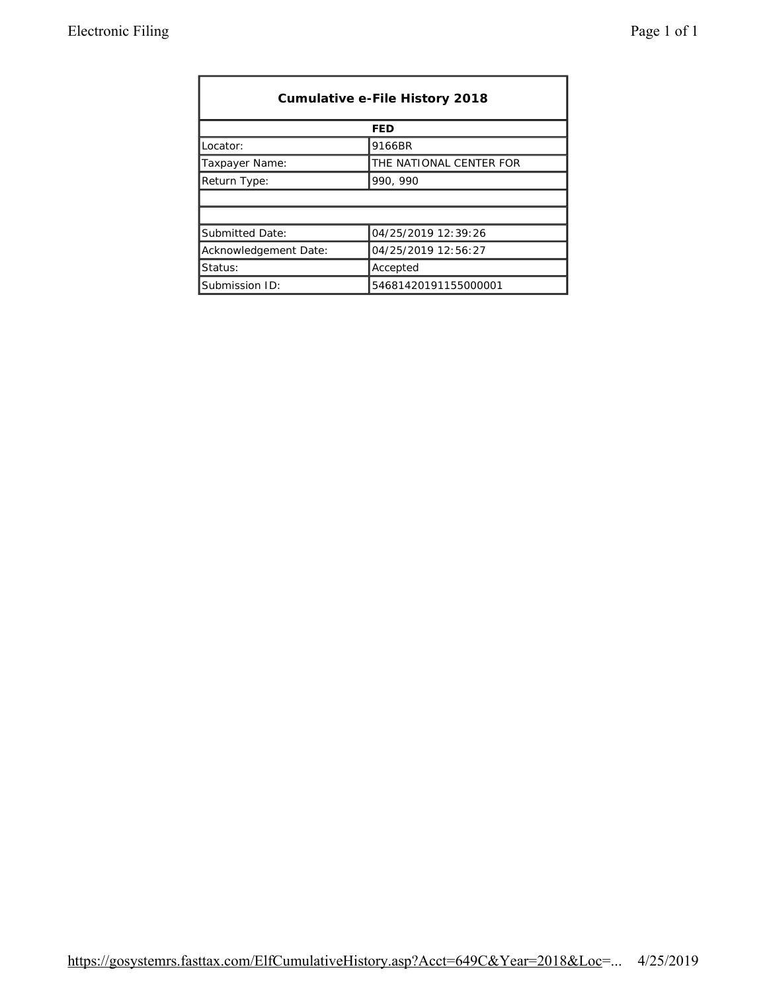|                        | Cumulative e-File History 2018 |
|------------------------|--------------------------------|
|                        | FED                            |
| Locator:               | 9166BR                         |
| <b>Taxpayer Name:</b>  | THE NATIONAL CENTER FOR        |
| <b>Return Type:</b>    | 990, 990                       |
|                        |                                |
|                        |                                |
| <b>Submitted Date:</b> | 04/25/2019 12:39:26            |
| Acknowledgement Date:  | 04/25/2019 12:56:27            |
| Status:                | Accepted                       |
| Submission ID:         | 54681420191155000001           |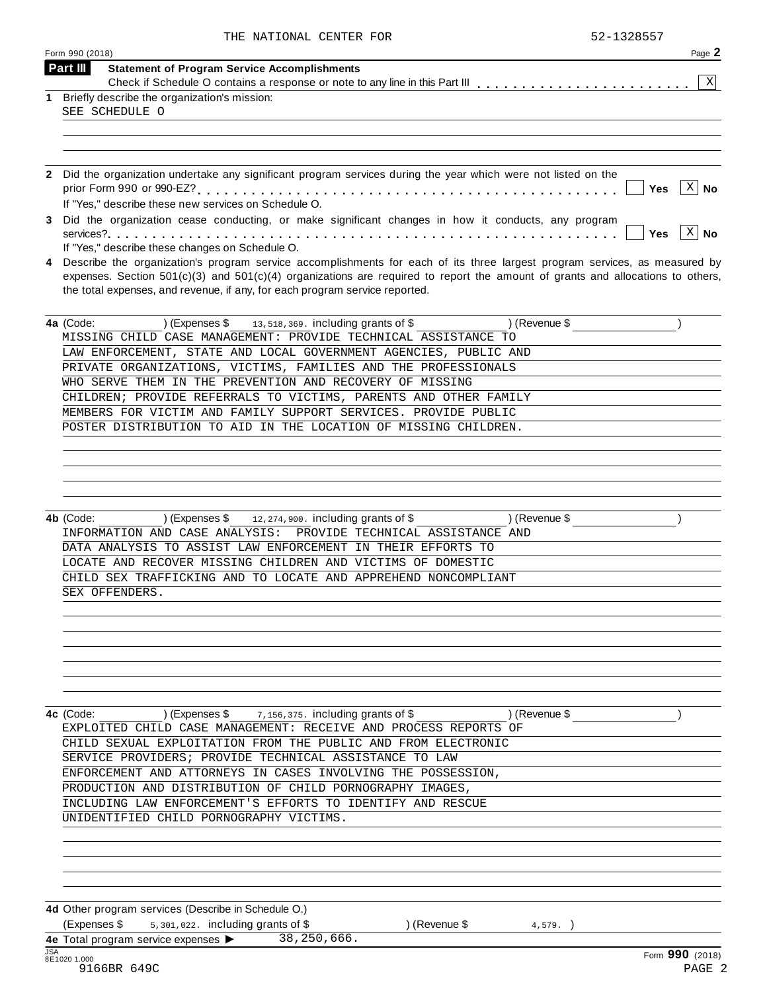| THE NATIONAL CENTER FOR |  | 52-1328557 |
|-------------------------|--|------------|

|            | Form 990 (2018)                                                                                                                                                                                                   | Page 2                       |
|------------|-------------------------------------------------------------------------------------------------------------------------------------------------------------------------------------------------------------------|------------------------------|
|            | Part III<br><b>Statement of Program Service Accomplishments</b>                                                                                                                                                   |                              |
| 1          | Briefly describe the organization's mission:                                                                                                                                                                      | X                            |
|            | SEE SCHEDULE O                                                                                                                                                                                                    |                              |
|            |                                                                                                                                                                                                                   |                              |
|            |                                                                                                                                                                                                                   |                              |
|            |                                                                                                                                                                                                                   |                              |
|            | Did the organization undertake any significant program services during the year which were not listed on the                                                                                                      |                              |
|            |                                                                                                                                                                                                                   | $\vert X \vert$<br>Yes<br>No |
|            | If "Yes," describe these new services on Schedule O.                                                                                                                                                              |                              |
|            | Did the organization cease conducting, or make significant changes in how it conducts, any program                                                                                                                | X  <br><b>Yes</b><br>No      |
|            | If "Yes," describe these changes on Schedule O.                                                                                                                                                                   |                              |
| 4          | Describe the organization's program service accomplishments for each of its three largest program services, as measured by                                                                                        |                              |
|            | expenses. Section $501(c)(3)$ and $501(c)(4)$ organizations are required to report the amount of grants and allocations to others,<br>the total expenses, and revenue, if any, for each program service reported. |                              |
|            |                                                                                                                                                                                                                   |                              |
|            | 4a (Code:<br>13, 518, 369. including grants of \$<br>$($ Revenue \$<br>) (Expenses \$                                                                                                                             |                              |
|            | MISSING CHILD CASE MANAGEMENT: PROVIDE TECHNICAL ASSISTANCE TO                                                                                                                                                    |                              |
|            | LAW ENFORCEMENT, STATE AND LOCAL GOVERNMENT AGENCIES, PUBLIC AND                                                                                                                                                  |                              |
|            | PRIVATE ORGANIZATIONS, VICTIMS, FAMILIES AND THE PROFESSIONALS                                                                                                                                                    |                              |
|            | WHO SERVE THEM IN THE PREVENTION AND RECOVERY OF MISSING                                                                                                                                                          |                              |
|            | CHILDREN; PROVIDE REFERRALS TO VICTIMS, PARENTS AND OTHER FAMILY                                                                                                                                                  |                              |
|            | MEMBERS FOR VICTIM AND FAMILY SUPPORT SERVICES. PROVIDE PUBLIC                                                                                                                                                    |                              |
|            | POSTER DISTRIBUTION TO AID IN THE LOCATION OF MISSING CHILDREN.                                                                                                                                                   |                              |
|            |                                                                                                                                                                                                                   |                              |
|            |                                                                                                                                                                                                                   |                              |
|            |                                                                                                                                                                                                                   |                              |
|            |                                                                                                                                                                                                                   |                              |
|            |                                                                                                                                                                                                                   |                              |
|            | 12, 274, 900. including grants of \$<br>) (Revenue \$<br>4b (Code:<br>) (Expenses \$                                                                                                                              |                              |
|            | INFORMATION AND CASE ANALYSIS:<br>PROVIDE TECHNICAL ASSISTANCE AND                                                                                                                                                |                              |
|            | DATA ANALYSIS TO ASSIST LAW ENFORCEMENT IN THEIR EFFORTS TO                                                                                                                                                       |                              |
|            | LOCATE AND RECOVER MISSING CHILDREN AND VICTIMS OF DOMESTIC                                                                                                                                                       |                              |
|            | CHILD SEX TRAFFICKING AND TO LOCATE AND APPREHEND NONCOMPLIANT                                                                                                                                                    |                              |
|            | SEX OFFENDERS.                                                                                                                                                                                                    |                              |
|            |                                                                                                                                                                                                                   |                              |
|            |                                                                                                                                                                                                                   |                              |
|            |                                                                                                                                                                                                                   |                              |
|            |                                                                                                                                                                                                                   |                              |
|            |                                                                                                                                                                                                                   |                              |
|            |                                                                                                                                                                                                                   |                              |
|            |                                                                                                                                                                                                                   |                              |
|            | 4c (Code:<br>) (Expenses \$<br>7,156,375. including grants of \$<br>) (Revenue \$                                                                                                                                 |                              |
|            | EXPLOITED CHILD CASE MANAGEMENT: RECEIVE AND PROCESS REPORTS OF                                                                                                                                                   |                              |
|            | CHILD SEXUAL EXPLOITATION FROM THE PUBLIC AND FROM ELECTRONIC                                                                                                                                                     |                              |
|            | SERVICE PROVIDERS; PROVIDE TECHNICAL ASSISTANCE TO LAW                                                                                                                                                            |                              |
|            | ENFORCEMENT AND ATTORNEYS IN CASES INVOLVING THE POSSESSION,                                                                                                                                                      |                              |
|            | PRODUCTION AND DISTRIBUTION OF CHILD PORNOGRAPHY IMAGES,                                                                                                                                                          |                              |
|            | INCLUDING LAW ENFORCEMENT'S EFFORTS TO IDENTIFY AND RESCUE                                                                                                                                                        |                              |
|            | UNIDENTIFIED CHILD PORNOGRAPHY VICTIMS.                                                                                                                                                                           |                              |
|            |                                                                                                                                                                                                                   |                              |
|            |                                                                                                                                                                                                                   |                              |
|            |                                                                                                                                                                                                                   |                              |
|            |                                                                                                                                                                                                                   |                              |
|            |                                                                                                                                                                                                                   |                              |
|            | 4d Other program services (Describe in Schedule O.)                                                                                                                                                               |                              |
|            | (Expenses \$5,301,022. including grants of \$<br>) (Revenue \$<br>4,579.                                                                                                                                          |                              |
|            | 4e Total program service expenses ><br>38,250,666.                                                                                                                                                                |                              |
| <b>JSA</b> |                                                                                                                                                                                                                   | Form 990 (2018)              |
|            | 8E1020 1.000<br>9166BR 649C                                                                                                                                                                                       | PAGE 2                       |
|            |                                                                                                                                                                                                                   |                              |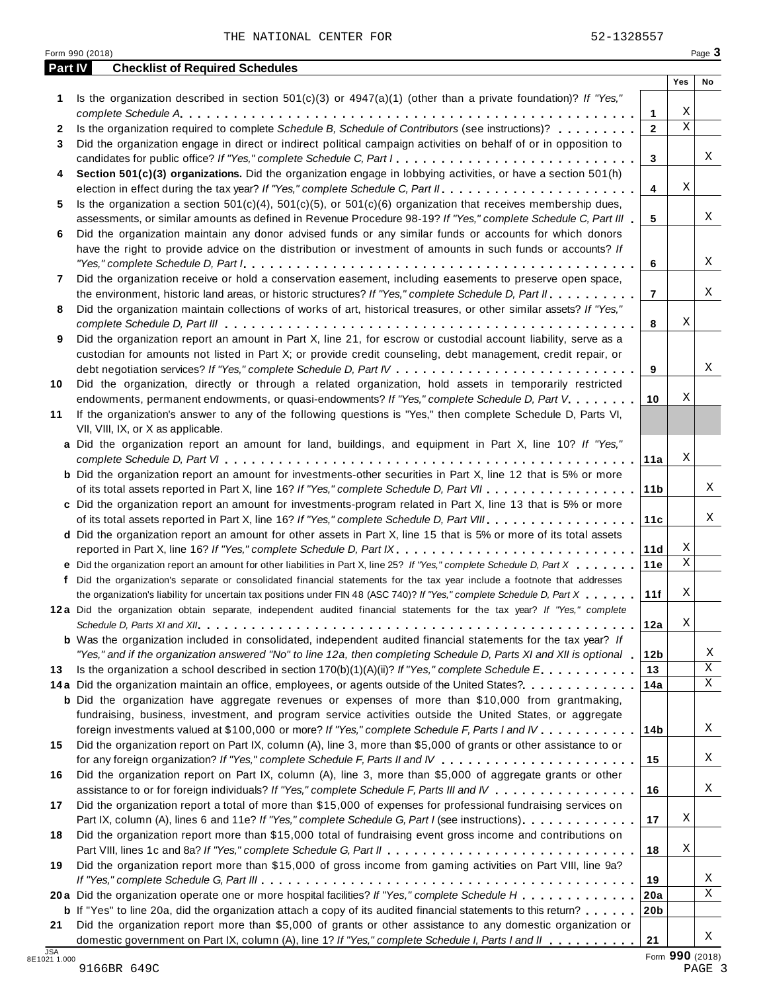**Part IV Checklist of Required Schedules**

**1**

| J(2018) |  |
|---------|--|
| PAGE    |  |

 $\mathbf X$ 

**21**

| 1. | Is the organization described in section $501(c)(3)$ or $4947(a)(1)$ (other than a private foundation)? If "Yes,"                                                                                              |                 |             |   |
|----|----------------------------------------------------------------------------------------------------------------------------------------------------------------------------------------------------------------|-----------------|-------------|---|
|    |                                                                                                                                                                                                                | 1               | Χ           |   |
| 2  | Is the organization required to complete Schedule B, Schedule of Contributors (see instructions)?                                                                                                              | $\mathbf{2}$    | $\rm X$     |   |
| 3  | Did the organization engage in direct or indirect political campaign activities on behalf of or in opposition to                                                                                               |                 |             |   |
|    | candidates for public office? If "Yes," complete Schedule C, Part I.                                                                                                                                           | 3               |             | Χ |
| 4  | Section 501(c)(3) organizations. Did the organization engage in lobbying activities, or have a section 501(h)                                                                                                  |                 |             |   |
|    |                                                                                                                                                                                                                | 4               | Χ           |   |
| 5  | Is the organization a section $501(c)(4)$ , $501(c)(5)$ , or $501(c)(6)$ organization that receives membership dues,                                                                                           |                 |             |   |
|    | assessments, or similar amounts as defined in Revenue Procedure 98-19? If "Yes," complete Schedule C, Part III                                                                                                 | 5               |             | Χ |
| 6  | Did the organization maintain any donor advised funds or any similar funds or accounts for which donors                                                                                                        |                 |             |   |
|    | have the right to provide advice on the distribution or investment of amounts in such funds or accounts? If                                                                                                    |                 |             |   |
|    |                                                                                                                                                                                                                | 6               |             | Χ |
| 7  | Did the organization receive or hold a conservation easement, including easements to preserve open space,                                                                                                      |                 |             |   |
|    | the environment, historic land areas, or historic structures? If "Yes," complete Schedule D, Part II.                                                                                                          | 7               |             | Χ |
| 8  | Did the organization maintain collections of works of art, historical treasures, or other similar assets? If "Yes,"                                                                                            |                 |             |   |
|    |                                                                                                                                                                                                                | 8               | Χ           |   |
| 9  | Did the organization report an amount in Part X, line 21, for escrow or custodial account liability, serve as a                                                                                                |                 |             |   |
|    | custodian for amounts not listed in Part X; or provide credit counseling, debt management, credit repair, or                                                                                                   |                 |             |   |
|    |                                                                                                                                                                                                                | 9               |             | Χ |
| 10 | Did the organization, directly or through a related organization, hold assets in temporarily restricted                                                                                                        |                 |             |   |
|    | endowments, permanent endowments, or quasi-endowments? If "Yes," complete Schedule D, Part V.                                                                                                                  | 10              | Χ           |   |
| 11 | If the organization's answer to any of the following questions is "Yes," then complete Schedule D, Parts VI,                                                                                                   |                 |             |   |
|    | VII, VIII, IX, or X as applicable.                                                                                                                                                                             |                 |             |   |
|    | a Did the organization report an amount for land, buildings, and equipment in Part X, line 10? If "Yes,"                                                                                                       |                 |             |   |
|    |                                                                                                                                                                                                                | 11a             | Χ           |   |
|    | <b>b</b> Did the organization report an amount for investments-other securities in Part X, line 12 that is 5% or more                                                                                          |                 |             |   |
|    |                                                                                                                                                                                                                | 11 <sub>b</sub> |             | Χ |
|    | c Did the organization report an amount for investments-program related in Part X, line 13 that is 5% or more                                                                                                  |                 |             |   |
|    |                                                                                                                                                                                                                | 11c             |             | Χ |
|    | d Did the organization report an amount for other assets in Part X, line 15 that is 5% or more of its total assets                                                                                             |                 |             |   |
|    | reported in Part X, line 16? If "Yes," complete Schedule D, Part IX.                                                                                                                                           | 11d             | Χ           |   |
|    | e Did the organization report an amount for other liabilities in Part X, line 25? If "Yes," complete Schedule D, Part X                                                                                        | 11e             | $\mathbf X$ |   |
|    | f Did the organization's separate or consolidated financial statements for the tax year include a footnote that addresses                                                                                      |                 |             |   |
|    | the organization's liability for uncertain tax positions under FIN 48 (ASC 740)? If "Yes," complete Schedule D, Part X                                                                                         | 11f             | Χ           |   |
|    | 12a Did the organization obtain separate, independent audited financial statements for the tax year? If "Yes," complete                                                                                        |                 |             |   |
|    |                                                                                                                                                                                                                | 12a             | Χ           |   |
|    | <b>b</b> Was the organization included in consolidated, independent audited financial statements for the tax year? If                                                                                          |                 |             |   |
|    | "Yes," and if the organization answered "No" to line 12a, then completing Schedule D, Parts XI and XII is optional                                                                                             | 12 <sub>b</sub> |             | Χ |
| 13 | Is the organization a school described in section $170(b)(1)(A)(ii)?$ If "Yes," complete Schedule E.                                                                                                           | 13              |             | X |
|    | 14a Did the organization maintain an office, employees, or agents outside of the United States?                                                                                                                | 14a             |             | X |
|    | <b>b</b> Did the organization have aggregate revenues or expenses of more than \$10,000 from grantmaking,                                                                                                      |                 |             |   |
|    | fundraising, business, investment, and program service activities outside the United States, or aggregate                                                                                                      |                 |             |   |
|    | foreign investments valued at \$100,000 or more? If "Yes," complete Schedule F, Parts I and IV                                                                                                                 | 14 <sub>b</sub> |             | Χ |
| 15 | Did the organization report on Part IX, column (A), line 3, more than \$5,000 of grants or other assistance to or                                                                                              |                 |             |   |
|    |                                                                                                                                                                                                                | 15              |             | Χ |
| 16 | Did the organization report on Part IX, column (A), line 3, more than \$5,000 of aggregate grants or other                                                                                                     |                 |             | Χ |
|    | assistance to or for foreign individuals? If "Yes," complete Schedule F, Parts III and IV                                                                                                                      | 16              |             |   |
| 17 | Did the organization report a total of more than \$15,000 of expenses for professional fundraising services on                                                                                                 | 17              | Χ           |   |
| 18 | Part IX, column (A), lines 6 and 11e? If "Yes," complete Schedule G, Part I (see instructions).<br>Did the organization report more than \$15,000 total of fundraising event gross income and contributions on |                 |             |   |
|    |                                                                                                                                                                                                                | 18              | Χ           |   |
| 19 | Did the organization report more than \$15,000 of gross income from gaming activities on Part VIII, line 9a?                                                                                                   |                 |             |   |
|    |                                                                                                                                                                                                                | 19              |             | X |
|    | 20a Did the organization operate one or more hospital facilities? If "Yes," complete Schedule H                                                                                                                | 20a             |             | X |
|    | <b>b</b> If "Yes" to line 20a, did the organization attach a copy of its audited financial statements to this return?                                                                                          | 20 <sub>b</sub> |             |   |
|    |                                                                                                                                                                                                                |                 |             |   |

Did the organization report more than \$5,000 of grants or other assistance to any domestic organization or

domestic government on Part IX, column (A), line 1? *If "Yes," complete Schedule I, Parts I and II*<br> $8E10211.000$ 8E1021 <sup>1</sup> Form **990** (2018) .000 9166BR 649C PAGE 3166BR 3166BR

**21**

**Yes No**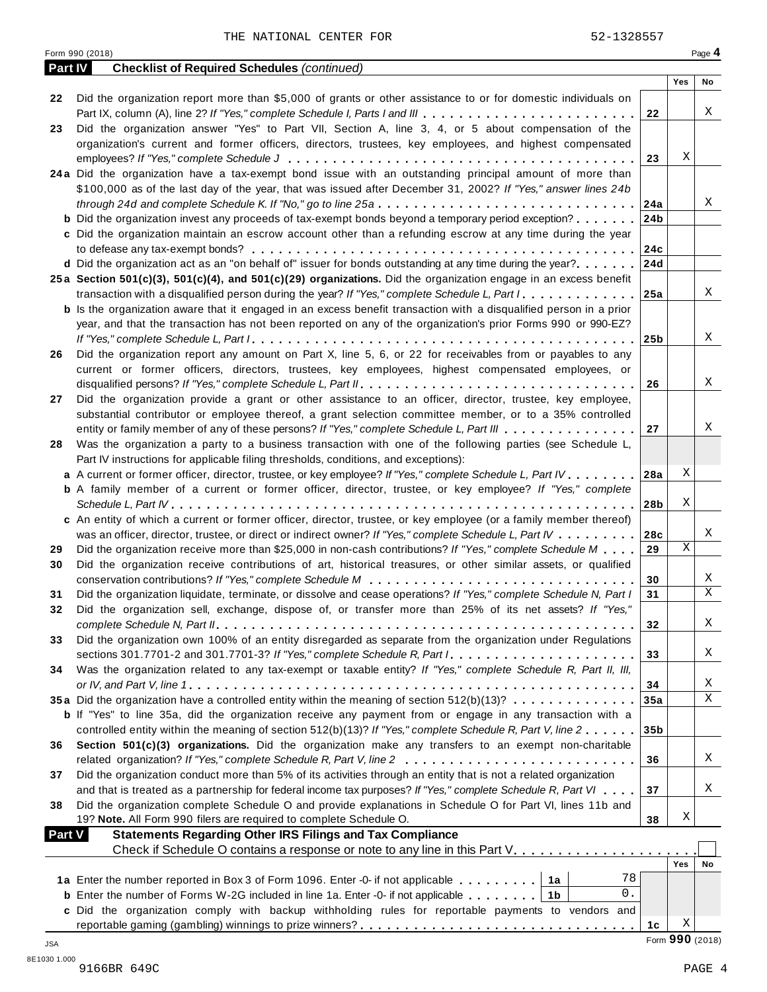| <b>Part IV</b> | <b>Checklist of Required Schedules (continued)</b>                                                                        |                 |                 |    |
|----------------|---------------------------------------------------------------------------------------------------------------------------|-----------------|-----------------|----|
|                |                                                                                                                           |                 | Yes             | No |
| 22             | Did the organization report more than \$5,000 of grants or other assistance to or for domestic individuals on             |                 |                 |    |
|                | Part IX, column (A), line 2? If "Yes," complete Schedule I, Parts I and III                                               | 22              |                 | Χ  |
| 23             | Did the organization answer "Yes" to Part VII, Section A, line 3, 4, or 5 about compensation of the                       |                 |                 |    |
|                | organization's current and former officers, directors, trustees, key employees, and highest compensated                   |                 |                 |    |
|                |                                                                                                                           | 23              | Χ               |    |
|                | 24a Did the organization have a tax-exempt bond issue with an outstanding principal amount of more than                   |                 |                 |    |
|                |                                                                                                                           |                 |                 |    |
|                | \$100,000 as of the last day of the year, that was issued after December 31, 2002? If "Yes," answer lines 24b             |                 |                 |    |
|                | through 24d and complete Schedule K. If "No," go to line 25a                                                              | 24a             |                 | Χ  |
|                | <b>b</b> Did the organization invest any proceeds of tax-exempt bonds beyond a temporary period exception?                | 24 <sub>b</sub> |                 |    |
|                | c Did the organization maintain an escrow account other than a refunding escrow at any time during the year               |                 |                 |    |
|                |                                                                                                                           |                 |                 |    |
|                | <b>d</b> Did the organization act as an "on behalf of" issuer for bonds outstanding at any time during the year? 24d      |                 |                 |    |
|                | 25a Section 501(c)(3), 501(c)(4), and 501(c)(29) organizations. Did the organization engage in an excess benefit          |                 |                 |    |
|                | transaction with a disqualified person during the year? If "Yes," complete Schedule L, Part I.                            | 25a             |                 | X  |
|                | <b>b</b> Is the organization aware that it engaged in an excess benefit transaction with a disqualified person in a prior |                 |                 |    |
|                | year, and that the transaction has not been reported on any of the organization's prior Forms 990 or 990-EZ?              |                 |                 |    |
|                |                                                                                                                           | 25 <sub>b</sub> |                 | X  |
| 26             | Did the organization report any amount on Part X, line 5, 6, or 22 for receivables from or payables to any                |                 |                 |    |
|                | current or former officers, directors, trustees, key employees, highest compensated employees, or                         |                 |                 |    |
|                |                                                                                                                           | 26              |                 | X  |
|                |                                                                                                                           |                 |                 |    |
| 27             | Did the organization provide a grant or other assistance to an officer, director, trustee, key employee,                  |                 |                 |    |
|                | substantial contributor or employee thereof, a grant selection committee member, or to a 35% controlled                   |                 |                 |    |
|                | entity or family member of any of these persons? If "Yes," complete Schedule L, Part III                                  | 27              |                 | X  |
| 28             | Was the organization a party to a business transaction with one of the following parties (see Schedule L,                 |                 |                 |    |
|                | Part IV instructions for applicable filing thresholds, conditions, and exceptions):                                       |                 |                 |    |
|                | a A current or former officer, director, trustee, or key employee? If "Yes," complete Schedule L, Part IV.                | 28a             | Χ               |    |
|                | <b>b</b> A family member of a current or former officer, director, trustee, or key employee? If "Yes," complete           |                 |                 |    |
|                |                                                                                                                           | 28b             | Χ               |    |
|                | c An entity of which a current or former officer, director, trustee, or key employee (or a family member thereof)         |                 |                 |    |
|                | was an officer, director, trustee, or direct or indirect owner? If "Yes," complete Schedule L, Part IV                    | 28c             |                 | X  |
| 29             | Did the organization receive more than \$25,000 in non-cash contributions? If "Yes," complete Schedule M                  | 29              | X               |    |
| 30             | Did the organization receive contributions of art, historical treasures, or other similar assets, or qualified            |                 |                 |    |
|                |                                                                                                                           | 30              |                 | X  |
|                | Did the organization liquidate, terminate, or dissolve and cease operations? If "Yes," complete Schedule N, Part I        | 31              |                 | X  |
| 31             |                                                                                                                           |                 |                 |    |
| 32             | Did the organization sell, exchange, dispose of, or transfer more than 25% of its net assets? If "Yes,"                   |                 |                 |    |
|                |                                                                                                                           | 32              |                 | Χ  |
| 33             | Did the organization own 100% of an entity disregarded as separate from the organization under Regulations                |                 |                 |    |
|                | sections 301.7701-2 and 301.7701-3? If "Yes," complete Schedule R, Part /                                                 | 33              |                 | Χ  |
| 34             | Was the organization related to any tax-exempt or taxable entity? If "Yes," complete Schedule R, Part II, III,            |                 |                 |    |
|                |                                                                                                                           | 34              |                 | Χ  |
|                | 35a Did the organization have a controlled entity within the meaning of section 512(b)(13)?                               | 35a             |                 | X  |
|                | <b>b</b> If "Yes" to line 35a, did the organization receive any payment from or engage in any transaction with a          |                 |                 |    |
|                | controlled entity within the meaning of section 512(b)(13)? If "Yes," complete Schedule R, Part V, line 2                 | 35 <sub>b</sub> |                 |    |
| 36             | Section 501(c)(3) organizations. Did the organization make any transfers to an exempt non-charitable                      |                 |                 |    |
|                |                                                                                                                           | 36              |                 | X  |
| 37             | Did the organization conduct more than 5% of its activities through an entity that is not a related organization          |                 |                 |    |
|                |                                                                                                                           |                 |                 | Χ  |
|                | and that is treated as a partnership for federal income tax purposes? If "Yes," complete Schedule R, Part VI              | 37              |                 |    |
| 38             | Did the organization complete Schedule O and provide explanations in Schedule O for Part VI, lines 11b and                |                 | Χ               |    |
|                | 19? Note. All Form 990 filers are required to complete Schedule O.                                                        | 38              |                 |    |
| <b>Part V</b>  | <b>Statements Regarding Other IRS Filings and Tax Compliance</b>                                                          |                 |                 |    |
|                |                                                                                                                           |                 |                 |    |
|                |                                                                                                                           |                 | Yes             | No |
|                | 78<br>1a Enter the number reported in Box 3 of Form 1096. Enter -0- if not applicable   1a                                |                 |                 |    |
|                | 0.<br><b>b</b> Enter the number of Forms W-2G included in line 1a. Enter -0- if not applicable $\ldots \ldots$   1b       |                 |                 |    |
|                | c Did the organization comply with backup withholding rules for reportable payments to vendors and                        |                 |                 |    |
|                |                                                                                                                           | 1c              | Χ               |    |
|                |                                                                                                                           |                 | Form 990 (2018) |    |
| <b>JSA</b>     |                                                                                                                           |                 |                 |    |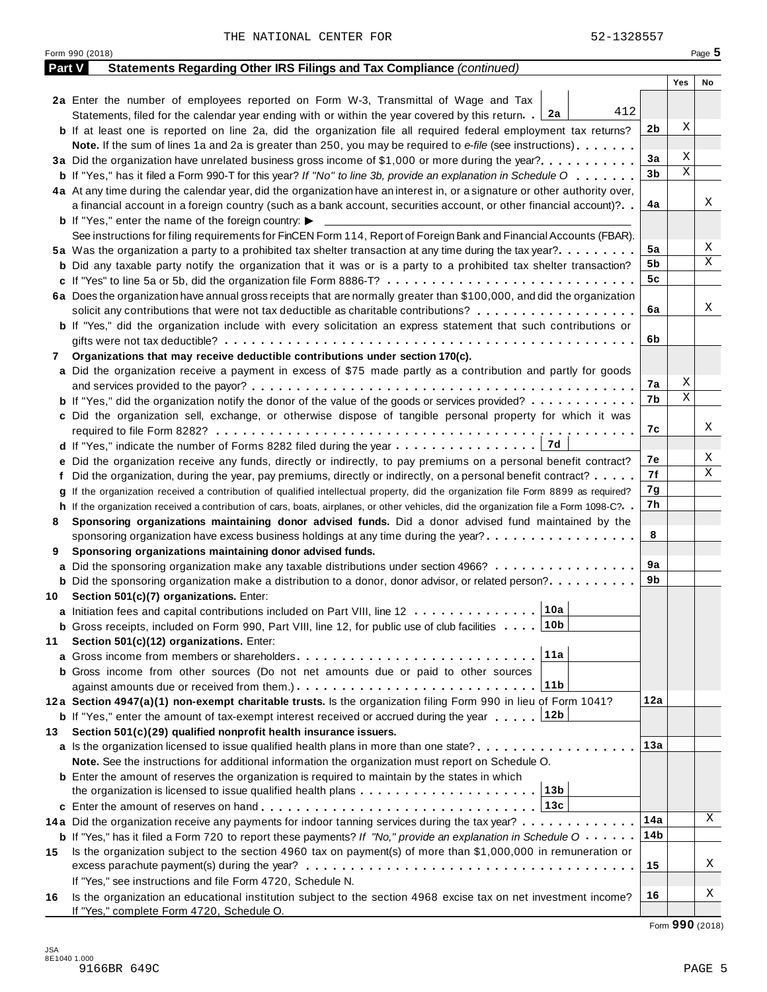|        | Form 990 (2018)                                                                                                                              |     |     | Page 5 |
|--------|----------------------------------------------------------------------------------------------------------------------------------------------|-----|-----|--------|
| Part V | Statements Regarding Other IRS Filings and Tax Compliance (continued)                                                                        |     |     |        |
|        |                                                                                                                                              |     | Yes | No     |
|        | 2a Enter the number of employees reported on Form W-3, Transmittal of Wage and Tax                                                           |     |     |        |
|        | 412<br>Statements, filed for the calendar year ending with or within the year covered by this return. 2a                                     |     |     |        |
|        | <b>b</b> If at least one is reported on line 2a, did the organization file all required federal employment tax returns?                      | 2b  | Χ   |        |
|        | <b>Note.</b> If the sum of lines 1a and 2a is greater than 250, you may be required to e-file (see instructions).                            |     |     |        |
|        | 3a Did the organization have unrelated business gross income of \$1,000 or more during the year?                                             | 3a  | Χ   |        |
|        | <b>b</b> If "Yes," has it filed a Form 990-T for this year? If "No" to line 3b, provide an explanation in Schedule O                         | 3b  | Χ   |        |
|        | 4a At any time during the calendar year, did the organization have an interest in, or a signature or other authority over,                   |     |     |        |
|        | a financial account in a foreign country (such as a bank account, securities account, or other financial account)?                           | 4a  |     | Χ      |
|        | <b>b</b> If "Yes," enter the name of the foreign country: $\blacktriangleright$                                                              |     |     |        |
|        | See instructions for filing requirements for FinCEN Form 114, Report of Foreign Bank and Financial Accounts (FBAR).                          |     |     |        |
|        | 5a Was the organization a party to a prohibited tax shelter transaction at any time during the tax year?                                     | 5a  |     | Χ      |
|        | <b>b</b> Did any taxable party notify the organization that it was or is a party to a prohibited tax shelter transaction?                    | 5b  |     | Χ      |
|        |                                                                                                                                              | 5c  |     |        |
|        | 6a Does the organization have annual gross receipts that are normally greater than \$100,000, and did the organization                       |     |     |        |
|        | solicit any contributions that were not tax deductible as charitable contributions?                                                          | 6a  |     | Χ      |
|        | <b>b</b> If "Yes," did the organization include with every solicitation an express statement that such contributions or                      |     |     |        |
|        |                                                                                                                                              | 6b  |     |        |
| 7      | Organizations that may receive deductible contributions under section 170(c).                                                                |     |     |        |
|        | a Did the organization receive a payment in excess of \$75 made partly as a contribution and partly for goods                                |     |     |        |
|        |                                                                                                                                              | 7а  | Χ   |        |
|        | <b>b</b> If "Yes," did the organization notify the donor of the value of the goods or services provided?                                     | 7b  | Χ   |        |
|        | c Did the organization sell, exchange, or otherwise dispose of tangible personal property for which it was                                   |     |     |        |
|        |                                                                                                                                              | 7с  |     | Χ      |
|        | 7d                                                                                                                                           |     |     |        |
|        | e Did the organization receive any funds, directly or indirectly, to pay premiums on a personal benefit contract?                            | 7е  |     | Χ      |
|        | f Did the organization, during the year, pay premiums, directly or indirectly, on a personal benefit contract?                               | 7f  |     | Χ      |
|        | If the organization received a contribution of qualified intellectual property, did the organization file Form 8899 as required?             | 7g  |     |        |
|        | h If the organization received a contribution of cars, boats, airplanes, or other vehicles, did the organization file a Form 1098-C?         | 7h  |     |        |
| 8      | Sponsoring organizations maintaining donor advised funds. Did a donor advised fund maintained by the                                         |     |     |        |
|        | sponsoring organization have excess business holdings at any time during the year?                                                           | 8   |     |        |
| 9      | Sponsoring organizations maintaining donor advised funds.                                                                                    |     |     |        |
|        | <b>a</b> Did the sponsoring organization make any taxable distributions under section 4966?                                                  | 9а  |     |        |
|        | <b>b</b> Did the sponsoring organization make a distribution to a donor, donor advisor, or related person?                                   | 9b  |     |        |
|        | 10 Section 501(c)(7) organizations. Enter:                                                                                                   |     |     |        |
|        | 10a <br>a Initiation fees and capital contributions included on Part VIII, line 12                                                           |     |     |        |
|        | 10b<br><b>b</b> Gross receipts, included on Form 990, Part VIII, line 12, for public use of club facilities                                  |     |     |        |
| 11     | Section 501(c)(12) organizations. Enter:                                                                                                     |     |     |        |
|        | 11a                                                                                                                                          |     |     |        |
|        | b Gross income from other sources (Do not net amounts due or paid to other sources                                                           |     |     |        |
|        | 11b                                                                                                                                          |     |     |        |
|        | 12a Section 4947(a)(1) non-exempt charitable trusts. Is the organization filing Form 990 in lieu of Form 1041?                               | 12a |     |        |
|        | 12b<br><b>b</b> If "Yes," enter the amount of tax-exempt interest received or accrued during the year                                        |     |     |        |
| 13.    | Section 501(c)(29) qualified nonprofit health insurance issuers.                                                                             |     |     |        |
|        | a Is the organization licensed to issue qualified health plans in more than one state?                                                       | 13а |     |        |
|        | Note. See the instructions for additional information the organization must report on Schedule O.                                            |     |     |        |
|        | <b>b</b> Enter the amount of reserves the organization is required to maintain by the states in which                                        |     |     |        |
|        | 13b<br>the organization is licensed to issue qualified health plans $\dots \dots \dots \dots \dots \dots \dots$                              |     |     |        |
|        | 13c                                                                                                                                          |     |     |        |
|        | 14a Did the organization receive any payments for indoor tanning services during the tax year?                                               | 14a |     | Χ      |
|        | <b>b</b> If "Yes," has it filed a Form 720 to report these payments? If "No," provide an explanation in Schedule $0 \cdot \cdot \cdot \cdot$ | 14b |     |        |
| 15     | Is the organization subject to the section 4960 tax on payment(s) of more than \$1,000,000 in remuneration or                                |     |     |        |
|        |                                                                                                                                              | 15  |     | Χ      |
|        | If "Yes," see instructions and file Form 4720, Schedule N.                                                                                   |     |     |        |
| 16     | Is the organization an educational institution subject to the section 4968 excise tax on net investment income?                              | 16  |     | Χ      |
|        | If "Yes," complete Form 4720, Schedule O.                                                                                                    |     |     |        |

Form **990** (2018)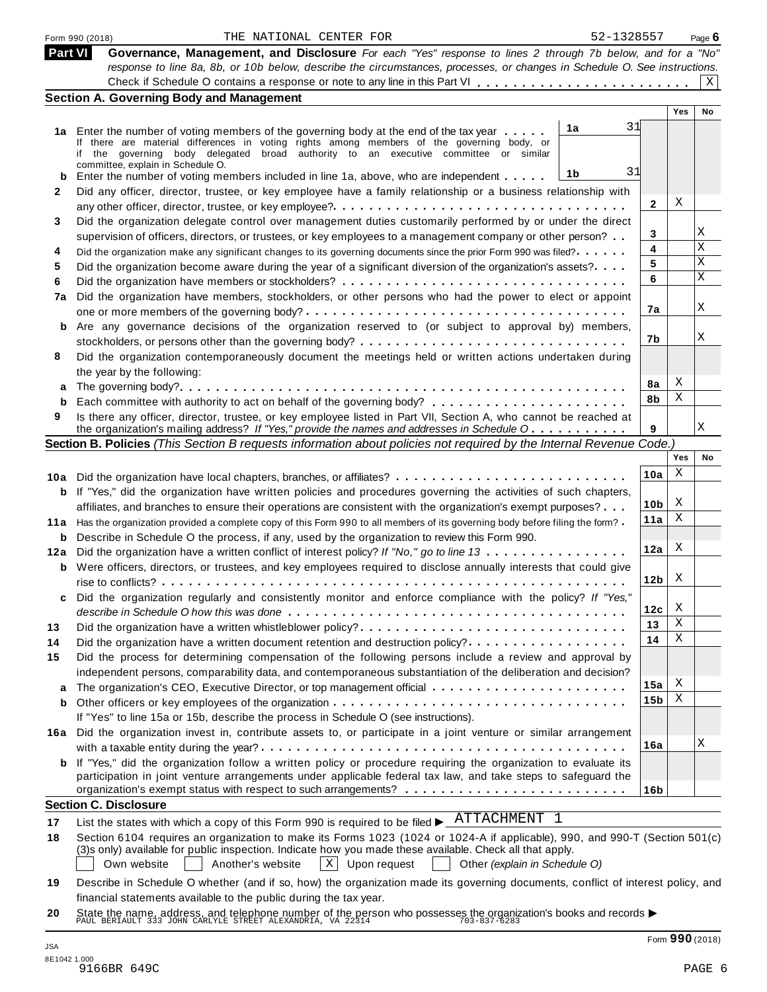|      | 52-1328557<br>THE NATIONAL CENTER FOR<br>Form 990 (2018)                                                                                                                                                                                |                 |            | Page $6$ |
|------|-----------------------------------------------------------------------------------------------------------------------------------------------------------------------------------------------------------------------------------------|-----------------|------------|----------|
|      | <b>Part VI</b><br>Governance, Management, and Disclosure For each "Yes" response to lines 2 through 7b below, and for a "No"                                                                                                            |                 |            |          |
|      | response to line 8a, 8b, or 10b below, describe the circumstances, processes, or changes in Schedule O. See instructions.                                                                                                               |                 |            |          |
|      |                                                                                                                                                                                                                                         |                 |            | X        |
|      | <b>Section A. Governing Body and Management</b>                                                                                                                                                                                         |                 | <b>Yes</b> | No       |
|      | 1a                                                                                                                                                                                                                                      | 31              |            |          |
|      | 1a Enter the number of voting members of the governing body at the end of the tax year<br>If there are material differences in voting rights among members of the governing body, or                                                    |                 |            |          |
|      | if the governing body delegated broad authority to an executive committee or similar                                                                                                                                                    |                 |            |          |
|      | committee, explain in Schedule O.<br>1b<br>Enter the number of voting members included in line 1a, above, who are independent                                                                                                           | 31              |            |          |
| 2    | Did any officer, director, trustee, or key employee have a family relationship or a business relationship with                                                                                                                          |                 |            |          |
|      |                                                                                                                                                                                                                                         | 2               | Χ          |          |
| 3    | Did the organization delegate control over management duties customarily performed by or under the direct                                                                                                                               |                 |            |          |
|      | supervision of officers, directors, or trustees, or key employees to a management company or other person?                                                                                                                              | 3               |            | Χ        |
| 4    | Did the organization make any significant changes to its governing documents since the prior Form 990 was filed?                                                                                                                        | 4               |            | Χ        |
| 5    | Did the organization become aware during the year of a significant diversion of the organization's assets?                                                                                                                              | 5               |            | Χ        |
| 6    |                                                                                                                                                                                                                                         | 6               |            | X        |
| 7a   | Did the organization have members, stockholders, or other persons who had the power to elect or appoint                                                                                                                                 |                 |            |          |
|      |                                                                                                                                                                                                                                         | 7а              |            | Χ        |
| b    | Are any governance decisions of the organization reserved to (or subject to approval by) members,                                                                                                                                       |                 |            |          |
|      |                                                                                                                                                                                                                                         | 7b              |            | Χ        |
| 8    | Did the organization contemporaneously document the meetings held or written actions undertaken during                                                                                                                                  |                 |            |          |
|      | the year by the following:                                                                                                                                                                                                              |                 |            |          |
|      |                                                                                                                                                                                                                                         | 8a              | Χ          |          |
| b    |                                                                                                                                                                                                                                         | 8b              | Χ          |          |
| 9    | Is there any officer, director, trustee, or key employee listed in Part VII, Section A, who cannot be reached at                                                                                                                        |                 |            | Χ        |
|      | the organization's mailing address? If "Yes," provide the names and addresses in Schedule O<br>Section B. Policies (This Section B requests information about policies not required by the Internal Revenue Code.)                      | 9               |            |          |
|      |                                                                                                                                                                                                                                         |                 | Yes        | No       |
|      |                                                                                                                                                                                                                                         | 10a             | X          |          |
| b    | 10a Did the organization have local chapters, branches, or affiliates?<br>If "Yes," did the organization have written policies and procedures governing the activities of such chapters,                                                |                 |            |          |
|      | affiliates, and branches to ensure their operations are consistent with the organization's exempt purposes?                                                                                                                             | 10 <sub>b</sub> | X          |          |
| 11 a | Has the organization provided a complete copy of this Form 990 to all members of its governing body before filing the form?                                                                                                             | 11a             | Χ          |          |
| b    | Describe in Schedule O the process, if any, used by the organization to review this Form 990.                                                                                                                                           |                 |            |          |
| 12a  | Did the organization have a written conflict of interest policy? If "No," go to line 13                                                                                                                                                 | 12a             | X          |          |
|      | <b>b</b> Were officers, directors, or trustees, and key employees required to disclose annually interests that could give                                                                                                               |                 |            |          |
|      |                                                                                                                                                                                                                                         | 12 <sub>b</sub> | X          |          |
|      | Did the organization regularly and consistently monitor and enforce compliance with the policy? If "Yes,"                                                                                                                               |                 |            |          |
|      |                                                                                                                                                                                                                                         | 12c             | X          |          |
| 13   | Did the organization have a written whistleblower policy?                                                                                                                                                                               | 13              | Χ          |          |
| 14   | Did the organization have a written document retention and destruction policy?                                                                                                                                                          | 14              | Χ          |          |
| 15   | Did the process for determining compensation of the following persons include a review and approval by                                                                                                                                  |                 |            |          |
|      | independent persons, comparability data, and contemporaneous substantiation of the deliberation and decision?                                                                                                                           |                 |            |          |
| a    | The organization's CEO, Executive Director, or top management official                                                                                                                                                                  | 15a             | Χ          |          |
| b    |                                                                                                                                                                                                                                         | 15 <sub>b</sub> | Χ          |          |
|      | If "Yes" to line 15a or 15b, describe the process in Schedule O (see instructions).                                                                                                                                                     |                 |            |          |
| 16а  | Did the organization invest in, contribute assets to, or participate in a joint venture or similar arrangement                                                                                                                          |                 |            | Χ        |
|      |                                                                                                                                                                                                                                         | 16a             |            |          |
|      | <b>b</b> If "Yes," did the organization follow a written policy or procedure requiring the organization to evaluate its                                                                                                                 |                 |            |          |
|      | participation in joint venture arrangements under applicable federal tax law, and take steps to safeguard the                                                                                                                           | 16 <sub>b</sub> |            |          |
|      | <b>Section C. Disclosure</b>                                                                                                                                                                                                            |                 |            |          |
|      | ATTACHMENT 1                                                                                                                                                                                                                            |                 |            |          |
| 17   | List the states with which a copy of this Form 990 is required to be filed $\blacktriangleright$ .                                                                                                                                      |                 |            |          |
| 18   | Section 6104 requires an organization to make its Forms 1023 (1024 or 1024-A if applicable), 990, and 990-T (Section 501(c)<br>(3)s only) available for public inspection. Indicate how you made these available. Check all that apply. |                 |            |          |
|      | X<br>Another's website<br>Upon request<br>Own website<br>Other (explain in Schedule O)                                                                                                                                                  |                 |            |          |
|      |                                                                                                                                                                                                                                         |                 |            |          |
|      |                                                                                                                                                                                                                                         |                 |            |          |
| 19   | Describe in Schedule O whether (and if so, how) the organization made its governing documents, conflict of interest policy, and<br>financial statements available to the public during the tax year.                                    |                 |            |          |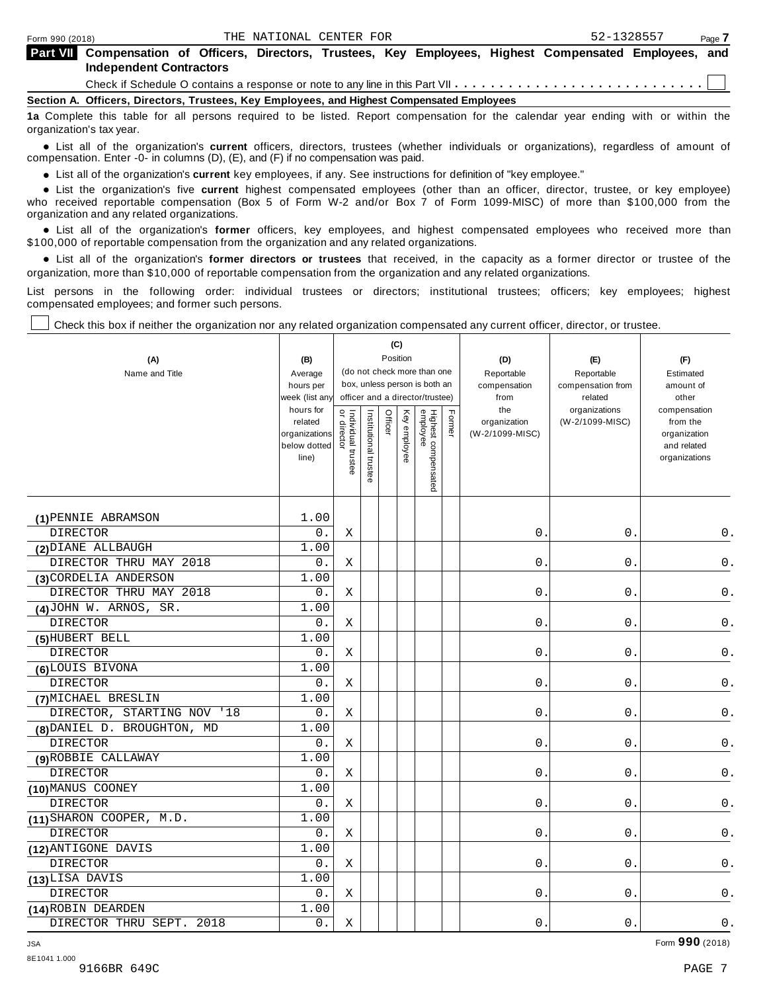| Part VII Compensation of Officers, Directors, Trustees, Key Employees, Highest Compensated Employees, and |  |  |  |  |  |
|-----------------------------------------------------------------------------------------------------------|--|--|--|--|--|
| <b>Independent Contractors</b>                                                                            |  |  |  |  |  |
|                                                                                                           |  |  |  |  |  |

**Section A. Officers, Directors, Trustees, Key Employees, and Highest Compensated Employees**

**1a** Complete this table for all persons required to be listed. Report compensation for the calendar year ending with or within the organization's tax year.

anization's lax year.<br>● List all of the organization's **current** officers, directors, trustees (whether individuals or organizations), regardless of amount of<br>nnensation Enter -0- in columns (D) (E) and (E) if no compensa compensation. Enter -0- in columns (D), (E), and (F) if no compensation was paid.

**■** List all of the organization's **current** key employees, if any. See instructions for definition of "key employee."<br>■ List the experientials five event highert expressed employees (other than an efficer director of

**Example in the organization's current** key employees, if any. See instructions for definition of key employee.<br>• List the organization's five **current** highest compensated employees (other than an officer, director, trust who received reportable compensation (Box 5 of Form W-2 and/or Box 7 of Form 1099-MISC) of more than \$100,000 from the

organization and any related organizations.<br>• List all of the organization's **former** officers, key employees, and highest compensated employees who received more than<br>\$1.00.000 of reportable componention from the erganiza \$100,000 of reportable compensation from the organization and any related organizations.

% List all of the organization's **former directors or trustees** that received, in the capacity as a former director or trustee of the organization, more than \$10,000 of reportable compensation from the organization and any related organizations.

List persons in the following order: individual trustees or directors; institutional trustees; officers; key employees; highest compensated employees; and former such persons.

Check this box if neither the organization nor any related organization compensated any current officer, director, or trustee.

| (A)<br>Name and Title       | (B)<br>Average<br>hours per<br>week (list any<br>hours for |                                     |                       |         | (C)<br>Position | (do not check more than one<br>box, unless person is both an<br>officer and a director/trustee) |        | (D)<br>Reportable<br>compensation<br>from<br>the | (E)<br>Reportable<br>compensation from<br>related<br>organizations | (F)<br>Estimated<br>amount of<br>other<br>compensation   |
|-----------------------------|------------------------------------------------------------|-------------------------------------|-----------------------|---------|-----------------|-------------------------------------------------------------------------------------------------|--------|--------------------------------------------------|--------------------------------------------------------------------|----------------------------------------------------------|
|                             | related<br>organizations<br>below dotted<br>line)          | Individual trustee<br>  or director | Institutional trustee | Officer | Key employee    | Highest compensated<br>employee                                                                 | Former | organization<br>(W-2/1099-MISC)                  | (W-2/1099-MISC)                                                    | from the<br>organization<br>and related<br>organizations |
| (1) PENNIE ABRAMSON         | 1.00                                                       |                                     |                       |         |                 |                                                                                                 |        |                                                  |                                                                    |                                                          |
| <b>DIRECTOR</b>             | 0.                                                         | X                                   |                       |         |                 |                                                                                                 |        | 0.                                               | $0$ .                                                              | $0$ .                                                    |
| (2) DIANE ALLBAUGH          | 1.00                                                       |                                     |                       |         |                 |                                                                                                 |        |                                                  |                                                                    |                                                          |
| DIRECTOR THRU MAY 2018      | $0$ .                                                      | X                                   |                       |         |                 |                                                                                                 |        | $0$ .                                            | 0.                                                                 | $\mathsf 0$ .                                            |
| (3) CORDELIA ANDERSON       | 1.00                                                       |                                     |                       |         |                 |                                                                                                 |        |                                                  |                                                                    |                                                          |
| DIRECTOR THRU MAY 2018      | $0$ .                                                      | Χ                                   |                       |         |                 |                                                                                                 |        | $\mathsf{O}$ .                                   | $0$ .                                                              | $\mathsf 0$ .                                            |
| (4) JOHN W. ARNOS, SR.      | 1.00                                                       |                                     |                       |         |                 |                                                                                                 |        |                                                  |                                                                    |                                                          |
| DIRECTOR                    | $0$ .                                                      | Χ                                   |                       |         |                 |                                                                                                 |        | 0.                                               | $0$ .                                                              | $\mathsf 0$ .                                            |
| (5)HUBERT BELL              | 1.00                                                       |                                     |                       |         |                 |                                                                                                 |        |                                                  |                                                                    |                                                          |
| <b>DIRECTOR</b>             | $0$ .                                                      | Χ                                   |                       |         |                 |                                                                                                 |        | 0.                                               | $0$ .                                                              | 0.                                                       |
| (6) LOUIS BIVONA            | 1.00                                                       |                                     |                       |         |                 |                                                                                                 |        |                                                  |                                                                    |                                                          |
| <b>DIRECTOR</b>             | $0$ .                                                      | Χ                                   |                       |         |                 |                                                                                                 |        | 0.                                               | $\mathbf 0$ .                                                      | 0.                                                       |
| (7) MICHAEL BRESLIN         | 1.00                                                       |                                     |                       |         |                 |                                                                                                 |        |                                                  |                                                                    |                                                          |
| DIRECTOR, STARTING NOV '18  | 0.                                                         | X                                   |                       |         |                 |                                                                                                 |        | $\mathsf{O}$ .                                   | $0$ .                                                              | 0.                                                       |
| (8) DANIEL D. BROUGHTON, MD | 1.00                                                       |                                     |                       |         |                 |                                                                                                 |        |                                                  |                                                                    |                                                          |
| <b>DIRECTOR</b>             | $0$ .                                                      | X                                   |                       |         |                 |                                                                                                 |        | $0$ .                                            | $0$ .                                                              | $0$ .                                                    |
| (9) ROBBIE CALLAWAY         | 1.00                                                       |                                     |                       |         |                 |                                                                                                 |        |                                                  |                                                                    |                                                          |
| <b>DIRECTOR</b>             | $0$ .                                                      | Χ                                   |                       |         |                 |                                                                                                 |        | $\mathbf 0$ .                                    | 0.                                                                 | $0$ .                                                    |
| (10) MANUS COONEY           | 1.00                                                       |                                     |                       |         |                 |                                                                                                 |        |                                                  |                                                                    |                                                          |
| <b>DIRECTOR</b>             | $0$ .                                                      | Χ                                   |                       |         |                 |                                                                                                 |        | $0$ .                                            | $0$ .                                                              | $\mathsf 0$ .                                            |
| (11) SHARON COOPER, M.D.    | 1.00                                                       |                                     |                       |         |                 |                                                                                                 |        |                                                  |                                                                    |                                                          |
| <b>DIRECTOR</b>             | $0$ .                                                      | Χ                                   |                       |         |                 |                                                                                                 |        | $0$ .                                            | 0.                                                                 | 0.                                                       |
| (12) ANTIGONE DAVIS         | 1.00                                                       |                                     |                       |         |                 |                                                                                                 |        |                                                  |                                                                    |                                                          |
| <b>DIRECTOR</b>             | 0.                                                         | Χ                                   |                       |         |                 |                                                                                                 |        | 0.                                               | $\overline{0}$ .                                                   | 0.                                                       |
| (13) LISA DAVIS             | 1.00                                                       |                                     |                       |         |                 |                                                                                                 |        |                                                  |                                                                    |                                                          |
| <b>DIRECTOR</b>             | 0.                                                         | Χ                                   |                       |         |                 |                                                                                                 |        | $0$ .                                            | $0$ .                                                              | $0$ .                                                    |
| (14) ROBIN DEARDEN          | 1.00                                                       |                                     |                       |         |                 |                                                                                                 |        |                                                  |                                                                    |                                                          |
| DIRECTOR THRU SEPT. 2018    | 0.                                                         | X                                   |                       |         |                 |                                                                                                 |        | $0$ .                                            | $0$ .                                                              | $0$ .                                                    |

JSA Form **990** (2018)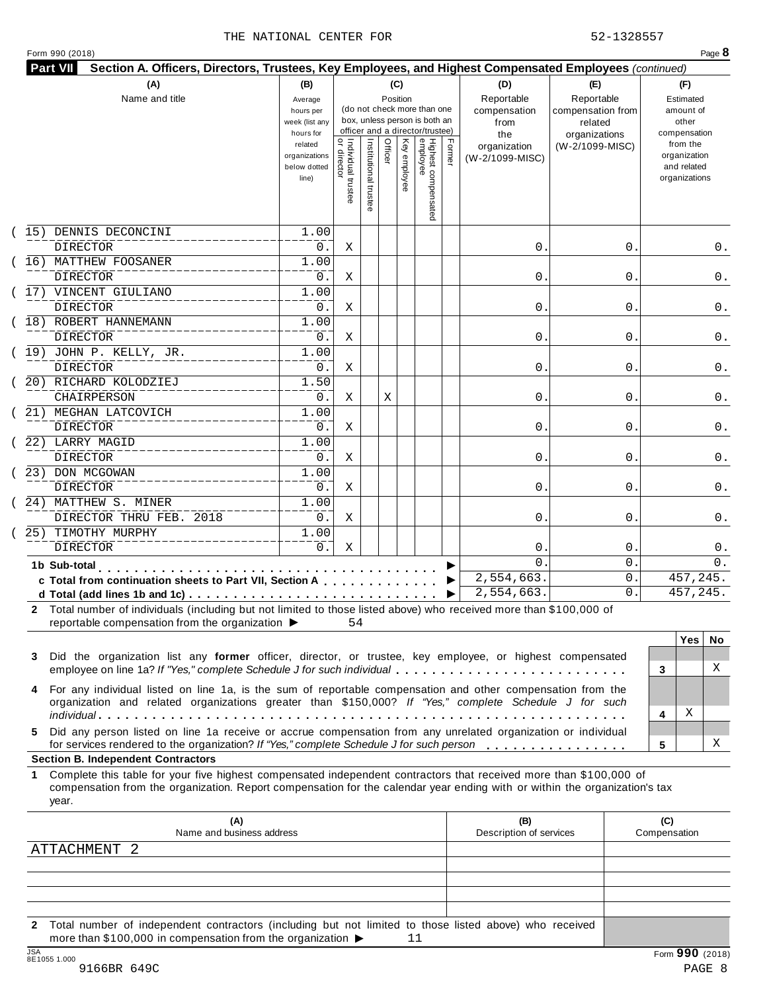#### THE NATIONAL CENTER FOR **1200 SET 1200 S**2-1328557

| Section A. Officers, Directors, Trustees, Key Employees, and Highest Compensated Employees (continued)<br><b>Part VII</b><br>(A)                                                                                                                          | (B)                                                            |                                     |                    |         | (C)          |                                                                    |        | (D)                                    | (E)                                        |              | (F)                                                                      |       |
|-----------------------------------------------------------------------------------------------------------------------------------------------------------------------------------------------------------------------------------------------------------|----------------------------------------------------------------|-------------------------------------|--------------------|---------|--------------|--------------------------------------------------------------------|--------|----------------------------------------|--------------------------------------------|--------------|--------------------------------------------------------------------------|-------|
| Name and title                                                                                                                                                                                                                                            | Average<br>hours per<br>week (list any                         |                                     |                    |         | Position     | (do not check more than one<br>box, unless person is both an       |        | Reportable<br>compensation<br>from     | Reportable<br>compensation from<br>related |              | Estimated<br>amount of<br>other                                          |       |
|                                                                                                                                                                                                                                                           | hours for<br>related<br>organizations<br>below dotted<br>line) | õ<br>Individual trustee<br>director | Institutional trus | Officer | Key employee | officer and a director/trustee)<br>Highest compensated<br>employee | Former | the<br>organization<br>(W-2/1099-MISC) | organizations<br>(W-2/1099-MISC)           |              | compensation<br>from the<br>organization<br>and related<br>organizations |       |
| 15) DENNIS DECONCINI                                                                                                                                                                                                                                      | 1.00                                                           |                                     |                    |         |              |                                                                    |        |                                        |                                            |              |                                                                          |       |
| <b>DIRECTOR</b>                                                                                                                                                                                                                                           | $0$ .                                                          | Χ                                   |                    |         |              |                                                                    |        | $\mathsf{0}$ .                         | 0                                          |              |                                                                          | 0.    |
| 16) MATTHEW FOOSANER                                                                                                                                                                                                                                      | 1.00                                                           |                                     |                    |         |              |                                                                    |        |                                        |                                            |              |                                                                          |       |
| DIRECTOR                                                                                                                                                                                                                                                  | 0.                                                             | Χ                                   |                    |         |              |                                                                    |        | $\mathsf{0}$ .                         | 0                                          |              |                                                                          | 0.    |
| 17) VINCENT GIULIANO                                                                                                                                                                                                                                      | 1.00                                                           |                                     |                    |         |              |                                                                    |        |                                        |                                            |              |                                                                          |       |
| DIRECTOR                                                                                                                                                                                                                                                  | 0.                                                             | Χ                                   |                    |         |              |                                                                    |        | $\mathsf{0}$ .                         | 0                                          |              |                                                                          | 0.    |
| 18) ROBERT HANNEMANN                                                                                                                                                                                                                                      | 1.00                                                           |                                     |                    |         |              |                                                                    |        |                                        |                                            |              |                                                                          |       |
| <b>DIRECTOR</b>                                                                                                                                                                                                                                           | $0$ .                                                          | Χ                                   |                    |         |              |                                                                    |        | $\mathsf{0}$ .                         | 0                                          |              |                                                                          | 0.    |
| 19) JOHN P. KELLY, JR.                                                                                                                                                                                                                                    | 1.00                                                           |                                     |                    |         |              |                                                                    |        |                                        |                                            |              |                                                                          |       |
| DIRECTOR                                                                                                                                                                                                                                                  | 0.                                                             | Χ                                   |                    |         |              |                                                                    |        | $\mathsf{0}$ .                         | 0                                          |              |                                                                          | 0.    |
| 20) RICHARD KOLODZIEJ                                                                                                                                                                                                                                     | 1.50                                                           |                                     |                    |         |              |                                                                    |        |                                        |                                            |              |                                                                          |       |
| CHAIRPERSON                                                                                                                                                                                                                                               | $0$ .                                                          | Χ                                   |                    | Χ       |              |                                                                    |        | $\mathsf{0}$ .                         | 0                                          |              |                                                                          | 0.    |
| 21) MEGHAN LATCOVICH<br>1.00                                                                                                                                                                                                                              |                                                                |                                     |                    |         |              |                                                                    |        |                                        |                                            |              |                                                                          |       |
| DIRECTOR<br>$0$ .<br>$\mathsf{0}$ .<br>0<br>Χ                                                                                                                                                                                                             |                                                                |                                     |                    |         |              |                                                                    |        |                                        |                                            |              | 0.                                                                       |       |
| 22) LARRY MAGID<br>1.00                                                                                                                                                                                                                                   |                                                                |                                     |                    |         |              |                                                                    |        |                                        |                                            |              |                                                                          |       |
| <b>DIRECTOR</b><br>$0$ .<br>$\mathsf{0}$ .<br>0<br>Χ                                                                                                                                                                                                      |                                                                |                                     |                    |         |              |                                                                    |        |                                        |                                            |              |                                                                          | 0.    |
| 23) DON MCGOWAN                                                                                                                                                                                                                                           | 1.00                                                           |                                     |                    |         |              |                                                                    |        |                                        |                                            |              |                                                                          |       |
| <b>DIRECTOR</b>                                                                                                                                                                                                                                           | $0$ .                                                          | Χ                                   |                    |         |              |                                                                    |        | 0.                                     | 0                                          |              |                                                                          | $0$ . |
| 24) MATTHEW S. MINER                                                                                                                                                                                                                                      | 1.00                                                           |                                     |                    |         |              |                                                                    |        |                                        |                                            |              |                                                                          |       |
| DIRECTOR THRU FEB. 2018                                                                                                                                                                                                                                   | $0$ .                                                          | Χ                                   |                    |         |              |                                                                    |        | $\mathsf{0}$ .                         | 0                                          |              |                                                                          | $0$ . |
| 25) TIMOTHY MURPHY                                                                                                                                                                                                                                        | 1.00                                                           |                                     |                    |         |              |                                                                    |        |                                        |                                            |              |                                                                          |       |
| <b>DIRECTOR</b>                                                                                                                                                                                                                                           | 0.                                                             | X                                   |                    |         |              |                                                                    |        | $\mathsf{O}$                           | 0                                          |              |                                                                          | $0$ . |
| 1b Sub-total                                                                                                                                                                                                                                              |                                                                |                                     |                    |         |              |                                                                    |        | 0                                      | $\mathbf{0}$                               |              |                                                                          | 0.    |
| c Total from continuation sheets to Part VII, Section A                                                                                                                                                                                                   |                                                                |                                     |                    |         |              |                                                                    |        | 2,554,663.                             | $\mathbf{0}$                               |              | 457,245.                                                                 |       |
| d Total (add lines 1b and 1c) $\cdots$ $\cdots$ $\cdots$ $\cdots$ $\cdots$ $\cdots$ $\cdots$ $\cdots$ $\cdots$ $\cdots$ $\cdots$                                                                                                                          |                                                                |                                     |                    |         |              |                                                                    |        | 2,554,663.                             | $\Omega$                                   |              | 457,245.                                                                 |       |
| 2 Total number of individuals (including but not limited to those listed above) who received more than \$100,000 of                                                                                                                                       |                                                                |                                     |                    |         |              |                                                                    |        |                                        |                                            |              |                                                                          |       |
| reportable compensation from the organization ▶                                                                                                                                                                                                           |                                                                | 54                                  |                    |         |              |                                                                    |        |                                        |                                            |              |                                                                          |       |
|                                                                                                                                                                                                                                                           |                                                                |                                     |                    |         |              |                                                                    |        |                                        |                                            |              | Yes                                                                      | No.   |
| Did the organization list any former officer, director, or trustee, key employee, or highest compensated                                                                                                                                                  |                                                                |                                     |                    |         |              |                                                                    |        |                                        |                                            |              |                                                                          |       |
| employee on line 1a? If "Yes," complete Schedule J for such individual                                                                                                                                                                                    |                                                                |                                     |                    |         |              |                                                                    |        |                                        |                                            | 3            |                                                                          | Χ     |
| For any individual listed on line 1a, is the sum of reportable compensation and other compensation from the<br>organization and related organizations greater than \$150,000? If "Yes," complete Schedule J for such                                      |                                                                |                                     |                    |         |              |                                                                    |        |                                        |                                            |              |                                                                          |       |
|                                                                                                                                                                                                                                                           |                                                                |                                     |                    |         |              |                                                                    |        |                                        |                                            | 4            | Χ                                                                        |       |
| Did any person listed on line 1a receive or accrue compensation from any unrelated organization or individual<br>5.<br>for services rendered to the organization? If "Yes," complete Schedule J for such person                                           |                                                                |                                     |                    |         |              |                                                                    |        |                                        |                                            | 5            |                                                                          | Χ     |
| <b>Section B. Independent Contractors</b>                                                                                                                                                                                                                 |                                                                |                                     |                    |         |              |                                                                    |        |                                        |                                            |              |                                                                          |       |
| Complete this table for your five highest compensated independent contractors that received more than \$100,000 of<br>compensation from the organization. Report compensation for the calendar year ending with or within the organization's tax<br>year. |                                                                |                                     |                    |         |              |                                                                    |        |                                        |                                            |              |                                                                          |       |
| (A)                                                                                                                                                                                                                                                       |                                                                |                                     |                    |         |              |                                                                    |        | (B)                                    |                                            | (C)          |                                                                          |       |
| Name and business address                                                                                                                                                                                                                                 |                                                                |                                     |                    |         |              |                                                                    |        | Description of services                |                                            | Compensation |                                                                          |       |
|                                                                                                                                                                                                                                                           |                                                                |                                     |                    |         |              |                                                                    |        |                                        |                                            |              |                                                                          |       |
| ATTACHMENT 2                                                                                                                                                                                                                                              |                                                                |                                     |                    |         |              |                                                                    |        |                                        |                                            |              |                                                                          |       |

**2** Total number of independent contractors (including but not limited to those listed above) who received more than \$100,000 in compensation from the organization  $\blacktriangleright$  11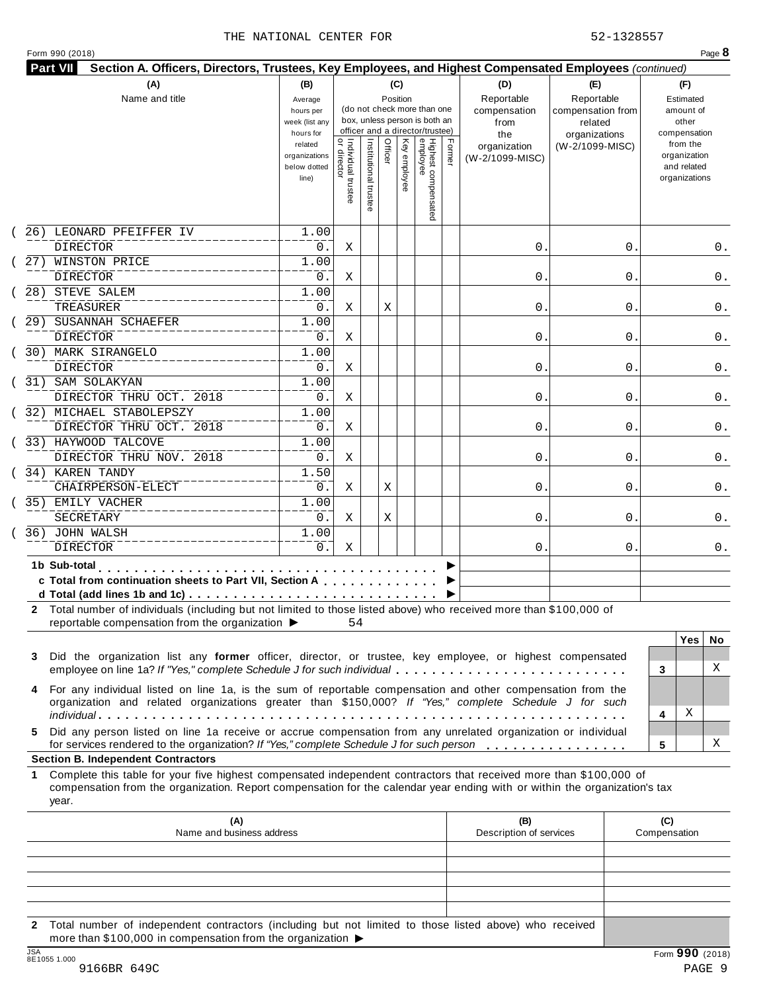#### THE NATIONAL CENTER FOR **1200 SET 1200 S**2-1328557

| (A)<br>Name and title                                                                                                                                                                                                | (B)                         |                    |                     | (C)      |                                                                  |        | (D)                     | Section A. Officers, Directors, Trustees, Key Employees, and Highest Compensated Employees (continued)<br>(E) | (F)                   |
|----------------------------------------------------------------------------------------------------------------------------------------------------------------------------------------------------------------------|-----------------------------|--------------------|---------------------|----------|------------------------------------------------------------------|--------|-------------------------|---------------------------------------------------------------------------------------------------------------|-----------------------|
|                                                                                                                                                                                                                      | Average                     |                    |                     | Position |                                                                  |        | Reportable              | Reportable                                                                                                    | Estimated             |
|                                                                                                                                                                                                                      | hours per                   |                    |                     |          | (do not check more than one                                      |        | compensation            | compensation from                                                                                             | amount of             |
|                                                                                                                                                                                                                      | week (list any<br>hours for |                    |                     |          | box, unless person is both an<br>officer and a director/trustee) |        | from                    | related                                                                                                       | other<br>compensation |
|                                                                                                                                                                                                                      | related                     | õ                  |                     |          |                                                                  |        | the<br>organization     | organizations<br>(W-2/1099-MISC)                                                                              | from the              |
|                                                                                                                                                                                                                      | organizations               |                    |                     | Officer  |                                                                  | Former | (W-2/1099-MISC)         |                                                                                                               | organization          |
|                                                                                                                                                                                                                      | below dotted                | director           |                     |          |                                                                  |        |                         |                                                                                                               | and related           |
|                                                                                                                                                                                                                      | line)                       | Individual trustee | Institutional trust |          | Key employee                                                     |        |                         |                                                                                                               | organizations         |
|                                                                                                                                                                                                                      |                             |                    |                     |          |                                                                  |        |                         |                                                                                                               |                       |
|                                                                                                                                                                                                                      |                             |                    |                     |          | Highest compensated<br>employee                                  |        |                         |                                                                                                               |                       |
| 26) LEONARD PFEIFFER IV                                                                                                                                                                                              | 1.00                        |                    |                     |          |                                                                  |        |                         |                                                                                                               |                       |
| <b>DIRECTOR</b>                                                                                                                                                                                                      | 0.                          | Χ                  |                     |          |                                                                  |        | $\mathsf{0}$ .          | 0                                                                                                             | 0.                    |
| 27) WINSTON PRICE                                                                                                                                                                                                    | 1.00                        |                    |                     |          |                                                                  |        |                         |                                                                                                               |                       |
| <b>DIRECTOR</b>                                                                                                                                                                                                      | 0.                          | Χ                  |                     |          |                                                                  |        | 0.                      | 0                                                                                                             | 0.                    |
| 28) STEVE SALEM                                                                                                                                                                                                      | 1.00                        |                    |                     |          |                                                                  |        |                         |                                                                                                               |                       |
| TREASURER                                                                                                                                                                                                            | 0.                          | Χ                  |                     | Χ        |                                                                  |        | 0.                      | 0                                                                                                             | 0.                    |
|                                                                                                                                                                                                                      | $\overline{1}$ .00          |                    |                     |          |                                                                  |        |                         |                                                                                                               |                       |
| SUSANNAH SCHAEFER<br>29)<br><b>DIRECTOR</b>                                                                                                                                                                          |                             |                    |                     |          |                                                                  |        |                         |                                                                                                               |                       |
|                                                                                                                                                                                                                      | $0$ .                       | Χ                  |                     |          |                                                                  |        | 0.                      | 0                                                                                                             | 0.                    |
| 30) MARK SIRANGELO                                                                                                                                                                                                   | 1.00                        |                    |                     |          |                                                                  |        |                         |                                                                                                               |                       |
| <b>DIRECTOR</b>                                                                                                                                                                                                      | 0.                          | X                  |                     |          |                                                                  |        | $\mathsf{0}$ .          | 0                                                                                                             | 0.                    |
| 31) SAM SOLAKYAN                                                                                                                                                                                                     | 1.00                        |                    |                     |          |                                                                  |        |                         |                                                                                                               |                       |
| DIRECTOR THRU OCT. 2018                                                                                                                                                                                              | $0$ .                       | X                  |                     |          |                                                                  |        | 0.                      | 0                                                                                                             | 0.                    |
| 32) MICHAEL STABOLEPSZY                                                                                                                                                                                              | 1.00                        |                    |                     |          |                                                                  |        |                         |                                                                                                               |                       |
| DIRECTOR THRU OCT. 2018                                                                                                                                                                                              | 0.                          | Χ                  |                     |          |                                                                  |        | $\mathsf{0}$ .          | 0                                                                                                             | 0.                    |
| 33) HAYWOOD TALCOVE                                                                                                                                                                                                  | 1.00                        |                    |                     |          |                                                                  |        |                         |                                                                                                               |                       |
| DIRECTOR THRU NOV. 2018                                                                                                                                                                                              | 0.                          | Χ                  |                     |          |                                                                  |        | $\mathsf{0}$ .          | 0                                                                                                             | 0.                    |
| 34) KAREN TANDY                                                                                                                                                                                                      | 1.50                        |                    |                     |          |                                                                  |        |                         |                                                                                                               |                       |
| CHAIRPERSON-ELECT                                                                                                                                                                                                    | 0.                          | Χ                  |                     | Χ        |                                                                  |        | $\mathsf{0}$ .          | 0                                                                                                             | 0.                    |
| 35) EMILY VACHER                                                                                                                                                                                                     | 1.00                        |                    |                     |          |                                                                  |        |                         |                                                                                                               |                       |
| SECRETARY                                                                                                                                                                                                            | $0$ .                       | X                  |                     | Χ        |                                                                  |        | $\mathsf{0}$ .          | 0                                                                                                             | 0.                    |
| 36) JOHN WALSH                                                                                                                                                                                                       | 1.00                        |                    |                     |          |                                                                  |        |                         |                                                                                                               |                       |
| <b>DIRECTOR</b>                                                                                                                                                                                                      | 0.                          | Χ                  |                     |          |                                                                  |        | 0.                      | 0                                                                                                             | 0.                    |
|                                                                                                                                                                                                                      |                             |                    |                     |          |                                                                  |        |                         |                                                                                                               |                       |
| 1b Sub-total<br>.                                                                                                                                                                                                    |                             |                    |                     |          |                                                                  |        |                         |                                                                                                               |                       |
| c Total from continuation sheets to Part VII, Section A                                                                                                                                                              |                             |                    |                     |          |                                                                  |        |                         |                                                                                                               |                       |
| d Total (add lines 1b and 1c) $\cdots$ $\cdots$ $\cdots$ $\cdots$ $\cdots$ $\cdots$ $\cdots$ $\cdots$ $\cdots$ $\cdots$ $\cdots$                                                                                     |                             |                    |                     |          |                                                                  |        |                         |                                                                                                               |                       |
| 2 Total number of individuals (including but not limited to those listed above) who received more than \$100,000 of                                                                                                  |                             |                    |                     |          |                                                                  |        |                         |                                                                                                               |                       |
|                                                                                                                                                                                                                      |                             | 54                 |                     |          |                                                                  |        |                         |                                                                                                               |                       |
| reportable compensation from the organization ▶                                                                                                                                                                      |                             |                    |                     |          |                                                                  |        |                         |                                                                                                               | No                    |
|                                                                                                                                                                                                                      |                             |                    |                     |          |                                                                  |        |                         |                                                                                                               | Yes                   |
| Did the organization list any former officer, director, or trustee, key employee, or highest compensated                                                                                                             |                             |                    |                     |          |                                                                  |        |                         |                                                                                                               |                       |
| employee on line 1a? If "Yes," complete Schedule J for such individual                                                                                                                                               |                             |                    |                     |          |                                                                  |        |                         |                                                                                                               | 3                     |
| 3                                                                                                                                                                                                                    |                             |                    |                     |          |                                                                  |        |                         |                                                                                                               | X                     |
| For any individual listed on line 1a, is the sum of reportable compensation and other compensation from the<br>organization and related organizations greater than \$150,000? If "Yes," complete Schedule J for such |                             |                    |                     |          |                                                                  |        |                         |                                                                                                               |                       |
|                                                                                                                                                                                                                      |                             |                    |                     |          |                                                                  |        |                         |                                                                                                               | Χ<br>4                |
| 5.                                                                                                                                                                                                                   |                             |                    |                     |          |                                                                  |        |                         |                                                                                                               |                       |
| Did any person listed on line 1a receive or accrue compensation from any unrelated organization or individual                                                                                                        |                             |                    |                     |          |                                                                  |        |                         |                                                                                                               | х<br>5                |
| for services rendered to the organization? If "Yes," complete Schedule J for such person                                                                                                                             |                             |                    |                     |          |                                                                  |        |                         |                                                                                                               |                       |
|                                                                                                                                                                                                                      |                             |                    |                     |          |                                                                  |        |                         |                                                                                                               |                       |
| <b>Section B. Independent Contractors</b><br>Complete this table for your five highest compensated independent contractors that received more than \$100,000 of                                                      |                             |                    |                     |          |                                                                  |        |                         |                                                                                                               |                       |
| compensation from the organization. Report compensation for the calendar year ending with or within the organization's tax<br>year.                                                                                  |                             |                    |                     |          |                                                                  |        |                         |                                                                                                               |                       |
|                                                                                                                                                                                                                      |                             |                    |                     |          |                                                                  |        |                         |                                                                                                               |                       |
| (A)                                                                                                                                                                                                                  |                             |                    |                     |          |                                                                  |        | (B)                     |                                                                                                               | (C)                   |
| Name and business address                                                                                                                                                                                            |                             |                    |                     |          |                                                                  |        | Description of services |                                                                                                               | Compensation          |
|                                                                                                                                                                                                                      |                             |                    |                     |          |                                                                  |        |                         |                                                                                                               |                       |
|                                                                                                                                                                                                                      |                             |                    |                     |          |                                                                  |        |                         |                                                                                                               |                       |

**2** Total number of independent contractors (including but not limited to those listed above) who received more than \$100,000 in compensation from the organization  $\blacktriangleright$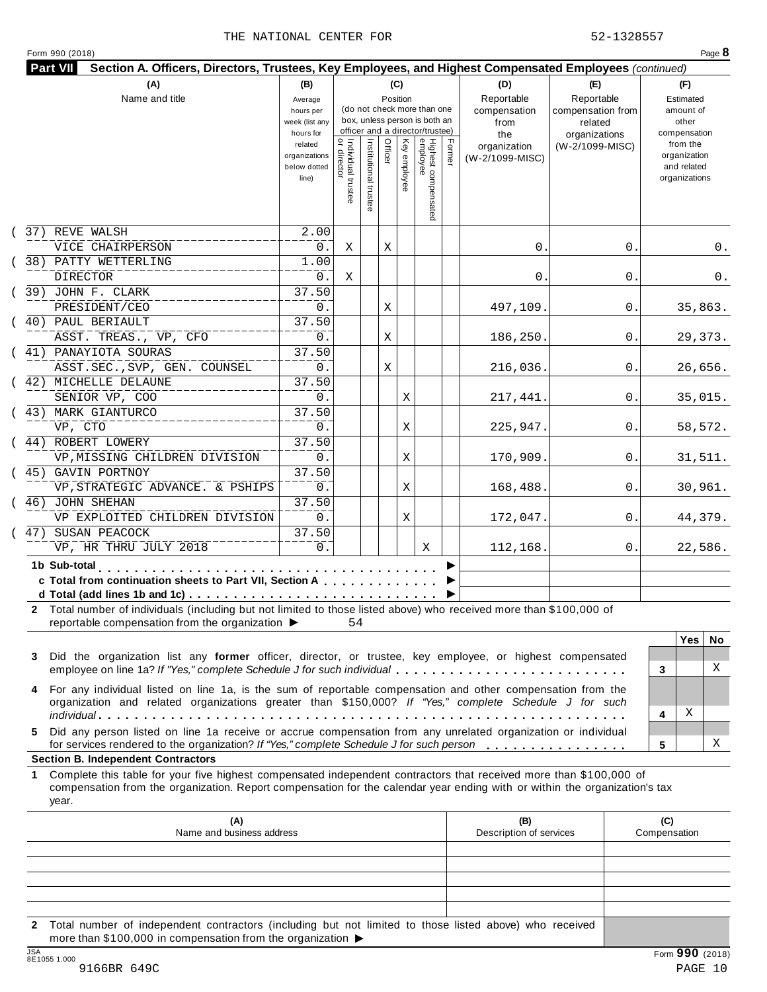#### THE NATIONAL CENTER FOR **1200 SET 1200 S**2-1328557

| <b>Part VII</b><br>Section A. Officers, Directors, Trustees, Key Employees, and Highest Compensated Employees (continued)<br>(A)<br>Name and title<br>37) REVE WALSH<br>VICE CHAIRPERSON<br>38) PATTY WETTERLING<br><b>DIRECTOR</b><br>39) JOHN F. CLARK<br>PRESIDENT/CEO<br>40) PAUL BERIAULT<br>ASST. TREAS., VP, CFO<br>(41) PANAYIOTA SOURAS | (B)<br>Average<br>hours per<br>week (list any<br>hours for<br>related<br>organizations<br>below dotted<br>line)<br>2.00<br>0.<br>$\overline{1}$ .00<br>0.<br>37.50<br>0. | Individual trustee<br>  or director<br>Χ<br>Χ                                                              | Institutional truste | (C)<br>Position<br>Officer<br>х | Key employee | (do not check more than one<br>box, unless person is both an<br>officer and a director/trustee)<br>Highest compensated<br>employee | Former                                                                                                                                | (D)<br>Reportable<br>compensation<br>from<br>the<br>organization<br>(W-2/1099-MISC) | (E)<br>Reportable<br>compensation from<br>related<br>organizations<br>(W-2/1099-MISC)<br>0 | (F)<br>Estimated<br>amount of<br>other<br>compensation<br>from the<br>organization<br>and related<br>organizations                                                                                                                                                                                                                                                                                                                                                                                                                                                                                                                                                                                                                                                                                                                                                                                                                                                                                                                                       |
|--------------------------------------------------------------------------------------------------------------------------------------------------------------------------------------------------------------------------------------------------------------------------------------------------------------------------------------------------|--------------------------------------------------------------------------------------------------------------------------------------------------------------------------|------------------------------------------------------------------------------------------------------------|----------------------|---------------------------------|--------------|------------------------------------------------------------------------------------------------------------------------------------|---------------------------------------------------------------------------------------------------------------------------------------|-------------------------------------------------------------------------------------|--------------------------------------------------------------------------------------------|----------------------------------------------------------------------------------------------------------------------------------------------------------------------------------------------------------------------------------------------------------------------------------------------------------------------------------------------------------------------------------------------------------------------------------------------------------------------------------------------------------------------------------------------------------------------------------------------------------------------------------------------------------------------------------------------------------------------------------------------------------------------------------------------------------------------------------------------------------------------------------------------------------------------------------------------------------------------------------------------------------------------------------------------------------|
|                                                                                                                                                                                                                                                                                                                                                  |                                                                                                                                                                          |                                                                                                            |                      |                                 |              |                                                                                                                                    |                                                                                                                                       |                                                                                     |                                                                                            |                                                                                                                                                                                                                                                                                                                                                                                                                                                                                                                                                                                                                                                                                                                                                                                                                                                                                                                                                                                                                                                          |
|                                                                                                                                                                                                                                                                                                                                                  |                                                                                                                                                                          |                                                                                                            |                      |                                 |              |                                                                                                                                    |                                                                                                                                       |                                                                                     |                                                                                            |                                                                                                                                                                                                                                                                                                                                                                                                                                                                                                                                                                                                                                                                                                                                                                                                                                                                                                                                                                                                                                                          |
|                                                                                                                                                                                                                                                                                                                                                  |                                                                                                                                                                          |                                                                                                            |                      |                                 |              |                                                                                                                                    |                                                                                                                                       |                                                                                     |                                                                                            |                                                                                                                                                                                                                                                                                                                                                                                                                                                                                                                                                                                                                                                                                                                                                                                                                                                                                                                                                                                                                                                          |
|                                                                                                                                                                                                                                                                                                                                                  |                                                                                                                                                                          |                                                                                                            |                      |                                 |              |                                                                                                                                    |                                                                                                                                       | 0.                                                                                  |                                                                                            | 0.                                                                                                                                                                                                                                                                                                                                                                                                                                                                                                                                                                                                                                                                                                                                                                                                                                                                                                                                                                                                                                                       |
|                                                                                                                                                                                                                                                                                                                                                  |                                                                                                                                                                          |                                                                                                            |                      |                                 |              |                                                                                                                                    |                                                                                                                                       | О.                                                                                  | 0                                                                                          | $0$ .                                                                                                                                                                                                                                                                                                                                                                                                                                                                                                                                                                                                                                                                                                                                                                                                                                                                                                                                                                                                                                                    |
|                                                                                                                                                                                                                                                                                                                                                  |                                                                                                                                                                          |                                                                                                            |                      | х                               |              |                                                                                                                                    |                                                                                                                                       | 497,109.                                                                            | 0                                                                                          | 35,863.                                                                                                                                                                                                                                                                                                                                                                                                                                                                                                                                                                                                                                                                                                                                                                                                                                                                                                                                                                                                                                                  |
|                                                                                                                                                                                                                                                                                                                                                  | 37.50<br>0.                                                                                                                                                              |                                                                                                            |                      | Χ                               |              |                                                                                                                                    |                                                                                                                                       | 186,250.                                                                            | 0.                                                                                         | 29,373.                                                                                                                                                                                                                                                                                                                                                                                                                                                                                                                                                                                                                                                                                                                                                                                                                                                                                                                                                                                                                                                  |
| ASST.SEC., SVP, GEN. COUNSEL                                                                                                                                                                                                                                                                                                                     | 37.50<br>0.                                                                                                                                                              |                                                                                                            |                      | Χ                               |              |                                                                                                                                    |                                                                                                                                       | 216,036.                                                                            | 0.                                                                                         | 26,656.                                                                                                                                                                                                                                                                                                                                                                                                                                                                                                                                                                                                                                                                                                                                                                                                                                                                                                                                                                                                                                                  |
| ( 42) MICHELLE DELAUNE<br>SENIOR VP, COO                                                                                                                                                                                                                                                                                                         | 37.50<br>0.                                                                                                                                                              |                                                                                                            |                      |                                 | Χ            |                                                                                                                                    |                                                                                                                                       | 217,441.                                                                            | 0                                                                                          | 35,015.                                                                                                                                                                                                                                                                                                                                                                                                                                                                                                                                                                                                                                                                                                                                                                                                                                                                                                                                                                                                                                                  |
| (43) MARK GIANTURCO                                                                                                                                                                                                                                                                                                                              | 37.50                                                                                                                                                                    |                                                                                                            |                      |                                 |              |                                                                                                                                    |                                                                                                                                       |                                                                                     |                                                                                            | 58,572.                                                                                                                                                                                                                                                                                                                                                                                                                                                                                                                                                                                                                                                                                                                                                                                                                                                                                                                                                                                                                                                  |
| (44) ROBERT LOWERY                                                                                                                                                                                                                                                                                                                               | 37.50                                                                                                                                                                    |                                                                                                            |                      |                                 |              |                                                                                                                                    |                                                                                                                                       |                                                                                     |                                                                                            | 31,511.                                                                                                                                                                                                                                                                                                                                                                                                                                                                                                                                                                                                                                                                                                                                                                                                                                                                                                                                                                                                                                                  |
| 45) GAVIN PORTNOY                                                                                                                                                                                                                                                                                                                                | 37.50                                                                                                                                                                    |                                                                                                            |                      |                                 |              |                                                                                                                                    |                                                                                                                                       |                                                                                     |                                                                                            | 30,961.                                                                                                                                                                                                                                                                                                                                                                                                                                                                                                                                                                                                                                                                                                                                                                                                                                                                                                                                                                                                                                                  |
| (46) JOHN SHEHAN                                                                                                                                                                                                                                                                                                                                 | 37.50                                                                                                                                                                    |                                                                                                            |                      |                                 |              |                                                                                                                                    |                                                                                                                                       |                                                                                     |                                                                                            | 44,379.                                                                                                                                                                                                                                                                                                                                                                                                                                                                                                                                                                                                                                                                                                                                                                                                                                                                                                                                                                                                                                                  |
| 47) SUSAN PEACOCK                                                                                                                                                                                                                                                                                                                                | 37.50<br>0.                                                                                                                                                              |                                                                                                            |                      |                                 |              |                                                                                                                                    |                                                                                                                                       |                                                                                     |                                                                                            | 22,586.                                                                                                                                                                                                                                                                                                                                                                                                                                                                                                                                                                                                                                                                                                                                                                                                                                                                                                                                                                                                                                                  |
| 1b Sub-total                                                                                                                                                                                                                                                                                                                                     |                                                                                                                                                                          |                                                                                                            |                      |                                 |              |                                                                                                                                    |                                                                                                                                       |                                                                                     |                                                                                            |                                                                                                                                                                                                                                                                                                                                                                                                                                                                                                                                                                                                                                                                                                                                                                                                                                                                                                                                                                                                                                                          |
|                                                                                                                                                                                                                                                                                                                                                  |                                                                                                                                                                          |                                                                                                            |                      |                                 |              |                                                                                                                                    |                                                                                                                                       |                                                                                     |                                                                                            | Yes<br>No<br>Χ<br>3                                                                                                                                                                                                                                                                                                                                                                                                                                                                                                                                                                                                                                                                                                                                                                                                                                                                                                                                                                                                                                      |
|                                                                                                                                                                                                                                                                                                                                                  |                                                                                                                                                                          |                                                                                                            |                      |                                 |              |                                                                                                                                    |                                                                                                                                       |                                                                                     |                                                                                            | Χ<br>4                                                                                                                                                                                                                                                                                                                                                                                                                                                                                                                                                                                                                                                                                                                                                                                                                                                                                                                                                                                                                                                   |
|                                                                                                                                                                                                                                                                                                                                                  |                                                                                                                                                                          |                                                                                                            |                      |                                 |              |                                                                                                                                    |                                                                                                                                       |                                                                                     |                                                                                            | Χ<br>5                                                                                                                                                                                                                                                                                                                                                                                                                                                                                                                                                                                                                                                                                                                                                                                                                                                                                                                                                                                                                                                   |
| <b>Section B. Independent Contractors</b>                                                                                                                                                                                                                                                                                                        |                                                                                                                                                                          |                                                                                                            |                      |                                 |              |                                                                                                                                    |                                                                                                                                       |                                                                                     |                                                                                            |                                                                                                                                                                                                                                                                                                                                                                                                                                                                                                                                                                                                                                                                                                                                                                                                                                                                                                                                                                                                                                                          |
| year.                                                                                                                                                                                                                                                                                                                                            |                                                                                                                                                                          |                                                                                                            |                      |                                 |              |                                                                                                                                    |                                                                                                                                       |                                                                                     |                                                                                            |                                                                                                                                                                                                                                                                                                                                                                                                                                                                                                                                                                                                                                                                                                                                                                                                                                                                                                                                                                                                                                                          |
| (A)                                                                                                                                                                                                                                                                                                                                              |                                                                                                                                                                          |                                                                                                            |                      |                                 |              |                                                                                                                                    |                                                                                                                                       | (B)                                                                                 |                                                                                            | (C)<br>Compensation                                                                                                                                                                                                                                                                                                                                                                                                                                                                                                                                                                                                                                                                                                                                                                                                                                                                                                                                                                                                                                      |
|                                                                                                                                                                                                                                                                                                                                                  | VP, CTO<br>VP, MISSING CHILDREN DIVISION<br>VP, STRATEGIC ADVANCE. & PSHIPS<br>VP EXPLOITED CHILDREN DIVISION<br>VP, HR THRU JULY 2018                                   | 0.<br>0.<br>$0$ .<br>$0$ .<br>reportable compensation from the organization ▶<br>Name and business address |                      | 54                              |              | Χ<br>Χ<br>Χ<br>Χ<br>c Total from continuation sheets to Part VII, Section A                                                        | Χ<br>d Total (add lines 1b and 1c) $\cdots$ $\cdots$ $\cdots$ $\cdots$ $\cdots$ $\cdots$ $\cdots$ $\cdots$ $\cdots$ $\cdots$ $\cdots$ |                                                                                     | 225,947.<br>170,909.<br>168,488.<br>172,047.<br>112,168.                                   | 0<br>0<br>0<br>0.<br>О.<br>2 Total number of individuals (including but not limited to those listed above) who received more than \$100,000 of<br>Did the organization list any former officer, director, or trustee, key employee, or highest compensated<br>employee on line 1a? If "Yes," complete Schedule J for such individual<br>For any individual listed on line 1a, is the sum of reportable compensation and other compensation from the<br>organization and related organizations greater than \$150,000? If "Yes," complete Schedule J for such<br>Did any person listed on line 1a receive or accrue compensation from any unrelated organization or individual<br>for services rendered to the organization? If "Yes," complete Schedule J for such person<br>Complete this table for your five highest compensated independent contractors that received more than \$100,000 of<br>compensation from the organization. Report compensation for the calendar year ending with or within the organization's tax<br>Description of services |

**2** Total number of independent contractors (including but not limited to those listed above) who received more than \$100,000 in compensation from the organization  $\blacktriangleright$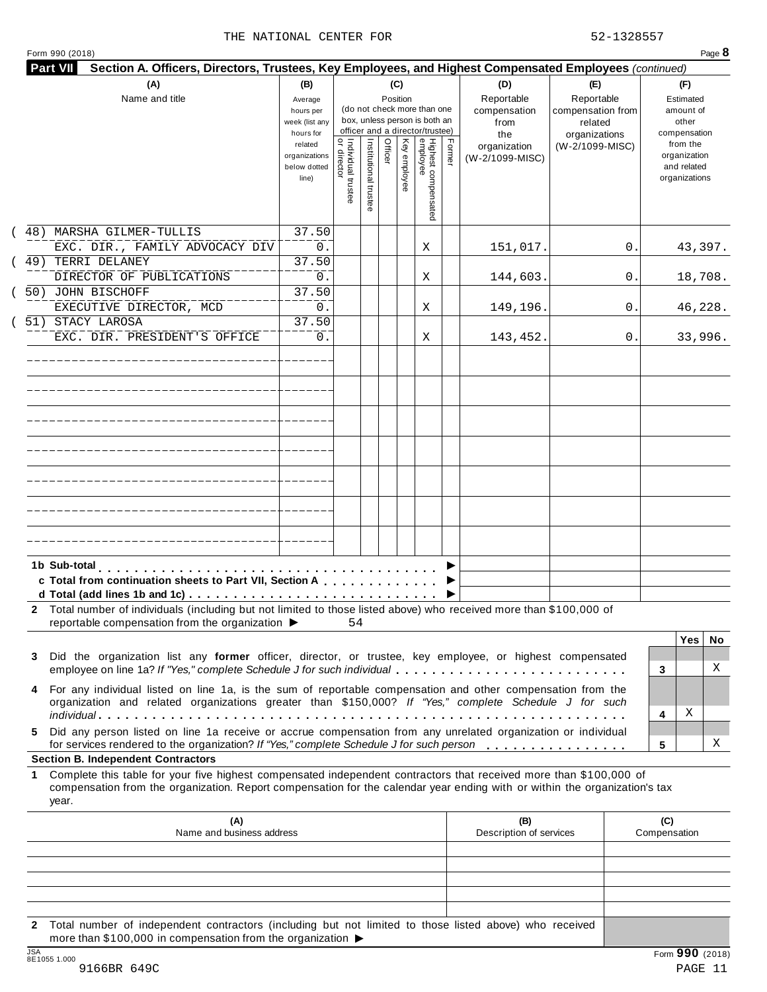#### THE NATIONAL CENTER FOR  $52-1328557$

|  | Form 990 (2018) |  |
|--|-----------------|--|

| Name and title                                                                                                                                                                                                                                            | (B)<br>Average<br>hours per<br>week (list any<br>hours for |                                     |                       | (C)<br>Position |              | (do not check more than one<br>box, unless person is both an<br>officer and a director/trustee) |        | (D)<br>Reportable<br>compensation<br>from<br>the | (E)<br>Reportable<br>compensation from<br>related<br>organizations | (F)<br>Estimated<br>amount of<br>other<br>compensation   |
|-----------------------------------------------------------------------------------------------------------------------------------------------------------------------------------------------------------------------------------------------------------|------------------------------------------------------------|-------------------------------------|-----------------------|-----------------|--------------|-------------------------------------------------------------------------------------------------|--------|--------------------------------------------------|--------------------------------------------------------------------|----------------------------------------------------------|
|                                                                                                                                                                                                                                                           | related<br>organizations<br>below dotted<br>line)          | Individual trustee<br>  or director | Institutional trustee | Officer         | Key employee | Highest compensated<br>employee                                                                 | Former | organization<br>(W-2/1099-MISC)                  | (W-2/1099-MISC)                                                    | from the<br>organization<br>and related<br>organizations |
| 48) MARSHA GILMER-TULLIS<br>EXC. DIR., FAMILY ADVOCACY DIV                                                                                                                                                                                                | 37.50<br>0.                                                |                                     |                       |                 |              | Χ                                                                                               |        | 151,017.                                         | 0.                                                                 | 43,397.                                                  |
| 49) TERRI DELANEY<br>DIRECTOR OF PUBLICATIONS                                                                                                                                                                                                             | 37.50<br>0.                                                |                                     |                       |                 |              | X                                                                                               |        | 144,603.                                         | 0.                                                                 | 18,708.                                                  |
| 50) JOHN BISCHOFF<br>EXECUTIVE DIRECTOR, MCD<br>51) STACY LAROSA                                                                                                                                                                                          | 37.50<br>0.<br>37.50                                       |                                     |                       |                 |              | X                                                                                               |        | 149,196.                                         | 0.                                                                 | 46,228.                                                  |
| EXC. DIR. PRESIDENT'S OFFICE                                                                                                                                                                                                                              | 0.                                                         |                                     |                       |                 |              | X                                                                                               |        | 143,452.                                         | 0.                                                                 | 33,996.                                                  |
|                                                                                                                                                                                                                                                           |                                                            |                                     |                       |                 |              |                                                                                                 |        |                                                  |                                                                    |                                                          |
|                                                                                                                                                                                                                                                           |                                                            |                                     |                       |                 |              |                                                                                                 |        |                                                  |                                                                    |                                                          |
|                                                                                                                                                                                                                                                           |                                                            |                                     |                       |                 |              |                                                                                                 |        |                                                  |                                                                    |                                                          |
|                                                                                                                                                                                                                                                           |                                                            |                                     |                       |                 |              |                                                                                                 |        |                                                  |                                                                    |                                                          |
|                                                                                                                                                                                                                                                           |                                                            |                                     |                       |                 |              |                                                                                                 |        |                                                  |                                                                    |                                                          |
|                                                                                                                                                                                                                                                           |                                                            |                                     |                       |                 |              |                                                                                                 |        |                                                  |                                                                    |                                                          |
| 1b Sub-total<br>c Total from continuation sheets to Part VII, Section A                                                                                                                                                                                   |                                                            |                                     |                       |                 |              |                                                                                                 |        |                                                  |                                                                    |                                                          |
| 2 Total number of individuals (including but not limited to those listed above) who received more than \$100,000 of<br>reportable compensation from the organization ▶                                                                                    |                                                            | 54                                  |                       |                 |              |                                                                                                 |        |                                                  |                                                                    |                                                          |
| Did the organization list any former officer, director, or trustee, key employee, or highest compensated<br>3<br>employee on line 1a? If "Yes," complete Schedule J for such individual                                                                   |                                                            |                                     |                       |                 |              |                                                                                                 |        |                                                  |                                                                    | <b>Yes</b><br>No.<br>X<br>3                              |
| For any individual listed on line 1a, is the sum of reportable compensation and other compensation from the<br>4<br>organization and related organizations greater than \$150,000? If "Yes," complete Schedule J for such                                 |                                                            |                                     |                       |                 |              |                                                                                                 |        |                                                  |                                                                    | х<br>4                                                   |
| Did any person listed on line 1a receive or accrue compensation from any unrelated organization or individual<br>5.                                                                                                                                       |                                                            |                                     |                       |                 |              |                                                                                                 |        |                                                  |                                                                    | Χ<br>5                                                   |
| for services rendered to the organization? If "Yes," complete Schedule J for such person                                                                                                                                                                  |                                                            |                                     |                       |                 |              |                                                                                                 |        |                                                  |                                                                    |                                                          |
| Complete this table for your five highest compensated independent contractors that received more than \$100,000 of<br>compensation from the organization. Report compensation for the calendar year ending with or within the organization's tax<br>year. |                                                            |                                     |                       |                 |              |                                                                                                 |        |                                                  |                                                                    |                                                          |
| (A)<br>Name and business address                                                                                                                                                                                                                          |                                                            |                                     |                       |                 |              |                                                                                                 |        | (B)<br>Description of services                   |                                                                    | (C)<br>Compensation                                      |
| <b>Section B. Independent Contractors</b><br>1                                                                                                                                                                                                            |                                                            |                                     |                       |                 |              |                                                                                                 |        |                                                  |                                                                    |                                                          |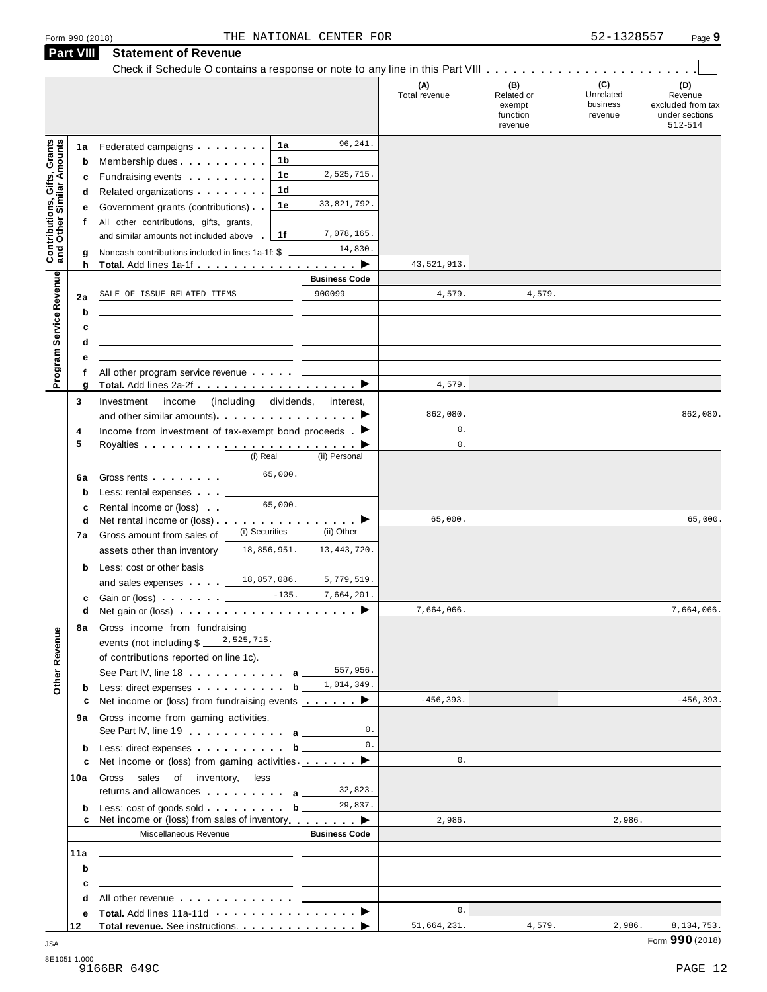|  |  |  | Form 990 (2018) |
|--|--|--|-----------------|
|--|--|--|-----------------|

|                                                                  | <b>Part VIII</b> | <b>Statement of Revenue</b>                                                                                                                                                                                                                                                                                                                           |                                               |                                  |                      |                                                    |                                         |                                                                  |
|------------------------------------------------------------------|------------------|-------------------------------------------------------------------------------------------------------------------------------------------------------------------------------------------------------------------------------------------------------------------------------------------------------------------------------------------------------|-----------------------------------------------|----------------------------------|----------------------|----------------------------------------------------|-----------------------------------------|------------------------------------------------------------------|
|                                                                  |                  | Check if Schedule O contains a response or note to any line in this Part VIII                                                                                                                                                                                                                                                                         |                                               |                                  | (A)<br>Total revenue | (B)<br>Related or<br>exempt<br>function<br>revenue | (C)<br>Unrelated<br>business<br>revenue | (D)<br>Revenue<br>excluded from tax<br>under sections<br>512-514 |
|                                                                  | 1a<br>b<br>c     | Federated campaigns<br>Membership dues<br>Fundraising events <b>Fundraising</b>                                                                                                                                                                                                                                                                       | 1a<br>1b<br>1c                                | 96,241.<br>2,525,715.            |                      |                                                    |                                         |                                                                  |
| <b>Contributions, Gifts, Grants</b><br>and Other Similar Amounts | d<br>е<br>f      | Related organizations <b>contains</b> and <b>Related</b> organizations <b>and</b> a set of the set of the set of the set of the set of the set of the set of the set of the set of the set of the set of the set of the set of the set of the<br>Government grants (contributions)<br>All other contributions, gifts, grants,                         | 1d<br>1е                                      | 33,821,792.                      |                      |                                                    |                                         |                                                                  |
|                                                                  | g<br>h           | 1f<br>and similar amounts not included above<br>Noncash contributions included in lines 1a-1f: \$<br>SALE OF ISSUE RELATED ITEMS                                                                                                                                                                                                                      |                                               | 7,078,165.<br>14,830.            | 43, 521, 913.        |                                                    |                                         |                                                                  |
| Program Service Revenue                                          | 2a               |                                                                                                                                                                                                                                                                                                                                                       |                                               | <b>Business Code</b><br>900099   | 4,579.               | 4,579.                                             |                                         |                                                                  |
|                                                                  | b<br>c<br>d      |                                                                                                                                                                                                                                                                                                                                                       |                                               |                                  |                      |                                                    |                                         |                                                                  |
|                                                                  | f<br>g           | All other program service revenue<br>Total. Add lines 2a-2f ▶                                                                                                                                                                                                                                                                                         |                                               |                                  | 4,579.               |                                                    |                                         |                                                                  |
|                                                                  | 3<br>4           | Investment<br>income<br>and other similar amounts) $\cdots$ $\cdots$ $\cdots$<br>Income from investment of tax-exempt bond proceeds $\blacktriangleright$                                                                                                                                                                                             | (including dividends,                         | interest,                        | 862,080.<br>0.       |                                                    |                                         | 862,080.                                                         |
|                                                                  | 5                |                                                                                                                                                                                                                                                                                                                                                       | (i) Real                                      | (ii) Personal                    | $\mathbf{0}$ .       |                                                    |                                         |                                                                  |
|                                                                  | 6a<br>b<br>c     | Less: rental expenses<br>Rental income or (loss)                                                                                                                                                                                                                                                                                                      | 65,000.<br>65,000.                            |                                  |                      |                                                    |                                         |                                                                  |
|                                                                  | d<br>7a          | Net rental income or (loss).<br>Gross amount from sales of                                                                                                                                                                                                                                                                                            | <u>.</u> . ><br>(i) Securities<br>18,856,951. | (ii) Other<br>13, 443, 720.      | 65,000.              |                                                    |                                         | 65,000.                                                          |
|                                                                  | b                | assets other than inventory<br>Less: cost or other basis<br>and sales expenses                                                                                                                                                                                                                                                                        | 18,857,086.                                   | 5,779,519.                       |                      |                                                    |                                         |                                                                  |
|                                                                  | с<br>d           | Gain or (loss) <b>comparison</b><br>Net gain or (loss) $\cdots$ $\cdots$ $\cdots$ $\cdots$ $\cdots$<br>8a Gross income from fundraising                                                                                                                                                                                                               | $-135.$                                       | 7,664,201.                       | 7,664,066.           |                                                    |                                         | 7,664,066.                                                       |
| Other Revenue                                                    |                  | events (not including $\frac{2}{5}$ , $\frac{2}{525}$ , $\frac{715}{5}$ .<br>of contributions reported on line 1c).<br>See Part IV, line 18 and the state of the state of the state of the state of the state of the state of the state of the state of the state of the state of the state of the state of the state of the state of the state of th |                                               | 557,956.                         |                      |                                                    |                                         |                                                                  |
|                                                                  | b<br>c           | Less: direct expenses b<br>Net income or (loss) from fundraising events $\qquad \qquad$                                                                                                                                                                                                                                                               |                                               | 1,014,349.                       | $-456, 393.$         |                                                    |                                         | $-456, 393.$                                                     |
|                                                                  | b                | 9a Gross income from gaming activities.<br>See Part IV, line 19 $\ldots$ $\ldots$ a<br>Less: direct expenses b                                                                                                                                                                                                                                        |                                               | $\mathbf{0}$ .<br>$\mathbf{0}$ . |                      |                                                    |                                         |                                                                  |
|                                                                  | c<br>10a -       | Net income or (loss) from gaming activities ________ ▶<br>Gross sales of inventory, less<br>returns and allowances and allowances                                                                                                                                                                                                                     |                                               | 32,823.                          | $\mathbf{0}$ .       |                                                    |                                         |                                                                  |
|                                                                  | b<br>c           | Net income or (loss) from sales of inventory  ■<br>Miscellaneous Revenue                                                                                                                                                                                                                                                                              | $\mathbf{b}$                                  | 29,837.<br><b>Business Code</b>  | 2,986.               |                                                    | 2,986.                                  |                                                                  |
|                                                                  | 11a<br>b         |                                                                                                                                                                                                                                                                                                                                                       |                                               |                                  |                      |                                                    |                                         |                                                                  |
|                                                                  | c<br>d<br>е      | All other revenue experience and the set of the set of the set of the set of the set of the set of the set of the set of the set of the set of the set of the set of the set of the set of the set of the set of the set of th<br>Total. Add lines 11a-11d ▶                                                                                          |                                               |                                  | $\mathbf{0}$ .       |                                                    |                                         |                                                                  |
|                                                                  | 12               | Total revenue. See instructions. ▶                                                                                                                                                                                                                                                                                                                    |                                               |                                  | 51,664,231.          | 4,579.                                             | 2,986.                                  | 8, 134, 753.                                                     |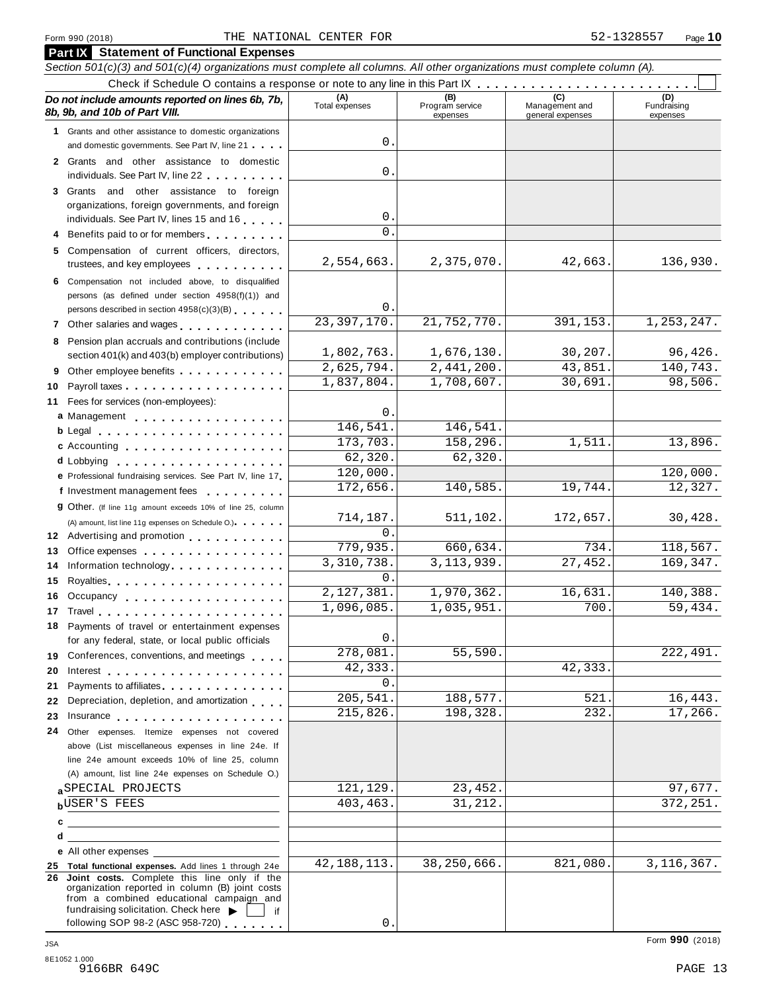#### Form <sup>990</sup> (2018) Page **10** THE NATIONAL CENTER FOR 52-1328557

| <b>Part IX</b> Statement of Functional Expenses<br>Section 501(c)(3) and 501(c)(4) organizations must complete all columns. All other organizations must complete column (A).                                                                      |                            |                                    |                                    |                                |
|----------------------------------------------------------------------------------------------------------------------------------------------------------------------------------------------------------------------------------------------------|----------------------------|------------------------------------|------------------------------------|--------------------------------|
|                                                                                                                                                                                                                                                    |                            |                                    |                                    |                                |
| Do not include amounts reported on lines 6b, 7b,<br>8b, 9b, and 10b of Part VIII.                                                                                                                                                                  | (A)<br>Total expenses      | (B)<br>Program service<br>expenses | Management and<br>general expenses | (D)<br>Fundraising<br>expenses |
| 1 Grants and other assistance to domestic organizations                                                                                                                                                                                            |                            |                                    |                                    |                                |
| and domestic governments. See Part IV, line 21                                                                                                                                                                                                     | $0$ .                      |                                    |                                    |                                |
| 2 Grants and other assistance to domestic<br>individuals. See Part IV, line 22                                                                                                                                                                     | $\mathsf{O}$               |                                    |                                    |                                |
| 3 Grants and other assistance to foreign                                                                                                                                                                                                           |                            |                                    |                                    |                                |
| organizations, foreign governments, and foreign<br>individuals. See Part IV, lines 15 and 16                                                                                                                                                       | 0                          |                                    |                                    |                                |
| Benefits paid to or for members                                                                                                                                                                                                                    | $\Omega$                   |                                    |                                    |                                |
| 5 Compensation of current officers, directors,<br>trustees, and key employees                                                                                                                                                                      | 2,554,663.                 | 2,375,070.                         | 42,663.                            | 136,930.                       |
| 6 Compensation not included above, to disqualified<br>persons (as defined under section 4958(f)(1)) and                                                                                                                                            |                            |                                    |                                    |                                |
| persons described in section 4958(c)(3)(B)                                                                                                                                                                                                         | 0                          |                                    |                                    |                                |
|                                                                                                                                                                                                                                                    | 23, 397, 170.              | 21,752,770.                        | 391,153.                           | 1, 253, 247.                   |
| 8 Pension plan accruals and contributions (include                                                                                                                                                                                                 |                            |                                    |                                    |                                |
| section 401(k) and 403(b) employer contributions)                                                                                                                                                                                                  | 1,802,763.<br>2,625,794.   | 1,676,130.                         | 30,207.                            | 96,426.                        |
| 9                                                                                                                                                                                                                                                  |                            | 2,441,200.                         | 43,851.                            | 140,743.<br>98,506.            |
| 10                                                                                                                                                                                                                                                 | 1,837,804.                 | 1,708,607.                         | 30,691.                            |                                |
| 11 Fees for services (non-employees):                                                                                                                                                                                                              | 0                          |                                    |                                    |                                |
| a Management                                                                                                                                                                                                                                       | 146,541.                   | 146,541.                           |                                    |                                |
|                                                                                                                                                                                                                                                    | 173,703.                   | 158,296.                           | 1,511.                             | 13,896.                        |
| c Accounting                                                                                                                                                                                                                                       | 62,320.                    | 62,320.                            |                                    |                                |
| e Professional fundraising services. See Part IV, line 17                                                                                                                                                                                          | 120,000.                   |                                    |                                    | 120,000.                       |
| f Investment management fees                                                                                                                                                                                                                       | 172,656.                   | 140,585.                           | 19,744.                            | 12,327.                        |
| <b>g</b> Other. (If line 11g amount exceeds 10% of line 25, column                                                                                                                                                                                 |                            |                                    |                                    |                                |
| (A) amount, list line 11g expenses on Schedule O.).                                                                                                                                                                                                | 714,187.                   | 511,102.                           | 172,657.                           | 30,428.                        |
| 12 Advertising and promotion                                                                                                                                                                                                                       | $\Omega$                   |                                    |                                    |                                |
| Office expenses<br>13                                                                                                                                                                                                                              | 779,935.                   | 660,634.                           | 734.                               | 118,567.                       |
| Information technology experience and the state of the state of the state of the state of the state of the state of the state of the state of the state of the state of the state of the state of the state of the state of th<br>14               | 3,310,738.                 | 3, 113, 939.                       | 27,452.                            | 169,347.                       |
| 15                                                                                                                                                                                                                                                 | $\Omega$                   |                                    |                                    |                                |
| 16 Occupancy                                                                                                                                                                                                                                       | 2,127,381.                 | 1,970,362.                         | 16,631                             | 140,388.                       |
|                                                                                                                                                                                                                                                    | 1,096,085                  | 1,035,951                          | 700.                               | $\overline{59, 434}$ .         |
| 18 Payments of travel or entertainment expenses                                                                                                                                                                                                    |                            |                                    |                                    |                                |
| for any federal, state, or local public officials                                                                                                                                                                                                  | $\mathsf{O}$ .<br>278,081. | 55,590.                            |                                    | 222,491.                       |
| 19 Conferences, conventions, and meetings                                                                                                                                                                                                          | 42,333.                    |                                    | 42,333.                            |                                |
| 20<br>Interest $\ldots$ , $\ldots$ , $\ldots$ , $\ldots$ , $\ldots$ , $\ldots$ , $\ldots$                                                                                                                                                          | $\Omega$ .                 |                                    |                                    |                                |
| Payments to affiliates <b>container and the set of the set of the set of the set of the set of the set of the set of the set of the set of the set of the set of the set of the set of the set of the set of the set of the set </b><br>21         | 205,541.                   | 188,577.                           | 521.                               | 16,443.                        |
| Depreciation, depletion, and amortization<br>22                                                                                                                                                                                                    | 215,826.                   | 198,328.                           | 232.                               | 17,266.                        |
| 24 Other expenses. Itemize expenses not covered                                                                                                                                                                                                    |                            |                                    |                                    |                                |
| above (List miscellaneous expenses in line 24e. If                                                                                                                                                                                                 |                            |                                    |                                    |                                |
| line 24e amount exceeds 10% of line 25, column                                                                                                                                                                                                     |                            |                                    |                                    |                                |
| (A) amount, list line 24e expenses on Schedule O.)                                                                                                                                                                                                 |                            |                                    |                                    |                                |
| SPECIAL PROJECTS                                                                                                                                                                                                                                   | 121,129.                   | 23,452.                            |                                    | 97,677.                        |
| <b>b</b> USER'S FEES                                                                                                                                                                                                                               | 403,463.                   | 31,212.                            |                                    | 372, 251.                      |
| c.<br><u> 1980 - Johann Barn, amerikansk politiker (</u>                                                                                                                                                                                           |                            |                                    |                                    |                                |
| d                                                                                                                                                                                                                                                  |                            |                                    |                                    |                                |
| e All other expenses                                                                                                                                                                                                                               |                            |                                    |                                    |                                |
| 25 Total functional expenses. Add lines 1 through 24e                                                                                                                                                                                              | 42, 188, 113.              | 38,250,666.                        | 821,080.                           | 3, 116, 367.                   |
| Joint costs. Complete this line only if the<br>26<br>organization reported in column (B) joint costs<br>from a combined educational campaign and<br>fundraising solicitation. Check here $\blacktriangleright$<br>following SOP 08-2 (ASC 058-720) | if                         |                                    |                                    |                                |

0.

following SOP 98-2 (ASC 958-720)  $\overline{\cdots}$  .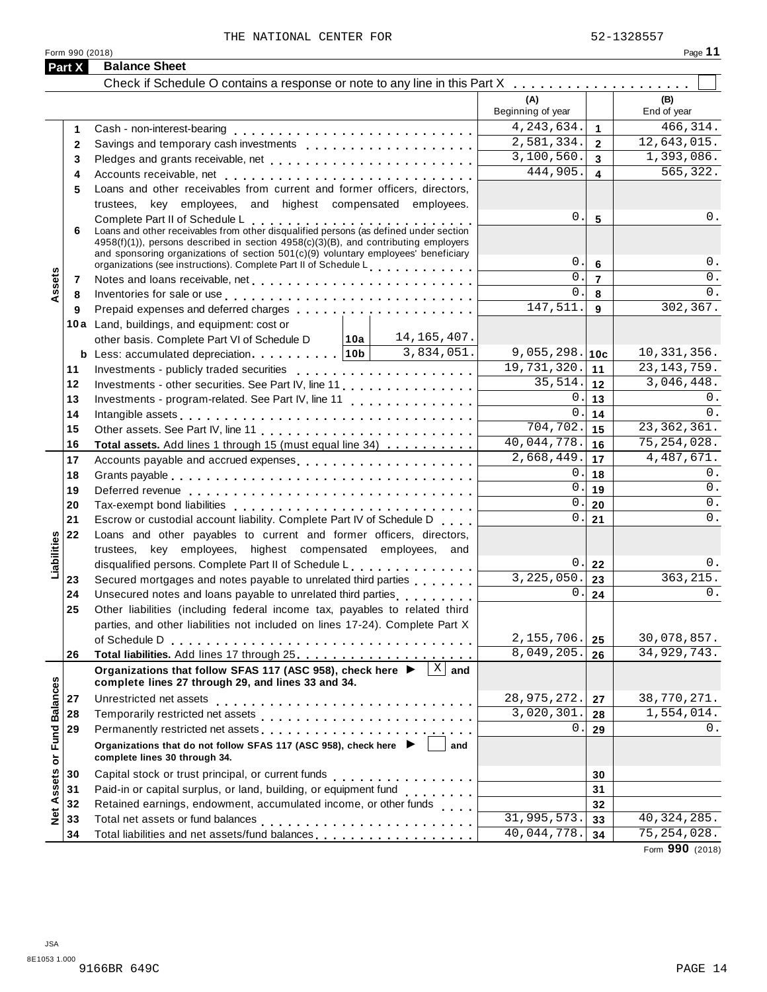|                             | Form 990 (2018) |                                                                                                                                                                                                                                |                          |                         | Page 11            |
|-----------------------------|-----------------|--------------------------------------------------------------------------------------------------------------------------------------------------------------------------------------------------------------------------------|--------------------------|-------------------------|--------------------|
|                             | Part X          | <b>Balance Sheet</b>                                                                                                                                                                                                           |                          |                         |                    |
|                             |                 | Check if Schedule O contains a response or note to any line in this Part X                                                                                                                                                     |                          |                         |                    |
|                             |                 |                                                                                                                                                                                                                                | (A)<br>Beginning of year |                         | (B)<br>End of year |
|                             | 1               |                                                                                                                                                                                                                                | 4, 243, 634.             | 1                       | 466, 314.          |
|                             | $\mathbf{2}$    | Savings and temporary cash investments                                                                                                                                                                                         | 2,581,334.               | $\overline{2}$          | 12,643,015.        |
|                             | 3               |                                                                                                                                                                                                                                | 3,100,560.               | 3                       | 1,393,086.         |
|                             | 4               | Accounts receivable, net enterprise and accounts receivable, net enterprise and accounts received and accounts                                                                                                                 | $\overline{44}$ 4,905.   | $\overline{\mathbf{4}}$ | 565,322.           |
|                             | 5               | Loans and other receivables from current and former officers, directors,                                                                                                                                                       |                          |                         |                    |
|                             |                 | trustees, key employees, and highest compensated employees.                                                                                                                                                                    |                          |                         |                    |
|                             |                 | Complete Part II of Schedule L<br>Loans and other receivables from other disqualified persons (as defined under section                                                                                                        | 0.                       | 5                       | 0.                 |
|                             | 6               |                                                                                                                                                                                                                                |                          |                         |                    |
|                             |                 | 4958(f)(1)), persons described in section 4958(c)(3)(B), and contributing employers<br>and sponsoring organizations of section $501(c)(9)$ voluntary employees' beneficiary                                                    |                          |                         |                    |
|                             |                 | organizations (see instructions). Complete Part II of Schedule Letter entries a set of the set of schedule Let                                                                                                                 | 0.                       | 6                       | 0.                 |
| Assets                      | 7               |                                                                                                                                                                                                                                | 0.                       | $\overline{7}$          | 0.                 |
|                             | 8               | Inventories for sale or use enterpreteral resources in the set of the set of the set of the set of the set of the set of the set of the set of the set of the set of the set of the set of the set of the set of the set of th | 0.                       | 8                       | 0.                 |
|                             | 9               |                                                                                                                                                                                                                                | 147,511.                 | 9                       | 302, 367.          |
|                             |                 | 10a Land, buildings, and equipment: cost or                                                                                                                                                                                    |                          |                         |                    |
|                             |                 | 14,165,407.<br> 10a <br>other basis. Complete Part VI of Schedule D                                                                                                                                                            |                          |                         |                    |
|                             |                 | <b>b</b> Less: accumulated depreciation $ 10b $ 3,834,051.                                                                                                                                                                     | 9,055,298.               | 10 <sub>c</sub>         | 10, 331, 356.      |
|                             | 11              | Investments - publicly traded securities                                                                                                                                                                                       | 19,731,320.              | 11                      | 23, 143, 759.      |
|                             | 12              | Investments - other securities. See Part IV, line 11                                                                                                                                                                           | 35,514.                  | 12                      | 3,046,448.         |
|                             | 13              | Investments - program-related. See Part IV, line 11                                                                                                                                                                            | 0.<br>0.                 | 13                      | 0.<br>0.           |
|                             | 14              |                                                                                                                                                                                                                                | 704,702.                 | 14                      | 23, 362, 361.      |
|                             | 15              |                                                                                                                                                                                                                                | 40,044,778.              | 15                      | 75, 254, 028.      |
|                             | 16              | Total assets. Add lines 1 through 15 (must equal line 34)                                                                                                                                                                      | 2,668,449.               | 16<br>17                | 4, 487, 671.       |
|                             | 17<br>18        | Accounts payable and accrued expenses extensive results are all the counts payable and accrued expenses                                                                                                                        | 0.                       | 18                      | 0.                 |
|                             | 19              |                                                                                                                                                                                                                                | 0.                       | 19                      | 0.                 |
|                             | 20              |                                                                                                                                                                                                                                | 0                        | 20                      | 0.                 |
|                             | 21              | Escrow or custodial account liability. Complete Part IV of Schedule D                                                                                                                                                          | $0$ .                    | 21                      | 0.                 |
|                             | 22              | Loans and other payables to current and former officers, directors,                                                                                                                                                            |                          |                         |                    |
| Liabilities                 |                 | trustees, key employees, highest compensated employees, and                                                                                                                                                                    |                          |                         |                    |
|                             |                 | disqualified persons. Complete Part II of Schedule L.                                                                                                                                                                          | 0.1                      | 22                      | 0.                 |
|                             | 23              | Secured mortgages and notes payable to unrelated third parties                                                                                                                                                                 | 3,225,050.               | 23                      | 363, 215.          |
|                             | 24              | Unsecured notes and loans payable to unrelated third parties                                                                                                                                                                   | 0.                       | 24                      | 0.                 |
|                             | 25              | Other liabilities (including federal income tax, payables to related third                                                                                                                                                     |                          |                         |                    |
|                             |                 | parties, and other liabilities not included on lines 17-24). Complete Part X                                                                                                                                                   |                          |                         |                    |
|                             |                 |                                                                                                                                                                                                                                | 2,155,706.               | 25                      | 30,078,857.        |
|                             | 26              |                                                                                                                                                                                                                                | 8,049,205.               | 26                      | 34,929,743.        |
|                             |                 | Organizations that follow SFAS 117 (ASC 958), check here $\blacktriangleright \begin{array}{c} \boxed{\text{X}} \end{array}$ and<br>complete lines 27 through 29, and lines 33 and 34.                                         |                          |                         |                    |
|                             | 27              | Unrestricted net assets                                                                                                                                                                                                        | 28, 975, 272.            | 27                      | 38,770,271.        |
|                             | 28              |                                                                                                                                                                                                                                | 3,020,301.               | 28                      | 1,554,014.         |
|                             | 29              | Permanently restricted net assets entertainment resumes and research and research and response to the results                                                                                                                  | 0.                       | 29                      | 0.                 |
| Net Assets or Fund Balances |                 | Organizations that do not follow SFAS 117 (ASC 958), check here ▶ │<br>and<br>complete lines 30 through 34.                                                                                                                    |                          |                         |                    |
|                             | 30              |                                                                                                                                                                                                                                |                          | 30                      |                    |
|                             | 31              | Paid-in or capital surplus, or land, building, or equipment fund [1, 1, 1, 1, 1, 1]                                                                                                                                            |                          | 31                      |                    |
|                             | 32              | Retained earnings, endowment, accumulated income, or other funds                                                                                                                                                               |                          | 32                      |                    |
|                             | 33              |                                                                                                                                                                                                                                | 31, 995, 573.            | 33                      | 40, 324, 285.      |
|                             | 34              |                                                                                                                                                                                                                                | 40,044,778.              | 34                      | 75, 254, 028.      |

Form **990** (2018)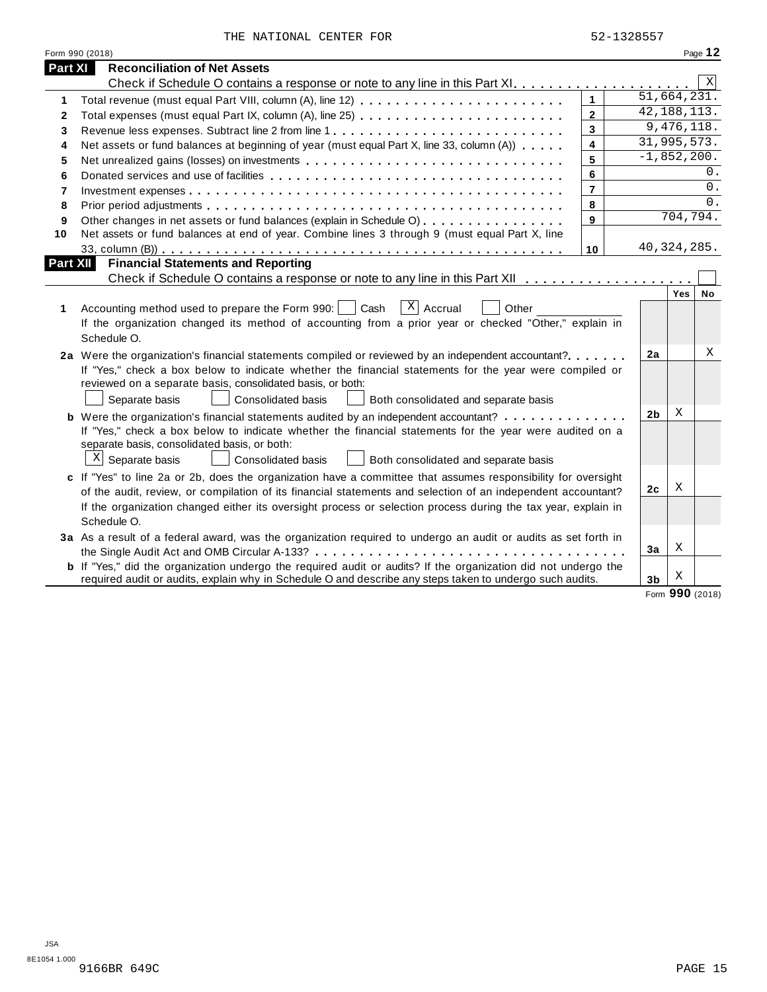| THE NATIONAL CENTER FOR |  |  |
|-------------------------|--|--|
|-------------------------|--|--|

|                | Form 990 (2018)                                                                                                                                                                                                                                                                                                                                            |                |                |                  | Page 12 |
|----------------|------------------------------------------------------------------------------------------------------------------------------------------------------------------------------------------------------------------------------------------------------------------------------------------------------------------------------------------------------------|----------------|----------------|------------------|---------|
| <b>Part XI</b> | <b>Reconciliation of Net Assets</b>                                                                                                                                                                                                                                                                                                                        |                |                |                  |         |
|                |                                                                                                                                                                                                                                                                                                                                                            |                |                |                  | X       |
| 1              | Total revenue (must equal Part VIII, column (A), line 12)                                                                                                                                                                                                                                                                                                  | $\mathbf{1}$   | 51,664,231.    |                  |         |
| 2              | Total expenses (must equal Part IX, column (A), line 25)                                                                                                                                                                                                                                                                                                   | $\mathbf{2}$   | 42, 188, 113.  |                  |         |
| 3              |                                                                                                                                                                                                                                                                                                                                                            | 3              |                | 9,476,118.       |         |
| 4              | Net assets or fund balances at beginning of year (must equal Part X, line 33, column (A))                                                                                                                                                                                                                                                                  | 4              | 31,995,573.    |                  |         |
| 5              | Net unrealized gains (losses) on investments                                                                                                                                                                                                                                                                                                               | 5              | $-1,852,200.$  |                  |         |
| 6              |                                                                                                                                                                                                                                                                                                                                                            | 6              |                |                  | 0.      |
| 7              |                                                                                                                                                                                                                                                                                                                                                            | $\overline{7}$ |                |                  | 0.      |
| 8              |                                                                                                                                                                                                                                                                                                                                                            | 8              |                |                  | 0.      |
| 9              | Other changes in net assets or fund balances (explain in Schedule O)                                                                                                                                                                                                                                                                                       | 9              |                | 704,794.         |         |
| 10             | Net assets or fund balances at end of year. Combine lines 3 through 9 (must equal Part X, line                                                                                                                                                                                                                                                             |                |                |                  |         |
|                |                                                                                                                                                                                                                                                                                                                                                            | 10             | 40, 324, 285.  |                  |         |
| Part XII       | <b>Financial Statements and Reporting</b>                                                                                                                                                                                                                                                                                                                  |                |                |                  |         |
|                |                                                                                                                                                                                                                                                                                                                                                            |                |                |                  |         |
| 1              | $\overline{X}$ Accrual<br>Accounting method used to prepare the Form 990:  <br>Cash<br>Other<br>If the organization changed its method of accounting from a prior year or checked "Other," explain in<br>Schedule O.                                                                                                                                       |                |                | Yes <sub>1</sub> | No      |
|                | 2a Were the organization's financial statements compiled or reviewed by an independent accountant?<br>If "Yes," check a box below to indicate whether the financial statements for the year were compiled or<br>reviewed on a separate basis, consolidated basis, or both:<br>Separate basis<br>Consolidated basis<br>Both consolidated and separate basis |                | 2a             |                  | Χ       |
|                |                                                                                                                                                                                                                                                                                                                                                            |                | 2b             | X                |         |
|                | If "Yes," check a box below to indicate whether the financial statements for the year were audited on a<br>separate basis, consolidated basis, or both:<br>$X$ Separate basis<br>Consolidated basis<br>Both consolidated and separate basis                                                                                                                |                |                |                  |         |
|                | c If "Yes" to line 2a or 2b, does the organization have a committee that assumes responsibility for oversight                                                                                                                                                                                                                                              |                |                |                  |         |
|                | of the audit, review, or compilation of its financial statements and selection of an independent accountant?                                                                                                                                                                                                                                               |                | 2 <sub>c</sub> | Χ                |         |
|                | If the organization changed either its oversight process or selection process during the tax year, explain in<br>Schedule O.                                                                                                                                                                                                                               |                |                |                  |         |
|                | 3a As a result of a federal award, was the organization required to undergo an audit or audits as set forth in                                                                                                                                                                                                                                             |                |                |                  |         |
|                |                                                                                                                                                                                                                                                                                                                                                            |                | 3a             | Χ                |         |
|                | <b>b</b> If "Yes," did the organization undergo the required audit or audits? If the organization did not undergo the<br>required audit or audits, explain why in Schedule O and describe any steps taken to undergo such audits.                                                                                                                          |                | 3 <sub>b</sub> | Χ                |         |

Form **990** (2018)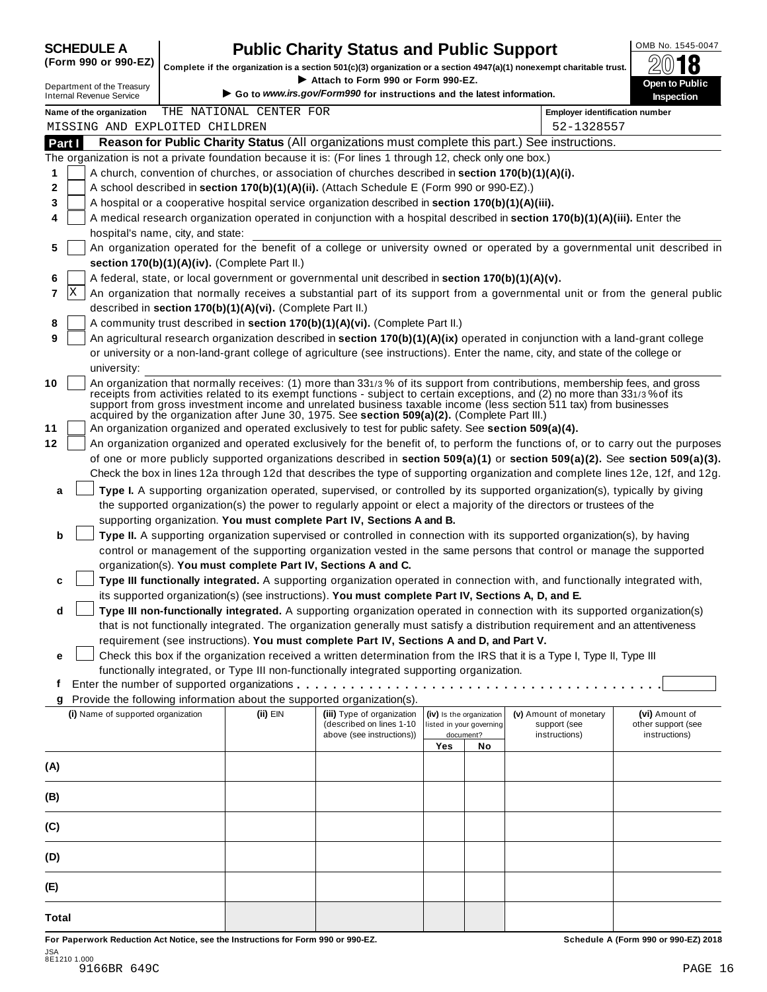| <b>SCHEDULE A</b> |  |  |  |                               |  |
|-------------------|--|--|--|-------------------------------|--|
|                   |  |  |  | $\sqrt{2}$ and and $\sqrt{2}$ |  |

# **SCHEDULE A Public Charity Status and Public Support**  $\frac{100 \text{dB No. }1545-0047}{000 \text{dB}}$

(Form 990 or 990-EZ) complete if the organization is a section 501(c)(3) organization or a section 4947(a)(1) nonexempt charitable trust.  $2018$ 

|                                                                                                                                                       |        |                                    |  |                                                            | Complete if the organization is a section 501(c)(3) organization or a section 4947(a)(1) nonexempt charitable trust.<br>Attach to Form 990 or Form 990-EZ. |                |                          |                                                                                                                                                                                                                                                                                                                                                                                 | ZW IO                                                                                                                            |
|-------------------------------------------------------------------------------------------------------------------------------------------------------|--------|------------------------------------|--|------------------------------------------------------------|------------------------------------------------------------------------------------------------------------------------------------------------------------|----------------|--------------------------|---------------------------------------------------------------------------------------------------------------------------------------------------------------------------------------------------------------------------------------------------------------------------------------------------------------------------------------------------------------------------------|----------------------------------------------------------------------------------------------------------------------------------|
| Department of the Treasury<br>Go to www.irs.gov/Form990 for instructions and the latest information.<br><b>Internal Revenue Service</b><br>Inspection |        |                                    |  |                                                            |                                                                                                                                                            | Open to Public |                          |                                                                                                                                                                                                                                                                                                                                                                                 |                                                                                                                                  |
| THE NATIONAL CENTER FOR<br>Name of the organization<br><b>Employer identification number</b>                                                          |        |                                    |  |                                                            |                                                                                                                                                            |                |                          |                                                                                                                                                                                                                                                                                                                                                                                 |                                                                                                                                  |
|                                                                                                                                                       |        | MISSING AND EXPLOITED CHILDREN     |  |                                                            |                                                                                                                                                            |                |                          | 52-1328557                                                                                                                                                                                                                                                                                                                                                                      |                                                                                                                                  |
|                                                                                                                                                       | Part I |                                    |  |                                                            |                                                                                                                                                            |                |                          | Reason for Public Charity Status (All organizations must complete this part.) See instructions.                                                                                                                                                                                                                                                                                 |                                                                                                                                  |
|                                                                                                                                                       |        |                                    |  |                                                            | The organization is not a private foundation because it is: (For lines 1 through 12, check only one box.)                                                  |                |                          |                                                                                                                                                                                                                                                                                                                                                                                 |                                                                                                                                  |
| 1                                                                                                                                                     |        |                                    |  |                                                            | A church, convention of churches, or association of churches described in section 170(b)(1)(A)(i).                                                         |                |                          |                                                                                                                                                                                                                                                                                                                                                                                 |                                                                                                                                  |
| 2                                                                                                                                                     |        |                                    |  |                                                            | A school described in section 170(b)(1)(A)(ii). (Attach Schedule E (Form 990 or 990-EZ).)                                                                  |                |                          |                                                                                                                                                                                                                                                                                                                                                                                 |                                                                                                                                  |
| 3                                                                                                                                                     |        |                                    |  |                                                            | A hospital or a cooperative hospital service organization described in section 170(b)(1)(A)(iii).                                                          |                |                          |                                                                                                                                                                                                                                                                                                                                                                                 |                                                                                                                                  |
| 4                                                                                                                                                     |        | hospital's name, city, and state:  |  |                                                            |                                                                                                                                                            |                |                          | A medical research organization operated in conjunction with a hospital described in section 170(b)(1)(A)(iii). Enter the                                                                                                                                                                                                                                                       |                                                                                                                                  |
| 5                                                                                                                                                     |        |                                    |  |                                                            |                                                                                                                                                            |                |                          |                                                                                                                                                                                                                                                                                                                                                                                 | An organization operated for the benefit of a college or university owned or operated by a governmental unit described in        |
|                                                                                                                                                       |        |                                    |  | section 170(b)(1)(A)(iv). (Complete Part II.)              |                                                                                                                                                            |                |                          |                                                                                                                                                                                                                                                                                                                                                                                 |                                                                                                                                  |
| 6                                                                                                                                                     |        |                                    |  |                                                            | A federal, state, or local government or governmental unit described in section 170(b)(1)(A)(v).                                                           |                |                          |                                                                                                                                                                                                                                                                                                                                                                                 |                                                                                                                                  |
| 7                                                                                                                                                     | X      |                                    |  |                                                            |                                                                                                                                                            |                |                          |                                                                                                                                                                                                                                                                                                                                                                                 | An organization that normally receives a substantial part of its support from a governmental unit or from the general public     |
|                                                                                                                                                       |        |                                    |  | described in section 170(b)(1)(A)(vi). (Complete Part II.) |                                                                                                                                                            |                |                          |                                                                                                                                                                                                                                                                                                                                                                                 |                                                                                                                                  |
| 8                                                                                                                                                     |        |                                    |  |                                                            | A community trust described in section 170(b)(1)(A)(vi). (Complete Part II.)                                                                               |                |                          |                                                                                                                                                                                                                                                                                                                                                                                 |                                                                                                                                  |
| 9                                                                                                                                                     |        |                                    |  |                                                            |                                                                                                                                                            |                |                          | An agricultural research organization described in section 170(b)(1)(A)(ix) operated in conjunction with a land-grant college                                                                                                                                                                                                                                                   |                                                                                                                                  |
|                                                                                                                                                       |        |                                    |  |                                                            |                                                                                                                                                            |                |                          | or university or a non-land-grant college of agriculture (see instructions). Enter the name, city, and state of the college or                                                                                                                                                                                                                                                  |                                                                                                                                  |
|                                                                                                                                                       |        | university:                        |  |                                                            |                                                                                                                                                            |                |                          |                                                                                                                                                                                                                                                                                                                                                                                 |                                                                                                                                  |
| 10                                                                                                                                                    |        |                                    |  |                                                            | acquired by the organization after June 30, 1975. See section 509(a)(2). (Complete Part III.)                                                              |                |                          | An organization that normally receives: (1) more than 331/3% of its support from contributions, membership fees, and gross<br>receipts from activities related to its exempt functions - subject to certain exceptions, and (2) no more than 331/3% of its<br>support from gross investment income and unrelated business taxable income (less section 511 tax) from businesses |                                                                                                                                  |
| 11                                                                                                                                                    |        |                                    |  |                                                            | An organization organized and operated exclusively to test for public safety. See section 509(a)(4).                                                       |                |                          |                                                                                                                                                                                                                                                                                                                                                                                 |                                                                                                                                  |
| 12                                                                                                                                                    |        |                                    |  |                                                            |                                                                                                                                                            |                |                          |                                                                                                                                                                                                                                                                                                                                                                                 | An organization organized and operated exclusively for the benefit of, to perform the functions of, or to carry out the purposes |
|                                                                                                                                                       |        |                                    |  |                                                            |                                                                                                                                                            |                |                          |                                                                                                                                                                                                                                                                                                                                                                                 | of one or more publicly supported organizations described in section 509(a)(1) or section 509(a)(2). See section 509(a)(3).      |
|                                                                                                                                                       |        |                                    |  |                                                            |                                                                                                                                                            |                |                          |                                                                                                                                                                                                                                                                                                                                                                                 | Check the box in lines 12a through 12d that describes the type of supporting organization and complete lines 12e, 12f, and 12g.  |
| a                                                                                                                                                     |        |                                    |  |                                                            |                                                                                                                                                            |                |                          | Type I. A supporting organization operated, supervised, or controlled by its supported organization(s), typically by giving                                                                                                                                                                                                                                                     |                                                                                                                                  |
|                                                                                                                                                       |        |                                    |  |                                                            |                                                                                                                                                            |                |                          | the supported organization(s) the power to regularly appoint or elect a majority of the directors or trustees of the                                                                                                                                                                                                                                                            |                                                                                                                                  |
|                                                                                                                                                       |        |                                    |  |                                                            | supporting organization. You must complete Part IV, Sections A and B.                                                                                      |                |                          |                                                                                                                                                                                                                                                                                                                                                                                 |                                                                                                                                  |
| b                                                                                                                                                     |        |                                    |  |                                                            |                                                                                                                                                            |                |                          | Type II. A supporting organization supervised or controlled in connection with its supported organization(s), by having<br>control or management of the supporting organization vested in the same persons that control or manage the supported                                                                                                                                 |                                                                                                                                  |
|                                                                                                                                                       |        |                                    |  |                                                            | organization(s). You must complete Part IV, Sections A and C.                                                                                              |                |                          |                                                                                                                                                                                                                                                                                                                                                                                 |                                                                                                                                  |
| c                                                                                                                                                     |        |                                    |  |                                                            |                                                                                                                                                            |                |                          | Type III functionally integrated. A supporting organization operated in connection with, and functionally integrated with,                                                                                                                                                                                                                                                      |                                                                                                                                  |
|                                                                                                                                                       |        |                                    |  |                                                            | its supported organization(s) (see instructions). You must complete Part IV, Sections A, D, and E.                                                         |                |                          |                                                                                                                                                                                                                                                                                                                                                                                 |                                                                                                                                  |
| d                                                                                                                                                     |        |                                    |  |                                                            |                                                                                                                                                            |                |                          | Type III non-functionally integrated. A supporting organization operated in connection with its supported organization(s)                                                                                                                                                                                                                                                       |                                                                                                                                  |
|                                                                                                                                                       |        |                                    |  |                                                            |                                                                                                                                                            |                |                          | that is not functionally integrated. The organization generally must satisfy a distribution requirement and an attentiveness                                                                                                                                                                                                                                                    |                                                                                                                                  |
|                                                                                                                                                       |        |                                    |  |                                                            | requirement (see instructions). You must complete Part IV, Sections A and D, and Part V.                                                                   |                |                          |                                                                                                                                                                                                                                                                                                                                                                                 |                                                                                                                                  |
| е                                                                                                                                                     |        |                                    |  |                                                            |                                                                                                                                                            |                |                          | Check this box if the organization received a written determination from the IRS that it is a Type I, Type II, Type III                                                                                                                                                                                                                                                         |                                                                                                                                  |
| t                                                                                                                                                     |        |                                    |  |                                                            | functionally integrated, or Type III non-functionally integrated supporting organization.                                                                  |                |                          |                                                                                                                                                                                                                                                                                                                                                                                 |                                                                                                                                  |
| g                                                                                                                                                     |        |                                    |  |                                                            | Provide the following information about the supported organization(s).                                                                                     |                |                          |                                                                                                                                                                                                                                                                                                                                                                                 |                                                                                                                                  |
|                                                                                                                                                       |        | (i) Name of supported organization |  | (ii) EIN                                                   | (iii) Type of organization                                                                                                                                 |                | (iv) Is the organization | (v) Amount of monetary                                                                                                                                                                                                                                                                                                                                                          | (vi) Amount of                                                                                                                   |
|                                                                                                                                                       |        |                                    |  |                                                            | (described on lines 1-10                                                                                                                                   |                | listed in your governing | support (see                                                                                                                                                                                                                                                                                                                                                                    | other support (see                                                                                                               |
|                                                                                                                                                       |        |                                    |  |                                                            | above (see instructions))                                                                                                                                  | Yes            | document?<br>No          | instructions)                                                                                                                                                                                                                                                                                                                                                                   | instructions)                                                                                                                    |
| (A)                                                                                                                                                   |        |                                    |  |                                                            |                                                                                                                                                            |                |                          |                                                                                                                                                                                                                                                                                                                                                                                 |                                                                                                                                  |
|                                                                                                                                                       |        |                                    |  |                                                            |                                                                                                                                                            |                |                          |                                                                                                                                                                                                                                                                                                                                                                                 |                                                                                                                                  |
| (B)                                                                                                                                                   |        |                                    |  |                                                            |                                                                                                                                                            |                |                          |                                                                                                                                                                                                                                                                                                                                                                                 |                                                                                                                                  |
| (C)                                                                                                                                                   |        |                                    |  |                                                            |                                                                                                                                                            |                |                          |                                                                                                                                                                                                                                                                                                                                                                                 |                                                                                                                                  |
| (D)                                                                                                                                                   |        |                                    |  |                                                            |                                                                                                                                                            |                |                          |                                                                                                                                                                                                                                                                                                                                                                                 |                                                                                                                                  |
| (E)                                                                                                                                                   |        |                                    |  |                                                            |                                                                                                                                                            |                |                          |                                                                                                                                                                                                                                                                                                                                                                                 |                                                                                                                                  |
| Total                                                                                                                                                 |        |                                    |  |                                                            |                                                                                                                                                            |                |                          |                                                                                                                                                                                                                                                                                                                                                                                 |                                                                                                                                  |
|                                                                                                                                                       |        |                                    |  |                                                            |                                                                                                                                                            |                |                          |                                                                                                                                                                                                                                                                                                                                                                                 |                                                                                                                                  |

For Paperwork Reduction Act Notice, see the Instructions for Form 990 or 990-EZ. Schedule A (Form 990 or 990-EZ) 2018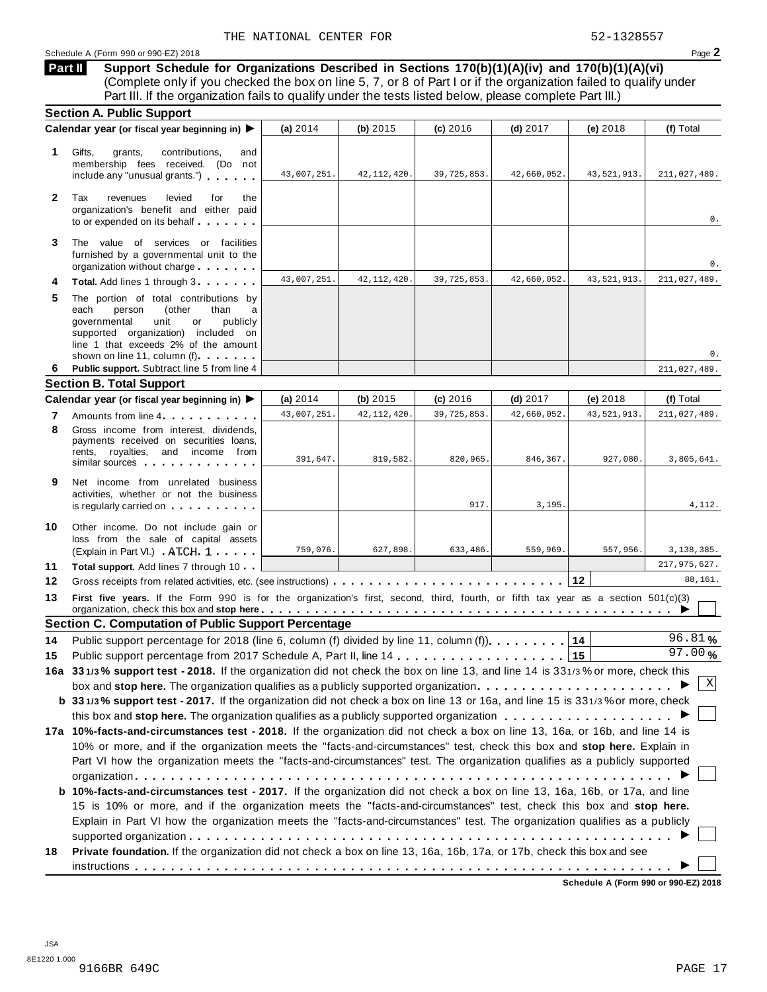**Support Schedule for Organizations Described in Sections 170(b)(1)(A)(iv) and 170(b)(1)(A)(vi)** (Complete only if you checked the box on line 5, 7, or 8 of Part I or if the organization failed to qualify under Part III. If the organization fails to qualify under the tests listed below, please complete Part III.) **Part II**

|              | <b>Section A. Public Support</b>                                                                                                                                                                                                        |             |               |             |             |               |              |
|--------------|-----------------------------------------------------------------------------------------------------------------------------------------------------------------------------------------------------------------------------------------|-------------|---------------|-------------|-------------|---------------|--------------|
|              | Calendar year (or fiscal year beginning in) ▶                                                                                                                                                                                           | (a) 2014    | (b) 2015      | (c) 2016    | $(d)$ 2017  | (e) 2018      | (f) Total    |
| 1            | Gifts,<br>grants,<br>contributions,<br>and<br>membership fees received. (Do not<br>include any "unusual grants.")                                                                                                                       | 43,007,251. | 42, 112, 420. | 39,725,853. | 42,660,052. | 43,521,913.   | 211,027,489. |
| $\mathbf{2}$ | Tax<br>revenues<br>levied<br>for<br>the<br>organization's benefit and either paid<br>to or expended on its behalf                                                                                                                       |             |               |             |             |               | 0.           |
| 3            | The value of services or facilities<br>furnished by a governmental unit to the<br>organization without charge                                                                                                                           |             |               |             |             |               | 0.           |
| 4            | Total. Add lines 1 through 3                                                                                                                                                                                                            | 43,007,251  | 42, 112, 420  | 39,725,853. | 42,660,052. | 43, 521, 913. | 211,027,489. |
| 5            | The portion of total contributions by<br>each<br>person<br>(other<br>than<br>a<br>governmental<br>unit<br>or<br>publicly<br>supported organization) included on<br>line 1 that exceeds 2% of the amount<br>shown on line 11, column (f) |             |               |             |             |               | 0.           |
| 6            | Public support. Subtract line 5 from line 4                                                                                                                                                                                             |             |               |             |             |               | 211,027,489. |
|              | <b>Section B. Total Support</b>                                                                                                                                                                                                         |             |               |             |             |               |              |
|              | Calendar year (or fiscal year beginning in) ▶                                                                                                                                                                                           | (a) $2014$  | (b) 2015      | (c) 2016    | $(d)$ 2017  | (e) 2018      | (f) Total    |
| 7            | Amounts from line 4.                                                                                                                                                                                                                    | 43,007,251  | 42, 112, 420. | 39,725,853. | 42,660,052  | 43, 521, 913. | 211,027,489. |
| 8            | Gross income from interest, dividends,<br>payments received on securities loans,<br>rents, royalties, and income from<br>similar sources and the same similar sources                                                                   | 391,647.    | 819,582.      | 820,965.    | 846,367.    | 927,080.      | 3,805,641.   |
| 9            | Net income from unrelated business<br>activities, whether or not the business<br>is regularly carried on the control of the set of the set of the set of the set of the set of the set of the s                                         |             |               | 917.        | 3,195       |               | 4,112.       |
| 10           | Other income. Do not include gain or<br>loss from the sale of capital assets<br>(Explain in Part VI.) ATCH 1                                                                                                                            | 759,076.    | 627,898.      | 633,486.    | 559,969.    | 557,956.      | 3,138,385.   |
| 11           | <b>Total support.</b> Add lines 7 through 10                                                                                                                                                                                            |             |               |             |             |               | 217,975,627. |
| 12           |                                                                                                                                                                                                                                         |             |               |             |             | 12            | 88,161.      |
| 13           | First five years. If the Form 990 is for the organization's first, second, third, fourth, or fifth tax year as a section 501(c)(3)                                                                                                      |             |               |             |             |               |              |
|              | <b>Section C. Computation of Public Support Percentage</b>                                                                                                                                                                              |             |               |             |             |               |              |
| 14           | Public support percentage for 2018 (line 6, column (f) divided by line 11, column (f)).                                                                                                                                                 |             |               |             |             | 14            | 96.81%       |
| 15           | Public support percentage from 2017 Schedule A, Part II, line 14                                                                                                                                                                        |             |               |             |             | 15            | 97.00%       |
|              | 16a 331/3% support test - 2018. If the organization did not check the box on line 13, and line 14 is 331/3% or more, check this                                                                                                         |             |               |             |             |               |              |
|              | box and stop here. The organization qualifies as a publicly supported organization $\ldots \ldots \ldots \ldots \ldots \ldots \ldots$                                                                                                   |             |               |             |             |               | Χ            |
|              | b 331/3% support test - 2017. If the organization did not check a box on line 13 or 16a, and line 15 is 331/3% or more, check                                                                                                           |             |               |             |             |               |              |
|              | this box and stop here. The organization qualifies as a publicly supported organization $\ldots \ldots \ldots \ldots \ldots \ldots$                                                                                                     |             |               |             |             |               |              |
|              | 17a 10%-facts-and-circumstances test - 2018. If the organization did not check a box on line 13, 16a, or 16b, and line 14 is                                                                                                            |             |               |             |             |               |              |
|              | 10% or more, and if the organization meets the "facts-and-circumstances" test, check this box and stop here. Explain in                                                                                                                 |             |               |             |             |               |              |
|              | Part VI how the organization meets the "facts-and-circumstances" test. The organization qualifies as a publicly supported                                                                                                               |             |               |             |             |               |              |
|              |                                                                                                                                                                                                                                         |             |               |             |             |               |              |
|              | b 10%-facts-and-circumstances test - 2017. If the organization did not check a box on line 13, 16a, 16b, or 17a, and line                                                                                                               |             |               |             |             |               |              |
|              | 15 is 10% or more, and if the organization meets the "facts-and-circumstances" test, check this box and stop here.                                                                                                                      |             |               |             |             |               |              |
|              | Explain in Part VI how the organization meets the "facts-and-circumstances" test. The organization qualifies as a publicly                                                                                                              |             |               |             |             |               |              |
|              |                                                                                                                                                                                                                                         |             |               |             |             |               |              |
| 18           | Private foundation. If the organization did not check a box on line 13, 16a, 16b, 17a, or 17b, check this box and see                                                                                                                   |             |               |             |             |               |              |
|              |                                                                                                                                                                                                                                         |             |               |             |             |               |              |
|              |                                                                                                                                                                                                                                         |             |               |             |             |               |              |

**Schedule A (Form 990 or 990-EZ) 2018**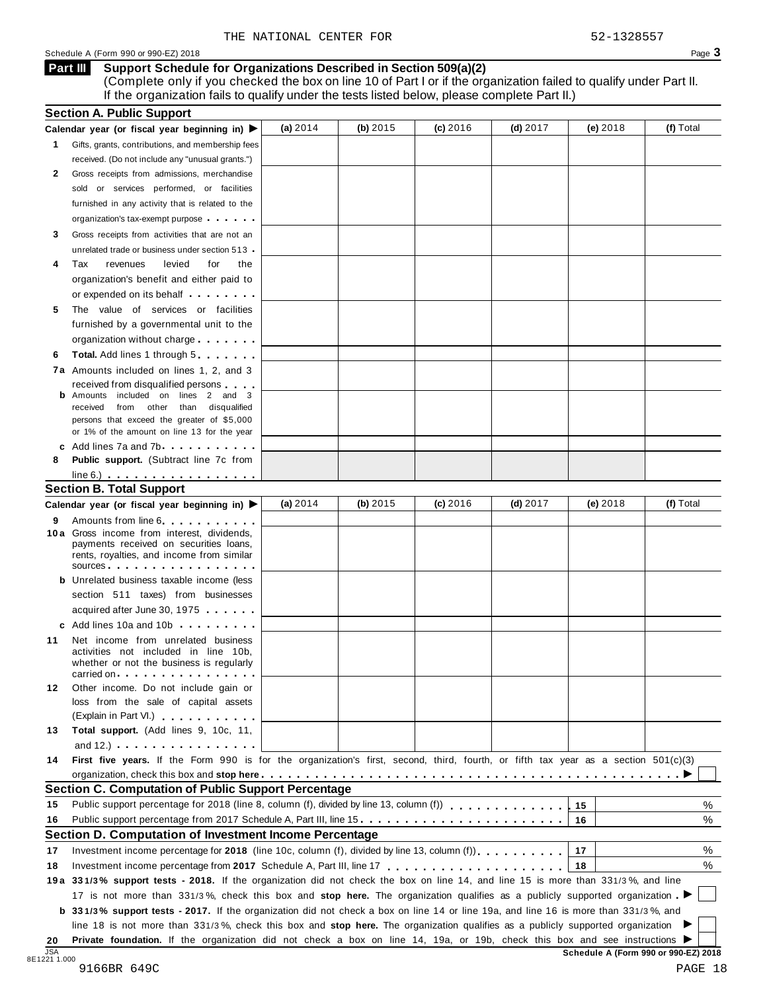Schedule A (Form 990 or 990-EZ) 2018 Page 3

#### **Support Schedule for Organizations Described in Section 509(a)(2) Part III**

(Complete only if you checked the box on line 10 of Part I or if the organization failed to qualify under Part II. If the organization fails to qualify under the tests listed below, please complete Part II.)

|          | Calendar year (or fiscal year beginning in) $\blacktriangleright$                                                                                                                                                                                                     | (a) 2014   | (b) $2015$ | (c) 2016   | $(d)$ 2017 | (e) 2018   | (f) Total        |
|----------|-----------------------------------------------------------------------------------------------------------------------------------------------------------------------------------------------------------------------------------------------------------------------|------------|------------|------------|------------|------------|------------------|
|          | 1 Gifts, grants, contributions, and membership fees                                                                                                                                                                                                                   |            |            |            |            |            |                  |
|          | received. (Do not include any "unusual grants.")                                                                                                                                                                                                                      |            |            |            |            |            |                  |
| 2        | Gross receipts from admissions, merchandise                                                                                                                                                                                                                           |            |            |            |            |            |                  |
|          | sold or services performed, or facilities                                                                                                                                                                                                                             |            |            |            |            |            |                  |
|          | furnished in any activity that is related to the                                                                                                                                                                                                                      |            |            |            |            |            |                  |
|          | organization's tax-exempt purpose                                                                                                                                                                                                                                     |            |            |            |            |            |                  |
| 3        | Gross receipts from activities that are not an                                                                                                                                                                                                                        |            |            |            |            |            |                  |
|          | unrelated trade or business under section 513 -                                                                                                                                                                                                                       |            |            |            |            |            |                  |
| 4        | Tax<br>revenues<br>levied<br>for<br>the                                                                                                                                                                                                                               |            |            |            |            |            |                  |
|          | organization's benefit and either paid to                                                                                                                                                                                                                             |            |            |            |            |            |                  |
|          | or expended on its behalf <b>contained</b> by the set of the set of the set of the set of the set of the set of the set of the set of the set of the set of the set of the set of the set of the set of the set of the set of the s                                   |            |            |            |            |            |                  |
| 5        | The value of services or facilities                                                                                                                                                                                                                                   |            |            |            |            |            |                  |
|          | furnished by a governmental unit to the                                                                                                                                                                                                                               |            |            |            |            |            |                  |
|          | organization without charge                                                                                                                                                                                                                                           |            |            |            |            |            |                  |
| 6        | <b>Total.</b> Add lines 1 through 5                                                                                                                                                                                                                                   |            |            |            |            |            |                  |
|          | 7a Amounts included on lines 1, 2, and 3                                                                                                                                                                                                                              |            |            |            |            |            |                  |
|          | received from disqualified persons                                                                                                                                                                                                                                    |            |            |            |            |            |                  |
|          | Amounts included on lines 2 and 3                                                                                                                                                                                                                                     |            |            |            |            |            |                  |
|          | received from other than disqualified                                                                                                                                                                                                                                 |            |            |            |            |            |                  |
|          | persons that exceed the greater of \$5,000<br>or 1% of the amount on line 13 for the year                                                                                                                                                                             |            |            |            |            |            |                  |
|          | c Add lines $7a$ and $7b$                                                                                                                                                                                                                                             |            |            |            |            |            |                  |
| 8        | <b>Public support.</b> (Subtract line 7c from                                                                                                                                                                                                                         |            |            |            |            |            |                  |
|          | $line 6.)$ $\ldots$ $\ldots$ $\ldots$ $\ldots$ $\ldots$                                                                                                                                                                                                               |            |            |            |            |            |                  |
|          | <b>Section B. Total Support</b>                                                                                                                                                                                                                                       |            |            |            |            |            |                  |
|          | Calendar year (or fiscal year beginning in) ▶                                                                                                                                                                                                                         | (a) $2014$ | (b) 2015   | $(c)$ 2016 | (d) $2017$ | $(e)$ 2018 | (f) Total        |
| 9        | Amounts from line 6.                                                                                                                                                                                                                                                  |            |            |            |            |            |                  |
|          | 10a Gross income from interest, dividends,                                                                                                                                                                                                                            |            |            |            |            |            |                  |
|          | payments received on securities loans,<br>rents, royalties, and income from similar                                                                                                                                                                                   |            |            |            |            |            |                  |
|          | $sources$                                                                                                                                                                                                                                                             |            |            |            |            |            |                  |
|          | <b>b</b> Unrelated business taxable income (less                                                                                                                                                                                                                      |            |            |            |            |            |                  |
|          | section 511 taxes) from businesses                                                                                                                                                                                                                                    |            |            |            |            |            |                  |
|          | acquired after June 30, 1975                                                                                                                                                                                                                                          |            |            |            |            |            |                  |
|          | c Add lines 10a and 10b                                                                                                                                                                                                                                               |            |            |            |            |            |                  |
| 11       | Net income from unrelated business<br>activities not included in line 10b,<br>whether or not the business is regularly                                                                                                                                                |            |            |            |            |            |                  |
|          | carried on each contract to the carried on<br>Other income. Do not include gain or                                                                                                                                                                                    |            |            |            |            |            |                  |
|          | loss from the sale of capital assets                                                                                                                                                                                                                                  |            |            |            |            |            |                  |
|          | (Explain in Part VI.) <b>All Accords</b>                                                                                                                                                                                                                              |            |            |            |            |            |                  |
|          | Total support. (Add lines 9, 10c, 11,                                                                                                                                                                                                                                 |            |            |            |            |            |                  |
| 12<br>13 | and $12.$ ) $\cdots$ $\cdots$ $\cdots$ $\cdots$ $\cdots$                                                                                                                                                                                                              |            |            |            |            |            |                  |
| 14       | First five years. If the Form 990 is for the organization's first, second, third, fourth, or fifth tax year as a section 501(c)(3)                                                                                                                                    |            |            |            |            |            |                  |
|          |                                                                                                                                                                                                                                                                       |            |            |            |            |            |                  |
|          | <b>Section C. Computation of Public Support Percentage</b>                                                                                                                                                                                                            |            |            |            |            |            |                  |
| 15       | Public support percentage for 2018 (line 8, column (f), divided by line 13, column (f) [1] [1] $\ldots$ [1] $\ldots$ [1] $\ldots$ [1] $\ldots$ [1] $\ldots$ [1] $\ldots$ [1] $\ldots$ [1] $\ldots$ [1] $\ldots$ [1] $\ldots$ [1] $\ldots$ [1] $\ldots$ [1] $\ldots$ [ |            |            |            |            | 15         |                  |
| 16       | Public support percentage from 2017 Schedule A, Part III, line 15.                                                                                                                                                                                                    |            |            |            |            | 16         |                  |
|          | Section D. Computation of Investment Income Percentage                                                                                                                                                                                                                |            |            |            |            |            |                  |
|          | Investment income percentage for 2018 (line 10c, column (f), divided by line 13, column (f)), $\ldots$ , , , , , , ,                                                                                                                                                  |            |            |            |            | 17         |                  |
|          |                                                                                                                                                                                                                                                                       |            |            |            |            | 18         |                  |
| 17<br>18 | 19a 331/3% support tests - 2018. If the organization did not check the box on line 14, and line 15 is more than 331/3%, and line                                                                                                                                      |            |            |            |            |            |                  |
|          | 17 is not more than 331/3%, check this box and stop here. The organization qualifies as a publicly supported organization                                                                                                                                             |            |            |            |            |            |                  |
|          | <b>b</b> 331/3% support tests - 2017. If the organization did not check a box on line 14 or line 19a, and line 16 is more than 331/3%, and                                                                                                                            |            |            |            |            |            | %<br>%<br>%<br>% |
|          | line 18 is not more than 331/3%, check this box and stop here. The organization qualifies as a publicly supported organization                                                                                                                                        |            |            |            |            |            |                  |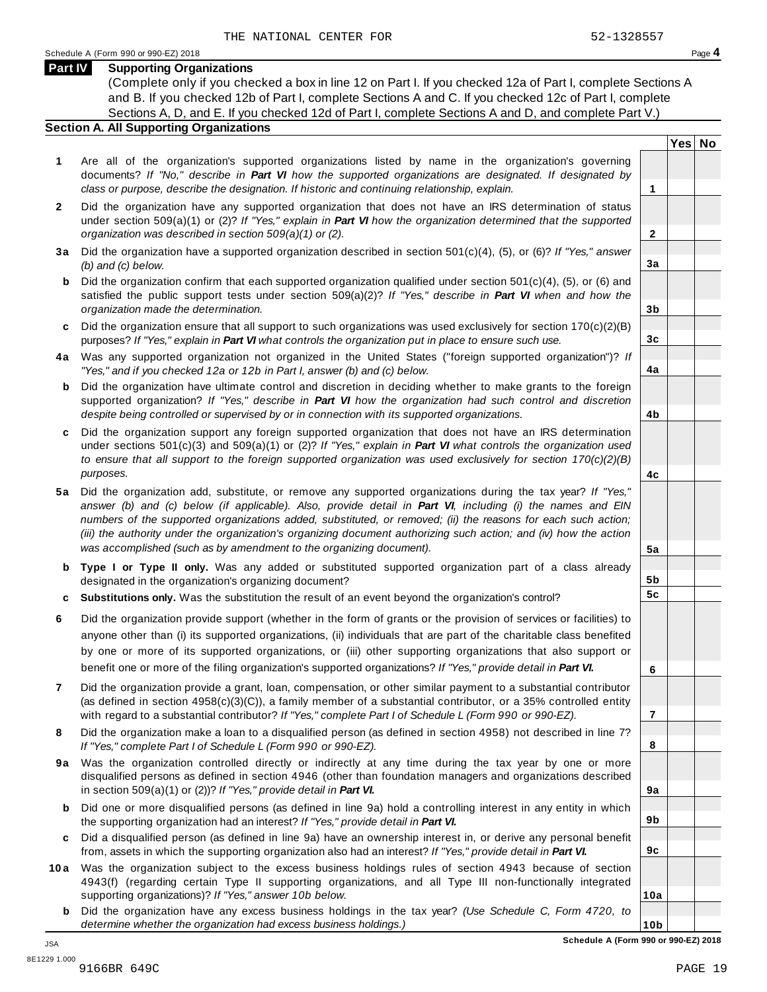## **Part IV Supporting Organizations**

(Complete only if you checked a box in line 12 on Part I. If you checked 12a of Part I, complete Sections A and B. If you checked 12b of Part I, complete Sections A and C. If you checked 12c of Part I, complete Sections A, D, and E. If you checked 12d of Part I, complete Sections A and D, and complete Part V.)

### **Section A. All Supporting Organizations**

- **1** Are all of the organization's supported organizations listed by name in the organization's governing documents? *If "No," describe in Part VI how the supported organizations are designated. If designated by class or purpose, describe the designation. If historic and continuing relationship, explain.* **1**
- **2** Did the organization have any supported organization that does not have an IRS determination of status under section 509(a)(1) or (2)? *If"Yes," explain in Part VI how the organization determined that the supported organization was described in section 509(a)(1) or (2).*
- **3 a** Did the organization have a supported organization described in section 501(c)(4), (5), or (6)? *If "Yes," answer (b) and (c) below.*
- **b** Did the organization confirm that each supported organization qualified under section 501(c)(4), (5), or (6) and | satisfied the public support tests under section 509(a)(2)? *If "Yes," describe in Part VI when and how the organization made the determination.*
- **c** Did the organization ensure that all support to such organizations was used exclusively for section 170(c)(2)(B) purposes? *If"Yes," explain in Part VI what controls the organization put in place to ensure such use.*
- **4 a** Was any supported organization not organized in the United States ("foreign supported organization")? *If "Yes," and if you checked 12a or 12b in Part I, answer (b) and (c) below.*
- **b** Did the organization have ultimate control and discretion in deciding whether to make grants to the foreign | supported organization? *If "Yes," describe in Part VI how the organization had such control and discretion despite being controlled or supervised by or in connection with its supported organizations.*
- **c** Did the organization support any foreign supported organization that does not have an IRS determination | under sections 501(c)(3) and 509(a)(1) or (2)? *If "Yes," explain in Part VI what controls the organization used to ensure that all support to the foreign supported organization was used exclusively for section 170(c)(2)(B) purposes.*
- **5 a** Did the organization add, substitute, or remove any supported organizations during the tax year? *If "Yes,"* answer (b) and (c) below (if applicable). Also, provide detail in Part VI, including (i) the names and EIN *numbers of the supported organizations added, substituted, or removed; (ii) the reasons for each such action;* (iii) the authority under the organization's organizing document authorizing such action; and (iv) how the action *was accomplished (such as by amendment to the organizing document).*
- **b Type I or Type II only.** Was any added or substituted supported organization part of a class already designated in the organization's organizing document?
- **c Substitutions only.** Was the substitution the result of an event beyond the organization's control?
- **6** Did the organization provide support (whether in the form of grants or the provision of services or facilities) to anyone other than (i) its supported organizations, (ii) individuals that are part of the charitable class benefited by one or more of its supported organizations, or (iii) other supporting organizations that also support or benefit one or more of the filing organization's supported organizations? *If"Yes," provide detail in Part VI.*
- **7** Did the organization provide a grant, loan, compensation, or other similar payment to a substantial contributor (as defined in section 4958(c)(3)(C)), a family member of a substantial contributor, or a 35% controlled entity with regard to a substantial contributor? *If"Yes," complete Part I of Schedule L (Form 990 or 990-EZ).*
- **8** Did the organization make a loan to a disqualified person (as defined in section 4958) not described in line 7? *If "Yes," complete Part I of Schedule L (Form 990 or 990-EZ).*
- **9a** Was the organization controlled directly or indirectly at any time during the tax year by one or more | disqualified persons as defined in section 4946 (other than foundation managers and organizations described in section 509(a)(1) or (2))? *If"Yes," provide detail in Part VI.*
- **b** Did one or more disqualified persons (as defined in line 9a) hold a controlling interest in any entity in which | the supporting organization had an interest? *If"Yes," provide detail in Part VI.*
- **c** Did a disqualified person (as defined in line 9a) have an ownership interest in, or derive any personal benefit from, assets in which the supporting organization also had an interest? *If"Yes," provide detail in Part VI.*
- **10a** Was the organization subject to the excess business holdings rules of section 4943 because of section | 4943(f) (regarding certain Type II supporting organizations, and all Type III non-functionally integrated supporting organizations)? *If"Yes," answer 10b below.*
	- **b** Did the organization have any excess business holdings in the tax year? *(Use Schedule C, Form 4720, to determine whether the organization had excess business holdings.)*

**Yes No**

**2**

**3a**

**3b**

**3c**

**4a**

**4b**

**4c**

**5a**

**5b 5c**

**6**

**7**

**8**

**9a**

**9b**

**9c**

**10a**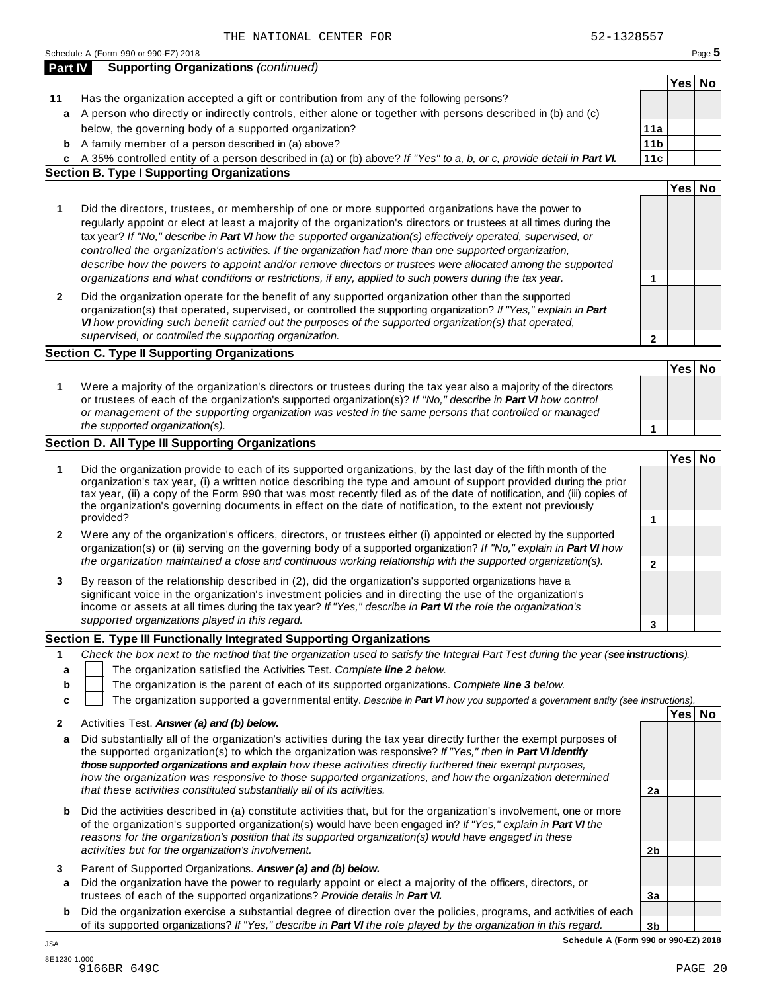|             | Schedule A (Form 990 or 990-EZ) 2018                                                                                                                                                                                                                                                                                                                                                                                                                                                                                                                               |                 |        | Page 5 |
|-------------|--------------------------------------------------------------------------------------------------------------------------------------------------------------------------------------------------------------------------------------------------------------------------------------------------------------------------------------------------------------------------------------------------------------------------------------------------------------------------------------------------------------------------------------------------------------------|-----------------|--------|--------|
| Part IV     | <b>Supporting Organizations (continued)</b>                                                                                                                                                                                                                                                                                                                                                                                                                                                                                                                        |                 |        |        |
|             |                                                                                                                                                                                                                                                                                                                                                                                                                                                                                                                                                                    |                 | Yes No |        |
| 11          | Has the organization accepted a gift or contribution from any of the following persons?                                                                                                                                                                                                                                                                                                                                                                                                                                                                            |                 |        |        |
|             | a A person who directly or indirectly controls, either alone or together with persons described in (b) and (c)                                                                                                                                                                                                                                                                                                                                                                                                                                                     |                 |        |        |
|             | below, the governing body of a supported organization?                                                                                                                                                                                                                                                                                                                                                                                                                                                                                                             | 11a             |        |        |
|             | <b>b</b> A family member of a person described in (a) above?                                                                                                                                                                                                                                                                                                                                                                                                                                                                                                       | 11 <sub>b</sub> |        |        |
|             | c A 35% controlled entity of a person described in (a) or (b) above? If "Yes" to a, b, or c, provide detail in Part VI.                                                                                                                                                                                                                                                                                                                                                                                                                                            | 11c             |        |        |
|             | <b>Section B. Type I Supporting Organizations</b>                                                                                                                                                                                                                                                                                                                                                                                                                                                                                                                  |                 |        |        |
|             |                                                                                                                                                                                                                                                                                                                                                                                                                                                                                                                                                                    |                 | Yes No |        |
| 1           | Did the directors, trustees, or membership of one or more supported organizations have the power to<br>regularly appoint or elect at least a majority of the organization's directors or trustees at all times during the<br>tax year? If "No," describe in Part VI how the supported organization(s) effectively operated, supervised, or<br>controlled the organization's activities. If the organization had more than one supported organization,<br>describe how the powers to appoint and/or remove directors or trustees were allocated among the supported |                 |        |        |
|             | organizations and what conditions or restrictions, if any, applied to such powers during the tax year.                                                                                                                                                                                                                                                                                                                                                                                                                                                             | 1               |        |        |
| 2           | Did the organization operate for the benefit of any supported organization other than the supported<br>organization(s) that operated, supervised, or controlled the supporting organization? If "Yes," explain in Part<br>VI how providing such benefit carried out the purposes of the supported organization(s) that operated,<br>supervised, or controlled the supporting organization.                                                                                                                                                                         | $\mathbf{2}$    |        |        |
|             | <b>Section C. Type II Supporting Organizations</b>                                                                                                                                                                                                                                                                                                                                                                                                                                                                                                                 |                 |        |        |
|             |                                                                                                                                                                                                                                                                                                                                                                                                                                                                                                                                                                    |                 | Yes No |        |
| 1           | Were a majority of the organization's directors or trustees during the tax year also a majority of the directors<br>or trustees of each of the organization's supported organization(s)? If "No," describe in Part VI how control<br>or management of the supporting organization was vested in the same persons that controlled or managed<br>the supported organization(s).                                                                                                                                                                                      | 1               |        |        |
|             | <b>Section D. All Type III Supporting Organizations</b>                                                                                                                                                                                                                                                                                                                                                                                                                                                                                                            |                 |        |        |
|             |                                                                                                                                                                                                                                                                                                                                                                                                                                                                                                                                                                    |                 | Yes No |        |
| 1           | Did the organization provide to each of its supported organizations, by the last day of the fifth month of the<br>organization's tax year, (i) a written notice describing the type and amount of support provided during the prior<br>tax year, (ii) a copy of the Form 990 that was most recently filed as of the date of notification, and (iii) copies of<br>the organization's governing documents in effect on the date of notification, to the extent not previously<br>provided?                                                                           | 1               |        |        |
| 2           | Were any of the organization's officers, directors, or trustees either (i) appointed or elected by the supported                                                                                                                                                                                                                                                                                                                                                                                                                                                   |                 |        |        |
|             | organization(s) or (ii) serving on the governing body of a supported organization? If "No," explain in Part VI how<br>the organization maintained a close and continuous working relationship with the supported organization(s).                                                                                                                                                                                                                                                                                                                                  | $\mathbf{2}$    |        |        |
| 3           | By reason of the relationship described in (2), did the organization's supported organizations have a<br>significant voice in the organization's investment policies and in directing the use of the organization's<br>income or assets at all times during the tax year? If "Yes," describe in Part VI the role the organization's<br>supported organizations played in this regard.                                                                                                                                                                              |                 |        |        |
|             |                                                                                                                                                                                                                                                                                                                                                                                                                                                                                                                                                                    | 3               |        |        |
|             | Section E. Type III Functionally Integrated Supporting Organizations                                                                                                                                                                                                                                                                                                                                                                                                                                                                                               |                 |        |        |
| 1<br>a<br>b | Check the box next to the method that the organization used to satisfy the Integral Part Test during the year (see instructions).<br>The organization satisfied the Activities Test. Complete line 2 below.<br>The organization is the parent of each of its supported organizations. Complete line 3 below.                                                                                                                                                                                                                                                       |                 |        |        |
| c           | The organization supported a governmental entity. Describe in Part VI how you supported a government entity (see instructions).                                                                                                                                                                                                                                                                                                                                                                                                                                    |                 |        |        |
| 2           | Activities Test. Answer (a) and (b) below.                                                                                                                                                                                                                                                                                                                                                                                                                                                                                                                         |                 | Yes No |        |
| a           | Did substantially all of the organization's activities during the tax year directly further the exempt purposes of<br>the supported organization(s) to which the organization was responsive? If "Yes," then in Part VI identify<br>those supported organizations and explain how these activities directly furthered their exempt purposes,<br>how the organization was responsive to those supported organizations, and how the organization determined<br>that these activities constituted substantially all of its activities.                                | 2a              |        |        |
| b           | Did the activities described in (a) constitute activities that, but for the organization's involvement, one or more<br>of the organization's supported organization(s) would have been engaged in? If "Yes," explain in Part VI the<br>reasons for the organization's position that its supported organization(s) would have engaged in these                                                                                                                                                                                                                      |                 |        |        |
|             | activities but for the organization's involvement.                                                                                                                                                                                                                                                                                                                                                                                                                                                                                                                 | 2b              |        |        |
| 3           | Parent of Supported Organizations. Answer (a) and (b) below.                                                                                                                                                                                                                                                                                                                                                                                                                                                                                                       |                 |        |        |
|             |                                                                                                                                                                                                                                                                                                                                                                                                                                                                                                                                                                    |                 |        |        |

- **a** Did the organization have the power to regularly appoint or elect a majority of the officers, directors, or trustees of each of the supported organizations? *Provide details in Part VI.*
- **b** Did the organization exercise a substantial degree of direction over the policies, programs, and activities of each of its supported organizations? *If"Yes," describe in Part VI the role played by the organization in this regard.*

**3b Schedule A (Form 990 or 990-EZ) 2018**

**3a**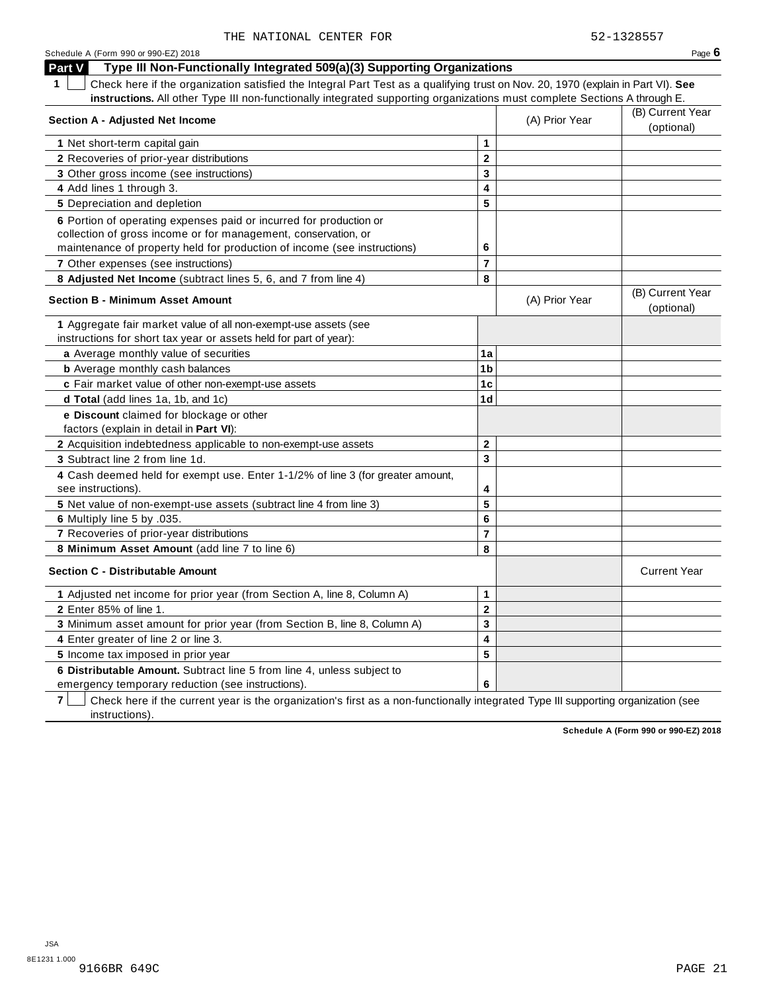| Schedule A (Form 990 or 990-EZ) 2018                                                                                                                     |                         |                | Page 6                         |
|----------------------------------------------------------------------------------------------------------------------------------------------------------|-------------------------|----------------|--------------------------------|
| Type III Non-Functionally Integrated 509(a)(3) Supporting Organizations<br>Part V                                                                        |                         |                |                                |
| $\blacktriangleleft$<br>Check here if the organization satisfied the Integral Part Test as a qualifying trust on Nov. 20, 1970 (explain in Part VI). See |                         |                |                                |
| instructions. All other Type III non-functionally integrated supporting organizations must complete Sections A through E.                                |                         |                |                                |
| <b>Section A - Adjusted Net Income</b>                                                                                                                   |                         | (A) Prior Year | (B) Current Year               |
|                                                                                                                                                          |                         |                | (optional)                     |
| 1 Net short-term capital gain                                                                                                                            | $\mathbf{1}$            |                |                                |
| 2 Recoveries of prior-year distributions                                                                                                                 | $\mathbf 2$             |                |                                |
| 3 Other gross income (see instructions)                                                                                                                  | 3                       |                |                                |
| 4 Add lines 1 through 3.                                                                                                                                 | 4                       |                |                                |
| 5 Depreciation and depletion                                                                                                                             | 5                       |                |                                |
| 6 Portion of operating expenses paid or incurred for production or                                                                                       |                         |                |                                |
| collection of gross income or for management, conservation, or                                                                                           |                         |                |                                |
| maintenance of property held for production of income (see instructions)                                                                                 | 6                       |                |                                |
| 7 Other expenses (see instructions)                                                                                                                      | $\overline{7}$          |                |                                |
| 8 Adjusted Net Income (subtract lines 5, 6, and 7 from line 4)                                                                                           | 8                       |                |                                |
| <b>Section B - Minimum Asset Amount</b>                                                                                                                  |                         | (A) Prior Year | (B) Current Year<br>(optional) |
| 1 Aggregate fair market value of all non-exempt-use assets (see                                                                                          |                         |                |                                |
| instructions for short tax year or assets held for part of year):                                                                                        |                         |                |                                |
| a Average monthly value of securities                                                                                                                    | 1a                      |                |                                |
| <b>b</b> Average monthly cash balances                                                                                                                   | 1 <sub>b</sub>          |                |                                |
| c Fair market value of other non-exempt-use assets                                                                                                       | 1 <sub>c</sub>          |                |                                |
| d Total (add lines 1a, 1b, and 1c)                                                                                                                       | 1 <sub>d</sub>          |                |                                |
| e Discount claimed for blockage or other                                                                                                                 |                         |                |                                |
| factors (explain in detail in <b>Part VI</b> ):                                                                                                          |                         |                |                                |
| <b>2</b> Acquisition indebtedness applicable to non-exempt-use assets                                                                                    | $\mathbf 2$             |                |                                |
| 3 Subtract line 2 from line 1d.                                                                                                                          | 3                       |                |                                |
| 4 Cash deemed held for exempt use. Enter 1-1/2% of line 3 (for greater amount,<br>see instructions).                                                     | 4                       |                |                                |
| 5 Net value of non-exempt-use assets (subtract line 4 from line 3)                                                                                       | 5                       |                |                                |
| 6 Multiply line 5 by .035.                                                                                                                               | 6                       |                |                                |
| 7 Recoveries of prior-year distributions                                                                                                                 | $\overline{7}$          |                |                                |
| 8 Minimum Asset Amount (add line 7 to line 6)                                                                                                            | 8                       |                |                                |
| <b>Section C - Distributable Amount</b>                                                                                                                  |                         |                | <b>Current Year</b>            |
| 1 Adjusted net income for prior year (from Section A, line 8, Column A)                                                                                  | $\mathbf{1}$            |                |                                |
| 2 Enter 85% of line 1.                                                                                                                                   | $\mathbf{2}$            |                |                                |
| 3 Minimum asset amount for prior year (from Section B, line 8, Column A)                                                                                 | 3                       |                |                                |
| 4 Enter greater of line 2 or line 3.                                                                                                                     | $\overline{\mathbf{4}}$ |                |                                |
| 5 Income tax imposed in prior year                                                                                                                       | 5                       |                |                                |
| 6 Distributable Amount. Subtract line 5 from line 4, unless subject to                                                                                   |                         |                |                                |
| emergency temporary reduction (see instructions).                                                                                                        | 6                       |                |                                |

**7 Check here if the current year is the organization's first as a non-functionally integrated Type III supporting organization (see** instructions).

**Schedule A (Form 990 or 990-EZ) 2018**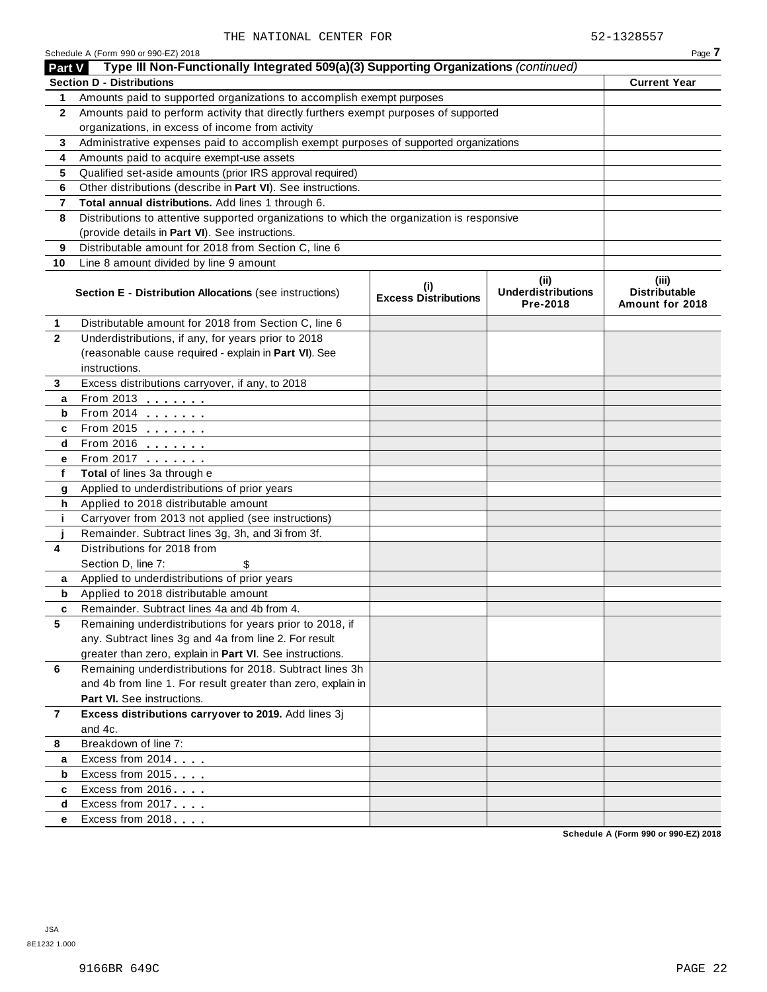|                    | Schedule A (Form 990 or 990-EZ) 2018                                                                                                                          |                                    |                                               | Page 7                                           |  |  |  |
|--------------------|---------------------------------------------------------------------------------------------------------------------------------------------------------------|------------------------------------|-----------------------------------------------|--------------------------------------------------|--|--|--|
| <b>Part V</b>      | Type III Non-Functionally Integrated 509(a)(3) Supporting Organizations (continued)                                                                           |                                    |                                               |                                                  |  |  |  |
|                    | <b>Section D - Distributions</b>                                                                                                                              |                                    |                                               | <b>Current Year</b>                              |  |  |  |
| 1.<br>$\mathbf{2}$ | Amounts paid to supported organizations to accomplish exempt purposes<br>Amounts paid to perform activity that directly furthers exempt purposes of supported |                                    |                                               |                                                  |  |  |  |
|                    | organizations, in excess of income from activity                                                                                                              |                                    |                                               |                                                  |  |  |  |
|                    |                                                                                                                                                               |                                    |                                               |                                                  |  |  |  |
| 3                  | Administrative expenses paid to accomplish exempt purposes of supported organizations                                                                         |                                    |                                               |                                                  |  |  |  |
| 4                  | Amounts paid to acquire exempt-use assets                                                                                                                     |                                    |                                               |                                                  |  |  |  |
| 5                  | Qualified set-aside amounts (prior IRS approval required)                                                                                                     |                                    |                                               |                                                  |  |  |  |
| 6                  | Other distributions (describe in Part VI). See instructions.                                                                                                  |                                    |                                               |                                                  |  |  |  |
| 7                  | Total annual distributions. Add lines 1 through 6.                                                                                                            |                                    |                                               |                                                  |  |  |  |
| 8                  | Distributions to attentive supported organizations to which the organization is responsive                                                                    |                                    |                                               |                                                  |  |  |  |
|                    | (provide details in Part VI). See instructions.                                                                                                               |                                    |                                               |                                                  |  |  |  |
| 9                  | Distributable amount for 2018 from Section C, line 6                                                                                                          |                                    |                                               |                                                  |  |  |  |
| 10                 | Line 8 amount divided by line 9 amount                                                                                                                        |                                    |                                               |                                                  |  |  |  |
|                    | <b>Section E - Distribution Allocations (see instructions)</b>                                                                                                | (i)<br><b>Excess Distributions</b> | (ii)<br><b>Underdistributions</b><br>Pre-2018 | (iii)<br><b>Distributable</b><br>Amount for 2018 |  |  |  |
| 1                  | Distributable amount for 2018 from Section C, line 6                                                                                                          |                                    |                                               |                                                  |  |  |  |
| $\mathbf{2}$       | Underdistributions, if any, for years prior to 2018                                                                                                           |                                    |                                               |                                                  |  |  |  |
|                    | (reasonable cause required - explain in Part VI). See                                                                                                         |                                    |                                               |                                                  |  |  |  |
|                    | instructions.                                                                                                                                                 |                                    |                                               |                                                  |  |  |  |
| 3                  | Excess distributions carryover, if any, to 2018                                                                                                               |                                    |                                               |                                                  |  |  |  |
| a                  | From 2013                                                                                                                                                     |                                    |                                               |                                                  |  |  |  |
| b                  | From 2014 $\frac{1}{\sqrt{2}}$                                                                                                                                |                                    |                                               |                                                  |  |  |  |
| c                  | From 2015 $\frac{1}{2}$                                                                                                                                       |                                    |                                               |                                                  |  |  |  |
| d                  | From 2016                                                                                                                                                     |                                    |                                               |                                                  |  |  |  |
| е                  | From 2017 <b>Canadian Prompt 2017</b>                                                                                                                         |                                    |                                               |                                                  |  |  |  |
| f                  | Total of lines 3a through e                                                                                                                                   |                                    |                                               |                                                  |  |  |  |
| g                  | Applied to underdistributions of prior years                                                                                                                  |                                    |                                               |                                                  |  |  |  |
| h                  | Applied to 2018 distributable amount                                                                                                                          |                                    |                                               |                                                  |  |  |  |
| j.                 | Carryover from 2013 not applied (see instructions)                                                                                                            |                                    |                                               |                                                  |  |  |  |
|                    | Remainder. Subtract lines 3g, 3h, and 3i from 3f.                                                                                                             |                                    |                                               |                                                  |  |  |  |
| 4                  | Distributions for 2018 from                                                                                                                                   |                                    |                                               |                                                  |  |  |  |
|                    | Section D, line 7:<br>\$                                                                                                                                      |                                    |                                               |                                                  |  |  |  |
| a                  | Applied to underdistributions of prior years                                                                                                                  |                                    |                                               |                                                  |  |  |  |
| b                  | Applied to 2018 distributable amount                                                                                                                          |                                    |                                               |                                                  |  |  |  |
| c                  | Remainder. Subtract lines 4a and 4b from 4.                                                                                                                   |                                    |                                               |                                                  |  |  |  |
| 5                  | Remaining underdistributions for years prior to 2018, if                                                                                                      |                                    |                                               |                                                  |  |  |  |
|                    | any. Subtract lines 3g and 4a from line 2. For result                                                                                                         |                                    |                                               |                                                  |  |  |  |
|                    | greater than zero, explain in Part VI. See instructions.                                                                                                      |                                    |                                               |                                                  |  |  |  |
| 6                  | Remaining underdistributions for 2018. Subtract lines 3h                                                                                                      |                                    |                                               |                                                  |  |  |  |
|                    | and 4b from line 1. For result greater than zero, explain in                                                                                                  |                                    |                                               |                                                  |  |  |  |
|                    | Part VI. See instructions.                                                                                                                                    |                                    |                                               |                                                  |  |  |  |
| 7                  | Excess distributions carryover to 2019. Add lines 3j                                                                                                          |                                    |                                               |                                                  |  |  |  |
|                    | and 4c.                                                                                                                                                       |                                    |                                               |                                                  |  |  |  |
| 8                  | Breakdown of line 7:                                                                                                                                          |                                    |                                               |                                                  |  |  |  |
| a                  | Excess from 2014                                                                                                                                              |                                    |                                               |                                                  |  |  |  |
| b                  | Excess from 2015                                                                                                                                              |                                    |                                               |                                                  |  |  |  |
| c                  | Excess from 2016                                                                                                                                              |                                    |                                               |                                                  |  |  |  |
| d                  | Excess from 2017                                                                                                                                              |                                    |                                               |                                                  |  |  |  |
| е                  | Excess from 2018                                                                                                                                              |                                    |                                               |                                                  |  |  |  |
|                    |                                                                                                                                                               |                                    |                                               |                                                  |  |  |  |

**Schedule A (Form 990 or 990-EZ) 2018**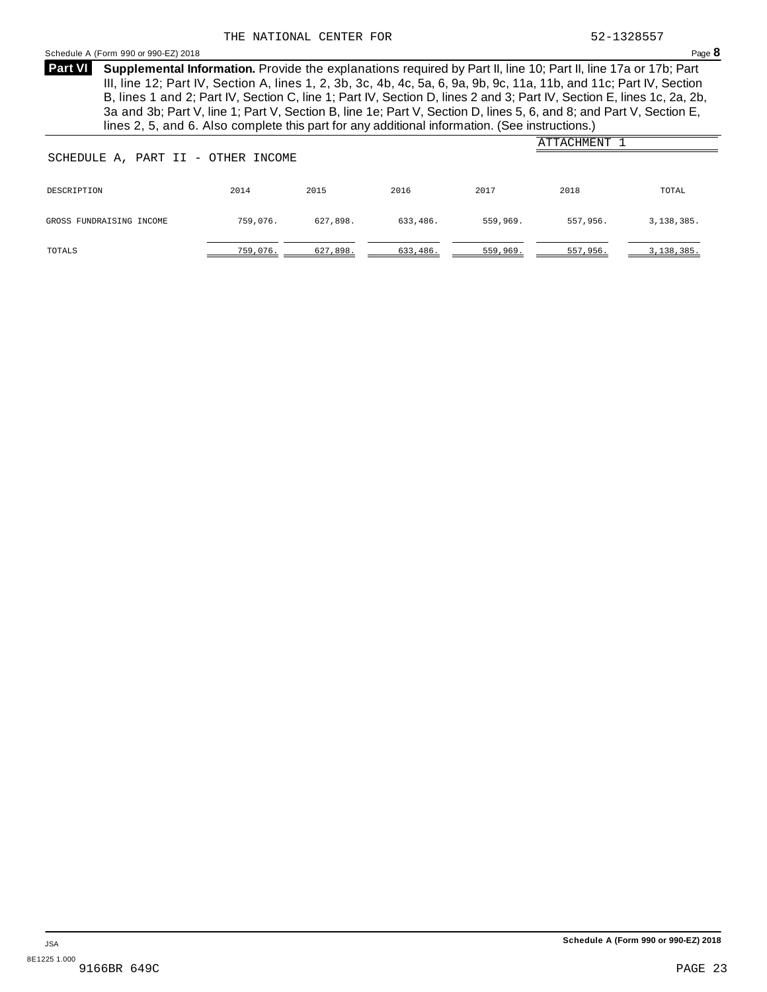#### <span id="page-26-0"></span>Schedule <sup>A</sup> (Form <sup>990</sup> or 990-EZ) <sup>2018</sup> Page **8**

**Supplemental Information.** Provide the explanations required by Part II, line 10; Part II, line 17a or 17b; Part **Part VI** III, line 12; Part IV, Section A, lines 1, 2, 3b, 3c, 4b, 4c, 5a, 6, 9a, 9b, 9c, 11a, 11b, and 11c; Part IV, Section B, lines 1 and 2; Part IV, Section C, line 1; Part IV, Section D, lines 2 and 3; Part IV, Section E, lines 1c, 2a, 2b, 3a and 3b; Part V, line 1; Part V, Section B, line 1e; Part V, Section D, lines 5, 6, and 8; and Part V, Section E, lines 2, 5, and 6. Also complete this part for any additional information. (See instructions.)

| SCHEDULE A, PART II - OTHER INCOME |          |          |          |          | ATTACHMENT |              |
|------------------------------------|----------|----------|----------|----------|------------|--------------|
| DESCRIPTION                        | 2014     | 2015     | 2016     | 2017     | 2018       | TOTAL        |
| GROSS FUNDRAISING INCOME           | 759,076. | 627,898. | 633,486. | 559,969. | 557,956.   | 3, 138, 385. |
| TOTALS                             | 759,076. | 627,898. | 633,486. | 559,969. | 557,956.   | 3,138,385.   |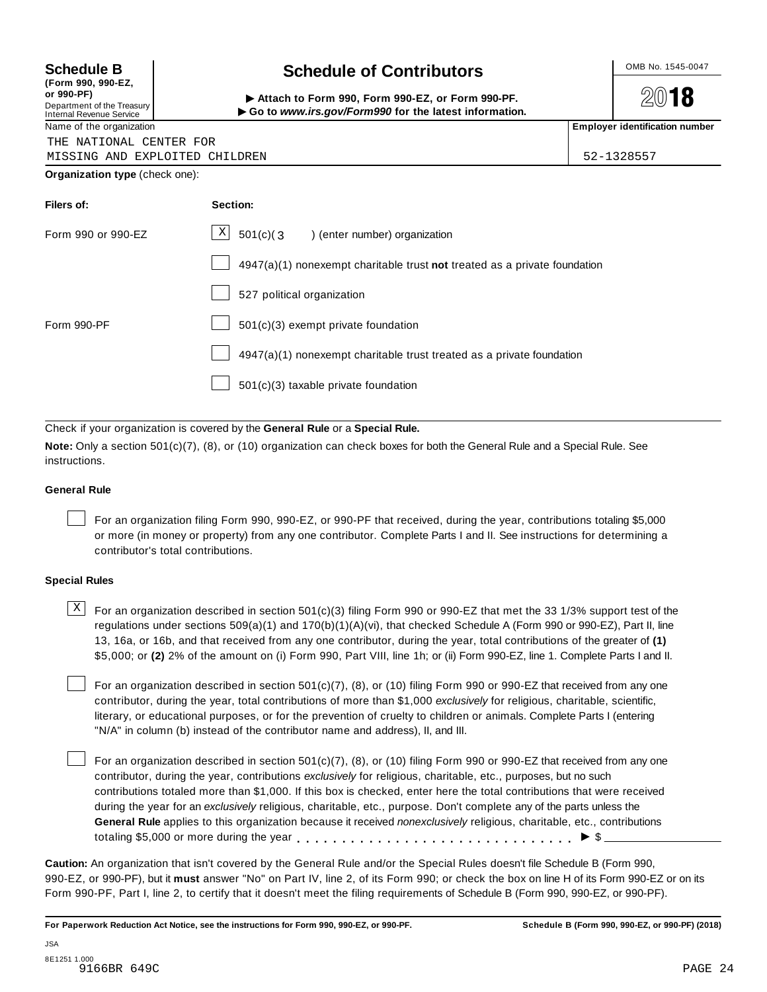**(Form 990, 990-EZ, or 990-PF)** Department of the Treasury<br>Internal Revenue Service

# **Schedule B chedule of Contributors**

**2018** 

(Point issue, sub-Ez,<br>Department of the Treasury internal Revenue Service<br>Department of the Treasury internal Revenue Service internal Revenue Service internal Revenue Service internal<br>Name of the organization internal Re

|  | rvame or the organization |  |
|--|---------------------------|--|
|  |                           |  |

THE NATIONAL CENTER FOR MISSING AND EXPLOITED CHILDREN 52-1328557

**Organization type** (check one):

| Filers of:         | Section:                                                                    |
|--------------------|-----------------------------------------------------------------------------|
| Form 990 or 990-EZ | $\lfloor x \rfloor$ 501(c)(3) (enter number) organization                   |
|                    | $4947(a)(1)$ nonexempt charitable trust not treated as a private foundation |
|                    | 527 political organization                                                  |
| Form 990-PF        | 501(c)(3) exempt private foundation                                         |
|                    | 4947(a)(1) nonexempt charitable trust treated as a private foundation       |
|                    | 501(c)(3) taxable private foundation                                        |

Check if your organization is covered by the **General Rule** or a **Special Rule.**

**Note:** Only a section 501(c)(7), (8), or (10) organization can check boxes for both the General Rule and a Special Rule. See instructions.

#### **General Rule**

For an organization filing Form 990, 990-EZ, or 990-PF that received, during the year, contributions totaling \$5,000 or more (in money or property) from any one contributor. Complete Parts I and II. See instructions for determining a contributor's total contributions.

#### **Special Rules**

 $\text{X}$  For an organization described in section 501(c)(3) filing Form 990 or 990-EZ that met the 33 1/3% support test of the regulations under sections 509(a)(1) and 170(b)(1)(A)(vi), that checked Schedule A (Form 990 or 990-EZ), Part II, line 13, 16a, or 16b, and that received from any one contributor, during the year, total contributions of the greater of **(1)** \$5,000; or **(2)** 2% of the amount on (i) Form 990, Part VIII, line 1h; or (ii) Form 990-EZ, line 1. Complete Parts I and II.

For an organization described in section 501(c)(7), (8), or (10) filing Form 990 or 990-EZ that received from any one contributor, during the year, total contributions of more than \$1,000 *exclusively* for religious, charitable, scientific, literary, or educational purposes, or for the prevention of cruelty to children or animals. Complete Parts I (entering "N/A" in column (b) instead of the contributor name and address), II, and III.

For an organization described in section 501(c)(7), (8), or (10) filing Form 990 or 990-EZ that received from any one contributor, during the year, contributions *exclusively* for religious, charitable, etc., purposes, but no such contributions totaled more than \$1,000. If this box is checked, enter here the total contributions that were received during the year for an *exclusively* religious, charitable, etc., purpose. Don't complete any of the parts unless the **General Rule** applies to this organization because it received *nonexclusively* religious, charitable, etc., contributions totaling \$5,000 or more during the year m m m m m m m m m m m m m m m m m m m m m m m m m m m m m m m I \$

**Caution:** An organization that isn't covered by the General Rule and/or the Special Rules doesn't file Schedule B (Form 990, 990-EZ, or 990-PF), but it **must** answer "No" on Part IV, line 2, of its Form 990; or check the box on line H of its Form 990-EZ or on its Form 990-PF, Part I, line 2, to certify that it doesn't meet the filing requirements of Schedule B (Form 990, 990-EZ, or 990-PF).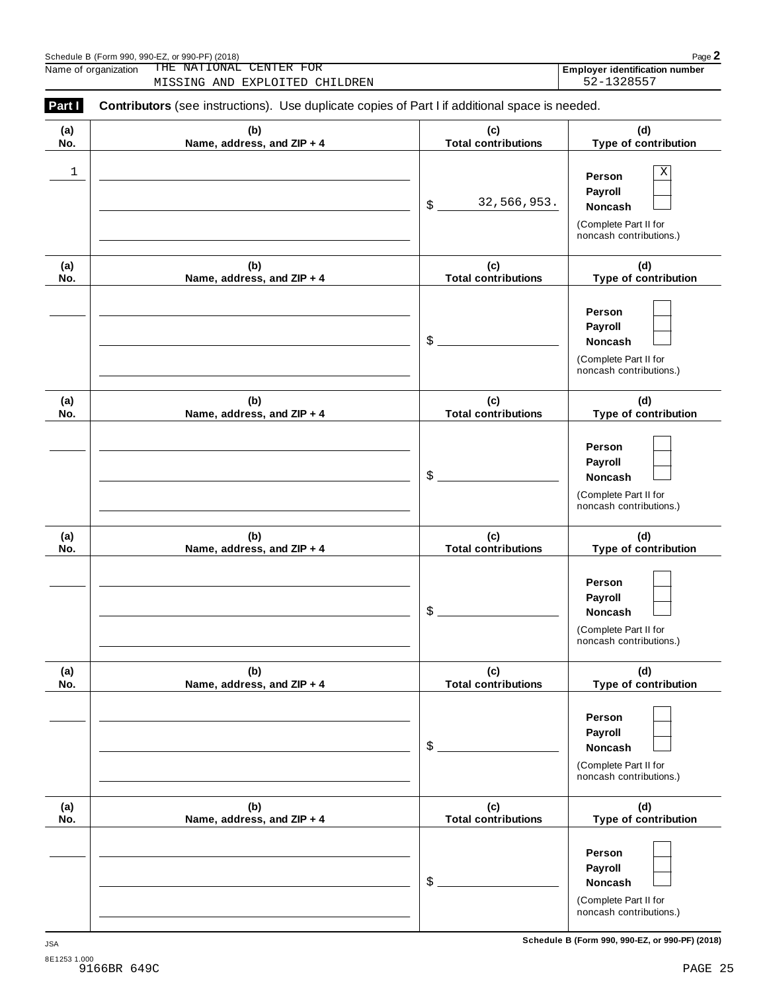|            | MISSING AND EXPLOITED CHILDREN                                                                 |                                   | 52-1328557                                                                              |
|------------|------------------------------------------------------------------------------------------------|-----------------------------------|-----------------------------------------------------------------------------------------|
| Part I     | Contributors (see instructions). Use duplicate copies of Part I if additional space is needed. |                                   |                                                                                         |
| (a)<br>No. | (b)<br>Name, address, and ZIP + 4                                                              | (c)<br><b>Total contributions</b> | (d)<br>Type of contribution                                                             |
| 1          |                                                                                                | 32,566,953.<br>\$                 | Χ<br>Person<br>Payroll<br>Noncash<br>(Complete Part II for<br>noncash contributions.)   |
| (a)<br>No. | (b)<br>Name, address, and ZIP + 4                                                              | (c)<br><b>Total contributions</b> | (d)<br>Type of contribution                                                             |
|            |                                                                                                | \$                                | Person<br>Payroll<br><b>Noncash</b><br>(Complete Part II for<br>noncash contributions.) |
| (a)<br>No. | (b)<br>Name, address, and ZIP + 4                                                              | (c)<br><b>Total contributions</b> | (d)<br>Type of contribution                                                             |
|            |                                                                                                | \$                                | Person<br>Payroll<br><b>Noncash</b><br>(Complete Part II for<br>noncash contributions.) |
| (a)<br>No. | (b)<br>Name, address, and ZIP + 4                                                              | (c)<br><b>Total contributions</b> | (d)<br>Type of contribution                                                             |
|            |                                                                                                | \$                                | Person<br>Payroll<br><b>Noncash</b><br>(Complete Part II for<br>noncash contributions.) |
| (a)<br>No. | (b)<br>Name, address, and ZIP + 4                                                              | (c)<br><b>Total contributions</b> | (d)<br>Type of contribution                                                             |
|            |                                                                                                | \$                                | Person<br>Payroll<br>Noncash                                                            |

(Complete Part II for noncash contributions.)

**Person Payroll**

(Complete Part II for noncash contributions.)

> **(d) Type of contribution**

**(c) Total contributions**

\$ **Noncash**

**(b) Name, address, and ZIP + 4**

**(a) No.**

 $S$ chedule B (Form 990, 990-EZ, or 990-PF) (2018)  $\qquad \qquad$ 

| Name of organization<br>. . | NATIONAL<br>THE | CENTER | FOR | <b>Employer identification number</b> |
|-----------------------------|-----------------|--------|-----|---------------------------------------|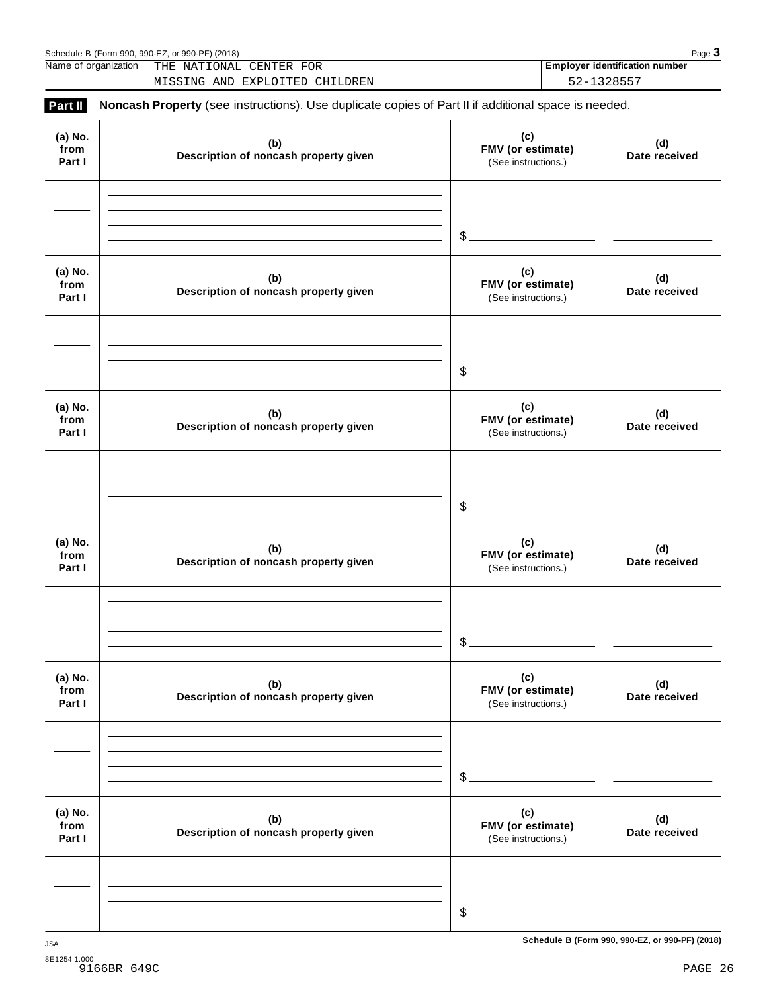| Name of organization      | THE NATIONAL CENTER FOR<br>MISSING AND EXPLOITED CHILDREN                                           |                                                 | Employer identification number<br>52-1328557 |  |
|---------------------------|-----------------------------------------------------------------------------------------------------|-------------------------------------------------|----------------------------------------------|--|
| Part II                   | Noncash Property (see instructions). Use duplicate copies of Part II if additional space is needed. |                                                 |                                              |  |
| (a) No.<br>from<br>Part I | (b)<br>Description of noncash property given                                                        | (c)<br>FMV (or estimate)<br>(See instructions.) | (d)<br>Date received                         |  |
|                           |                                                                                                     | $\frac{1}{2}$                                   |                                              |  |
| (a) No.<br>from<br>Part I | (b)<br>Description of noncash property given                                                        | (c)<br>FMV (or estimate)<br>(See instructions.) | (d)<br>Date received                         |  |
|                           |                                                                                                     | $\delta$                                        |                                              |  |
| (a) No.<br>from<br>Part I | (b)<br>Description of noncash property given                                                        | (c)<br>FMV (or estimate)<br>(See instructions.) | (d)<br>Date received                         |  |
|                           |                                                                                                     | $\delta$                                        |                                              |  |
| (a) No.<br>from<br>Part I | (b)<br>Description of noncash property given                                                        | (c)<br>FMV (or estimate)<br>(See instructions.) | (d)<br>Date received                         |  |
|                           |                                                                                                     | \$                                              |                                              |  |
| (a) No.<br>from<br>Part I | (b)<br>Description of noncash property given                                                        | (c)<br>FMV (or estimate)<br>(See instructions.) | (d)<br>Date received                         |  |
|                           |                                                                                                     | \$.                                             |                                              |  |
| (a) No.<br>from<br>Part I | (b)<br>Description of noncash property given                                                        | (c)<br>FMV (or estimate)<br>(See instructions.) | (d)<br>Date received                         |  |
|                           |                                                                                                     | \$                                              |                                              |  |

Schedule <sup>B</sup> (Form 990, 990-EZ, or 990-PF) (2018) Page **3**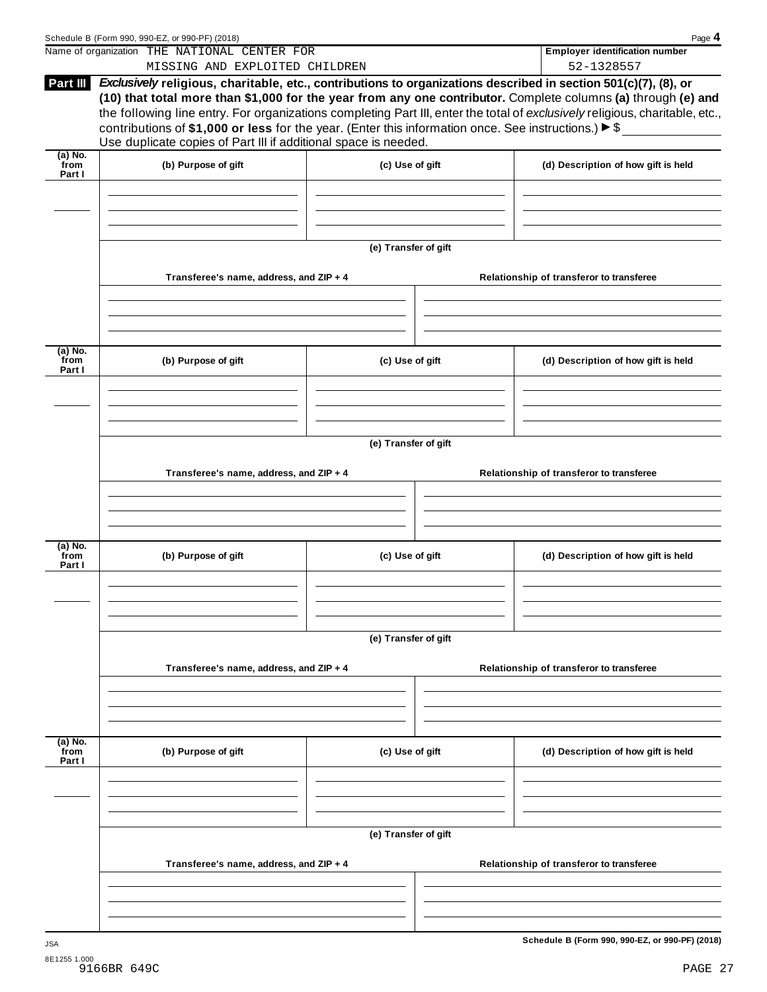|                             | Schedule B (Form 990, 990-EZ, or 990-PF) (2018)                                                                                                                                                                                                                                                                                                                                                                                              |                      |                                          | Page 4                                              |  |  |  |  |
|-----------------------------|----------------------------------------------------------------------------------------------------------------------------------------------------------------------------------------------------------------------------------------------------------------------------------------------------------------------------------------------------------------------------------------------------------------------------------------------|----------------------|------------------------------------------|-----------------------------------------------------|--|--|--|--|
|                             | Name of organization THE NATIONAL CENTER FOR<br>MISSING AND EXPLOITED CHILDREN                                                                                                                                                                                                                                                                                                                                                               |                      |                                          | <b>Employer identification number</b><br>52-1328557 |  |  |  |  |
| Part III                    | Exclusively religious, charitable, etc., contributions to organizations described in section 501(c)(7), (8), or                                                                                                                                                                                                                                                                                                                              |                      |                                          |                                                     |  |  |  |  |
|                             | (10) that total more than \$1,000 for the year from any one contributor. Complete columns (a) through (e) and<br>the following line entry. For organizations completing Part III, enter the total of exclusively religious, charitable, etc.,<br>contributions of \$1,000 or less for the year. (Enter this information once. See instructions.) $\blacktriangleright$ \$<br>Use duplicate copies of Part III if additional space is needed. |                      |                                          |                                                     |  |  |  |  |
|                             |                                                                                                                                                                                                                                                                                                                                                                                                                                              |                      |                                          |                                                     |  |  |  |  |
| $(a)$ No.<br>from<br>Part I | (b) Purpose of gift                                                                                                                                                                                                                                                                                                                                                                                                                          | (c) Use of gift      |                                          | (d) Description of how gift is held                 |  |  |  |  |
|                             |                                                                                                                                                                                                                                                                                                                                                                                                                                              | (e) Transfer of gift |                                          |                                                     |  |  |  |  |
|                             | Transferee's name, address, and ZIP + 4                                                                                                                                                                                                                                                                                                                                                                                                      |                      |                                          | Relationship of transferor to transferee            |  |  |  |  |
| (a) No.                     |                                                                                                                                                                                                                                                                                                                                                                                                                                              |                      |                                          |                                                     |  |  |  |  |
| from<br>Part I              | (b) Purpose of gift                                                                                                                                                                                                                                                                                                                                                                                                                          | (c) Use of gift      |                                          | (d) Description of how gift is held                 |  |  |  |  |
|                             |                                                                                                                                                                                                                                                                                                                                                                                                                                              | (e) Transfer of gift |                                          |                                                     |  |  |  |  |
|                             | Transferee's name, address, and ZIP + 4                                                                                                                                                                                                                                                                                                                                                                                                      |                      | Relationship of transferor to transferee |                                                     |  |  |  |  |
|                             |                                                                                                                                                                                                                                                                                                                                                                                                                                              |                      |                                          |                                                     |  |  |  |  |
| (a) No.<br>from<br>Part I   | (b) Purpose of gift                                                                                                                                                                                                                                                                                                                                                                                                                          | (c) Use of gift      |                                          | (d) Description of how gift is held                 |  |  |  |  |
|                             |                                                                                                                                                                                                                                                                                                                                                                                                                                              | (e) Transfer of gift |                                          |                                                     |  |  |  |  |
|                             | Transferee's name, address, and ZIP + 4                                                                                                                                                                                                                                                                                                                                                                                                      |                      | Relationship of transferor to transferee |                                                     |  |  |  |  |
|                             |                                                                                                                                                                                                                                                                                                                                                                                                                                              |                      |                                          |                                                     |  |  |  |  |
| (a) No.<br>from<br>Part I   | (b) Purpose of gift                                                                                                                                                                                                                                                                                                                                                                                                                          | (c) Use of gift      |                                          | (d) Description of how gift is held                 |  |  |  |  |
|                             |                                                                                                                                                                                                                                                                                                                                                                                                                                              |                      |                                          |                                                     |  |  |  |  |
|                             |                                                                                                                                                                                                                                                                                                                                                                                                                                              | (e) Transfer of gift |                                          |                                                     |  |  |  |  |
|                             | Transferee's name, address, and ZIP + 4                                                                                                                                                                                                                                                                                                                                                                                                      |                      |                                          | Relationship of transferor to transferee            |  |  |  |  |
|                             |                                                                                                                                                                                                                                                                                                                                                                                                                                              |                      |                                          |                                                     |  |  |  |  |
| <b>JSA</b>                  |                                                                                                                                                                                                                                                                                                                                                                                                                                              |                      |                                          | Schedule B (Form 990, 990-EZ, or 990-PF) (2018)     |  |  |  |  |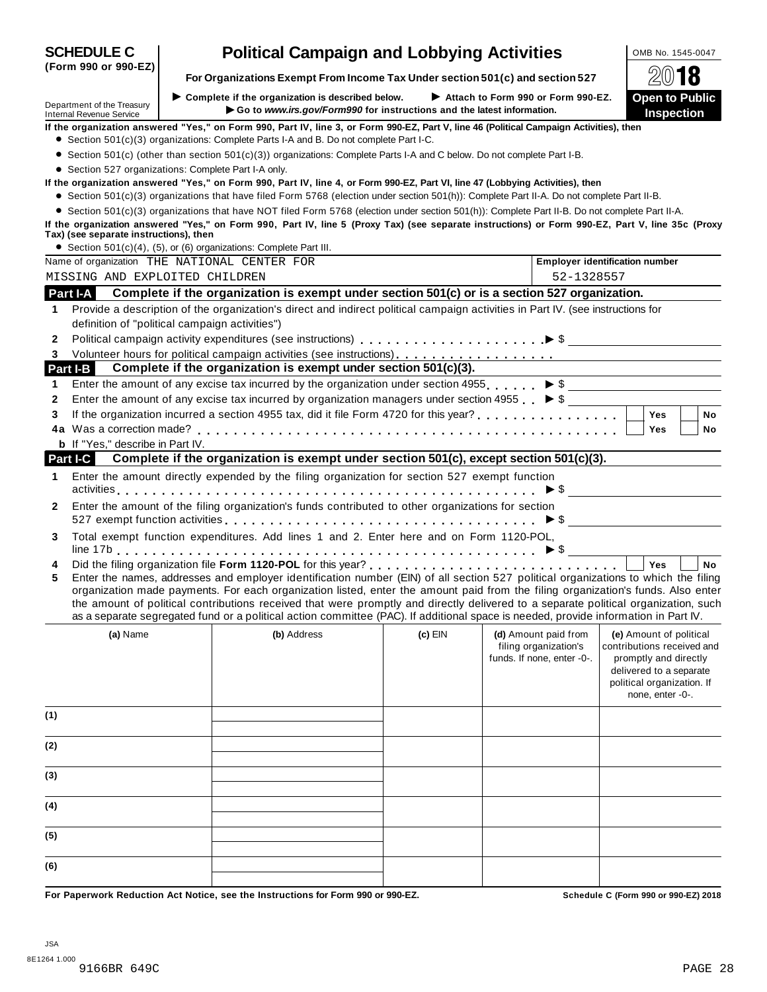|                                 |                                                                            | If the organization answered "Yes," on Form 990, Part IV, line 3, or Form 990-EZ, Part V, line 46 (Political Campaign Activities), then<br>• Section 501(c)(3) organizations: Complete Parts I-A and B. Do not complete Part I-C.                                          |           |                                               |                                                       |
|---------------------------------|----------------------------------------------------------------------------|----------------------------------------------------------------------------------------------------------------------------------------------------------------------------------------------------------------------------------------------------------------------------|-----------|-----------------------------------------------|-------------------------------------------------------|
|                                 |                                                                            | • Section 501(c) (other than section 501(c)(3)) organizations: Complete Parts I-A and C below. Do not complete Part I-B.                                                                                                                                                   |           |                                               |                                                       |
|                                 | • Section 527 organizations: Complete Part I-A only.                       |                                                                                                                                                                                                                                                                            |           |                                               |                                                       |
|                                 |                                                                            | If the organization answered "Yes," on Form 990, Part IV, line 4, or Form 990-EZ, Part VI, line 47 (Lobbying Activities), then                                                                                                                                             |           |                                               |                                                       |
|                                 |                                                                            | • Section 501(c)(3) organizations that have filed Form 5768 (election under section 501(h)): Complete Part II-A. Do not complete Part II-B.                                                                                                                                |           |                                               |                                                       |
|                                 |                                                                            | • Section 501(c)(3) organizations that have NOT filed Form 5768 (election under section 501(h)): Complete Part II-B. Do not complete Part II-A.                                                                                                                            |           |                                               |                                                       |
|                                 | Tax) (see separate instructions), then                                     | If the organization answered "Yes," on Form 990, Part IV, line 5 (Proxy Tax) (see separate instructions) or Form 990-EZ, Part V, line 35c (Proxy                                                                                                                           |           |                                               |                                                       |
|                                 | • Section $501(c)(4)$ , $(5)$ , or $(6)$ organizations: Complete Part III. |                                                                                                                                                                                                                                                                            |           |                                               |                                                       |
|                                 | Name of organization THE NATIONAL CENTER FOR                               |                                                                                                                                                                                                                                                                            |           |                                               | <b>Employer identification number</b>                 |
|                                 | MISSING AND EXPLOITED CHILDREN                                             |                                                                                                                                                                                                                                                                            |           | 52-1328557                                    |                                                       |
|                                 | Part I-A                                                                   | Complete if the organization is exempt under section 501(c) or is a section 527 organization.                                                                                                                                                                              |           |                                               |                                                       |
| 1                               |                                                                            | Provide a description of the organization's direct and indirect political campaign activities in Part IV. (see instructions for                                                                                                                                            |           |                                               |                                                       |
|                                 | definition of "political campaign activities")                             |                                                                                                                                                                                                                                                                            |           |                                               |                                                       |
| $\mathbf{2}$                    |                                                                            |                                                                                                                                                                                                                                                                            |           |                                               |                                                       |
| 3                               |                                                                            |                                                                                                                                                                                                                                                                            |           |                                               |                                                       |
|                                 | Part I-B                                                                   | Complete if the organization is exempt under section 501(c)(3).                                                                                                                                                                                                            |           |                                               |                                                       |
| 1                               |                                                                            | Enter the amount of any excise tax incurred by the organization under section 4955. $\triangleright$ \$                                                                                                                                                                    |           |                                               |                                                       |
| $\mathbf{2}$                    |                                                                            | Enter the amount of any excise tax incurred by organization managers under section 4955 $\bullet$                                                                                                                                                                          |           |                                               |                                                       |
| 3                               |                                                                            |                                                                                                                                                                                                                                                                            |           |                                               | <b>Yes</b><br>No                                      |
|                                 |                                                                            |                                                                                                                                                                                                                                                                            |           |                                               | No<br>Yes                                             |
|                                 | <b>b</b> If "Yes," describe in Part IV.                                    |                                                                                                                                                                                                                                                                            |           |                                               |                                                       |
|                                 | Part I-C                                                                   | Complete if the organization is exempt under section 501(c), except section 501(c)(3).                                                                                                                                                                                     |           |                                               |                                                       |
| 1                               |                                                                            | Enter the amount directly expended by the filing organization for section 527 exempt function                                                                                                                                                                              |           |                                               | $\triangleright$ \$                                   |
| $\mathbf{2}$                    |                                                                            | Enter the amount of the filing organization's funds contributed to other organizations for section                                                                                                                                                                         |           |                                               |                                                       |
|                                 |                                                                            | 527 exempt function activities $\ldots \ldots \ldots \ldots \ldots \ldots \ldots \ldots \ldots \ldots \ldots$                                                                                                                                                              |           |                                               |                                                       |
| 3                               |                                                                            | Total exempt function expenditures. Add lines 1 and 2. Enter here and on Form 1120-POL,                                                                                                                                                                                    |           |                                               |                                                       |
|                                 |                                                                            |                                                                                                                                                                                                                                                                            |           |                                               |                                                       |
| 4                               |                                                                            |                                                                                                                                                                                                                                                                            |           |                                               | <b>Yes</b><br>No                                      |
| 5                               |                                                                            | Enter the names, addresses and employer identification number (EIN) of all section 527 political organizations to which the filing                                                                                                                                         |           |                                               |                                                       |
|                                 |                                                                            | organization made payments. For each organization listed, enter the amount paid from the filing organization's funds. Also enter                                                                                                                                           |           |                                               |                                                       |
|                                 |                                                                            | the amount of political contributions received that were promptly and directly delivered to a separate political organization, such<br>as a separate segregated fund or a political action committee (PAC). If additional space is needed, provide information in Part IV. |           |                                               |                                                       |
|                                 |                                                                            |                                                                                                                                                                                                                                                                            |           |                                               |                                                       |
|                                 | (a) Name                                                                   | (b) Address                                                                                                                                                                                                                                                                | $(c)$ EIN | (d) Amount paid from<br>filing organization's | (e) Amount of political<br>contributions received and |
|                                 |                                                                            |                                                                                                                                                                                                                                                                            |           | funds. If none, enter -0-.                    | promptly and directly                                 |
|                                 |                                                                            |                                                                                                                                                                                                                                                                            |           |                                               | delivered to a separate                               |
|                                 |                                                                            |                                                                                                                                                                                                                                                                            |           |                                               | political organization. If                            |
|                                 |                                                                            |                                                                                                                                                                                                                                                                            |           |                                               | none, enter -0-.                                      |
|                                 |                                                                            |                                                                                                                                                                                                                                                                            |           |                                               |                                                       |
|                                 |                                                                            |                                                                                                                                                                                                                                                                            |           |                                               |                                                       |
|                                 |                                                                            |                                                                                                                                                                                                                                                                            |           |                                               |                                                       |
|                                 |                                                                            |                                                                                                                                                                                                                                                                            |           |                                               |                                                       |
|                                 |                                                                            |                                                                                                                                                                                                                                                                            |           |                                               |                                                       |
|                                 |                                                                            |                                                                                                                                                                                                                                                                            |           |                                               |                                                       |
|                                 |                                                                            |                                                                                                                                                                                                                                                                            |           |                                               |                                                       |
|                                 |                                                                            |                                                                                                                                                                                                                                                                            |           |                                               |                                                       |
|                                 |                                                                            |                                                                                                                                                                                                                                                                            |           |                                               |                                                       |
| (1)<br>(2)<br>(3)<br>(4)<br>(5) |                                                                            |                                                                                                                                                                                                                                                                            |           |                                               |                                                       |
| (6)                             |                                                                            |                                                                                                                                                                                                                                                                            |           |                                               |                                                       |

## **SCHEDULE C Political Campaign and Lobbying Activities LOMB No. 1545-0047 (Form 990 or 990-EZ)**

**For Organizations Exempt From Income Tax Under section 501(c) and section 527 <br>Complete if the organization is described below. <br><b>Attach to Form 990 or Form 990-EZ.** Open to Public

JSA 8E1264 1.000



■ Complete if the organization is described below. ■ Attach to Form 990 or Form 990-EZ. ■ Open to Publical Biology Complete if the organization is described below. ■ Inspection Department of the Treasury ▶ Complete if the organization is described below. ▶ Attach to Form 990 or Form 990-EZ. **Open to Public**<br>Internal Revenue Service ▶ Co to *www.irs.gov/Form990* for instructions and the latest in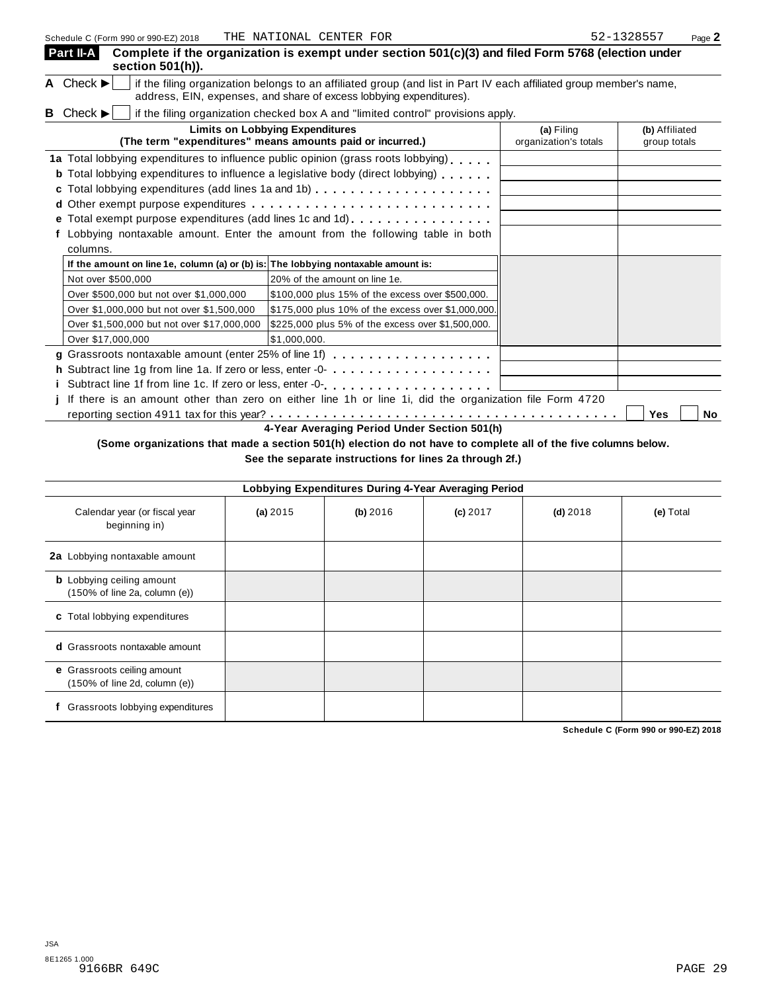| Schedule C (Form 990 or 990-EZ) 2018                                               | THE NATIONAL CENTER FOR                                                                                                                                                                                                           |                                     | 52-1328557<br>Page 2           |
|------------------------------------------------------------------------------------|-----------------------------------------------------------------------------------------------------------------------------------------------------------------------------------------------------------------------------------|-------------------------------------|--------------------------------|
| Part II-A<br>section 501(h)).                                                      | Complete if the organization is exempt under section 501(c)(3) and filed Form 5768 (election under                                                                                                                                |                                     |                                |
| A Check $\blacktriangleright$                                                      | if the filing organization belongs to an affiliated group (and list in Part IV each affiliated group member's name,<br>address, EIN, expenses, and share of excess lobbying expenditures).                                        |                                     |                                |
| <b>B</b> Check $\blacktriangleright$                                               | if the filing organization checked box A and "limited control" provisions apply.                                                                                                                                                  |                                     |                                |
|                                                                                    | <b>Limits on Lobbying Expenditures</b><br>(The term "expenditures" means amounts paid or incurred.)                                                                                                                               | (a) Filing<br>organization's totals | (b) Affiliated<br>group totals |
|                                                                                    | 1a Total lobbying expenditures to influence public opinion (grass roots lobbying)                                                                                                                                                 |                                     |                                |
|                                                                                    | <b>b</b> Total lobbying expenditures to influence a legislative body (direct lobbying)                                                                                                                                            |                                     |                                |
|                                                                                    |                                                                                                                                                                                                                                   |                                     |                                |
|                                                                                    |                                                                                                                                                                                                                                   |                                     |                                |
|                                                                                    | Total exempt purpose expenditures (add lines 1c and 1d)                                                                                                                                                                           |                                     |                                |
|                                                                                    | Lobbying nontaxable amount. Enter the amount from the following table in both                                                                                                                                                     |                                     |                                |
| columns.                                                                           |                                                                                                                                                                                                                                   |                                     |                                |
| If the amount on line 1e, column (a) or (b) is: The lobbying nontaxable amount is: |                                                                                                                                                                                                                                   |                                     |                                |
| Not over \$500,000                                                                 | 20% of the amount on line 1e.                                                                                                                                                                                                     |                                     |                                |
| Over \$500,000 but not over \$1,000,000                                            | \$100,000 plus 15% of the excess over \$500,000.                                                                                                                                                                                  |                                     |                                |
| Over \$1,000,000 but not over \$1,500,000                                          | \$175,000 plus 10% of the excess over \$1,000,000.                                                                                                                                                                                |                                     |                                |
| Over \$1,500,000 but not over \$17,000,000                                         | \$225,000 plus 5% of the excess over \$1,500,000.                                                                                                                                                                                 |                                     |                                |
| Over \$17,000,000                                                                  | \$1.000.000.                                                                                                                                                                                                                      |                                     |                                |
|                                                                                    |                                                                                                                                                                                                                                   |                                     |                                |
|                                                                                    |                                                                                                                                                                                                                                   |                                     |                                |
|                                                                                    | Subtract line 1f from line 1c. If zero or less, enter -0-<br>example - example - example - subtract line - substantial states or less and states - substantial states - substantial states - substantial states - substantial sta |                                     |                                |
|                                                                                    | If there is an amount other than zero on either line 1h or line 1i, did the organization file Form 4720                                                                                                                           |                                     |                                |
|                                                                                    |                                                                                                                                                                                                                                   |                                     | No<br>Yes                      |

**4-Year Averaging Period Under Section 501(h)**

(Some organizations that made a section 501(h) election do not have to complete all of the five columns below.

**See the separate instructions for lines 2a through 2f.)**

|                                                                                        | Lobbying Expenditures During 4-Year Averaging Period |          |            |            |           |  |  |  |
|----------------------------------------------------------------------------------------|------------------------------------------------------|----------|------------|------------|-----------|--|--|--|
| Calendar year (or fiscal year<br>beginning in)                                         | (a) $2015$                                           | (b) 2016 | $(c)$ 2017 | $(d)$ 2018 | (e) Total |  |  |  |
| 2a Lobbying nontaxable amount                                                          |                                                      |          |            |            |           |  |  |  |
| <b>b</b> Lobbying ceiling amount<br>$(150\% \text{ of line } 2a, \text{ column } (e))$ |                                                      |          |            |            |           |  |  |  |
| c Total lobbying expenditures                                                          |                                                      |          |            |            |           |  |  |  |
| <b>d</b> Grassroots nontaxable amount                                                  |                                                      |          |            |            |           |  |  |  |
| e Grassroots ceiling amount<br>$(150\% \text{ of line } 2d, \text{ column } (e))$      |                                                      |          |            |            |           |  |  |  |
| Grassroots lobbying expenditures                                                       |                                                      |          |            |            |           |  |  |  |

**Schedule C (Form 990 or 990-EZ) 2018**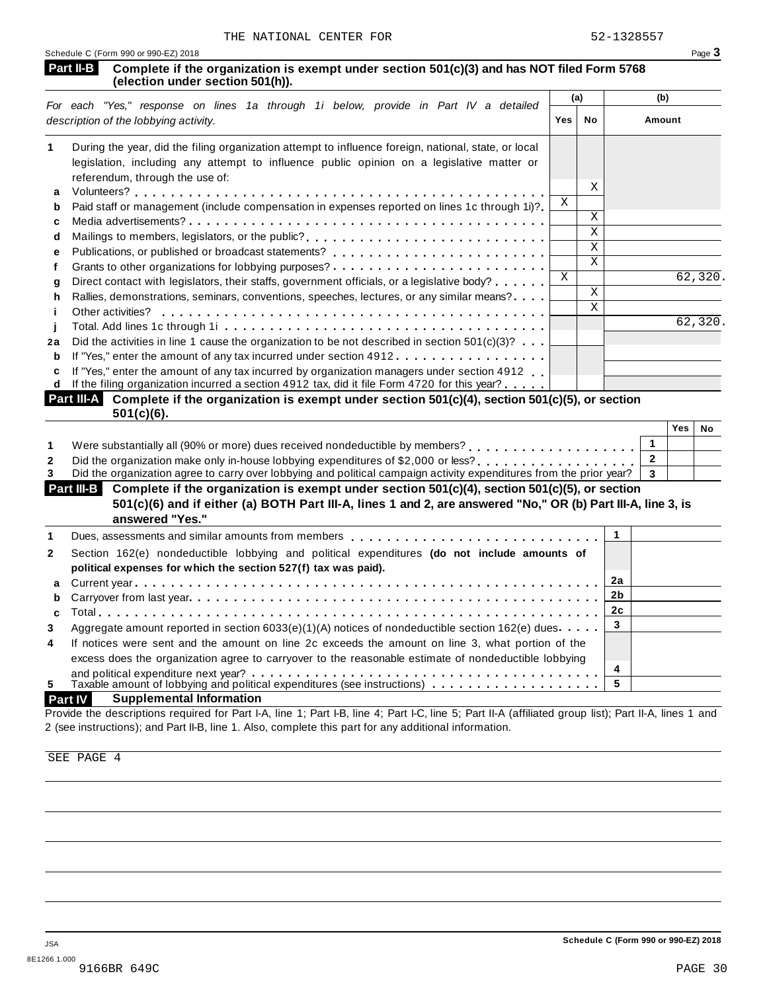| THE NATIONAL CENTER FOR                                                                                                                                                                              |            |                | 52-1328557     |            |         |
|------------------------------------------------------------------------------------------------------------------------------------------------------------------------------------------------------|------------|----------------|----------------|------------|---------|
| Schedule C (Form 990 or 990-EZ) 2018                                                                                                                                                                 |            |                |                |            | Page 3  |
| <b>Part II-B</b><br>Complete if the organization is exempt under section 501(c)(3) and has NOT filed Form 5768<br>(election under section 501(h)).                                                   |            |                |                |            |         |
| For each "Yes," response on lines 1a through 1i below, provide in Part IV a detailed                                                                                                                 | (a)        |                |                | (b)        |         |
| description of the lobbying activity.                                                                                                                                                                | <b>Yes</b> | No             |                | Amount     |         |
| During the year, did the filing organization attempt to influence foreign, national, state, or local                                                                                                 |            |                |                |            |         |
| legislation, including any attempt to influence public opinion on a legislative matter or                                                                                                            |            |                |                |            |         |
| referendum, through the use of:                                                                                                                                                                      |            | X              |                |            |         |
| а                                                                                                                                                                                                    | Χ          |                |                |            |         |
| Paid staff or management (include compensation in expenses reported on lines 1c through 1i)?<br>b                                                                                                    |            | X              |                |            |         |
| c<br>Mailings to members, legislators, or the public?<br>d                                                                                                                                           |            | X              |                |            |         |
| e                                                                                                                                                                                                    |            | X              |                |            |         |
| f                                                                                                                                                                                                    |            | $\overline{X}$ |                |            |         |
| Direct contact with legislators, their staffs, government officials, or a legislative body?<br>g                                                                                                     | X          |                |                |            | 62,320. |
| Rallies, demonstrations, seminars, conventions, speeches, lectures, or any similar means?<br>h                                                                                                       |            | X              |                |            |         |
| Other activities?                                                                                                                                                                                    |            | $\mathbf{x}$   |                |            |         |
|                                                                                                                                                                                                      |            |                |                |            | 62,320. |
| Did the activities in line 1 cause the organization to be not described in section $501(c)(3)$ ?<br>2a                                                                                               |            |                |                |            |         |
| If "Yes," enter the amount of any tax incurred under section 4912<br>b                                                                                                                               |            |                |                |            |         |
| If "Yes," enter the amount of any tax incurred by organization managers under section 4912<br>c<br>If the filing organization incurred a section 4912 tax, did it file Form 4720 for this year?<br>d |            |                |                |            |         |
| Part III-A<br>Complete if the organization is exempt under section 501(c)(4), section 501(c)(5), or section                                                                                          |            |                |                |            |         |
| $501(c)(6)$ .                                                                                                                                                                                        |            |                |                |            |         |
|                                                                                                                                                                                                      |            |                |                | <b>Yes</b> | No      |
| Were substantially all (90% or more) dues received nondeductible by members?<br>Were substantially all (90% or more) dues received nondeductible by members?                                         |            |                | $\mathbf{1}$   |            |         |
| Did the organization make only in-house lobbying expenditures of \$2,000 or less?                                                                                                                    |            |                | $\mathbf{2}$   |            |         |
| Did the organization agree to carry over lobbying and political campaign activity expenditures from the prior year?                                                                                  |            |                | 3              |            |         |
| Complete if the organization is exempt under section 501(c)(4), section 501(c)(5), or section<br>Part III-B                                                                                          |            |                |                |            |         |
| 501(c)(6) and if either (a) BOTH Part III-A, lines 1 and 2, are answered "No," OR (b) Part III-A, line 3, is<br>answered "Yes."                                                                      |            |                |                |            |         |
| Dues, assessments and similar amounts from members                                                                                                                                                   |            |                | $\mathbf{1}$   |            |         |
| Section 162(e) nondeductible lobbying and political expenditures (do not include amounts of                                                                                                          |            |                |                |            |         |
| political expenses for which the section 527(f) tax was paid).                                                                                                                                       |            |                |                |            |         |
| a                                                                                                                                                                                                    |            |                | 2a             |            |         |
| b                                                                                                                                                                                                    |            |                | 2 <sub>b</sub> |            |         |
| c                                                                                                                                                                                                    |            |                | 2c             |            |         |
| Aggregate amount reported in section 6033(e)(1)(A) notices of nondeductible section 162(e) dues                                                                                                      |            |                | 3              |            |         |
| If notices were sent and the amount on line 2c exceeds the amount on line 3, what portion of the                                                                                                     |            |                |                |            |         |
| excess does the organization agree to carryover to the reasonable estimate of nondeductible lobbying                                                                                                 |            |                |                |            |         |

# and political expenditure next year?<br>
5 Taxable amount of lobbying and political expenditures (see instructions)<br>
1911 IV Supplemental Information **Supplemental Information**

Provide the descriptions required for Part I-A, line 1; Part I-B, line 4; Part I-C, line 5; Part II-A (affiliated group list); Part II-A, lines 1 and 2 (see instructions); and Part II-B, line 1. Also, complete this part for any additional information.

SEE PAGE 4

**4 5**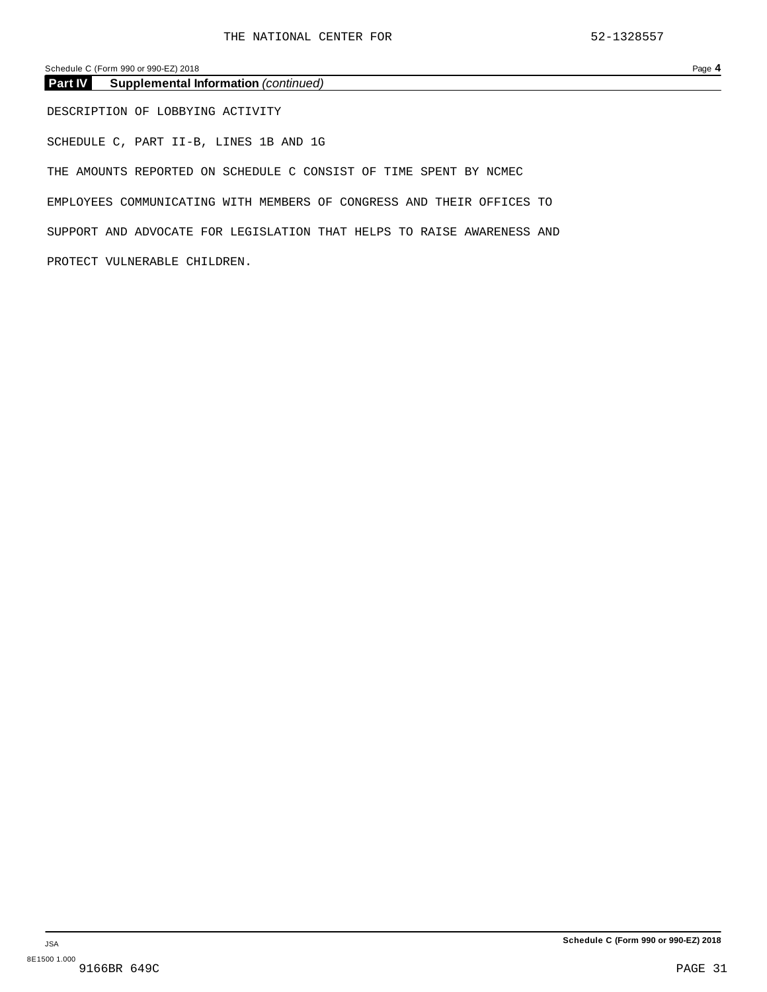Schedule C (Form 990 or 990-EZ) 2018 Page **4**

**Part IV Supplemental Information** *(continued)* DESCRIPTION OF LOBBYING ACTIVITY SCHEDULE C, PART II-B, LINES 1B AND 1G THE AMOUNTS REPORTED ON SCHEDULE C CONSIST OF TIME SPENT BY NCMEC EMPLOYEES COMMUNICATING WITH MEMBERS OF CONGRESS AND THEIR OFFICES TO SUPPORT AND ADVOCATE FOR LEGISLATION THAT HELPS TO RAISE AWARENESS AND

PROTECT VULNERABLE CHILDREN.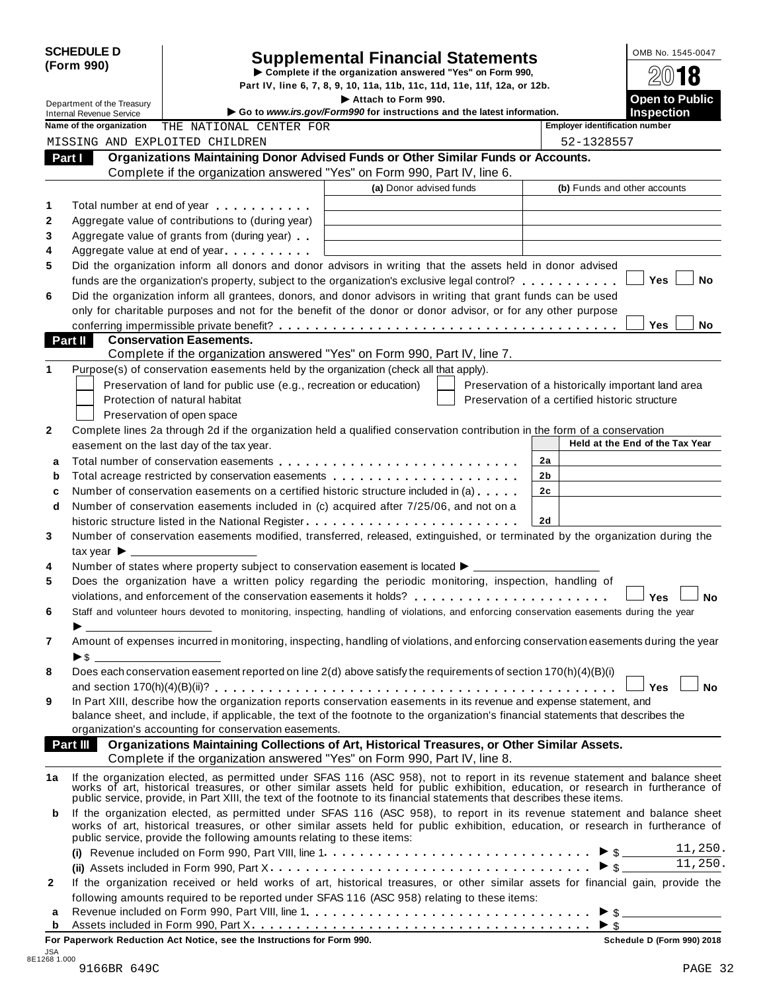| <b>SCHEDULE D</b><br>(Form 990) |                                                               | <b>Supplemental Financial Statements</b>                                                                                                                                                                                                                                                                                                                  |                                                                                                 | OMB No. 1545-0047                              |    |                                       |                                                    |  |  |  |
|---------------------------------|---------------------------------------------------------------|-----------------------------------------------------------------------------------------------------------------------------------------------------------------------------------------------------------------------------------------------------------------------------------------------------------------------------------------------------------|-------------------------------------------------------------------------------------------------|------------------------------------------------|----|---------------------------------------|----------------------------------------------------|--|--|--|
|                                 |                                                               |                                                                                                                                                                                                                                                                                                                                                           | Complete if the organization answered "Yes" on Form 990,                                        |                                                | 18 |                                       |                                                    |  |  |  |
|                                 |                                                               |                                                                                                                                                                                                                                                                                                                                                           | Part IV, line 6, 7, 8, 9, 10, 11a, 11b, 11c, 11d, 11e, 11f, 12a, or 12b.<br>Attach to Form 990. |                                                |    |                                       | Open to Public                                     |  |  |  |
|                                 | Department of the Treasury<br><b>Internal Revenue Service</b> |                                                                                                                                                                                                                                                                                                                                                           | Go to www.irs.gov/Form990 for instructions and the latest information.                          |                                                |    | <b>Inspection</b>                     |                                                    |  |  |  |
|                                 | Name of the organization                                      | THE NATIONAL CENTER FOR                                                                                                                                                                                                                                                                                                                                   |                                                                                                 |                                                |    | <b>Employer identification number</b> |                                                    |  |  |  |
|                                 | Part I                                                        | MISSING AND EXPLOITED CHILDREN<br>Organizations Maintaining Donor Advised Funds or Other Similar Funds or Accounts.                                                                                                                                                                                                                                       |                                                                                                 |                                                |    | 52-1328557                            |                                                    |  |  |  |
|                                 |                                                               | Complete if the organization answered "Yes" on Form 990, Part IV, line 6.                                                                                                                                                                                                                                                                                 |                                                                                                 |                                                |    |                                       |                                                    |  |  |  |
|                                 |                                                               |                                                                                                                                                                                                                                                                                                                                                           | (a) Donor advised funds                                                                         |                                                |    | (b) Funds and other accounts          |                                                    |  |  |  |
| 1                               |                                                               | Total number at end of year                                                                                                                                                                                                                                                                                                                               |                                                                                                 |                                                |    |                                       |                                                    |  |  |  |
| 2                               |                                                               | Aggregate value of contributions to (during year)                                                                                                                                                                                                                                                                                                         |                                                                                                 |                                                |    |                                       |                                                    |  |  |  |
| 3                               |                                                               | Aggregate value of grants from (during year)                                                                                                                                                                                                                                                                                                              |                                                                                                 |                                                |    |                                       |                                                    |  |  |  |
| 4                               |                                                               | Aggregate value at end of year                                                                                                                                                                                                                                                                                                                            |                                                                                                 |                                                |    |                                       |                                                    |  |  |  |
| 5                               |                                                               | Did the organization inform all donors and donor advisors in writing that the assets held in donor advised                                                                                                                                                                                                                                                |                                                                                                 |                                                |    |                                       | Yes<br>No                                          |  |  |  |
| 6                               |                                                               | funds are the organization's property, subject to the organization's exclusive legal control?<br>Did the organization inform all grantees, donors, and donor advisors in writing that grant funds can be used                                                                                                                                             |                                                                                                 |                                                |    |                                       |                                                    |  |  |  |
|                                 |                                                               | only for charitable purposes and not for the benefit of the donor or donor advisor, or for any other purpose                                                                                                                                                                                                                                              |                                                                                                 |                                                |    |                                       |                                                    |  |  |  |
|                                 |                                                               |                                                                                                                                                                                                                                                                                                                                                           |                                                                                                 |                                                |    |                                       | <b>Yes</b><br>No                                   |  |  |  |
|                                 | Part II                                                       | <b>Conservation Easements.</b>                                                                                                                                                                                                                                                                                                                            |                                                                                                 |                                                |    |                                       |                                                    |  |  |  |
|                                 |                                                               | Complete if the organization answered "Yes" on Form 990, Part IV, line 7.                                                                                                                                                                                                                                                                                 |                                                                                                 |                                                |    |                                       |                                                    |  |  |  |
| 1                               |                                                               | Purpose(s) of conservation easements held by the organization (check all that apply).                                                                                                                                                                                                                                                                     |                                                                                                 |                                                |    |                                       |                                                    |  |  |  |
|                                 |                                                               | Preservation of land for public use (e.g., recreation or education)<br>Protection of natural habitat                                                                                                                                                                                                                                                      |                                                                                                 | Preservation of a certified historic structure |    |                                       | Preservation of a historically important land area |  |  |  |
|                                 |                                                               | Preservation of open space                                                                                                                                                                                                                                                                                                                                |                                                                                                 |                                                |    |                                       |                                                    |  |  |  |
| 2                               |                                                               | Complete lines 2a through 2d if the organization held a qualified conservation contribution in the form of a conservation                                                                                                                                                                                                                                 |                                                                                                 |                                                |    |                                       |                                                    |  |  |  |
|                                 |                                                               | easement on the last day of the tax year.                                                                                                                                                                                                                                                                                                                 |                                                                                                 |                                                |    |                                       | Held at the End of the Tax Year                    |  |  |  |
| a                               |                                                               |                                                                                                                                                                                                                                                                                                                                                           |                                                                                                 |                                                | 2a |                                       |                                                    |  |  |  |
| b                               |                                                               | Total acreage restricted by conservation easements                                                                                                                                                                                                                                                                                                        |                                                                                                 |                                                | 2b |                                       |                                                    |  |  |  |
| c                               |                                                               | Number of conservation easements on a certified historic structure included in (a)                                                                                                                                                                                                                                                                        |                                                                                                 |                                                | 2c |                                       |                                                    |  |  |  |
| d                               |                                                               | Number of conservation easements included in (c) acquired after 7/25/06, and not on a                                                                                                                                                                                                                                                                     |                                                                                                 |                                                |    |                                       |                                                    |  |  |  |
| 3                               |                                                               | historic structure listed in the National Register<br>Number of conservation easements modified, transferred, released, extinguished, or terminated by the organization during the                                                                                                                                                                        |                                                                                                 |                                                | 2d |                                       |                                                    |  |  |  |
|                                 | tax year $\blacktriangleright$ $\blacksquare$                 |                                                                                                                                                                                                                                                                                                                                                           |                                                                                                 |                                                |    |                                       |                                                    |  |  |  |
| 4                               |                                                               | Number of states where property subject to conservation easement is located ▶ _                                                                                                                                                                                                                                                                           |                                                                                                 |                                                |    |                                       |                                                    |  |  |  |
| 5                               |                                                               | Does the organization have a written policy regarding the periodic monitoring, inspection, handling of                                                                                                                                                                                                                                                    |                                                                                                 |                                                |    |                                       |                                                    |  |  |  |
|                                 |                                                               | violations, and enforcement of the conservation easements it holds?                                                                                                                                                                                                                                                                                       |                                                                                                 |                                                |    |                                       | Yes<br>No                                          |  |  |  |
| 6                               |                                                               | Staff and volunteer hours devoted to monitoring, inspecting, handling of violations, and enforcing conservation easements during the year                                                                                                                                                                                                                 |                                                                                                 |                                                |    |                                       |                                                    |  |  |  |
| 7                               |                                                               | Amount of expenses incurred in monitoring, inspecting, handling of violations, and enforcing conservation easements during the year                                                                                                                                                                                                                       |                                                                                                 |                                                |    |                                       |                                                    |  |  |  |
|                                 | $\blacktriangleright$ \$                                      |                                                                                                                                                                                                                                                                                                                                                           |                                                                                                 |                                                |    |                                       |                                                    |  |  |  |
| 8                               |                                                               | Does each conservation easement reported on line 2(d) above satisfy the requirements of section 170(h)(4)(B)(i)                                                                                                                                                                                                                                           |                                                                                                 |                                                |    |                                       |                                                    |  |  |  |
|                                 |                                                               |                                                                                                                                                                                                                                                                                                                                                           |                                                                                                 |                                                |    |                                       | <b>Yes</b><br>No                                   |  |  |  |
| 9                               |                                                               | In Part XIII, describe how the organization reports conservation easements in its revenue and expense statement, and                                                                                                                                                                                                                                      |                                                                                                 |                                                |    |                                       |                                                    |  |  |  |
|                                 |                                                               | balance sheet, and include, if applicable, the text of the footnote to the organization's financial statements that describes the                                                                                                                                                                                                                         |                                                                                                 |                                                |    |                                       |                                                    |  |  |  |
|                                 | Part III                                                      | organization's accounting for conservation easements.<br>Organizations Maintaining Collections of Art, Historical Treasures, or Other Similar Assets.                                                                                                                                                                                                     |                                                                                                 |                                                |    |                                       |                                                    |  |  |  |
|                                 |                                                               | Complete if the organization answered "Yes" on Form 990, Part IV, line 8.                                                                                                                                                                                                                                                                                 |                                                                                                 |                                                |    |                                       |                                                    |  |  |  |
| 1a                              |                                                               |                                                                                                                                                                                                                                                                                                                                                           |                                                                                                 |                                                |    |                                       |                                                    |  |  |  |
|                                 |                                                               | If the organization elected, as permitted under SFAS 116 (ASC 958), not to report in its revenue statement and balance sheet works of art, historical treasures, or other similar assets held for public exhibition, education<br>public service, provide, in Part XIII, the text of the footnote to its financial statements that describes these items. |                                                                                                 |                                                |    |                                       |                                                    |  |  |  |
| b                               |                                                               | If the organization elected, as permitted under SFAS 116 (ASC 958), to report in its revenue statement and balance sheet                                                                                                                                                                                                                                  |                                                                                                 |                                                |    |                                       |                                                    |  |  |  |
|                                 |                                                               | works of art, historical treasures, or other similar assets held for public exhibition, education, or research in furtherance of                                                                                                                                                                                                                          |                                                                                                 |                                                |    |                                       |                                                    |  |  |  |
|                                 |                                                               | public service, provide the following amounts relating to these items:                                                                                                                                                                                                                                                                                    |                                                                                                 |                                                |    |                                       | 11,250.                                            |  |  |  |
|                                 |                                                               |                                                                                                                                                                                                                                                                                                                                                           |                                                                                                 |                                                |    | $\triangleright$ \$                   | 11,250.                                            |  |  |  |
| 2                               |                                                               | If the organization received or held works of art, historical treasures, or other similar assets for financial gain, provide the                                                                                                                                                                                                                          |                                                                                                 |                                                |    |                                       |                                                    |  |  |  |
|                                 |                                                               | following amounts required to be reported under SFAS 116 (ASC 958) relating to these items:                                                                                                                                                                                                                                                               |                                                                                                 |                                                |    |                                       |                                                    |  |  |  |
| a                               |                                                               |                                                                                                                                                                                                                                                                                                                                                           |                                                                                                 |                                                |    |                                       |                                                    |  |  |  |
| b                               |                                                               |                                                                                                                                                                                                                                                                                                                                                           |                                                                                                 |                                                |    |                                       |                                                    |  |  |  |

| For Paperwork Reduction Act Notice, see the Instructions for Form 990. | Schedule D (Form 990) 2018 |
|------------------------------------------------------------------------|----------------------------|
| .ISA                                                                   |                            |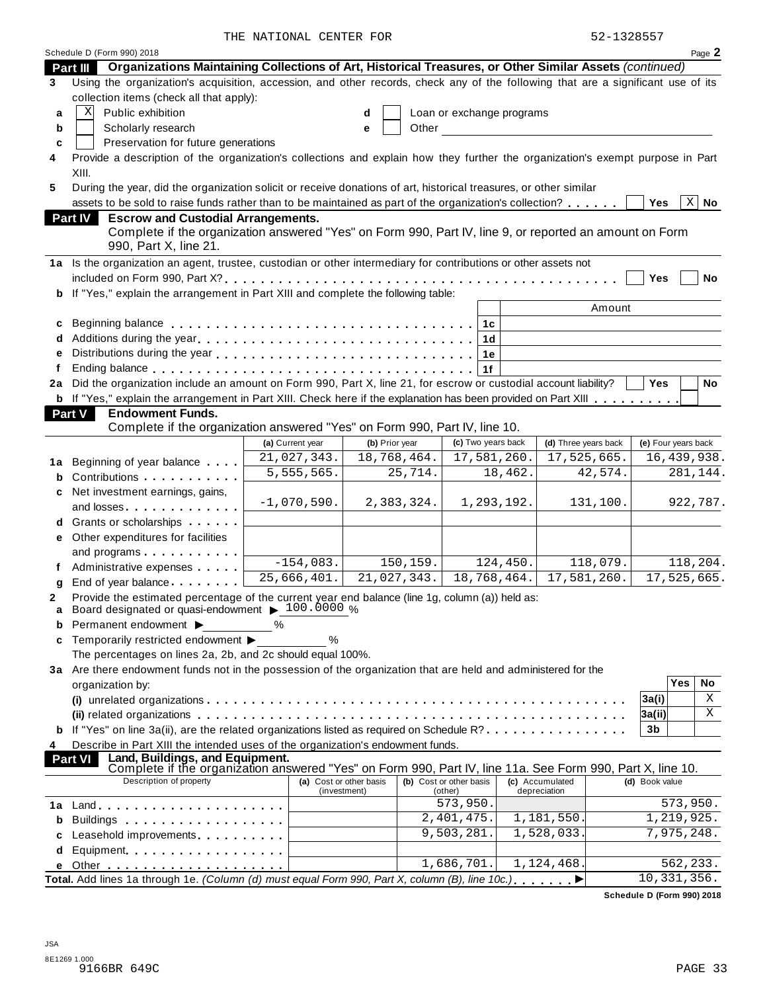THE NATIONAL CENTER FOR 52-133

| 52-1328557 |
|------------|
|------------|

|        |                                                                                                                                  | IHE NAIIONAL CENIER FOR                 |   |                |                           |             |                      | 54-1340557     |                         |                              |
|--------|----------------------------------------------------------------------------------------------------------------------------------|-----------------------------------------|---|----------------|---------------------------|-------------|----------------------|----------------|-------------------------|------------------------------|
|        | Schedule D (Form 990) 2018                                                                                                       |                                         |   |                |                           |             |                      |                |                         | Page 2                       |
|        | Organizations Maintaining Collections of Art, Historical Treasures, or Other Similar Assets (continued)<br><b>Part III</b>       |                                         |   |                |                           |             |                      |                |                         |                              |
| 3      | Using the organization's acquisition, accession, and other records, check any of the following that are a significant use of its |                                         |   |                |                           |             |                      |                |                         |                              |
|        | collection items (check all that apply):                                                                                         |                                         |   |                |                           |             |                      |                |                         |                              |
| a      | Public exhibition<br>Χ                                                                                                           |                                         | d |                | Loan or exchange programs |             |                      |                |                         |                              |
| b      | Scholarly research                                                                                                               |                                         | e | Other          |                           |             |                      |                |                         |                              |
| c      | Preservation for future generations                                                                                              |                                         |   |                |                           |             |                      |                |                         |                              |
| 4      | Provide a description of the organization's collections and explain how they further the organization's exempt purpose in Part   |                                         |   |                |                           |             |                      |                |                         |                              |
|        | XIII.                                                                                                                            |                                         |   |                |                           |             |                      |                |                         |                              |
| 5      | During the year, did the organization solicit or receive donations of art, historical treasures, or other similar                |                                         |   |                |                           |             |                      |                |                         |                              |
|        | assets to be sold to raise funds rather than to be maintained as part of the organization's collection?                          |                                         |   |                |                           |             |                      | Yes            |                         | $\overline{\mathbf{x}}$   No |
|        | <b>Part IV</b><br><b>Escrow and Custodial Arrangements.</b>                                                                      |                                         |   |                |                           |             |                      |                |                         |                              |
|        | Complete if the organization answered "Yes" on Form 990, Part IV, line 9, or reported an amount on Form                          |                                         |   |                |                           |             |                      |                |                         |                              |
|        | 990, Part X, line 21.                                                                                                            |                                         |   |                |                           |             |                      |                |                         |                              |
|        | 1a Is the organization an agent, trustee, custodian or other intermediary for contributions or other assets not                  |                                         |   |                |                           |             |                      |                |                         |                              |
|        |                                                                                                                                  |                                         |   |                |                           |             |                      | <b>Yes</b>     |                         | <b>No</b>                    |
|        | If "Yes," explain the arrangement in Part XIII and complete the following table:                                                 |                                         |   |                |                           |             |                      |                |                         |                              |
|        |                                                                                                                                  |                                         |   |                |                           |             | Amount               |                |                         |                              |
| c      |                                                                                                                                  |                                         |   |                | 1 <sub>c</sub>            |             |                      |                |                         |                              |
|        |                                                                                                                                  |                                         |   |                | 1 <sub>d</sub>            |             |                      |                |                         |                              |
| e      |                                                                                                                                  |                                         |   |                | 1e                        |             |                      |                |                         |                              |
| f      |                                                                                                                                  |                                         |   |                | 1f                        |             |                      |                |                         |                              |
| 2a     | Did the organization include an amount on Form 990, Part X, line 21, for escrow or custodial account liability?                  |                                         |   |                |                           |             |                      | <b>Yes</b>     |                         | <b>No</b>                    |
| b      | If "Yes," explain the arrangement in Part XIII. Check here if the explanation has been provided on Part XIII                     |                                         |   |                |                           |             |                      |                |                         |                              |
|        | <b>Part V</b><br><b>Endowment Funds.</b>                                                                                         |                                         |   |                |                           |             |                      |                |                         |                              |
|        | Complete if the organization answered "Yes" on Form 990, Part IV, line 10.                                                       |                                         |   |                |                           |             |                      |                |                         |                              |
|        |                                                                                                                                  | (a) Current year                        |   | (b) Prior year | (c) Two years back        |             | (d) Three years back |                | (e) Four years back     |                              |
| 1a     | Beginning of year balance                                                                                                        | 21,027,343.                             |   | 18,768,464.    | 17,581,260.               |             | 17,525,665.          |                |                         | 16,439,938.                  |
| b      | Contributions                                                                                                                    | 5,555,565.                              |   | 25,714.        |                           | 18,462.     | 42,574.              |                |                         | 281,144.                     |
|        | Net investment earnings, gains,                                                                                                  |                                         |   |                |                           |             |                      |                |                         |                              |
| c      |                                                                                                                                  | $-1,070,590.$                           |   | 2,383,324.     |                           | 1,293,192.  | 131,100.             |                |                         | 922,787.                     |
|        | and losses                                                                                                                       |                                         |   |                |                           |             |                      |                |                         |                              |
| d      | Grants or scholarships                                                                                                           |                                         |   |                |                           |             |                      |                |                         |                              |
| е      | Other expenditures for facilities                                                                                                |                                         |   |                |                           |             |                      |                |                         |                              |
|        | and programs                                                                                                                     | $-154,083.$                             |   | 150, 159.      |                           | 124,450.    | 118,079.             |                |                         | 118,204.                     |
|        | f Administrative expenses                                                                                                        | 25,666,401.                             |   | 21,027,343.    |                           | 18,768,464. | 17,581,260.          |                |                         | 17,525,665.                  |
| g      | End of year balance<br>Provide the estimated percentage of the current year end balance (line 1g, column (a)) held as:           |                                         |   |                |                           |             |                      |                |                         |                              |
| a      | Board designated or quasi-endowment > 100.0000 %                                                                                 |                                         |   |                |                           |             |                      |                |                         |                              |
| b      | Permanent endowment >                                                                                                            | $\%$                                    |   |                |                           |             |                      |                |                         |                              |
| c      | Temporarily restricted endowment ▶                                                                                               | %                                       |   |                |                           |             |                      |                |                         |                              |
|        | The percentages on lines 2a, 2b, and 2c should equal 100%.                                                                       |                                         |   |                |                           |             |                      |                |                         |                              |
|        | 3a Are there endowment funds not in the possession of the organization that are held and administered for the                    |                                         |   |                |                           |             |                      |                |                         |                              |
|        | organization by:                                                                                                                 |                                         |   |                |                           |             |                      |                | <b>Yes</b>              | No                           |
|        |                                                                                                                                  |                                         |   |                |                           |             |                      | 3a(i)          |                         | Χ                            |
|        |                                                                                                                                  |                                         |   |                |                           |             |                      | 3a(ii)         |                         | Χ                            |
|        | If "Yes" on line 3a(ii), are the related organizations listed as required on Schedule R?                                         |                                         |   |                |                           |             |                      | 3b             |                         |                              |
| 4      | Describe in Part XIII the intended uses of the organization's endowment funds.                                                   |                                         |   |                |                           |             |                      |                |                         |                              |
|        | Land, Buildings, and Equipment.<br><b>Part VI</b>                                                                                |                                         |   |                |                           |             |                      |                |                         |                              |
|        | Complete if the organization answered "Yes" on Form 990, Part IV, line 11a. See Form 990, Part X, line 10.                       |                                         |   |                |                           |             |                      |                |                         |                              |
|        | Description of property                                                                                                          | (a) Cost or other basis<br>(investment) |   |                | (b) Cost or other basis   |             | (c) Accumulated      | (d) Book value |                         |                              |
| 1 a    |                                                                                                                                  |                                         |   |                | (other)<br>573,950.       |             | depreciation         |                | 573,950.                |                              |
| b      |                                                                                                                                  |                                         |   |                | 2,401,475.                |             | 1,181,550.           |                | 1,219,925.              |                              |
|        | Leasehold improvements [19]                                                                                                      |                                         |   |                | 9,503,281.                |             | 1,528,033.           |                | 7,975,248.              |                              |
| с<br>d |                                                                                                                                  |                                         |   |                |                           |             |                      |                |                         |                              |
|        |                                                                                                                                  |                                         |   |                | 1,686,701.                |             | 1,124,468.           |                | $\overline{562}$ , 233. |                              |
|        | Total. Add lines 1a through 1e. (Column (d) must equal Form 990, Part X, column (B), line 10c.)                                  |                                         |   |                |                           |             |                      |                | 10, 331, 356.           |                              |
|        |                                                                                                                                  |                                         |   |                |                           |             |                      |                |                         |                              |

**Schedule D (Form 990) 2018**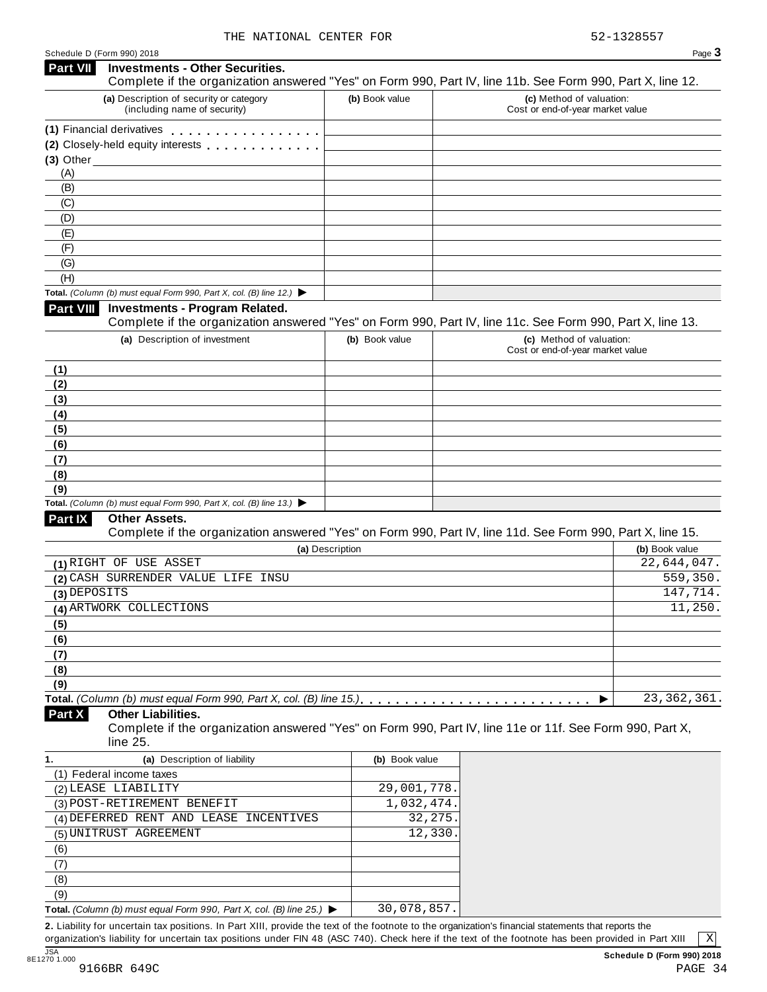| Part VII<br><b>Investments - Other Securities.</b>                                       |                | . دی.                                                                                                      |
|------------------------------------------------------------------------------------------|----------------|------------------------------------------------------------------------------------------------------------|
|                                                                                          |                | Complete if the organization answered "Yes" on Form 990, Part IV, line 11b. See Form 990, Part X, line 12. |
| (a) Description of security or category<br>(including name of security)                  | (b) Book value | (c) Method of valuation:<br>Cost or end-of-year market value                                               |
| (1) Financial derivatives                                                                |                |                                                                                                            |
|                                                                                          |                |                                                                                                            |
| $(3)$ Other $\overline{\phantom{0}}$                                                     |                |                                                                                                            |
| (A)                                                                                      |                |                                                                                                            |
| (B)                                                                                      |                |                                                                                                            |
| (C)                                                                                      |                |                                                                                                            |
| (D)                                                                                      |                |                                                                                                            |
| (E)                                                                                      |                |                                                                                                            |
| (F)                                                                                      |                |                                                                                                            |
| (G)                                                                                      |                |                                                                                                            |
| (H)                                                                                      |                |                                                                                                            |
| Total. (Column (b) must equal Form 990, Part X, col. (B) line 12.) $\blacktriangleright$ |                |                                                                                                            |
| <b>Investments - Program Related.</b><br><b>Part VIII</b>                                |                | Complete if the organization answered "Yes" on Form 990, Part IV, line 11c. See Form 990, Part X, line 13. |
| (a) Description of investment                                                            | (b) Book value | (c) Method of valuation:                                                                                   |
|                                                                                          |                | Cost or end-of-year market value                                                                           |
| (1)                                                                                      |                |                                                                                                            |
| (2)                                                                                      |                |                                                                                                            |
| (3)                                                                                      |                |                                                                                                            |
| (4)                                                                                      |                |                                                                                                            |
| (5)                                                                                      |                |                                                                                                            |
| (6)                                                                                      |                |                                                                                                            |
| (7)                                                                                      |                |                                                                                                            |
| (8)                                                                                      |                |                                                                                                            |
| (9)                                                                                      |                |                                                                                                            |
| Total. (Column (b) must equal Form 990, Part X, col. (B) line 13.) $\blacktriangleright$ |                |                                                                                                            |
| Other Assets.<br><b>Part IX</b>                                                          |                |                                                                                                            |
|                                                                                          |                | Complete if the organization answered "Yes" on Form 990, Part IV, line 11d. See Form 990, Part X, line 15. |
| (a) Description                                                                          |                | (b) Book value                                                                                             |
| (1) RIGHT OF USE ASSET                                                                   |                | 22,644,047.                                                                                                |
| (2) CASH SURRENDER VALUE LIFE INSU                                                       |                | 559,350.                                                                                                   |
| $(3)$ DEPOSITS                                                                           |                | 147,714.                                                                                                   |
| (4) ARTWORK COLLECTIONS                                                                  |                | 11,250.                                                                                                    |
| (5)                                                                                      |                |                                                                                                            |
| (6)                                                                                      |                |                                                                                                            |
| (7)                                                                                      |                |                                                                                                            |
| (8)                                                                                      |                |                                                                                                            |
| (9)                                                                                      |                |                                                                                                            |
|                                                                                          |                | 23, 362, 361.                                                                                              |
| <b>Other Liabilities.</b><br><b>Part X</b>                                               |                |                                                                                                            |
| line 25.                                                                                 |                | Complete if the organization answered "Yes" on Form 990, Part IV, line 11e or 11f. See Form 990, Part X,   |
| (a) Description of liability<br>1.                                                       | (b) Book value |                                                                                                            |
| (1) Federal income taxes                                                                 |                |                                                                                                            |
| (2) LEASE LIABILITY                                                                      | 29,001,778.    |                                                                                                            |
| (3) POST-RETIREMENT BENEFIT                                                              | 1,032,474.     |                                                                                                            |
| (4) DEFERRED RENT AND LEASE INCENTIVES                                                   | 32,275         |                                                                                                            |
| (5) UNITRUST AGREEMENT                                                                   | 12,330         |                                                                                                            |
| (6)                                                                                      |                |                                                                                                            |
| (7)                                                                                      |                |                                                                                                            |
| (8)                                                                                      |                |                                                                                                            |
| (9)                                                                                      |                |                                                                                                            |
| Total. (Column (b) must equal Form 990, Part X, col. (B) line 25.) $\blacktriangleright$ | 30,078,857.    |                                                                                                            |

**2.** Liability for uncertain tax positions. In Part XIII, provide the text of the footnote to the organization's financial statements that reports the organization's liability for uncertain tax positions under FIN 48 (ASC 740). Check here ifthe text of the footnote has been provided in Part XIII

 $\boxed{\text{X}}$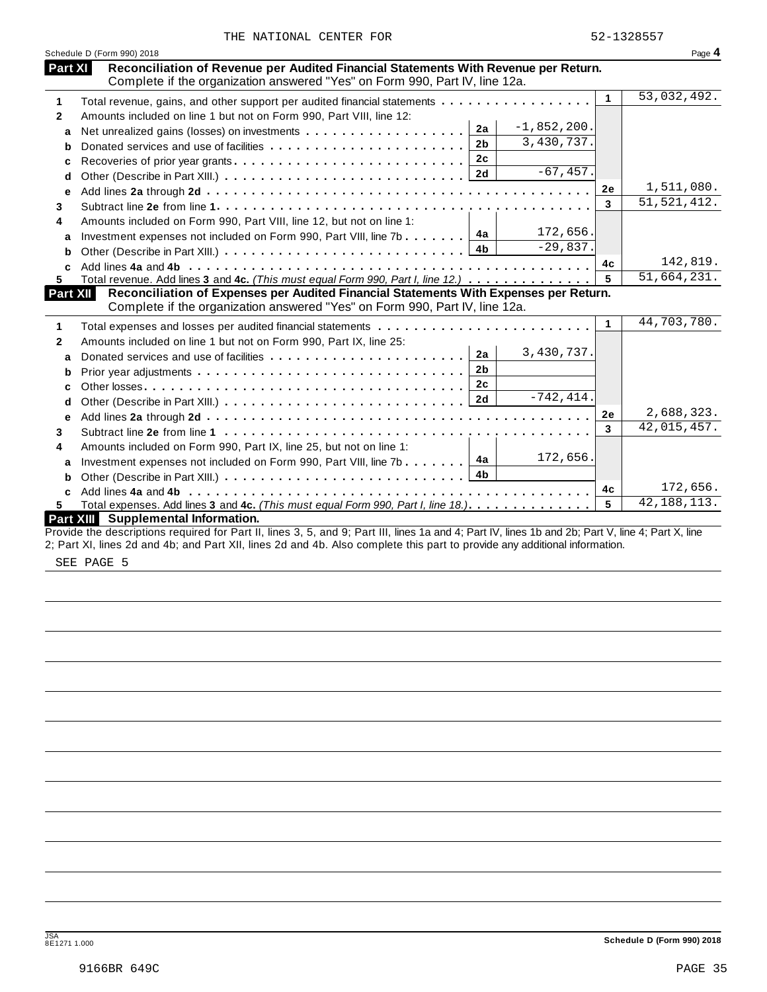| THE NATIONAL CENTER FOR |  | 52-1328557 |
|-------------------------|--|------------|

| Schedule D (Form 990) 2018<br>Reconciliation of Revenue per Audited Financial Statements With Revenue per Return.<br>Part XI<br>Complete if the organization answered "Yes" on Form 990, Part IV, line 12a.<br>1<br>Total revenue, gains, and other support per audited financial statements<br>Amounts included on line 1 but not on Form 990, Part VIII, line 12:<br>$-1,852,200.$<br>2a<br>a<br>3,430,737.<br>2 <sub>b</sub><br>Donated services and use of facilities<br>b<br>2 <sub>c</sub><br>Recoveries of prior year grants<br>c<br>$-67,457.$<br>2d<br>d<br>2e<br>е<br>3<br>Amounts included on Form 990, Part VIII, line 12, but not on line 1:<br>172,656.<br>4a<br>Investment expenses not included on Form 990, Part VIII, line 7b<br>a<br>$-29,837.$<br>4b<br>b<br>142,819.<br>4c<br>C.<br>51,664,231.<br>5<br>Total revenue. Add lines 3 and 4c. (This must equal Form 990, Part I, line 12.)<br>Reconciliation of Expenses per Audited Financial Statements With Expenses per Return.<br>Part XII<br>Complete if the organization answered "Yes" on Form 990, Part IV, line 12a.<br>44,703,780.<br>1<br>Amounts included on line 1 but not on Form 990, Part IX, line 25:<br>3,430,737.<br>2a<br>a<br>2 <sub>b</sub><br>b<br>2 <sub>c</sub><br>c<br>$-742, 414.$<br>2d<br>d<br>2,688,323.<br>2e<br>e<br>42,015,457.<br>3<br>Amounts included on Form 990, Part IX, line 25, but not on line 1:<br>172,656.<br>4a<br>Investment expenses not included on Form 990, Part VIII, line 7b<br>a<br>4b<br>b<br>4c<br>c |              |                                                                                   |   |               |
|---------------------------------------------------------------------------------------------------------------------------------------------------------------------------------------------------------------------------------------------------------------------------------------------------------------------------------------------------------------------------------------------------------------------------------------------------------------------------------------------------------------------------------------------------------------------------------------------------------------------------------------------------------------------------------------------------------------------------------------------------------------------------------------------------------------------------------------------------------------------------------------------------------------------------------------------------------------------------------------------------------------------------------------------------------------------------------------------------------------------------------------------------------------------------------------------------------------------------------------------------------------------------------------------------------------------------------------------------------------------------------------------------------------------------------------------------------------------------------------------------------------------------------|--------------|-----------------------------------------------------------------------------------|---|---------------|
|                                                                                                                                                                                                                                                                                                                                                                                                                                                                                                                                                                                                                                                                                                                                                                                                                                                                                                                                                                                                                                                                                                                                                                                                                                                                                                                                                                                                                                                                                                                                 |              |                                                                                   |   | Page 4        |
|                                                                                                                                                                                                                                                                                                                                                                                                                                                                                                                                                                                                                                                                                                                                                                                                                                                                                                                                                                                                                                                                                                                                                                                                                                                                                                                                                                                                                                                                                                                                 |              |                                                                                   |   |               |
|                                                                                                                                                                                                                                                                                                                                                                                                                                                                                                                                                                                                                                                                                                                                                                                                                                                                                                                                                                                                                                                                                                                                                                                                                                                                                                                                                                                                                                                                                                                                 |              |                                                                                   |   |               |
|                                                                                                                                                                                                                                                                                                                                                                                                                                                                                                                                                                                                                                                                                                                                                                                                                                                                                                                                                                                                                                                                                                                                                                                                                                                                                                                                                                                                                                                                                                                                 | 1            |                                                                                   |   | 53,032,492.   |
|                                                                                                                                                                                                                                                                                                                                                                                                                                                                                                                                                                                                                                                                                                                                                                                                                                                                                                                                                                                                                                                                                                                                                                                                                                                                                                                                                                                                                                                                                                                                 | $\mathbf{2}$ |                                                                                   |   |               |
|                                                                                                                                                                                                                                                                                                                                                                                                                                                                                                                                                                                                                                                                                                                                                                                                                                                                                                                                                                                                                                                                                                                                                                                                                                                                                                                                                                                                                                                                                                                                 |              |                                                                                   |   |               |
|                                                                                                                                                                                                                                                                                                                                                                                                                                                                                                                                                                                                                                                                                                                                                                                                                                                                                                                                                                                                                                                                                                                                                                                                                                                                                                                                                                                                                                                                                                                                 |              |                                                                                   |   |               |
|                                                                                                                                                                                                                                                                                                                                                                                                                                                                                                                                                                                                                                                                                                                                                                                                                                                                                                                                                                                                                                                                                                                                                                                                                                                                                                                                                                                                                                                                                                                                 |              |                                                                                   |   |               |
|                                                                                                                                                                                                                                                                                                                                                                                                                                                                                                                                                                                                                                                                                                                                                                                                                                                                                                                                                                                                                                                                                                                                                                                                                                                                                                                                                                                                                                                                                                                                 |              |                                                                                   |   |               |
|                                                                                                                                                                                                                                                                                                                                                                                                                                                                                                                                                                                                                                                                                                                                                                                                                                                                                                                                                                                                                                                                                                                                                                                                                                                                                                                                                                                                                                                                                                                                 |              |                                                                                   |   | 1,511,080.    |
|                                                                                                                                                                                                                                                                                                                                                                                                                                                                                                                                                                                                                                                                                                                                                                                                                                                                                                                                                                                                                                                                                                                                                                                                                                                                                                                                                                                                                                                                                                                                 | 3            |                                                                                   |   | 51, 521, 412. |
|                                                                                                                                                                                                                                                                                                                                                                                                                                                                                                                                                                                                                                                                                                                                                                                                                                                                                                                                                                                                                                                                                                                                                                                                                                                                                                                                                                                                                                                                                                                                 | 4            |                                                                                   |   |               |
|                                                                                                                                                                                                                                                                                                                                                                                                                                                                                                                                                                                                                                                                                                                                                                                                                                                                                                                                                                                                                                                                                                                                                                                                                                                                                                                                                                                                                                                                                                                                 |              |                                                                                   |   |               |
|                                                                                                                                                                                                                                                                                                                                                                                                                                                                                                                                                                                                                                                                                                                                                                                                                                                                                                                                                                                                                                                                                                                                                                                                                                                                                                                                                                                                                                                                                                                                 |              |                                                                                   |   |               |
|                                                                                                                                                                                                                                                                                                                                                                                                                                                                                                                                                                                                                                                                                                                                                                                                                                                                                                                                                                                                                                                                                                                                                                                                                                                                                                                                                                                                                                                                                                                                 |              |                                                                                   |   |               |
|                                                                                                                                                                                                                                                                                                                                                                                                                                                                                                                                                                                                                                                                                                                                                                                                                                                                                                                                                                                                                                                                                                                                                                                                                                                                                                                                                                                                                                                                                                                                 | 5.           |                                                                                   |   |               |
|                                                                                                                                                                                                                                                                                                                                                                                                                                                                                                                                                                                                                                                                                                                                                                                                                                                                                                                                                                                                                                                                                                                                                                                                                                                                                                                                                                                                                                                                                                                                 |              |                                                                                   |   |               |
|                                                                                                                                                                                                                                                                                                                                                                                                                                                                                                                                                                                                                                                                                                                                                                                                                                                                                                                                                                                                                                                                                                                                                                                                                                                                                                                                                                                                                                                                                                                                 |              |                                                                                   |   |               |
|                                                                                                                                                                                                                                                                                                                                                                                                                                                                                                                                                                                                                                                                                                                                                                                                                                                                                                                                                                                                                                                                                                                                                                                                                                                                                                                                                                                                                                                                                                                                 |              |                                                                                   |   |               |
|                                                                                                                                                                                                                                                                                                                                                                                                                                                                                                                                                                                                                                                                                                                                                                                                                                                                                                                                                                                                                                                                                                                                                                                                                                                                                                                                                                                                                                                                                                                                 | 1            |                                                                                   |   |               |
|                                                                                                                                                                                                                                                                                                                                                                                                                                                                                                                                                                                                                                                                                                                                                                                                                                                                                                                                                                                                                                                                                                                                                                                                                                                                                                                                                                                                                                                                                                                                 | 2            |                                                                                   |   |               |
|                                                                                                                                                                                                                                                                                                                                                                                                                                                                                                                                                                                                                                                                                                                                                                                                                                                                                                                                                                                                                                                                                                                                                                                                                                                                                                                                                                                                                                                                                                                                 |              |                                                                                   |   |               |
|                                                                                                                                                                                                                                                                                                                                                                                                                                                                                                                                                                                                                                                                                                                                                                                                                                                                                                                                                                                                                                                                                                                                                                                                                                                                                                                                                                                                                                                                                                                                 |              |                                                                                   |   |               |
|                                                                                                                                                                                                                                                                                                                                                                                                                                                                                                                                                                                                                                                                                                                                                                                                                                                                                                                                                                                                                                                                                                                                                                                                                                                                                                                                                                                                                                                                                                                                 |              |                                                                                   |   |               |
|                                                                                                                                                                                                                                                                                                                                                                                                                                                                                                                                                                                                                                                                                                                                                                                                                                                                                                                                                                                                                                                                                                                                                                                                                                                                                                                                                                                                                                                                                                                                 |              |                                                                                   |   |               |
|                                                                                                                                                                                                                                                                                                                                                                                                                                                                                                                                                                                                                                                                                                                                                                                                                                                                                                                                                                                                                                                                                                                                                                                                                                                                                                                                                                                                                                                                                                                                 |              |                                                                                   |   |               |
|                                                                                                                                                                                                                                                                                                                                                                                                                                                                                                                                                                                                                                                                                                                                                                                                                                                                                                                                                                                                                                                                                                                                                                                                                                                                                                                                                                                                                                                                                                                                 | 3            |                                                                                   |   |               |
|                                                                                                                                                                                                                                                                                                                                                                                                                                                                                                                                                                                                                                                                                                                                                                                                                                                                                                                                                                                                                                                                                                                                                                                                                                                                                                                                                                                                                                                                                                                                 | 4            |                                                                                   |   |               |
|                                                                                                                                                                                                                                                                                                                                                                                                                                                                                                                                                                                                                                                                                                                                                                                                                                                                                                                                                                                                                                                                                                                                                                                                                                                                                                                                                                                                                                                                                                                                 |              |                                                                                   |   |               |
|                                                                                                                                                                                                                                                                                                                                                                                                                                                                                                                                                                                                                                                                                                                                                                                                                                                                                                                                                                                                                                                                                                                                                                                                                                                                                                                                                                                                                                                                                                                                 |              |                                                                                   |   |               |
|                                                                                                                                                                                                                                                                                                                                                                                                                                                                                                                                                                                                                                                                                                                                                                                                                                                                                                                                                                                                                                                                                                                                                                                                                                                                                                                                                                                                                                                                                                                                 |              |                                                                                   |   | 172,656.      |
|                                                                                                                                                                                                                                                                                                                                                                                                                                                                                                                                                                                                                                                                                                                                                                                                                                                                                                                                                                                                                                                                                                                                                                                                                                                                                                                                                                                                                                                                                                                                 | 5.           | Total expenses. Add lines 3 and 4c. (This must equal Form 990, Part I, line 18.). | 5 | 42, 188, 113. |
| Part XIII Supplemental Information.                                                                                                                                                                                                                                                                                                                                                                                                                                                                                                                                                                                                                                                                                                                                                                                                                                                                                                                                                                                                                                                                                                                                                                                                                                                                                                                                                                                                                                                                                             |              |                                                                                   |   |               |
| Provide the descriptions required for Part II, lines 3, 5, and 9; Part III, lines 1a and 4; Part IV, lines 1b and 2b; Part V, line 4; Part X, line<br>2; Part XI, lines 2d and 4b; and Part XII, lines 2d and 4b. Also complete this part to provide any additional information.                                                                                                                                                                                                                                                                                                                                                                                                                                                                                                                                                                                                                                                                                                                                                                                                                                                                                                                                                                                                                                                                                                                                                                                                                                                |              |                                                                                   |   |               |

SEE PAGE 5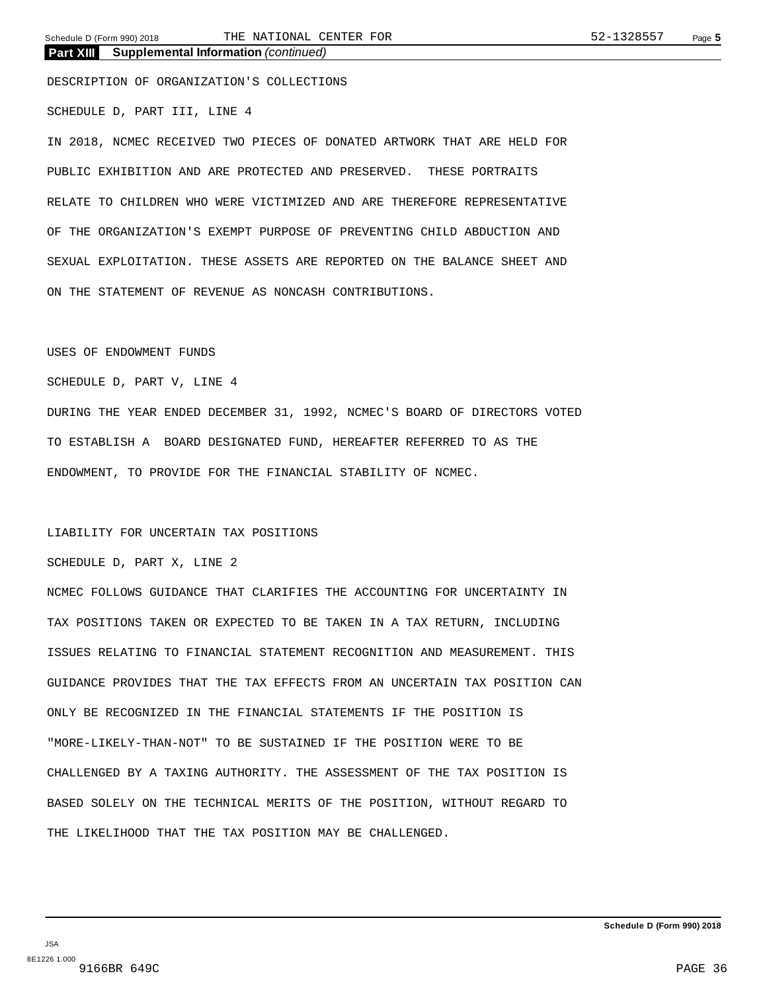#### **Part XIII Supplemental Information** *(continued)*

DESCRIPTION OF ORGANIZATION'S COLLECTIONS SCHEDULE D, PART III, LINE 4

IN 2018, NCMEC RECEIVED TWO PIECES OF DONATED ARTWORK THAT ARE HELD FOR PUBLIC EXHIBITION AND ARE PROTECTED AND PRESERVED. THESE PORTRAITS RELATE TO CHILDREN WHO WERE VICTIMIZED AND ARE THEREFORE REPRESENTATIVE OF THE ORGANIZATION'S EXEMPT PURPOSE OF PREVENTING CHILD ABDUCTION AND SEXUAL EXPLOITATION. THESE ASSETS ARE REPORTED ON THE BALANCE SHEET AND ON THE STATEMENT OF REVENUE AS NONCASH CONTRIBUTIONS.

#### USES OF ENDOWMENT FUNDS

#### SCHEDULE D, PART V, LINE 4

DURING THE YEAR ENDED DECEMBER 31, 1992, NCMEC'S BOARD OF DIRECTORS VOTED TO ESTABLISH A BOARD DESIGNATED FUND, HEREAFTER REFERRED TO AS THE ENDOWMENT, TO PROVIDE FOR THE FINANCIAL STABILITY OF NCMEC.

#### LIABILITY FOR UNCERTAIN TAX POSITIONS

#### SCHEDULE D, PART X, LINE 2

NCMEC FOLLOWS GUIDANCE THAT CLARIFIES THE ACCOUNTING FOR UNCERTAINTY IN TAX POSITIONS TAKEN OR EXPECTED TO BE TAKEN IN A TAX RETURN, INCLUDING ISSUES RELATING TO FINANCIAL STATEMENT RECOGNITION AND MEASUREMENT. THIS GUIDANCE PROVIDES THAT THE TAX EFFECTS FROM AN UNCERTAIN TAX POSITION CAN ONLY BE RECOGNIZED IN THE FINANCIAL STATEMENTS IF THE POSITION IS "MORE-LIKELY-THAN-NOT" TO BE SUSTAINED IF THE POSITION WERE TO BE CHALLENGED BY A TAXING AUTHORITY. THE ASSESSMENT OF THE TAX POSITION IS BASED SOLELY ON THE TECHNICAL MERITS OF THE POSITION, WITHOUT REGARD TO THE LIKELIHOOD THAT THE TAX POSITION MAY BE CHALLENGED.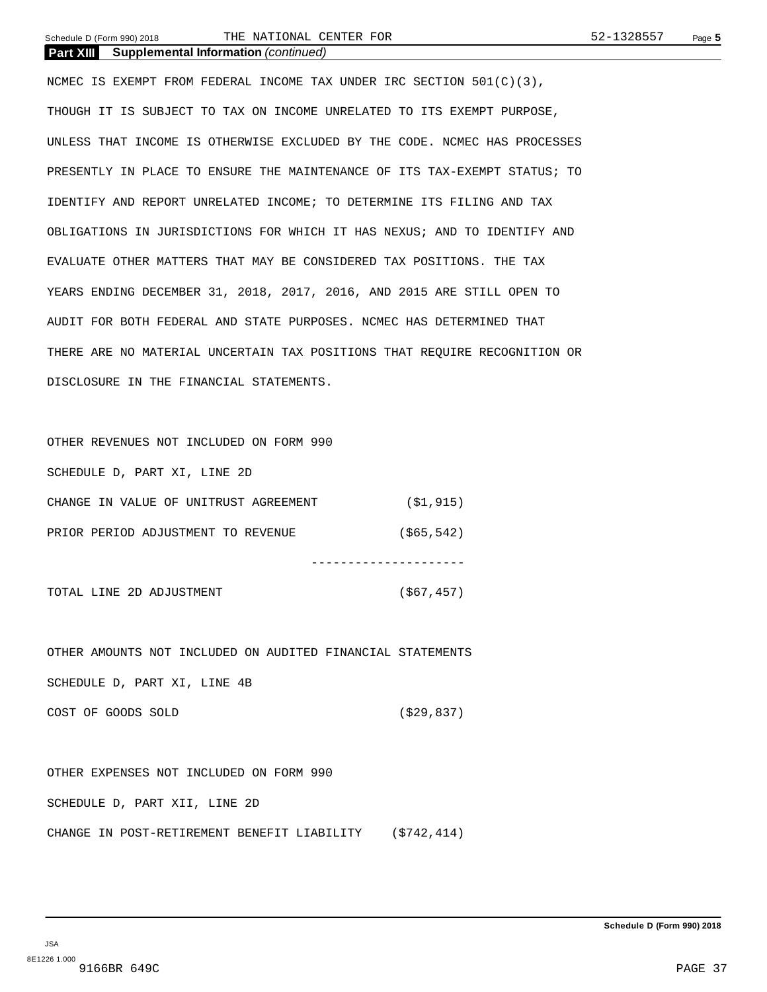Schedule D (Form 990) 2018 Page **5** THE NATIONAL CENTER FOR 52-1328557

**Part XIII Supplemental Information** *(continued)*

NCMEC IS EXEMPT FROM FEDERAL INCOME TAX UNDER IRC SECTION 501(C)(3), THOUGH IT IS SUBJECT TO TAX ON INCOME UNRELATED TO ITS EXEMPT PURPOSE, UNLESS THAT INCOME IS OTHERWISE EXCLUDED BY THE CODE. NCMEC HAS PROCESSES PRESENTLY IN PLACE TO ENSURE THE MAINTENANCE OF ITS TAX-EXEMPT STATUS; TO IDENTIFY AND REPORT UNRELATED INCOME; TO DETERMINE ITS FILING AND TAX OBLIGATIONS IN JURISDICTIONS FOR WHICH IT HAS NEXUS; AND TO IDENTIFY AND EVALUATE OTHER MATTERS THAT MAY BE CONSIDERED TAX POSITIONS. THE TAX YEARS ENDING DECEMBER 31, 2018, 2017, 2016, AND 2015 ARE STILL OPEN TO AUDIT FOR BOTH FEDERAL AND STATE PURPOSES. NCMEC HAS DETERMINED THAT THERE ARE NO MATERIAL UNCERTAIN TAX POSITIONS THAT REQUIRE RECOGNITION OR DISCLOSURE IN THE FINANCIAL STATEMENTS.

OTHER REVENUES NOT INCLUDED ON FORM 990 SCHEDULE D, PART XI, LINE 2D CHANGE IN VALUE OF UNITRUST AGREEMENT (\$1,915) PRIOR PERIOD ADJUSTMENT TO REVENUE (\$65,542) ---------------------

TOTAL LINE 2D ADJUSTMENT (\$67,457)

OTHER AMOUNTS NOT INCLUDED ON AUDITED FINANCIAL STATEMENTS SCHEDULE D, PART XI, LINE 4B COST OF GOODS SOLD (\$29,837)

OTHER EXPENSES NOT INCLUDED ON FORM 990 SCHEDULE D, PART XII, LINE 2D CHANGE IN POST-RETIREMENT BENEFIT LIABILITY (\$742,414)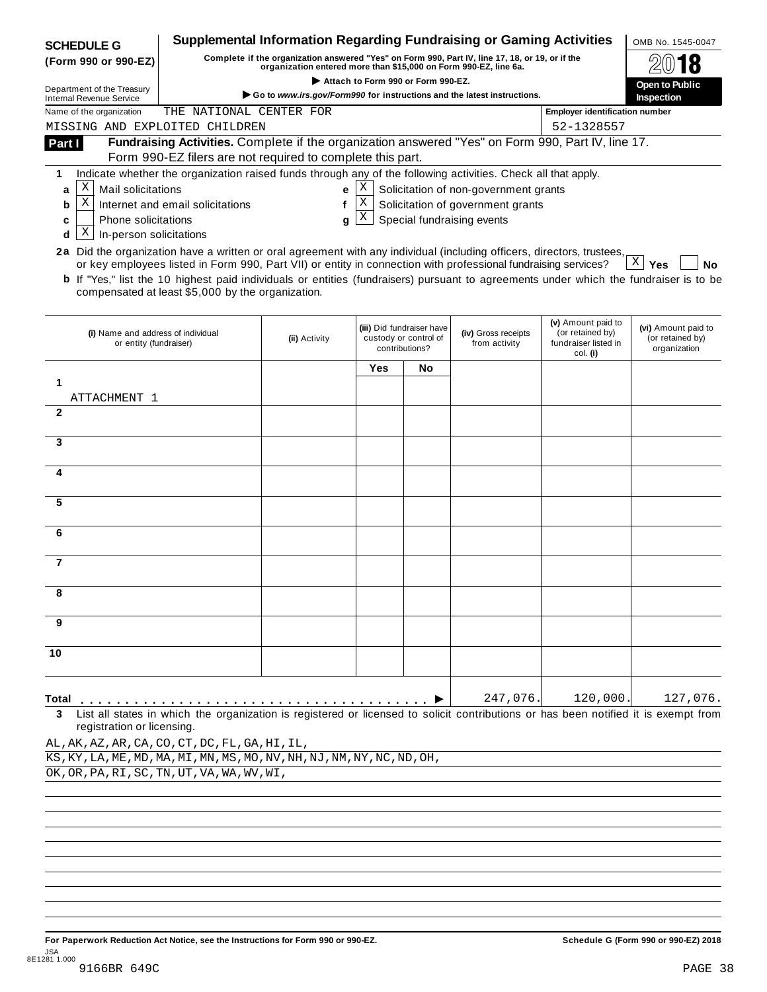| <b>SCHEDULE G</b>                                                                                                      |                                                                                                                                                           | Supplemental Information Regarding Fundraising or Gaming Activities                                                                                                 |        |                                                                      |                                       |                                                                            | OMB No. 1545-0047                                       |  |  |
|------------------------------------------------------------------------------------------------------------------------|-----------------------------------------------------------------------------------------------------------------------------------------------------------|---------------------------------------------------------------------------------------------------------------------------------------------------------------------|--------|----------------------------------------------------------------------|---------------------------------------|----------------------------------------------------------------------------|---------------------------------------------------------|--|--|
| (Form 990 or 990-EZ)                                                                                                   |                                                                                                                                                           | Complete if the organization answered "Yes" on Form 990, Part IV, line 17, 18, or 19, or if the<br>organization entered more than \$15,000 on Form 990-EZ, line 6a. |        |                                                                      |                                       |                                                                            |                                                         |  |  |
| Department of the Treasury                                                                                             |                                                                                                                                                           |                                                                                                                                                                     |        | Attach to Form 990 or Form 990-EZ.                                   |                                       |                                                                            | Open to Public                                          |  |  |
| <b>Internal Revenue Service</b>                                                                                        | Go to www.irs.gov/Form990 for instructions and the latest instructions.<br>Inspection<br>THE NATIONAL CENTER FOR<br><b>Employer identification number</b> |                                                                                                                                                                     |        |                                                                      |                                       |                                                                            |                                                         |  |  |
| Name of the organization<br>MISSING AND EXPLOITED CHILDREN                                                             | 52-1328557                                                                                                                                                |                                                                                                                                                                     |        |                                                                      |                                       |                                                                            |                                                         |  |  |
| Part I                                                                                                                 | Fundraising Activities. Complete if the organization answered "Yes" on Form 990, Part IV, line 17.                                                        |                                                                                                                                                                     |        |                                                                      |                                       |                                                                            |                                                         |  |  |
|                                                                                                                        | Form 990-EZ filers are not required to complete this part.                                                                                                |                                                                                                                                                                     |        |                                                                      |                                       |                                                                            |                                                         |  |  |
| 1                                                                                                                      | Indicate whether the organization raised funds through any of the following activities. Check all that apply.                                             |                                                                                                                                                                     |        |                                                                      |                                       |                                                                            |                                                         |  |  |
| Χ<br>Mail solicitations<br>a                                                                                           |                                                                                                                                                           | е                                                                                                                                                                   | Χ      |                                                                      | Solicitation of non-government grants |                                                                            |                                                         |  |  |
| X<br>b                                                                                                                 | Internet and email solicitations                                                                                                                          | f                                                                                                                                                                   | Χ<br>Χ |                                                                      | Solicitation of government grants     |                                                                            |                                                         |  |  |
| Phone solicitations<br>C<br>Χ<br>In-person solicitations<br>d                                                          |                                                                                                                                                           | g                                                                                                                                                                   |        |                                                                      | Special fundraising events            |                                                                            |                                                         |  |  |
| 2a Did the organization have a written or oral agreement with any individual (including officers, directors, trustees, |                                                                                                                                                           |                                                                                                                                                                     |        |                                                                      |                                       |                                                                            |                                                         |  |  |
|                                                                                                                        | or key employees listed in Form 990, Part VII) or entity in connection with professional fundraising services?                                            |                                                                                                                                                                     |        |                                                                      |                                       |                                                                            | Χ<br>Yes<br>No                                          |  |  |
|                                                                                                                        | <b>b</b> If "Yes," list the 10 highest paid individuals or entities (fundraisers) pursuant to agreements under which the fundraiser is to be              |                                                                                                                                                                     |        |                                                                      |                                       |                                                                            |                                                         |  |  |
|                                                                                                                        | compensated at least \$5,000 by the organization.                                                                                                         |                                                                                                                                                                     |        |                                                                      |                                       |                                                                            |                                                         |  |  |
| (i) Name and address of individual<br>or entity (fundraiser)                                                           |                                                                                                                                                           | (ii) Activity                                                                                                                                                       |        | (iii) Did fundraiser have<br>custody or control of<br>contributions? | (iv) Gross receipts<br>from activity  | (v) Amount paid to<br>(or retained by)<br>fundraiser listed in<br>col. (i) | (vi) Amount paid to<br>(or retained by)<br>organization |  |  |
|                                                                                                                        |                                                                                                                                                           |                                                                                                                                                                     | Yes    | No                                                                   |                                       |                                                                            |                                                         |  |  |
| 1                                                                                                                      |                                                                                                                                                           |                                                                                                                                                                     |        |                                                                      |                                       |                                                                            |                                                         |  |  |
| ATTACHMENT 1                                                                                                           |                                                                                                                                                           |                                                                                                                                                                     |        |                                                                      |                                       |                                                                            |                                                         |  |  |
| $\mathbf{2}$                                                                                                           |                                                                                                                                                           |                                                                                                                                                                     |        |                                                                      |                                       |                                                                            |                                                         |  |  |
| 3                                                                                                                      |                                                                                                                                                           |                                                                                                                                                                     |        |                                                                      |                                       |                                                                            |                                                         |  |  |
|                                                                                                                        |                                                                                                                                                           |                                                                                                                                                                     |        |                                                                      |                                       |                                                                            |                                                         |  |  |
| 4                                                                                                                      |                                                                                                                                                           |                                                                                                                                                                     |        |                                                                      |                                       |                                                                            |                                                         |  |  |
|                                                                                                                        |                                                                                                                                                           |                                                                                                                                                                     |        |                                                                      |                                       |                                                                            |                                                         |  |  |
| 5                                                                                                                      |                                                                                                                                                           |                                                                                                                                                                     |        |                                                                      |                                       |                                                                            |                                                         |  |  |
| 6                                                                                                                      |                                                                                                                                                           |                                                                                                                                                                     |        |                                                                      |                                       |                                                                            |                                                         |  |  |
|                                                                                                                        |                                                                                                                                                           |                                                                                                                                                                     |        |                                                                      |                                       |                                                                            |                                                         |  |  |
| 7                                                                                                                      |                                                                                                                                                           |                                                                                                                                                                     |        |                                                                      |                                       |                                                                            |                                                         |  |  |
|                                                                                                                        |                                                                                                                                                           |                                                                                                                                                                     |        |                                                                      |                                       |                                                                            |                                                         |  |  |
| 8                                                                                                                      |                                                                                                                                                           |                                                                                                                                                                     |        |                                                                      |                                       |                                                                            |                                                         |  |  |
| 9                                                                                                                      |                                                                                                                                                           |                                                                                                                                                                     |        |                                                                      |                                       |                                                                            |                                                         |  |  |
|                                                                                                                        |                                                                                                                                                           |                                                                                                                                                                     |        |                                                                      |                                       |                                                                            |                                                         |  |  |
| 10                                                                                                                     |                                                                                                                                                           |                                                                                                                                                                     |        |                                                                      |                                       |                                                                            |                                                         |  |  |
|                                                                                                                        |                                                                                                                                                           |                                                                                                                                                                     |        |                                                                      |                                       |                                                                            |                                                         |  |  |
| Total                                                                                                                  |                                                                                                                                                           |                                                                                                                                                                     |        |                                                                      | 247,076.                              | 120,000.                                                                   | 127,076.                                                |  |  |
| 3<br>registration or licensing.                                                                                        | List all states in which the organization is registered or licensed to solicit contributions or has been notified it is exempt from                       |                                                                                                                                                                     |        |                                                                      |                                       |                                                                            |                                                         |  |  |
| AL, AK, AZ, AR, CA, CO, CT, DC, FL, GA, HI, IL,                                                                        |                                                                                                                                                           |                                                                                                                                                                     |        |                                                                      |                                       |                                                                            |                                                         |  |  |
| KS, KY, LA, ME, MD, MA, MI, MN, MS, MO, NV, NH, NJ, NM, NY, NC, ND, OH,                                                |                                                                                                                                                           |                                                                                                                                                                     |        |                                                                      |                                       |                                                                            |                                                         |  |  |
| OK, OR, PA, RI, SC, TN, UT, VA, WA, WV, WI,                                                                            |                                                                                                                                                           |                                                                                                                                                                     |        |                                                                      |                                       |                                                                            |                                                         |  |  |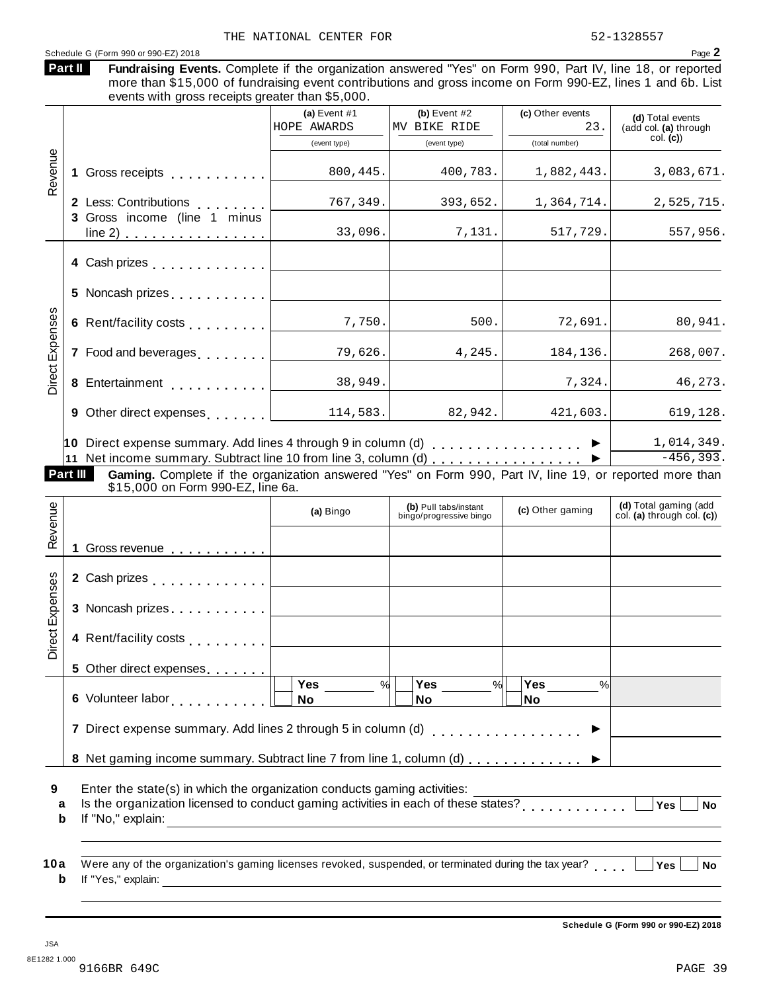Schedule <sup>G</sup> (Form <sup>990</sup> or 990-EZ) <sup>2018</sup> Page **2 Fundraising Events.** Complete if the organization answered "Yes" on Form 990, Part IV, line 18, or reported more than \$15,000 of fundraising event contributions and gross income on Form 990-EZ, lines 1 and 6b. List events with gross receipts greater than \$5,000. **Part II (a)** Event #1 **(b)** Event #2 **(c)** Other events **(d)** Total events (add col. **(a)** through col. **(c)**) (event type) (event type) (total number) **1** Gross receipts <sub>.....</sub>...... **2** Less: Contributions **3** Gross income (line 1 minus line 2) . . . . . . . . . . . . . . . . Less: Contributions<br>Gross income (line 1 minus -Revenue<br>1<br>1 **4** Cash prizes . . . . . . . . . . . . **5** Noncash prizes  $\ldots \ldots \ldots$ **6** Rent/facility costs m m m m m m m m m enses **7** Food and beverages **manual 8**<br> **8** Entertainment<br> **8** Entertainment **9** Other direct expenses **manual 10** Direct expense summary. Add lines 4 through 9 in column (d) m m m m m m m m m m m m m m m m m I **11** Net income summary. Subtract line 10 from line 3, column (d) m m m m m m m m m m m m m m m m m I xp**Part III Gaming.** Complete if the organization answered "Yes" on Form 990, Part IV, line 19, or reported more than<br>\$15,000 on Form 990-EZ, line 6a. **(d)** Total gaming (add col. **(a)** through col. **(c)**) **(b)** Pull tabs/instant (a) Bingo **(b)** Pull tabs/instant **(c)** Other gaming **(c)** Other gaming  $\mathbb{E}\left[1\right]$  Gross revenue  $\ldots \ldots \ldots \ldots$ **2** Cash prizes **manual** measure in the manual  $\sim$ **3** Noncash prizes . . . . . . . . . . . œ venue **4** Rent/facility costs<br>
5 Other direct expenses....... **5** Other direct expenses **6** Volunteer labor **man m m m m m m m m m m m m m m m m m 7** Direct expense summary. Add lines 2 through 5 in column (d)  $\ldots$  . . . . . . . . . . . . . . .  $\blacktriangleright$ 8 Net gaming income summary. Subtract line 7 from line 1, column (d)  $\ldots \ldots \ldots$ xpenses<br>3<br>x<br>3 **Yes No Yes No Yes No** % $\vert \quad \vert$  Yes \_\_\_\_\_\_ % $\vert \quad \vert$  Yes \_\_\_\_\_\_ % $\vert$ **9 10** Enter the state(s) in which the organization conducts gaming activities: **a** Is the organization licensed to conduct gaming activities in each of these states?<br>**a** Is the organization licensed to conduct gaming activities in each of these states?<br>**h** if the thermal increased to conduct gaming a **b** If "No," explain: a Were any of the organization's gaming licenses revoked, suspended, or terminated during the tax year?<br>http://www.wali.in.com/industrial/industrial/industrial/industrial/industrial/industrial/industrial/industrial/ **b** If "Yes," explain: THE NATIONAL CENTER FOR 52-1328557 HOPE AWARDS MV BIKE RIDE | 23. 800,445. 400,783. 1,882,443. 3,083,671. 767,349. 393,652. 1,364,714. 2,525,715.  $33,096.$  7,131. 517,729. 557,956. 7,750. 500. 72,691. 80,941. 79,626. 4,245. 184,136. 268,007. 38,949. 7,324. 46,273.  $114,583.$  82,942. 421,603. 619,128. 1,014,349.  $-456,393.$ 

**Schedule G (Form 990 or 990-EZ) 2018**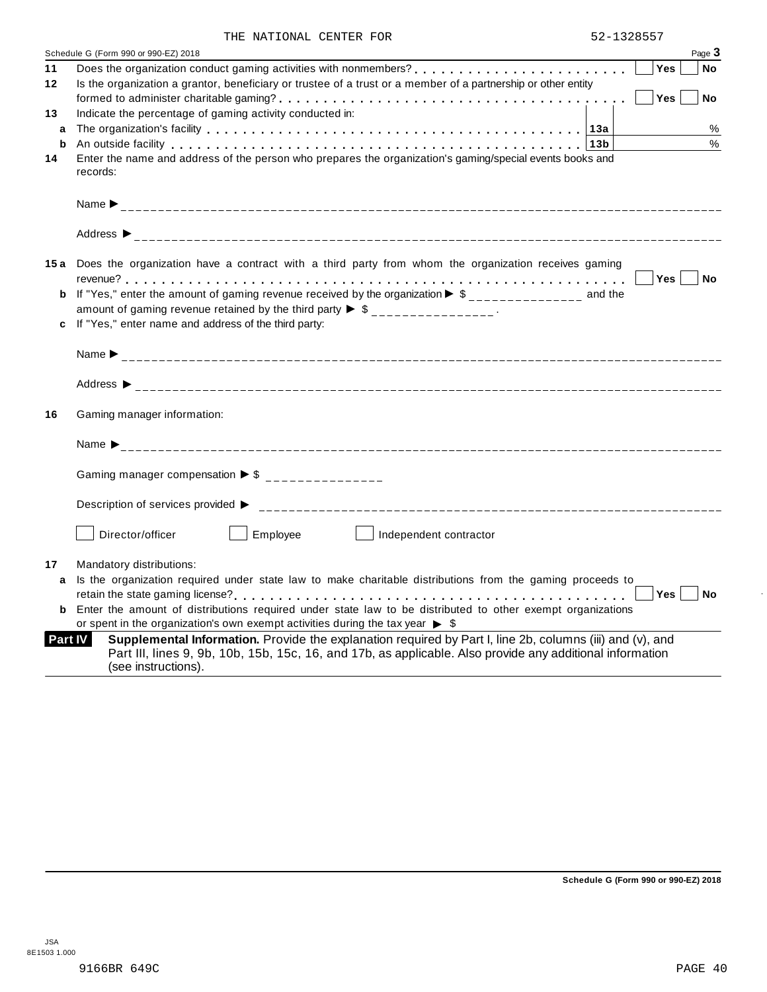| THE NATIONAL CENTER FOR |  | 52-1328557 |
|-------------------------|--|------------|

|         | Page 3<br>Schedule G (Form 990 or 990-EZ) 2018                                                                                                                                                                      |
|---------|---------------------------------------------------------------------------------------------------------------------------------------------------------------------------------------------------------------------|
| 11      | Does the organization conduct gaming activities with nonmembers?<br>Yes<br><b>No</b>                                                                                                                                |
| 12      | Is the organization a grantor, beneficiary or trustee of a trust or a member of a partnership or other entity                                                                                                       |
|         | Yes<br>No                                                                                                                                                                                                           |
| 13      | Indicate the percentage of gaming activity conducted in:                                                                                                                                                            |
| a       | ℅                                                                                                                                                                                                                   |
| b       | $\%$<br>An outside facility enterpretation of the control of the control of the control of the control of the control o                                                                                             |
| 14      | Enter the name and address of the person who prepares the organization's gaming/special events books and                                                                                                            |
|         | records:                                                                                                                                                                                                            |
|         |                                                                                                                                                                                                                     |
|         |                                                                                                                                                                                                                     |
|         |                                                                                                                                                                                                                     |
|         |                                                                                                                                                                                                                     |
|         |                                                                                                                                                                                                                     |
|         | 15a Does the organization have a contract with a third party from whom the organization receives gaming                                                                                                             |
|         | Yes <br>No                                                                                                                                                                                                          |
| b       | If "Yes," enter the amount of gaming revenue received by the organization $\triangleright$ \$                                                                                                                       |
|         | amount of gaming revenue retained by the third party $\triangleright$ \$ _______________.                                                                                                                           |
| c       | If "Yes," enter name and address of the third party:                                                                                                                                                                |
|         |                                                                                                                                                                                                                     |
|         |                                                                                                                                                                                                                     |
|         |                                                                                                                                                                                                                     |
|         |                                                                                                                                                                                                                     |
| 16      | Gaming manager information:                                                                                                                                                                                         |
|         |                                                                                                                                                                                                                     |
|         | Name $\sum_{-1}^{1}$                                                                                                                                                                                                |
|         |                                                                                                                                                                                                                     |
|         | Gaming manager compensation $\triangleright$ \$ ________________                                                                                                                                                    |
|         |                                                                                                                                                                                                                     |
|         | Description of services provided ▶                                                                                                                                                                                  |
|         |                                                                                                                                                                                                                     |
|         | Employee<br>Director/officer<br>Independent contractor                                                                                                                                                              |
| 17      |                                                                                                                                                                                                                     |
|         | Mandatory distributions:<br>Is the organization required under state law to make charitable distributions from the gaming proceeds to                                                                               |
| a       | Yes<br><b>No</b>                                                                                                                                                                                                    |
|         |                                                                                                                                                                                                                     |
|         | <b>b</b> Enter the amount of distributions required under state law to be distributed to other exempt organizations<br>or spent in the organization's own exempt activities during the tax year $\triangleright$ \$ |
| Part IV | Supplemental Information. Provide the explanation required by Part I, line 2b, columns (iii) and (v), and                                                                                                           |
|         | Part III, lines 9, 9b, 10b, 15b, 15c, 16, and 17b, as applicable. Also provide any additional information                                                                                                           |
|         | (see instructions).                                                                                                                                                                                                 |
|         |                                                                                                                                                                                                                     |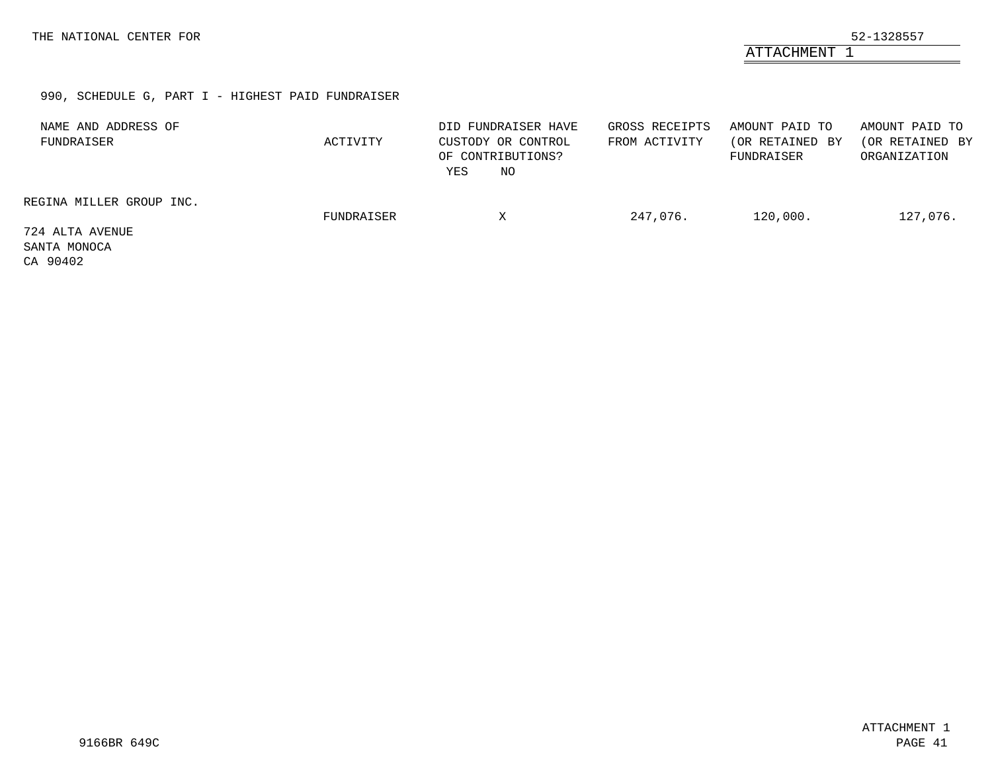ATTACHMENT 1

## 990, SCHEDULE G, PART I - HIGHEST PAID FUNDRAISER

<span id="page-44-0"></span>

| NAME AND ADDRESS OF                         |            | DID FUNDRAISER HAVE                                  | GROSS RECEIPTS | AMOUNT PAID TO                | AMOUNT PAID TO                  |
|---------------------------------------------|------------|------------------------------------------------------|----------------|-------------------------------|---------------------------------|
| FUNDRAISER                                  | ACTIVITY   | CUSTODY OR CONTROL<br>OF CONTRIBUTIONS?<br>YES<br>ΝO | FROM ACTIVITY  | (OR RETAINED BY<br>FUNDRAISER | (OR RETAINED BY<br>ORGANIZATION |
| REGINA MILLER GROUP INC.                    | FUNDRAISER | Χ                                                    | 247,076.       | 120,000.                      | 127,076.                        |
| 724 ALTA AVENUE<br>SANTA MONOCA<br>CA 90402 |            |                                                      |                |                               |                                 |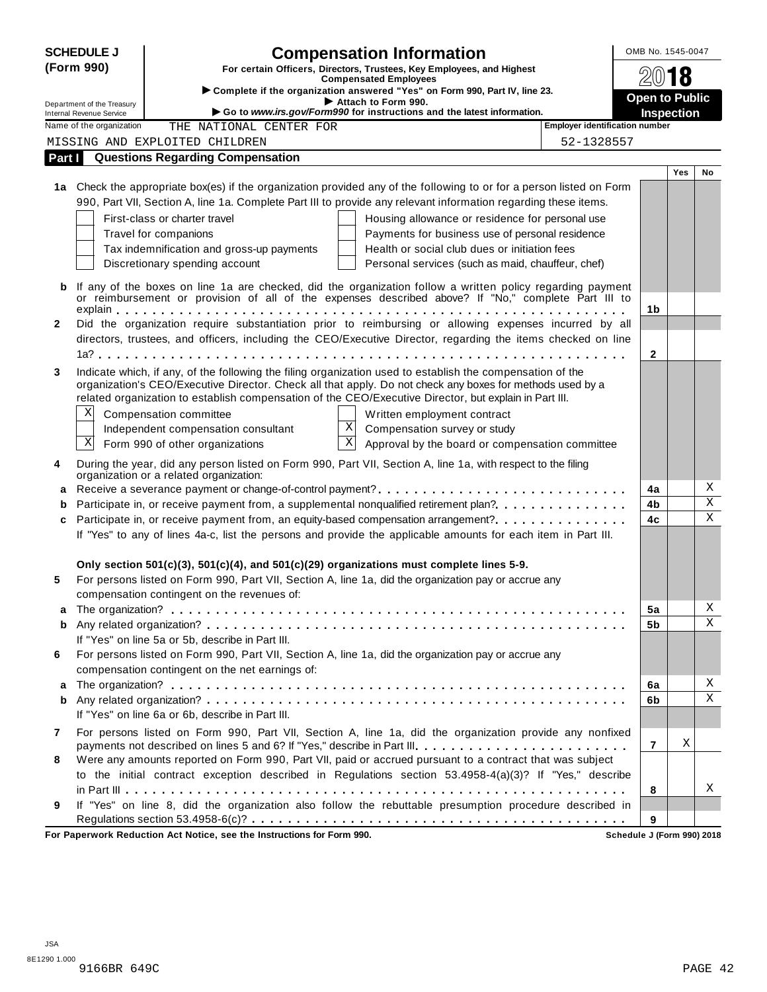|              | <b>SCHEDULE J</b>                                    | <b>Compensation Information</b>                                                                                                                                                                                    | OMB No. 1545-0047     |                   |                         |
|--------------|------------------------------------------------------|--------------------------------------------------------------------------------------------------------------------------------------------------------------------------------------------------------------------|-----------------------|-------------------|-------------------------|
| (Form 990)   |                                                      | For certain Officers, Directors, Trustees, Key Employees, and Highest                                                                                                                                              | 8                     |                   |                         |
|              |                                                      | <b>Compensated Employees</b><br>> Complete if the organization answered "Yes" on Form 990, Part IV, line 23.                                                                                                       |                       |                   |                         |
|              | Department of the Treasury                           | Attach to Form 990.                                                                                                                                                                                                | <b>Open to Public</b> |                   |                         |
|              | Internal Revenue Service<br>Name of the organization | Go to www.irs.gov/Form990 for instructions and the latest information.<br>Employer identification number<br>THE NATIONAL CENTER FOR                                                                                |                       | <b>Inspection</b> |                         |
|              |                                                      | 52-1328557<br>MISSING AND EXPLOITED CHILDREN                                                                                                                                                                       |                       |                   |                         |
| Part I       |                                                      | <b>Questions Regarding Compensation</b>                                                                                                                                                                            |                       |                   |                         |
|              |                                                      |                                                                                                                                                                                                                    |                       | <b>Yes</b>        | No                      |
|              |                                                      | 1a Check the appropriate box(es) if the organization provided any of the following to or for a person listed on Form                                                                                               |                       |                   |                         |
|              |                                                      | 990, Part VII, Section A, line 1a. Complete Part III to provide any relevant information regarding these items.                                                                                                    |                       |                   |                         |
|              |                                                      | First-class or charter travel<br>Housing allowance or residence for personal use                                                                                                                                   |                       |                   |                         |
|              |                                                      | Travel for companions<br>Payments for business use of personal residence                                                                                                                                           |                       |                   |                         |
|              |                                                      | Tax indemnification and gross-up payments<br>Health or social club dues or initiation fees                                                                                                                         |                       |                   |                         |
|              |                                                      | Discretionary spending account<br>Personal services (such as maid, chauffeur, chef)                                                                                                                                |                       |                   |                         |
|              |                                                      |                                                                                                                                                                                                                    |                       |                   |                         |
|              |                                                      | If any of the boxes on line 1a are checked, did the organization follow a written policy regarding payment<br>or reimbursement or provision of all of the expenses described above? If "No," complete Part III to  |                       |                   |                         |
|              |                                                      |                                                                                                                                                                                                                    | 1b                    |                   |                         |
| $\mathbf{2}$ |                                                      | Did the organization require substantiation prior to reimbursing or allowing expenses incurred by all                                                                                                              |                       |                   |                         |
|              |                                                      | directors, trustees, and officers, including the CEO/Executive Director, regarding the items checked on line                                                                                                       |                       |                   |                         |
|              |                                                      |                                                                                                                                                                                                                    | $\mathbf{2}$          |                   |                         |
| 3            |                                                      | Indicate which, if any, of the following the filing organization used to establish the compensation of the                                                                                                         |                       |                   |                         |
|              |                                                      | organization's CEO/Executive Director. Check all that apply. Do not check any boxes for methods used by a                                                                                                          |                       |                   |                         |
|              |                                                      | related organization to establish compensation of the CEO/Executive Director, but explain in Part III.                                                                                                             |                       |                   |                         |
|              | Χ                                                    | Compensation committee<br>Written employment contract                                                                                                                                                              |                       |                   |                         |
|              |                                                      | $\mathbf{x}$<br>Compensation survey or study<br>Independent compensation consultant<br>$\overline{\mathbf{x}}$                                                                                                     |                       |                   |                         |
|              | Χ                                                    | Form 990 of other organizations<br>Approval by the board or compensation committee                                                                                                                                 |                       |                   |                         |
| 4            |                                                      | During the year, did any person listed on Form 990, Part VII, Section A, line 1a, with respect to the filing                                                                                                       |                       |                   |                         |
| a            |                                                      | organization or a related organization:                                                                                                                                                                            | 4a                    |                   | Χ                       |
| b            |                                                      | Participate in, or receive payment from, a supplemental nonqualified retirement plan?                                                                                                                              | 4b                    |                   | $\overline{\mathbf{x}}$ |
| c            |                                                      | Participate in, or receive payment from, an equity-based compensation arrangement?                                                                                                                                 | 4c                    |                   | $\mathbf X$             |
|              |                                                      | If "Yes" to any of lines 4a-c, list the persons and provide the applicable amounts for each item in Part III.                                                                                                      |                       |                   |                         |
|              |                                                      |                                                                                                                                                                                                                    |                       |                   |                         |
|              |                                                      | Only section $501(c)(3)$ , $501(c)(4)$ , and $501(c)(29)$ organizations must complete lines 5-9.                                                                                                                   |                       |                   |                         |
| 5            |                                                      | For persons listed on Form 990, Part VII, Section A, line 1a, did the organization pay or accrue any                                                                                                               |                       |                   |                         |
|              |                                                      | compensation contingent on the revenues of:                                                                                                                                                                        |                       |                   |                         |
| a            |                                                      |                                                                                                                                                                                                                    | 5a                    |                   | Χ                       |
| b            |                                                      |                                                                                                                                                                                                                    | 5b                    |                   | X                       |
|              |                                                      | If "Yes" on line 5a or 5b, describe in Part III.                                                                                                                                                                   |                       |                   |                         |
| 6            |                                                      | For persons listed on Form 990, Part VII, Section A, line 1a, did the organization pay or accrue any                                                                                                               |                       |                   |                         |
|              |                                                      | compensation contingent on the net earnings of:                                                                                                                                                                    |                       |                   |                         |
| а            |                                                      |                                                                                                                                                                                                                    | 6a                    |                   | Χ                       |
| b            |                                                      |                                                                                                                                                                                                                    | 6b                    |                   | X                       |
|              |                                                      | If "Yes" on line 6a or 6b, describe in Part III.                                                                                                                                                                   |                       |                   |                         |
| 7            |                                                      | For persons listed on Form 990, Part VII, Section A, line 1a, did the organization provide any nonfixed                                                                                                            |                       | Χ                 |                         |
|              |                                                      | payments not described on lines 5 and 6? If "Yes," describe in Part III.                                                                                                                                           | 7                     |                   |                         |
| 8            |                                                      | Were any amounts reported on Form 990, Part VII, paid or accrued pursuant to a contract that was subject<br>to the initial contract exception described in Regulations section 53.4958-4(a)(3)? If "Yes," describe |                       |                   |                         |
|              |                                                      |                                                                                                                                                                                                                    | 8                     |                   | Χ                       |
| 9            |                                                      | If "Yes" on line 8, did the organization also follow the rebuttable presumption procedure described in                                                                                                             |                       |                   |                         |
|              |                                                      |                                                                                                                                                                                                                    | 9                     |                   |                         |
|              |                                                      |                                                                                                                                                                                                                    |                       |                   |                         |

**For Paperwork Reduction Act Notice, see the Instructions for Form 990. Schedule J (Form 990) 2018**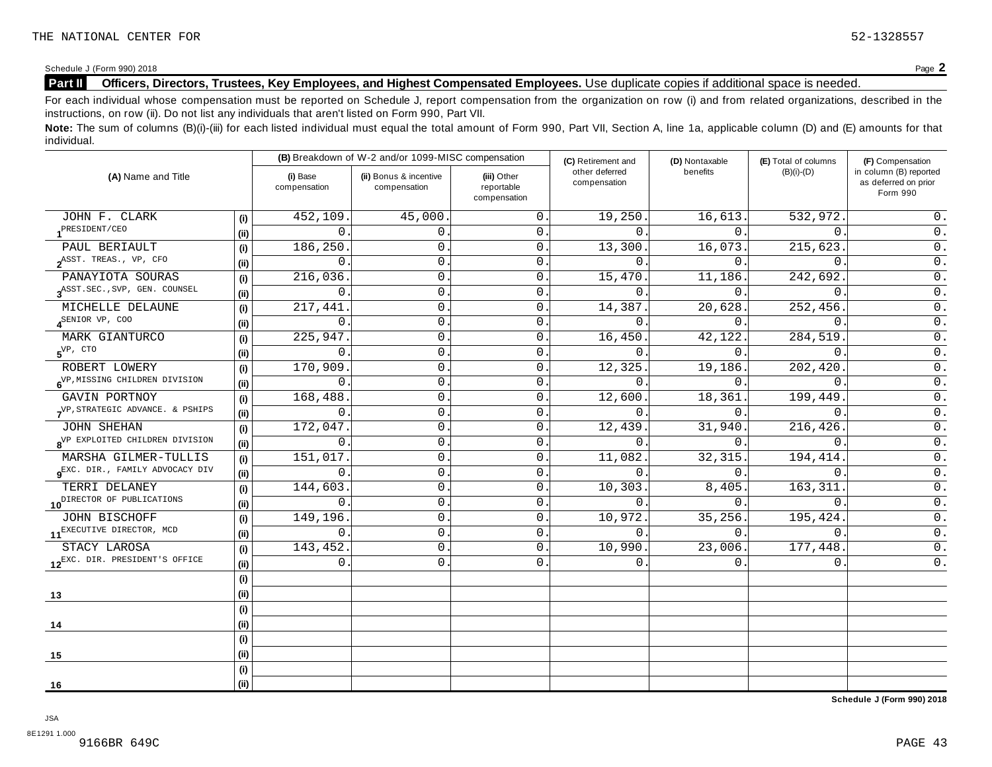### Schedule J (Form 990) 2018<br>**Part II** Officers, Directors, Trustees, Key Employees, and Highest Compensated Employees. Use duplicate copies if additional space is needed. **Part II Officers, Directors, Trustees, Key Employees, and Highest Compensated Employees.** Use duplicate copies ifadditional space is needed.

For each individual whose compensation must be reported on Schedule J, report compensation from the organization on row (i) and from related organizations, described in the instructions, on row (ii). Do not list any individuals that aren't listed on Form 990, Part VII.

**Note:** The sum of columns (B)(i)-(iii) for each listed individual must equal the total amount of Form 990, Part VII, Section A, line 1a, applicable column (D) and (E) amounts for that individual.

| (A) Name and Title                          |      |                          | (B) Breakdown of W-2 and/or 1099-MISC compensation |                                           | (C) Retirement and             | (D) Nontaxable   | (E) Total of columns | (F) Compensation                                           |
|---------------------------------------------|------|--------------------------|----------------------------------------------------|-------------------------------------------|--------------------------------|------------------|----------------------|------------------------------------------------------------|
|                                             |      | (i) Base<br>compensation | (ii) Bonus & incentive<br>compensation             | (iii) Other<br>reportable<br>compensation | other deferred<br>compensation | benefits         | $(B)(i)-(D)$         | in column (B) reported<br>as deferred on prior<br>Form 990 |
| JOHN F. CLARK                               | (i)  | 452,109.                 | 45,000.                                            | $\mathbf{0}$                              | 19,250.                        | 16,613.          | 532,972.             | $0$ .                                                      |
| PRESIDENT/CEO                               | (ii) | $\Omega$                 | 0.                                                 | $\overline{0}$ .                          | $\Omega$ .                     | 0.               | 0.                   | $0$ .                                                      |
| PAUL BERIAULT                               | (i)  | 186,250                  | 0.                                                 | $\mathsf{0}$ .                            | 13,300                         | 16,073.          | 215,623.             | $\overline{0}$ .                                           |
| ASST. TREAS., VP, CFO                       | (ii) | $\Omega$                 | 0.                                                 | $\mathbf{0}$                              | $\Omega$                       | 0.               | $\Omega$ .           | $\overline{0}$ .                                           |
| PANAYIOTA SOURAS                            | (i)  | 216,036                  | 0.                                                 | $\mathbf{0}$                              | 15,470                         | 11,186.          | 242,692              | $\mathsf 0$ .                                              |
| RASST. SEC., SVP, GEN. COUNSEL              | (ii) | $\overline{0}$           | 0.                                                 | $\mathbf 0$                               | 0.                             | 0.               | $\mathbf{0}$ .       | $\mathsf 0$ .                                              |
| MICHELLE DELAUNE                            | (i)  | 217,441                  | $\mathbf{0}$ .                                     | $\mathbf{0}$                              | 14,387.                        | 20,628.          | 252,456.             | $\overline{0}$ .                                           |
| SENIOR VP, COO                              | (ii) | 0                        | 0.                                                 | $\mathbf{0}$                              | $0$ .                          | 0.               | $\mathbf 0$ .        | $0$ .                                                      |
| MARK GIANTURCO                              | (i)  | 225,947                  | 0.                                                 | $\mathbf 0$                               | 16,450.                        | 42,122.          | 284,519              | $\mathsf 0$ .                                              |
| $5^{\text{VP}}$ , CTO                       | (ii) | 0                        | $\mathsf{O}\,$ .                                   | 0                                         | $\mathbf 0$ .                  | 0.               | $\mathbf{0}$ .       | $\overline{0}$ .                                           |
| ROBERT LOWERY                               | (i)  | 170,909                  | 0.                                                 | $\mathbf 0$                               | 12,325                         | 19,186.          | 202,420              | $\overline{0}$ .                                           |
| 6 <sup>VP, MISSING</sup> CHILDREN DIVISION  | (ii) | 0                        | 0.                                                 | $\mathbf 0$                               | $\Omega$ .                     | 0.               | $\mathbf{0}$ .       | $\overline{0}$ .                                           |
| GAVIN PORTNOY                               | (i)  | 168,488.                 | $\mathsf{O}$ .                                     | 0                                         | 12,600.                        | 18,361.          | 199,449.             | $\overline{0}$ .                                           |
| VP, STRATEGIC ADVANCE. & PSHIPS             | (ii) | $\Omega$                 | $\mathbf{0}$ .                                     | $\mathbf{0}$ .                            | $\Omega$ .                     | $0$ .            | $\mathbf 0$ .        | $0$ .                                                      |
| <b>JOHN SHEHAN</b>                          | (i)  | 172,047.                 | 0.                                                 | $\mathsf{0}$ .                            | 12,439.                        | 31,940.          | 216,426.             | $\overline{0}$ .                                           |
| 8 <sup>VP</sup> EXPLOITED CHILDREN DIVISION | (ii) | 0                        | $\boldsymbol{0}$ .                                 | $\mathsf{O}$                              | $\Omega$                       | 0.               | $\Omega$ .           | $\overline{0}$ .                                           |
| MARSHA GILMER-TULLIS                        | (i)  | 151,017                  | 0.                                                 | $\mathbf{0}$ .                            | 11,082.                        | 32, 315.         | 194, 414.            | $\overline{0}$ .                                           |
| Q <sup>EXC.</sup> DIR., FAMILY ADVOCACY DIV | (ii) | 0                        | 0.                                                 | $\mathbf{0}$                              | $\Omega$ .                     | $\overline{0}$ . | $\Omega$ .           | $\mathsf 0$ .                                              |
| TERRI DELANEY                               | (i)  | 144,603                  | 0.                                                 | $\mathbf 0$                               | 10,303.                        | 8,405.           | 163,311              | $\mathsf 0$ .                                              |
| 10 <sup>DIRECTOR</sup> OF PUBLICATIONS      | (ii) | 0                        | $\mathbf 0$ .                                      | $\mathbf{0}$ .                            | $\overline{0}$ .               | 0.               | $\overline{0}$ .     | $0$ .                                                      |
| JOHN BISCHOFF                               | (i)  | 149,196                  | $\mathsf{0}$ .                                     | $\mathbf{0}$                              | 10,972.                        | 35,256.          | 195,424.             | $0$ .                                                      |
| 11 <sup>EXECUTIVE DIRECTOR, MCD</sup>       | (ii) | 0                        | 0.                                                 | $\mathbf 0$                               | $0$ .                          | 0.               | $\overline{0}$ .     | $0$ .                                                      |
| STACY LAROSA                                | (i)  | 143,452                  | 0.                                                 | $\mathsf{0}$ .                            | 10,990.                        | 23,006.          | 177,448.             | $\overline{0}$ .                                           |
| 12EXC. DIR. PRESIDENT'S OFFICE              | (ii) | 0                        | 0.                                                 | $\mathbf{0}$                              | $\mathbf 0$ .                  | 0.               | $\overline{0}$ .     | $\overline{0}$ .                                           |
|                                             | (i)  |                          |                                                    |                                           |                                |                  |                      |                                                            |
| 13                                          | (ii) |                          |                                                    |                                           |                                |                  |                      |                                                            |
|                                             | (i)  |                          |                                                    |                                           |                                |                  |                      |                                                            |
| 14                                          | (ii) |                          |                                                    |                                           |                                |                  |                      |                                                            |
|                                             | (i)  |                          |                                                    |                                           |                                |                  |                      |                                                            |
| 15                                          | (ii) |                          |                                                    |                                           |                                |                  |                      |                                                            |
|                                             | (i)  |                          |                                                    |                                           |                                |                  |                      |                                                            |
| 16                                          | (ii) |                          |                                                    |                                           |                                |                  |                      |                                                            |

JSA

8E1291 1.000<br>9166BR 649C

**Schedule J (Form 990) 2018**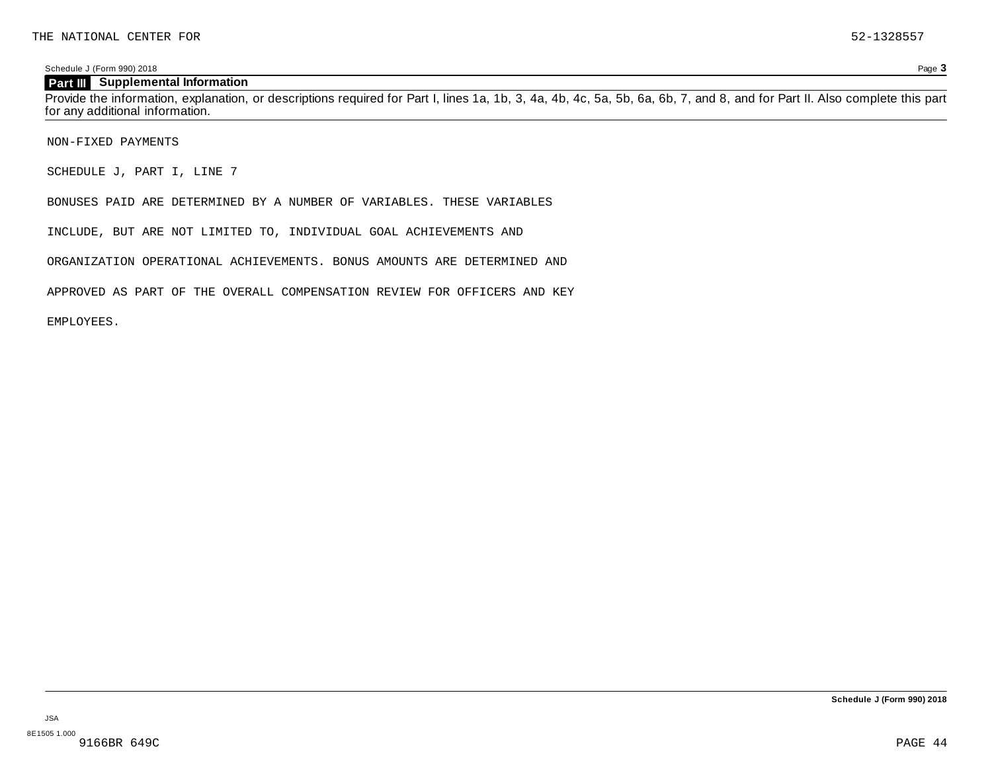Schedule J (Form 990) 2018 Page **3**

### **Part III Supplemental Information**

Provide the information, explanation, or descriptions required for Part I, lines 1a, 1b, 3, 4a, 4b, 4c, 5a, 5b, 6a, 6b, 7, and 8, and for Part II. Also complete this part for any additional information.

NON-FIXED PAYMENTS

SCHEDULE J, PART I, LINE 7

BONUSES PAID ARE DETERMINED BY A NUMBER OF VARIABLES. THESE VARIABLES

INCLUDE, BUT ARE NOT LIMITED TO, INDIVIDUAL GOAL ACHIEVEMENTS AND

ORGANIZATION OPERATIONAL ACHIEVEMENTS. BONUS AMOUNTS ARE DETERMINED AND

APPROVED AS PART OF THE OVERALL COMPENSATION REVIEW FOR OFFICERS AND KEY

EMPLOYEES.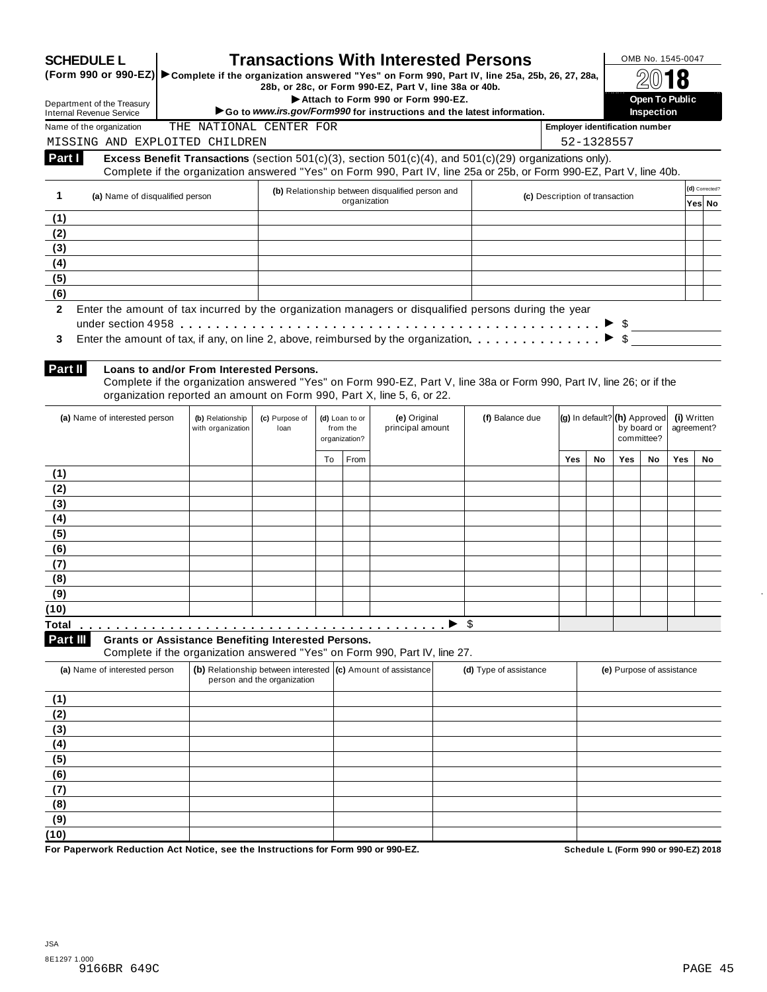| Department of the Treasury<br>Internal Revenue Service                                                      |                                                            |                                                              |                             | <b>Transactions With Interested Persons</b><br>(Form 990 or 990-EZ) > Complete if the organization answered "Yes" on Form 990, Part IV, line 25a, 25b, 26, 27, 28a,<br>28b, or 28c, or Form 990-EZ, Part V, line 38a or 40b.<br>Attach to Form 990 or Form 990-EZ.<br>Go to www.irs.gov/Form990 for instructions and the latest information. |                        |                                               |            |                           | <b>Open To Public</b><br><b>Inspection</b> | OMB No. 1545-0047 |                           |
|-------------------------------------------------------------------------------------------------------------|------------------------------------------------------------|--------------------------------------------------------------|-----------------------------|----------------------------------------------------------------------------------------------------------------------------------------------------------------------------------------------------------------------------------------------------------------------------------------------------------------------------------------------|------------------------|-----------------------------------------------|------------|---------------------------|--------------------------------------------|-------------------|---------------------------|
| Name of the organization                                                                                    |                                                            | THE NATIONAL CENTER FOR                                      |                             |                                                                                                                                                                                                                                                                                                                                              |                        | <b>Employer identification number</b>         |            |                           |                                            |                   |                           |
| MISSING AND EXPLOITED CHILDREN                                                                              |                                                            |                                                              |                             |                                                                                                                                                                                                                                                                                                                                              |                        |                                               | 52-1328557 |                           |                                            |                   |                           |
| Part I                                                                                                      |                                                            |                                                              |                             | Excess Benefit Transactions (section 501(c)(3), section 501(c)(4), and 501(c)(29) organizations only).<br>Complete if the organization answered "Yes" on Form 990, Part IV, line 25a or 25b, or Form 990-EZ, Part V, line 40b.                                                                                                               |                        |                                               |            |                           |                                            |                   |                           |
| 1<br>(a) Name of disqualified person                                                                        |                                                            |                                                              | organization                | (b) Relationship between disqualified person and                                                                                                                                                                                                                                                                                             |                        | (c) Description of transaction                |            |                           |                                            |                   | (d) Corrected?<br>Yes∣ No |
| (1)                                                                                                         |                                                            |                                                              |                             |                                                                                                                                                                                                                                                                                                                                              |                        |                                               |            |                           |                                            |                   |                           |
| (2)                                                                                                         |                                                            |                                                              |                             |                                                                                                                                                                                                                                                                                                                                              |                        |                                               |            |                           |                                            |                   |                           |
| (3)                                                                                                         |                                                            |                                                              |                             |                                                                                                                                                                                                                                                                                                                                              |                        |                                               |            |                           |                                            |                   |                           |
| (4)                                                                                                         |                                                            |                                                              |                             |                                                                                                                                                                                                                                                                                                                                              |                        |                                               |            |                           |                                            |                   |                           |
| (5)                                                                                                         |                                                            |                                                              |                             |                                                                                                                                                                                                                                                                                                                                              |                        |                                               |            |                           |                                            |                   |                           |
| (6)<br>$\mathbf{2}$                                                                                         |                                                            |                                                              |                             | Enter the amount of tax incurred by the organization managers or disqualified persons during the year                                                                                                                                                                                                                                        |                        |                                               |            |                           |                                            |                   |                           |
| 3<br>Part II                                                                                                | Loans to and/or From Interested Persons.                   |                                                              |                             | Enter the amount of tax, if any, on line 2, above, reimbursed by the organization.<br>Complete if the organization answered "Yes" on Form 990-EZ, Part V, line 38a or Form 990, Part IV, line 26; or if the<br>organization reported an amount on Form 990, Part X, line 5, 6, or 22.                                                        |                        |                                               |            |                           |                                            |                   |                           |
| (a) Name of interested person                                                                               | (b) Relationship<br>with organization                      | (c) Purpose of<br>loan                                       | (d) Loan to or<br>from the  | (e) Original<br>principal amount                                                                                                                                                                                                                                                                                                             | (f) Balance due        | (g) In default? $(h)$ Approved<br>by board or |            | (i) Written<br>agreement? |                                            |                   |                           |
|                                                                                                             |                                                            |                                                              | organization?<br>To<br>From |                                                                                                                                                                                                                                                                                                                                              |                        | <b>Yes</b>                                    | No.        | Yes                       | committee?<br>No.                          | <b>Yes</b>        | No.                       |
| (1)                                                                                                         |                                                            |                                                              |                             |                                                                                                                                                                                                                                                                                                                                              |                        |                                               |            |                           |                                            |                   |                           |
| (2)                                                                                                         |                                                            |                                                              |                             |                                                                                                                                                                                                                                                                                                                                              |                        |                                               |            |                           |                                            |                   |                           |
|                                                                                                             |                                                            |                                                              |                             |                                                                                                                                                                                                                                                                                                                                              |                        |                                               |            |                           |                                            |                   |                           |
|                                                                                                             |                                                            |                                                              |                             |                                                                                                                                                                                                                                                                                                                                              |                        |                                               |            |                           |                                            |                   |                           |
|                                                                                                             |                                                            |                                                              |                             |                                                                                                                                                                                                                                                                                                                                              |                        |                                               |            |                           |                                            |                   |                           |
|                                                                                                             |                                                            |                                                              |                             |                                                                                                                                                                                                                                                                                                                                              |                        |                                               |            |                           |                                            |                   |                           |
|                                                                                                             |                                                            |                                                              |                             |                                                                                                                                                                                                                                                                                                                                              |                        |                                               |            |                           |                                            |                   |                           |
|                                                                                                             |                                                            |                                                              |                             |                                                                                                                                                                                                                                                                                                                                              |                        |                                               |            |                           |                                            |                   |                           |
|                                                                                                             |                                                            |                                                              |                             |                                                                                                                                                                                                                                                                                                                                              |                        |                                               |            |                           |                                            |                   |                           |
|                                                                                                             |                                                            |                                                              |                             |                                                                                                                                                                                                                                                                                                                                              |                        |                                               |            |                           |                                            |                   |                           |
|                                                                                                             |                                                            |                                                              |                             |                                                                                                                                                                                                                                                                                                                                              |                        |                                               |            |                           |                                            |                   |                           |
| (3)<br>(4)<br>(5)<br>(6)<br>(7)<br>(8)<br>(9)<br>(10)<br>Total<br>Part III<br>(a) Name of interested person | <b>Grants or Assistance Benefiting Interested Persons.</b> | (b) Relationship between interested (c) Amount of assistance |                             | $\blacktriangleright$ \$<br>Complete if the organization answered "Yes" on Form 990, Part IV, line 27.                                                                                                                                                                                                                                       | (d) Type of assistance |                                               |            |                           | (e) Purpose of assistance                  |                   |                           |
|                                                                                                             |                                                            | person and the organization                                  |                             |                                                                                                                                                                                                                                                                                                                                              |                        |                                               |            |                           |                                            |                   |                           |
|                                                                                                             |                                                            |                                                              |                             |                                                                                                                                                                                                                                                                                                                                              |                        |                                               |            |                           |                                            |                   |                           |
|                                                                                                             |                                                            |                                                              |                             |                                                                                                                                                                                                                                                                                                                                              |                        |                                               |            |                           |                                            |                   |                           |
|                                                                                                             |                                                            |                                                              |                             |                                                                                                                                                                                                                                                                                                                                              |                        |                                               |            |                           |                                            |                   |                           |
|                                                                                                             |                                                            |                                                              |                             |                                                                                                                                                                                                                                                                                                                                              |                        |                                               |            |                           |                                            |                   |                           |
|                                                                                                             |                                                            |                                                              |                             |                                                                                                                                                                                                                                                                                                                                              |                        |                                               |            |                           |                                            |                   |                           |
|                                                                                                             |                                                            |                                                              |                             |                                                                                                                                                                                                                                                                                                                                              |                        |                                               |            |                           |                                            |                   |                           |
|                                                                                                             |                                                            |                                                              |                             |                                                                                                                                                                                                                                                                                                                                              |                        |                                               |            |                           |                                            |                   |                           |
| (1)<br>(2)<br>(3)<br>(4)<br>(5)<br>(6)<br>(7)<br>(8)<br>(9)                                                 |                                                            |                                                              |                             |                                                                                                                                                                                                                                                                                                                                              |                        |                                               |            |                           |                                            |                   |                           |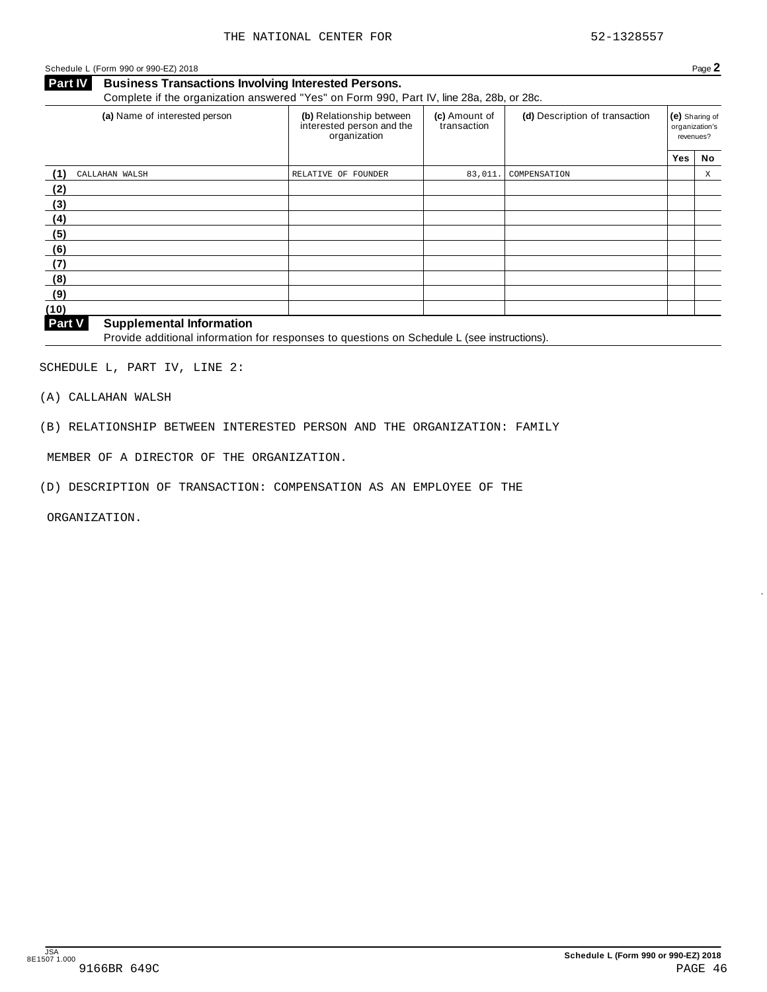Schedule <sup>L</sup> (Form <sup>990</sup> or 990-EZ) <sup>2018</sup> Page **2**

**Business Transactions Involving Interested Persons.** Complete if the organization answered "Yes" on Form 990, Part IV, line 28a, 28b, or 28c.

| (a) Name of interested person             | (b) Relationship between<br>interested person and the<br>organization | (c) Amount of<br>transaction | (d) Description of transaction |            | (e) Sharing of<br>organization's<br>revenues? |
|-------------------------------------------|-----------------------------------------------------------------------|------------------------------|--------------------------------|------------|-----------------------------------------------|
|                                           |                                                                       |                              |                                | <b>Yes</b> | No                                            |
| (1)<br>CALLAHAN WALSH                     | RELATIVE OF FOUNDER                                                   | 83,011.                      | COMPENSATION                   |            | X                                             |
| (2)                                       |                                                                       |                              |                                |            |                                               |
| (3)                                       |                                                                       |                              |                                |            |                                               |
| (4)                                       |                                                                       |                              |                                |            |                                               |
| (5)                                       |                                                                       |                              |                                |            |                                               |
| (6)                                       |                                                                       |                              |                                |            |                                               |
| (7)                                       |                                                                       |                              |                                |            |                                               |
| (8)                                       |                                                                       |                              |                                |            |                                               |
| (9)                                       |                                                                       |                              |                                |            |                                               |
| (10)                                      |                                                                       |                              |                                |            |                                               |
| Dout M<br><b>Cunnlamantal Information</b> |                                                                       |                              |                                |            |                                               |

#### **Supplemental Information**

**Patt V** Supplemental information<br>Provide additional information for responses to questions on Schedule L (see instructions).

SCHEDULE L, PART IV, LINE 2:

(A) CALLAHAN WALSH

(B) RELATIONSHIP BETWEEN INTERESTED PERSON AND THE ORGANIZATION: FAMILY

MEMBER OF A DIRECTOR OF THE ORGANIZATION.

(D) DESCRIPTION OF TRANSACTION: COMPENSATION AS AN EMPLOYEE OF THE

ORGANIZATION.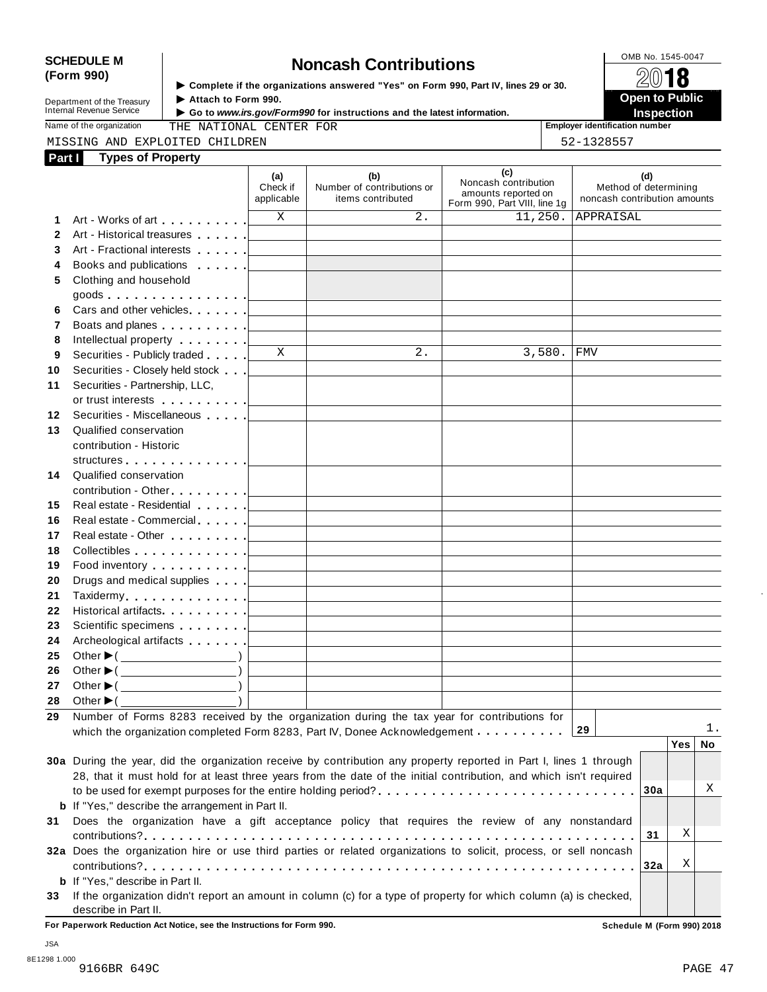# SCHEDULE M<br>
(Form 990) **Some Light Schedule 15 the organizations answered "Yes" on Form 990 Part IV lines 29 or 30<br> \bigotimes\_{\text{max}} \bigotimes\_{\text{max}} \bigotimes\_{\text{max}} \bigotimes\_{\text{max}} \bigotimes\_{\text{max}} \bigotimes\_{\text{max}} \bigotimes\_{\text{max}} \bigotimes\_{\text{max}} \bigotimes\_{\text{max}} \bigotimes\_{\text{max}} \bigotimes\_{**

Department of the Treasury<br>Internal Revenue Service

**Examplete** if the organizations answered "Yes" on Form 990, Part Ⅳ, lines 29 or 30. 
<br>● Attach to Form 990. **Department of the Treasury** ▶ Attach to Form 990.<br>Internal Revenue Service ▶ Go to *www.irs.gov/Form990* for instructions and the latest information.<br>Nome of the organization and **The Contract of Contract of Contract of** 

Name of the organization **Employer identification number** THE NATIONAL CENTER FOR

| Part I | <b>Types of Property</b>   |  |
|--------|----------------------------|--|
|        | MISSING AND EXPLOITED CHIL |  |

|             |     |                          | _______ |                               |
|-------------|-----|--------------------------|---------|-------------------------------|
| MT.S<br>`NG | ΆNΤ | 180 L<br>: וט<br>$\cdot$ | JR F.N  | ---<br>. –<br>_____<br>$\sim$ |
|             |     |                          |         |                               |

|    |                                                                                                                                                                                                                                | (a)<br>Check if<br>applicable     | (b)<br>Number of contributions or<br>items contributed | (c)<br>Noncash contribution<br>amounts reported on<br>Form 990, Part VIII, line 1g | (d)<br>Method of determining<br>noncash contribution amounts |            |       |
|----|--------------------------------------------------------------------------------------------------------------------------------------------------------------------------------------------------------------------------------|-----------------------------------|--------------------------------------------------------|------------------------------------------------------------------------------------|--------------------------------------------------------------|------------|-------|
| 1  | Art - Works of art New York 1997                                                                                                                                                                                               | X                                 | 2.                                                     | 11,250.                                                                            | APPRAISAL                                                    |            |       |
| 2  | Art - Historical treasures                                                                                                                                                                                                     |                                   |                                                        |                                                                                    |                                                              |            |       |
| 3  | Art - Fractional interests [1995]                                                                                                                                                                                              |                                   |                                                        |                                                                                    |                                                              |            |       |
| 4  | Books and publications <b>Exercise 2</b>                                                                                                                                                                                       |                                   |                                                        |                                                                                    |                                                              |            |       |
| 5. | Clothing and household                                                                                                                                                                                                         |                                   |                                                        |                                                                                    |                                                              |            |       |
|    | goods $\ldots$ $\ldots$ $\ldots$ $\ldots$ $\ldots$ $\ldots$                                                                                                                                                                    |                                   |                                                        |                                                                                    |                                                              |            |       |
| 6  | Cars and other vehicles <b>Cars</b>                                                                                                                                                                                            |                                   |                                                        |                                                                                    |                                                              |            |       |
| 7  | Boats and planes <u>  _ _ _ _ _</u>                                                                                                                                                                                            |                                   |                                                        |                                                                                    |                                                              |            |       |
| 8  | Intellectual property [                                                                                                                                                                                                        |                                   |                                                        |                                                                                    |                                                              |            |       |
| 9  | Securities - Publicly traded                                                                                                                                                                                                   | X                                 | 2.                                                     | 3,580.                                                                             | FMV                                                          |            |       |
| 10 | Securities - Closely held stock                                                                                                                                                                                                |                                   |                                                        |                                                                                    |                                                              |            |       |
| 11 | Securities - Partnership, LLC,                                                                                                                                                                                                 |                                   |                                                        |                                                                                    |                                                              |            |       |
|    | or trust interests [100] and the control of trust interests and the control of the control of the control of the control of the control of the control of the control of the control of the control of the control of the cont |                                   |                                                        |                                                                                    |                                                              |            |       |
| 12 | Securities - Miscellaneous                                                                                                                                                                                                     |                                   |                                                        |                                                                                    |                                                              |            |       |
| 13 | Qualified conservation                                                                                                                                                                                                         |                                   |                                                        |                                                                                    |                                                              |            |       |
|    | contribution - Historic                                                                                                                                                                                                        |                                   |                                                        |                                                                                    |                                                              |            |       |
|    |                                                                                                                                                                                                                                |                                   |                                                        |                                                                                    |                                                              |            |       |
| 14 | Qualified conservation                                                                                                                                                                                                         |                                   |                                                        |                                                                                    |                                                              |            |       |
|    | contribution - Other <u>  _ _ _ _ _</u>                                                                                                                                                                                        |                                   |                                                        |                                                                                    |                                                              |            |       |
| 15 | Real estate - Residential Real estate - Residential                                                                                                                                                                            |                                   |                                                        |                                                                                    |                                                              |            |       |
| 16 |                                                                                                                                                                                                                                |                                   |                                                        |                                                                                    |                                                              |            |       |
| 17 | Real estate - Other New York New York Press (New York New York New York New York New York New York New York New York New York New York New York New York New York New York New York New York New York New York New York New Yo |                                   |                                                        |                                                                                    |                                                              |            |       |
| 18 | Collectibles experiences and the collectibles                                                                                                                                                                                  |                                   |                                                        |                                                                                    |                                                              |            |       |
| 19 | Food inventory [10] Food inventory                                                                                                                                                                                             |                                   |                                                        |                                                                                    |                                                              |            |       |
| 20 | Drugs and medical supplies [                                                                                                                                                                                                   |                                   |                                                        |                                                                                    |                                                              |            |       |
| 21 |                                                                                                                                                                                                                                | $\frac{1}{2}$ , and $\frac{1}{2}$ |                                                        |                                                                                    |                                                              |            |       |
| 22 | Taxidermy $\ldots$ , $\qquadldots$                                                                                                                                                                                             |                                   |                                                        |                                                                                    |                                                              |            |       |
| 23 | Scientific specimens <b>Constant Constant Constant Constant</b>                                                                                                                                                                |                                   |                                                        |                                                                                    |                                                              |            |       |
| 24 | Archeological artifacts [1996]                                                                                                                                                                                                 |                                   |                                                        |                                                                                    |                                                              |            |       |
| 25 | Other $\blacktriangleright$ ( $\qquad \qquad$ )                                                                                                                                                                                |                                   |                                                        |                                                                                    |                                                              |            |       |
| 26 | Other $\blacktriangleright$ ( $\qquad \qquad$                                                                                                                                                                                  |                                   |                                                        |                                                                                    |                                                              |            |       |
| 27 | Other $\blacktriangleright$ ( $\qquad \qquad$                                                                                                                                                                                  |                                   |                                                        |                                                                                    |                                                              |            |       |
| 28 | Other $\blacktriangleright$ (                                                                                                                                                                                                  |                                   |                                                        |                                                                                    |                                                              |            |       |
| 29 | Number of Forms 8283 received by the organization during the tax year for contributions for                                                                                                                                    |                                   |                                                        |                                                                                    |                                                              |            |       |
|    | which the organization completed Form 8283, Part IV, Donee Acknowledgement $\ldots \ldots \ldots$ [29]                                                                                                                         |                                   |                                                        |                                                                                    |                                                              |            | $1$ . |
|    |                                                                                                                                                                                                                                |                                   |                                                        |                                                                                    |                                                              | <b>Yes</b> | No    |
|    | 30a During the year, did the organization receive by contribution any property reported in Part I, lines 1 through                                                                                                             |                                   |                                                        |                                                                                    |                                                              |            |       |
|    | 28, that it must hold for at least three years from the date of the initial contribution, and which isn't required                                                                                                             |                                   |                                                        |                                                                                    |                                                              |            |       |
|    |                                                                                                                                                                                                                                |                                   |                                                        |                                                                                    | 30a                                                          |            | Χ     |
|    | <b>b</b> If "Yes," describe the arrangement in Part II.                                                                                                                                                                        |                                   |                                                        |                                                                                    |                                                              |            |       |
| 31 | Does the organization have a gift acceptance policy that requires the review of any nonstandard                                                                                                                                |                                   |                                                        |                                                                                    |                                                              |            |       |
|    |                                                                                                                                                                                                                                |                                   |                                                        |                                                                                    | 31                                                           | Χ          |       |
|    | 32a Does the organization hire or use third parties or related organizations to solicit, process, or sell noncash                                                                                                              |                                   |                                                        |                                                                                    |                                                              |            |       |
|    |                                                                                                                                                                                                                                |                                   |                                                        |                                                                                    | 32a                                                          | Χ          |       |
|    | <b>b</b> If "Yes," describe in Part II.                                                                                                                                                                                        |                                   |                                                        |                                                                                    |                                                              |            |       |
| 33 | If the organization didn't report an amount in column (c) for a type of property for which column (a) is checked,                                                                                                              |                                   |                                                        |                                                                                    |                                                              |            |       |
|    | describe in Part II.                                                                                                                                                                                                           |                                   |                                                        |                                                                                    |                                                              |            |       |

**For Paperwork Reduction Act Notice, see the Instructions for Form 990. Schedule M (Form 990) 2018**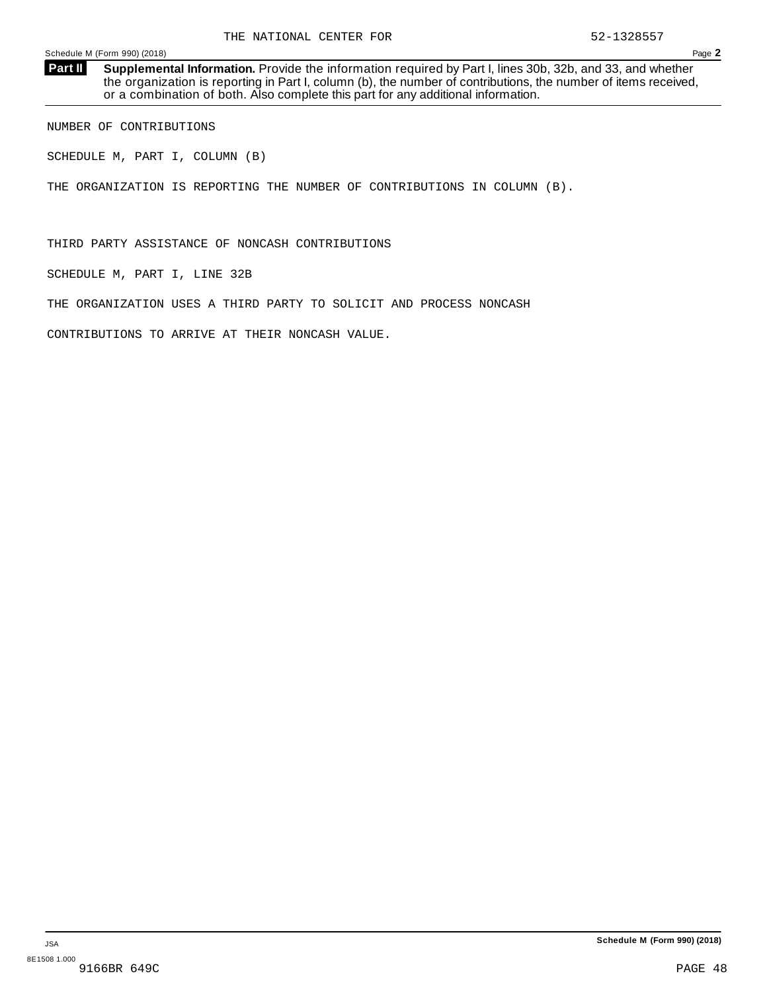**Supplemental Information.** Provide the information required by Part I, lines 30b, 32b, and 33, and whether the organization is reporting in Part I, column (b), the number of contributions, the number of items received, or a combination of both. Also complete this part for any additional information. **Part II**

NUMBER OF CONTRIBUTIONS

SCHEDULE M, PART I, COLUMN (B)

THE ORGANIZATION IS REPORTING THE NUMBER OF CONTRIBUTIONS IN COLUMN (B).

THIRD PARTY ASSISTANCE OF NONCASH CONTRIBUTIONS

SCHEDULE M, PART I, LINE 32B

THE ORGANIZATION USES A THIRD PARTY TO SOLICIT AND PROCESS NONCASH

CONTRIBUTIONS TO ARRIVE AT THEIR NONCASH VALUE.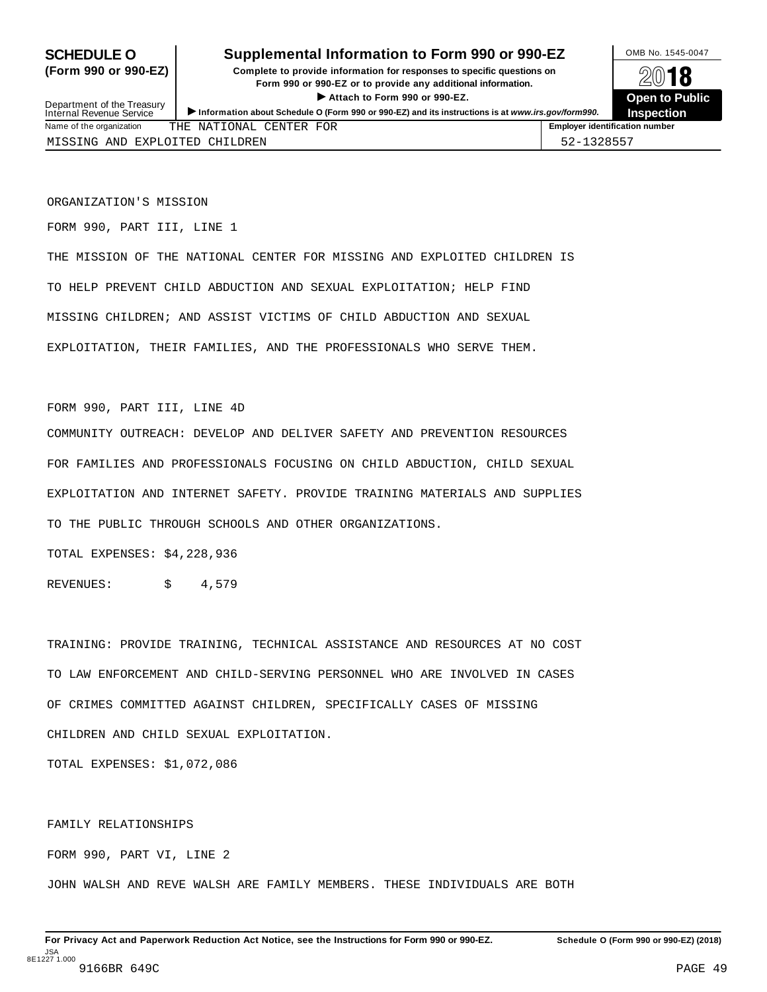## **SCHEDULE O** Supplemental Information to Form 990 or 990-EZ DAMB No. 1545-0047

**(Form 990 or 990-EZ) Complete to provide information for responses to specific questions on** plete to provide information for responses to specific questions on  $\mathbb{Z}^{0}$  **18 EV I O**<br>
■ Attach to Form 990 or 990-EZ. Depen to Public<br>
■ Public Corporation of the Security of the Security of the Security of the Security of the Security of the Security of the Security of the Security of the Securi



Department of the Treasury<br>Internal Revenue Service Department of the Treasury<br>
Information about Schedule 0 (Form 990 or 990-EZ) and its instructions is at www.irs.gov/form990.<br>
Name of the organization THE NATIONAL CENTER FOR FOR FRIP REMOVER FOR THE NATIONAL CENTER FOR MISSING AND EXPLOITED CHILDREN 52-1328557

ORGANIZATION'S MISSION

FORM 990, PART III, LINE 1

THE MISSION OF THE NATIONAL CENTER FOR MISSING AND EXPLOITED CHILDREN IS TO HELP PREVENT CHILD ABDUCTION AND SEXUAL EXPLOITATION; HELP FIND MISSING CHILDREN; AND ASSIST VICTIMS OF CHILD ABDUCTION AND SEXUAL EXPLOITATION, THEIR FAMILIES, AND THE PROFESSIONALS WHO SERVE THEM.

FORM 990, PART III, LINE 4D

COMMUNITY OUTREACH: DEVELOP AND DELIVER SAFETY AND PREVENTION RESOURCES FOR FAMILIES AND PROFESSIONALS FOCUSING ON CHILD ABDUCTION, CHILD SEXUAL EXPLOITATION AND INTERNET SAFETY. PROVIDE TRAINING MATERIALS AND SUPPLIES TO THE PUBLIC THROUGH SCHOOLS AND OTHER ORGANIZATIONS.

TOTAL EXPENSES: \$4,228,936

REVENUES:  $\qquad \qquad$ \$ 4,579

TRAINING: PROVIDE TRAINING, TECHNICAL ASSISTANCE AND RESOURCES AT NO COST TO LAW ENFORCEMENT AND CHILD-SERVING PERSONNEL WHO ARE INVOLVED IN CASES OF CRIMES COMMITTED AGAINST CHILDREN, SPECIFICALLY CASES OF MISSING CHILDREN AND CHILD SEXUAL EXPLOITATION.

TOTAL EXPENSES: \$1,072,086

FAMILY RELATIONSHIPS

FORM 990, PART VI, LINE 2

JOHN WALSH AND REVE WALSH ARE FAMILY MEMBERS. THESE INDIVIDUALS ARE BOTH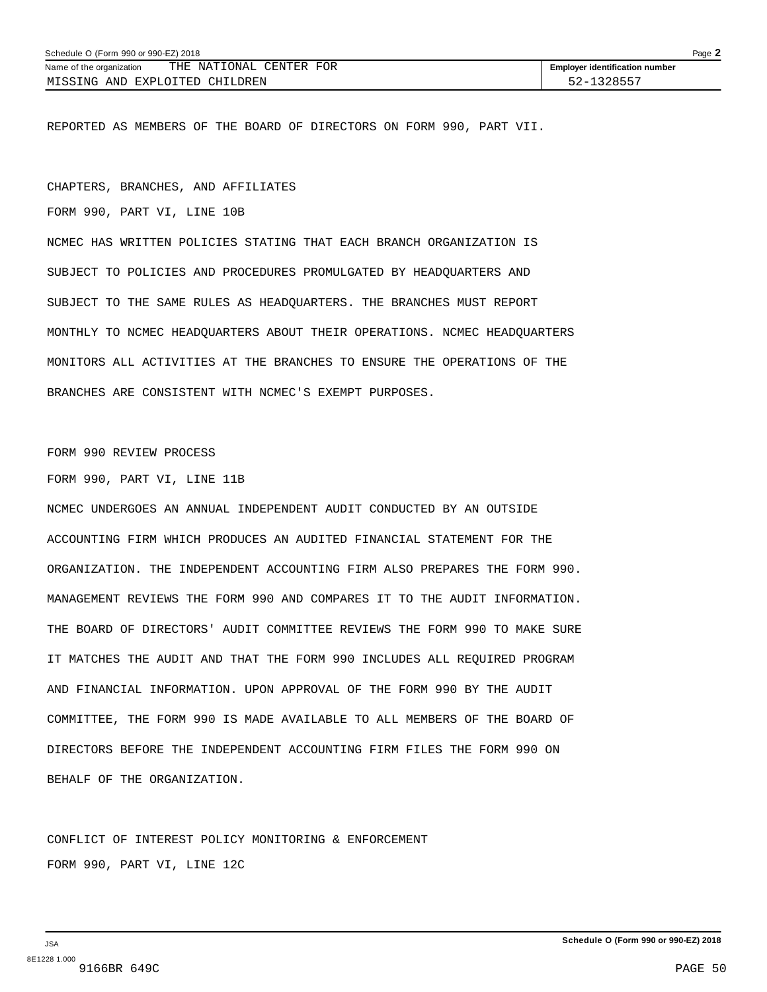REPORTED AS MEMBERS OF THE BOARD OF DIRECTORS ON FORM 990, PART VII.

CHAPTERS, BRANCHES, AND AFFILIATES

FORM 990, PART VI, LINE 10B

NCMEC HAS WRITTEN POLICIES STATING THAT EACH BRANCH ORGANIZATION IS SUBJECT TO POLICIES AND PROCEDURES PROMULGATED BY HEADQUARTERS AND SUBJECT TO THE SAME RULES AS HEADQUARTERS. THE BRANCHES MUST REPORT MONTHLY TO NCMEC HEADQUARTERS ABOUT THEIR OPERATIONS. NCMEC HEADQUARTERS MONITORS ALL ACTIVITIES AT THE BRANCHES TO ENSURE THE OPERATIONS OF THE BRANCHES ARE CONSISTENT WITH NCMEC'S EXEMPT PURPOSES.

FORM 990 REVIEW PROCESS

FORM 990, PART VI, LINE 11B

NCMEC UNDERGOES AN ANNUAL INDEPENDENT AUDIT CONDUCTED BY AN OUTSIDE ACCOUNTING FIRM WHICH PRODUCES AN AUDITED FINANCIAL STATEMENT FOR THE ORGANIZATION. THE INDEPENDENT ACCOUNTING FIRM ALSO PREPARES THE FORM 990. MANAGEMENT REVIEWS THE FORM 990 AND COMPARES IT TO THE AUDIT INFORMATION. THE BOARD OF DIRECTORS' AUDIT COMMITTEE REVIEWS THE FORM 990 TO MAKE SURE IT MATCHES THE AUDIT AND THAT THE FORM 990 INCLUDES ALL REQUIRED PROGRAM AND FINANCIAL INFORMATION. UPON APPROVAL OF THE FORM 990 BY THE AUDIT COMMITTEE, THE FORM 990 IS MADE AVAILABLE TO ALL MEMBERS OF THE BOARD OF DIRECTORS BEFORE THE INDEPENDENT ACCOUNTING FIRM FILES THE FORM 990 ON BEHALF OF THE ORGANIZATION.

CONFLICT OF INTEREST POLICY MONITORING & ENFORCEMENT FORM 990, PART VI, LINE 12C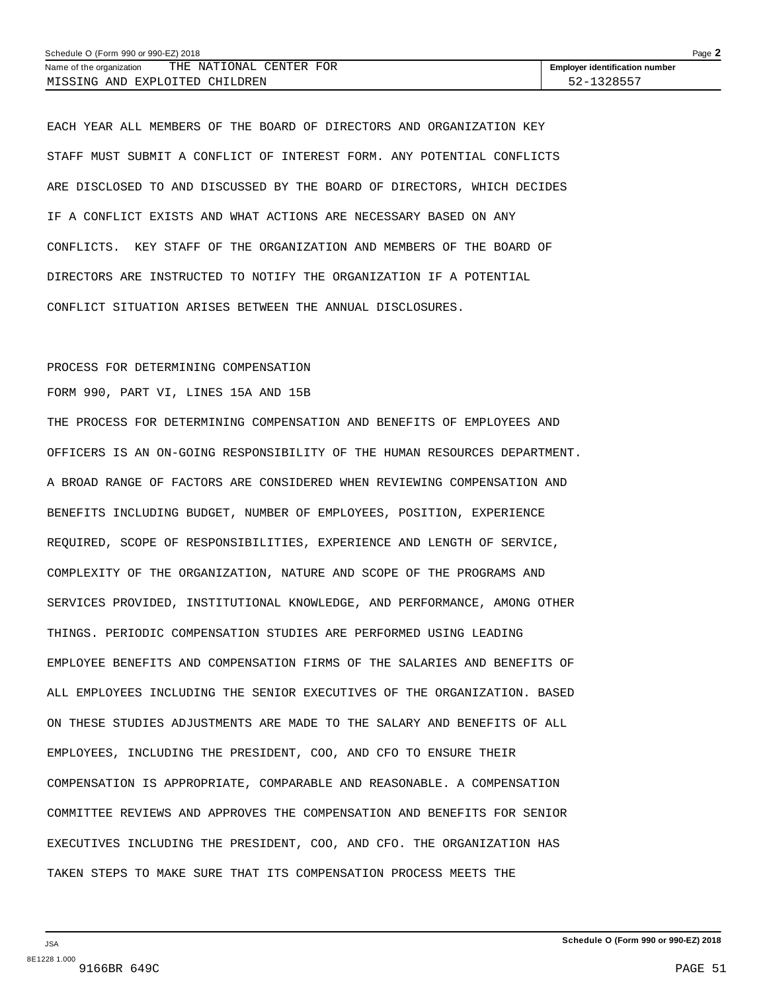| Schedule O (Form 990 or 990-EZ) 2018                |  |                                       | Page $\blacktriangle$ |
|-----------------------------------------------------|--|---------------------------------------|-----------------------|
| THE NATIONAL CENTER FOR<br>Name of the organization |  | <b>Employer identification number</b> |                       |
| MISSING AND EXPLOITED CHILDREN                      |  | 52-1328557                            |                       |

EACH YEAR ALL MEMBERS OF THE BOARD OF DIRECTORS AND ORGANIZATION KEY STAFF MUST SUBMIT A CONFLICT OF INTEREST FORM. ANY POTENTIAL CONFLICTS ARE DISCLOSED TO AND DISCUSSED BY THE BOARD OF DIRECTORS, WHICH DECIDES IF A CONFLICT EXISTS AND WHAT ACTIONS ARE NECESSARY BASED ON ANY CONFLICTS. KEY STAFF OF THE ORGANIZATION AND MEMBERS OF THE BOARD OF DIRECTORS ARE INSTRUCTED TO NOTIFY THE ORGANIZATION IF A POTENTIAL CONFLICT SITUATION ARISES BETWEEN THE ANNUAL DISCLOSURES.

#### PROCESS FOR DETERMINING COMPENSATION

FORM 990, PART VI, LINES 15A AND 15B

THE PROCESS FOR DETERMINING COMPENSATION AND BENEFITS OF EMPLOYEES AND OFFICERS IS AN ON-GOING RESPONSIBILITY OF THE HUMAN RESOURCES DEPARTMENT. A BROAD RANGE OF FACTORS ARE CONSIDERED WHEN REVIEWING COMPENSATION AND BENEFITS INCLUDING BUDGET, NUMBER OF EMPLOYEES, POSITION, EXPERIENCE REQUIRED, SCOPE OF RESPONSIBILITIES, EXPERIENCE AND LENGTH OF SERVICE, COMPLEXITY OF THE ORGANIZATION, NATURE AND SCOPE OF THE PROGRAMS AND SERVICES PROVIDED, INSTITUTIONAL KNOWLEDGE, AND PERFORMANCE, AMONG OTHER THINGS. PERIODIC COMPENSATION STUDIES ARE PERFORMED USING LEADING EMPLOYEE BENEFITS AND COMPENSATION FIRMS OF THE SALARIES AND BENEFITS OF ALL EMPLOYEES INCLUDING THE SENIOR EXECUTIVES OF THE ORGANIZATION. BASED ON THESE STUDIES ADJUSTMENTS ARE MADE TO THE SALARY AND BENEFITS OF ALL EMPLOYEES, INCLUDING THE PRESIDENT, COO, AND CFO TO ENSURE THEIR COMPENSATION IS APPROPRIATE, COMPARABLE AND REASONABLE. A COMPENSATION COMMITTEE REVIEWS AND APPROVES THE COMPENSATION AND BENEFITS FOR SENIOR EXECUTIVES INCLUDING THE PRESIDENT, COO, AND CFO. THE ORGANIZATION HAS TAKEN STEPS TO MAKE SURE THAT ITS COMPENSATION PROCESS MEETS THE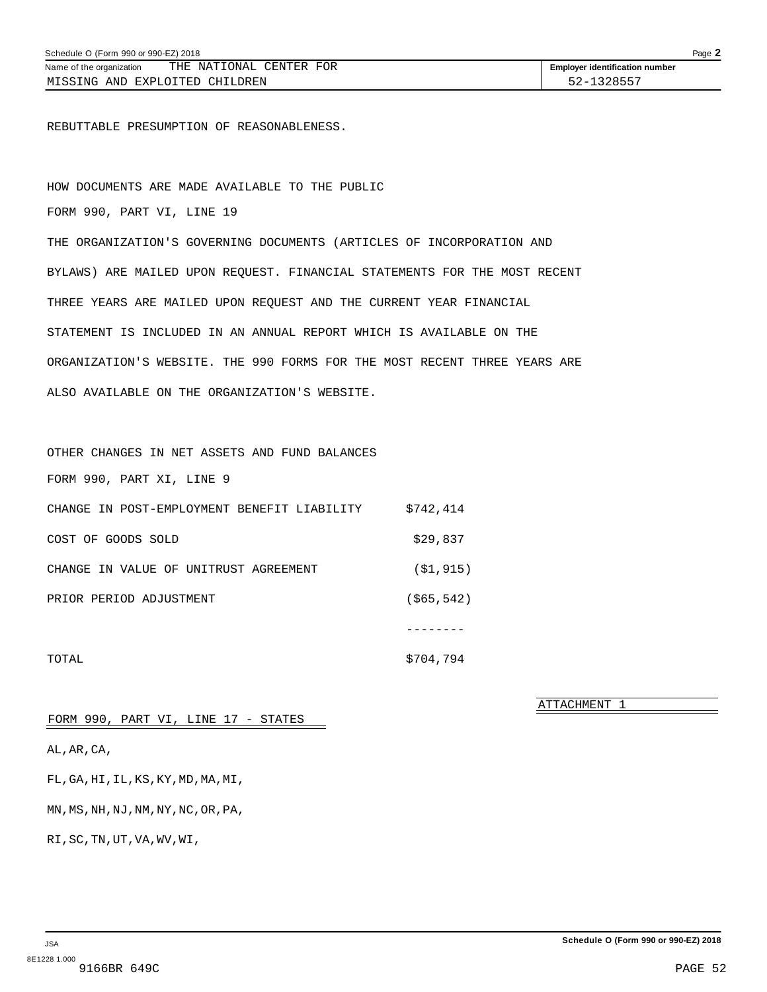<span id="page-55-0"></span>REBUTTABLE PRESUMPTION OF REASONABLENESS.

HOW DOCUMENTS ARE MADE AVAILABLE TO THE PUBLIC FORM 990, PART VI, LINE 19 THE ORGANIZATION'S GOVERNING DOCUMENTS (ARTICLES OF INCORPORATION AND BYLAWS) ARE MAILED UPON REQUEST. FINANCIAL STATEMENTS FOR THE MOST RECENT THREE YEARS ARE MAILED UPON REQUEST AND THE CURRENT YEAR FINANCIAL STATEMENT IS INCLUDED IN AN ANNUAL REPORT WHICH IS AVAILABLE ON THE ORGANIZATION'S WEBSITE. THE 990 FORMS FOR THE MOST RECENT THREE YEARS ARE ALSO AVAILABLE ON THE ORGANIZATION'S WEBSITE.

OTHER CHANGES IN NET ASSETS AND FUND BALANCES FORM 990, PART XI, LINE 9 CHANGE IN POST-EMPLOYMENT BENEFIT LIABILITY \$742,414 COST OF GOODS SOLD \$29,837 CHANGE IN VALUE OF UNITRUST AGREEMENT (\$1,915) PRIOR PERIOD ADJUSTMENT (\$65,542) --------

#### FORM 990, PART VI, LINE 17 - STATES

AL,AR,CA,

FL,GA,HI,IL,KS,KY,MD,MA,MI,

MN,MS,NH,NJ,NM,NY,NC,OR,PA,

RI,SC,TN,UT,VA,WV,WI,

ATTACHMENT 1

TOTAL \$704,794